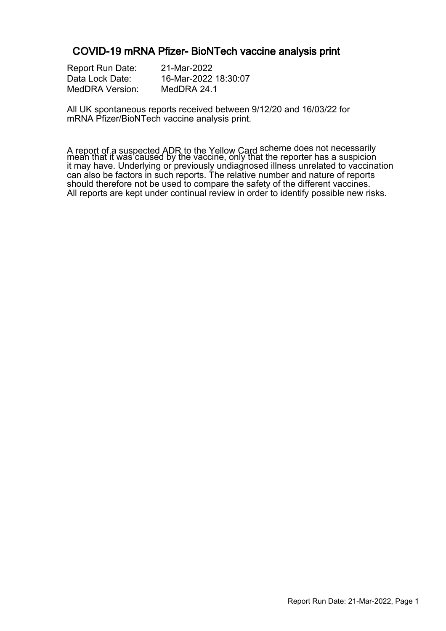### COVID-19 mRNA Pfizer- BioNTech vaccine analysis print

| <b>Report Run Date:</b> |  |
|-------------------------|--|
| Data Lock Date:         |  |
| <b>MedDRA Version:</b>  |  |

21-Mar-2022 16-Mar-2022 18:30:07 MedDRA 24.1

All UK spontaneous reports received between 9/12/20 and 16/03/22 for mRNA Pfizer/BioNTech vaccine analysis print.

A report of a suspected ADR to the Yellow Card scheme does not necessarily mean that it was caused by the vaccine, only that the reporter has a suspicion it may have. Underlying or previously undiagnosed illness unrelated to vaccination can also be factors in such reports. The relative number and nature of reports should therefore not be used to compare the safety of the different vaccines. All reports are kept under continual review in order to identify possible new risks.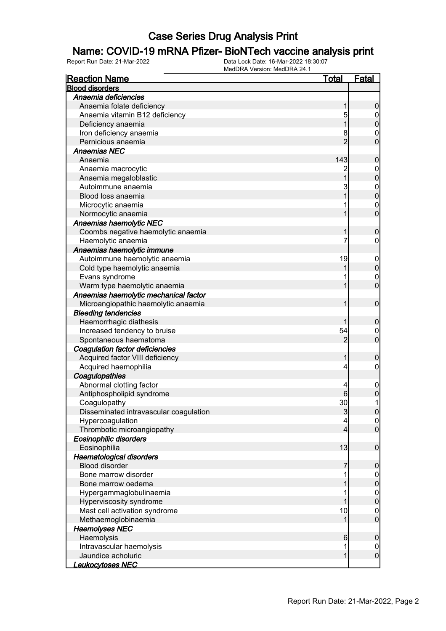### Name: COVID-19 mRNA Pfizer- BioNTech vaccine analysis print

| <b>Reaction Name</b>                   | <u>Total</u>   | <u>Fatal</u>     |
|----------------------------------------|----------------|------------------|
| <b>Blood disorders</b>                 |                |                  |
| Anaemia deficiencies                   |                |                  |
| Anaemia folate deficiency              |                | 0                |
| Anaemia vitamin B12 deficiency         | 5              | 0                |
| Deficiency anaemia                     |                | 0                |
| Iron deficiency anaemia                | 8              | $\mathbf 0$      |
| Pernicious anaemia                     | $\overline{c}$ | $\overline{0}$   |
| <b>Anaemias NEC</b>                    |                |                  |
| Anaemia                                | 143            | $\boldsymbol{0}$ |
| Anaemia macrocytic                     |                | $\mathbf 0$      |
| Anaemia megaloblastic                  | 1              | $\mathbf 0$      |
| Autoimmune anaemia                     | 3              | $\mathbf{0}$     |
| Blood loss anaemia                     |                | $\overline{0}$   |
| Microcytic anaemia                     |                | $\mathbf{0}$     |
| Normocytic anaemia                     |                | $\overline{0}$   |
| <b>Anaemias haemolytic NEC</b>         |                |                  |
| Coombs negative haemolytic anaemia     |                | 0                |
| Haemolytic anaemia                     | 7              | 0                |
| Anaemias haemolytic immune             |                |                  |
| Autoimmune haemolytic anaemia          | 19             | $\mathbf 0$      |
| Cold type haemolytic anaemia           |                | $\pmb{0}$        |
| Evans syndrome                         |                | $\mathbf{0}$     |
| Warm type haemolytic anaemia           |                | $\overline{0}$   |
| Anaemias haemolytic mechanical factor  |                |                  |
| Microangiopathic haemolytic anaemia    |                | $\mathbf 0$      |
| <b>Bleeding tendencies</b>             |                |                  |
| Haemorrhagic diathesis                 |                | 0                |
| Increased tendency to bruise           | 54             | $\mathbf 0$      |
| Spontaneous haematoma                  | 2              | $\overline{0}$   |
| Coagulation factor deficiencies        |                |                  |
| Acquired factor VIII deficiency        |                | 0                |
| Acquired haemophilia                   | 4              | 0                |
| Coagulopathies                         |                |                  |
| Abnormal clotting factor               | 4              | $\mathbf 0$      |
| Antiphospholipid syndrome              | 6              | 0                |
| Coagulopathy                           | 30             | 1                |
| Disseminated intravascular coagulation | $\mathbf{3}$   | <sup>o</sup>     |
| Hypercoagulation                       | 4              | $\overline{0}$   |
| Thrombotic microangiopathy             | 4              | $\overline{0}$   |
| <b>Eosinophilic disorders</b>          |                |                  |
| Eosinophilia                           | 13             | $\mathbf 0$      |
| <b>Haematological disorders</b>        |                |                  |
| <b>Blood disorder</b>                  |                | 0                |
| Bone marrow disorder                   |                | $\mathbf 0$      |
| Bone marrow oedema                     |                | 0                |
| Hypergammaglobulinaemia                |                | $\boldsymbol{0}$ |
| Hyperviscosity syndrome                |                | $\boldsymbol{0}$ |
| Mast cell activation syndrome          | 10             | $\mathbf 0$      |
| Methaemoglobinaemia                    |                | $\overline{0}$   |
| <b>Haemolyses NEC</b>                  |                |                  |
| Haemolysis                             | 6              | $\boldsymbol{0}$ |
| Intravascular haemolysis               | 1              | $\mathbf 0$      |
| Jaundice acholuric                     | 1              | $\boldsymbol{0}$ |
| <u> Leukocytoses NEC</u>               |                |                  |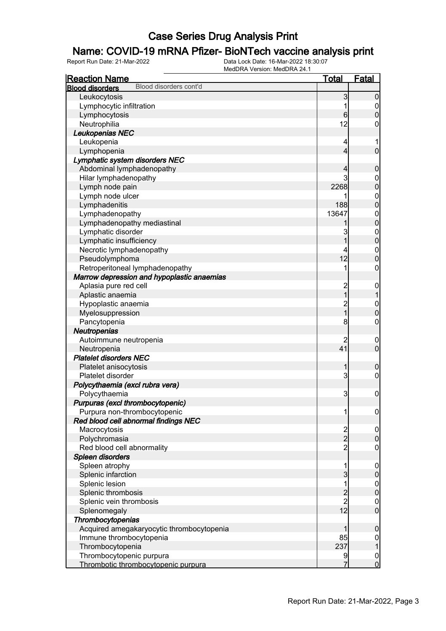### Name: COVID-19 mRNA Pfizer- BioNTech vaccine analysis print

| <b>Reaction Name</b>                             | <b>Total</b>                                | <b>Fatal</b>                       |
|--------------------------------------------------|---------------------------------------------|------------------------------------|
| Blood disorders cont'd<br><b>Blood disorders</b> |                                             |                                    |
| Leukocytosis                                     | 3                                           | $\mathbf 0$                        |
| Lymphocytic infiltration                         | 1                                           | $\overline{0}$                     |
| Lymphocytosis                                    | $6 \,$                                      | $\boldsymbol{0}$                   |
| Neutrophilia                                     | 12                                          | 0                                  |
| Leukopenias NEC                                  |                                             |                                    |
| Leukopenia                                       | 4                                           |                                    |
| Lymphopenia                                      | $\overline{4}$                              | $\mathbf 0$                        |
| Lymphatic system disorders NEC                   |                                             |                                    |
| Abdominal lymphadenopathy                        | 4                                           | $\mathbf 0$                        |
| Hilar lymphadenopathy                            | 3                                           | $\mathbf 0$                        |
| Lymph node pain                                  | 2268                                        | $\mathbf 0$                        |
| Lymph node ulcer                                 | 1                                           | $\boldsymbol{0}$                   |
| Lymphadenitis                                    | 188                                         | $\overline{0}$                     |
| Lymphadenopathy                                  | 13647                                       | $\boldsymbol{0}$                   |
| Lymphadenopathy mediastinal                      |                                             | $\overline{0}$                     |
| Lymphatic disorder                               | 3                                           | $\boldsymbol{0}$                   |
| Lymphatic insufficiency                          | $\overline{1}$                              | $\overline{0}$                     |
| Necrotic lymphadenopathy                         | 4                                           | $\boldsymbol{0}$                   |
| Pseudolymphoma                                   | 12                                          | $\mathbf 0$                        |
| Retroperitoneal lymphadenopathy                  | 1                                           | $\boldsymbol{0}$                   |
| Marrow depression and hypoplastic anaemias       |                                             |                                    |
| Aplasia pure red cell                            |                                             |                                    |
| Aplastic anaemia                                 | 2<br>1                                      | $\boldsymbol{0}$<br>$\overline{1}$ |
|                                                  |                                             |                                    |
| Hypoplastic anaemia                              | 2<br>1                                      | $\boldsymbol{0}$<br>$\mathbf 0$    |
| Myelosuppression                                 |                                             |                                    |
| Pancytopenia                                     | 8                                           | $\boldsymbol{0}$                   |
| Neutropenias                                     |                                             |                                    |
| Autoimmune neutropenia                           | $\overline{c}$                              | $\mathbf 0$                        |
| Neutropenia                                      | 41                                          | $\mathbf 0$                        |
| <b>Platelet disorders NEC</b>                    |                                             |                                    |
| Platelet anisocytosis                            | 1                                           | $\mathbf 0$                        |
| Platelet disorder                                | 3                                           | $\boldsymbol{0}$                   |
| Polycythaemia (excl rubra vera)                  |                                             |                                    |
| Polycythaemia                                    | 3                                           | $\boldsymbol{0}$                   |
| Purpuras (excl thrombocytopenic)                 |                                             |                                    |
| Purpura non-thrombocytopenic                     | 1                                           | $\overline{0}$                     |
| Red blood cell abnormal findings NEC             |                                             |                                    |
| Macrocytosis                                     | $\frac{2}{2}$                               | $\mathbf 0$                        |
| Polychromasia                                    |                                             | $\mathbf 0$                        |
| Red blood cell abnormality                       | $\overline{2}$                              | $\overline{0}$                     |
| Spleen disorders                                 |                                             |                                    |
| Spleen atrophy                                   | 1                                           | $\mathbf 0$                        |
| Splenic infarction                               | 3                                           | $\pmb{0}$                          |
| Splenic lesion                                   | 1                                           | $\boldsymbol{0}$                   |
| Splenic thrombosis                               |                                             | $\pmb{0}$                          |
| Splenic vein thrombosis                          | $\begin{array}{c} 2 \\ 2 \\ 12 \end{array}$ | $\overline{0}$                     |
| Splenomegaly                                     |                                             | $\overline{0}$                     |
| Thrombocytopenias                                |                                             |                                    |
| Acquired amegakaryocytic thrombocytopenia        | 1                                           | $\mathbf 0$                        |
| Immune thrombocytopenia                          | 85                                          | $\overline{0}$                     |
| Thrombocytopenia                                 | 237                                         | $\mathbf 1$                        |
| Thrombocytopenic purpura                         | 9                                           | $\boldsymbol{0}$                   |
| Thrombotic thrombocytopenic purpura              | 7                                           | $\mathbf 0$                        |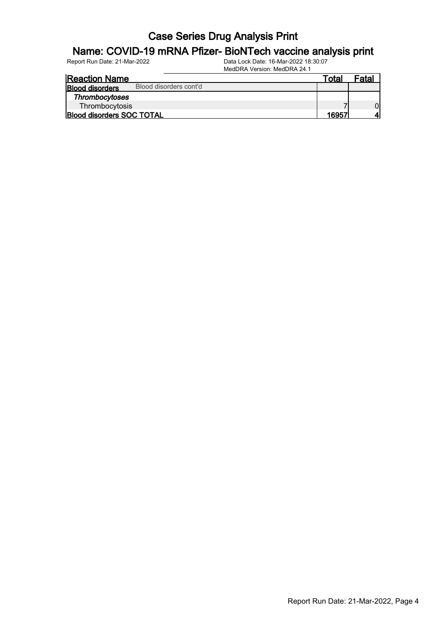#### Name: COVID-19 mRNA Pfizer- BioNTech vaccine analysis print

| <b>Reaction Name</b>             |                        | ™ota∟ | Fatal |
|----------------------------------|------------------------|-------|-------|
| <b>Blood disorders</b>           | Blood disorders cont'd |       |       |
| <b>Thrombocytoses</b>            |                        |       |       |
| Thrombocytosis                   |                        |       |       |
| <b>Blood disorders SOC TOTAL</b> |                        | 16957 |       |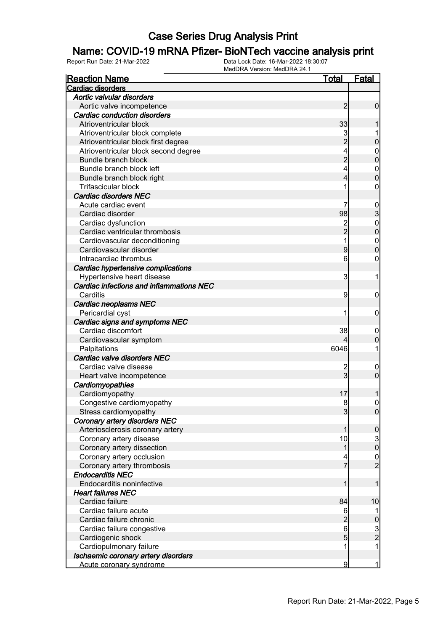### Name: COVID-19 mRNA Pfizer- BioNTech vaccine analysis print

| <b>Reaction Name</b>                     | <u>Total</u>   | <b>Fatal</b>                                    |
|------------------------------------------|----------------|-------------------------------------------------|
| Cardiac disorders                        |                |                                                 |
| Aortic valvular disorders                |                |                                                 |
| Aortic valve incompetence                | $\overline{c}$ | $\mathbf 0$                                     |
| Cardiac conduction disorders             |                |                                                 |
| Atrioventricular block                   | 33             |                                                 |
| Atrioventricular block complete          |                |                                                 |
| Atrioventricular block first degree      | $\overline{2}$ | $\pmb{0}$                                       |
| Atrioventricular block second degree     |                | $\mathbf{0}$                                    |
| Bundle branch block                      | $\overline{c}$ | $\mathbf 0$                                     |
| Bundle branch block left                 |                | $\mathbf{0}$                                    |
| Bundle branch block right                | 4              | $\overline{0}$                                  |
| <b>Trifascicular block</b>               |                | 0                                               |
| <b>Cardiac disorders NEC</b>             |                |                                                 |
| Acute cardiac event                      |                |                                                 |
| Cardiac disorder                         | 98             | $\frac{0}{3}$                                   |
| Cardiac dysfunction                      |                | $\mathbf{0}$                                    |
| Cardiac ventricular thrombosis           | 2<br>2         | $\mathbf 0$                                     |
| Cardiovascular deconditioning            | 1              | $\boldsymbol{0}$                                |
| Cardiovascular disorder                  | 9              | $\mathbf 0$                                     |
| Intracardiac thrombus                    | 6              | 0                                               |
| Cardiac hypertensive complications       |                |                                                 |
| Hypertensive heart disease               | 3              | 1                                               |
| Cardiac infections and inflammations NEC |                |                                                 |
| Carditis                                 | 9              | $\mathbf 0$                                     |
| Cardiac neoplasms NEC                    |                |                                                 |
| Pericardial cyst                         |                | $\mathbf 0$                                     |
| Cardiac signs and symptoms NEC           |                |                                                 |
| Cardiac discomfort                       | 38             | $\mathbf 0$                                     |
| Cardiovascular symptom                   |                | $\pmb{0}$                                       |
| Palpitations                             | 6046           | 1                                               |
| Cardiac valve disorders NEC              |                |                                                 |
| Cardiac valve disease                    | 2              | $\mathbf 0$                                     |
| Heart valve incompetence                 | $\overline{3}$ | $\mathbf 0$                                     |
| Cardiomyopathies                         |                |                                                 |
| Cardiomyopathy                           | 17             | 1                                               |
| Congestive cardiomyopathy                | 8              | $\boldsymbol{0}$                                |
| Stress cardiomyopathy                    | $\overline{3}$ | $\overline{0}$                                  |
| Coronary artery disorders NEC            |                |                                                 |
| Arteriosclerosis coronary artery         | 1              | $\boldsymbol{0}$                                |
| Coronary artery disease                  | 10             | $\begin{smallmatrix} 3 \\ 0 \end{smallmatrix}$  |
| Coronary artery dissection               | 1              |                                                 |
| Coronary artery occlusion                |                |                                                 |
| Coronary artery thrombosis               | 7              | $\frac{0}{2}$                                   |
| <b>Endocarditis NEC</b>                  |                |                                                 |
| Endocarditis noninfective                | 1              | 1                                               |
| <b>Heart failures NEC</b>                |                |                                                 |
| Cardiac failure                          | 84             | 10                                              |
| Cardiac failure acute                    | 6              |                                                 |
| Cardiac failure chronic                  | $\frac{2}{6}$  |                                                 |
| Cardiac failure congestive               |                |                                                 |
| Cardiogenic shock                        | 5              | $\begin{array}{c} 0 \\ 3 \\ 2 \\ 1 \end{array}$ |
| Cardiopulmonary failure                  |                |                                                 |
| Ischaemic coronary artery disorders      |                |                                                 |
| Acute coronary syndrome                  | 9              | $\mathbf{1}$                                    |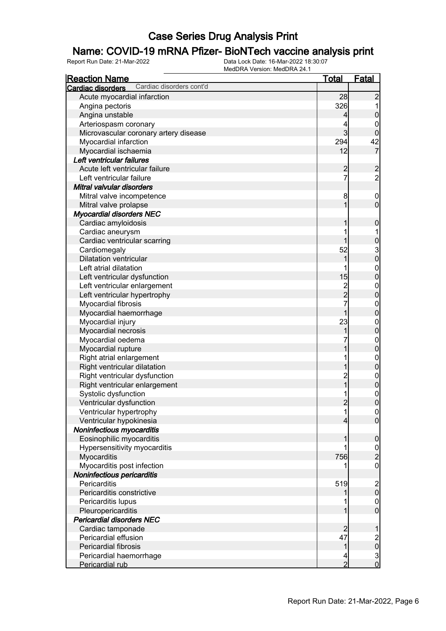### Name: COVID-19 mRNA Pfizer- BioNTech vaccine analysis print

| <b>Reaction Name</b>                          | <u>Total</u>   | <b>Fatal</b>                                   |
|-----------------------------------------------|----------------|------------------------------------------------|
| Cardiac disorders cont'd<br>Cardiac disorders |                |                                                |
| Acute myocardial infarction                   | 28             | $\overline{c}$                                 |
| Angina pectoris                               | 326            | $\mathbf 1$                                    |
| Angina unstable                               | $\overline{4}$ | $\mathbf 0$                                    |
| Arteriospasm coronary                         | 4              | $\mathbf{0}$                                   |
| Microvascular coronary artery disease         | $\overline{3}$ | $\mathbf 0$                                    |
| Myocardial infarction                         | 294            | 42                                             |
| Myocardial ischaemia                          | 12             | $\overline{7}$                                 |
| Left ventricular failures                     |                |                                                |
| Acute left ventricular failure                | $\overline{c}$ |                                                |
| Left ventricular failure                      | $\overline{7}$ | $\frac{2}{2}$                                  |
| Mitral valvular disorders                     |                |                                                |
| Mitral valve incompetence                     | 8              | $\boldsymbol{0}$                               |
| Mitral valve prolapse                         | 1              | $\overline{0}$                                 |
| <b>Myocardial disorders NEC</b>               |                |                                                |
| Cardiac amyloidosis                           | 1              | $\boldsymbol{0}$                               |
| Cardiac aneurysm                              | 1              | 1                                              |
| Cardiac ventricular scarring                  | 1              |                                                |
| Cardiomegaly                                  | 52             |                                                |
| <b>Dilatation ventricular</b>                 | 1              | $\begin{array}{c} 0 \\ 3 \\ 0 \end{array}$     |
| Left atrial dilatation                        | 1              |                                                |
| Left ventricular dysfunction                  | 15             | $0\atop 0$                                     |
| Left ventricular enlargement                  |                |                                                |
| Left ventricular hypertrophy                  | 2<br>2<br>7    | $0\atop 0$                                     |
| Myocardial fibrosis                           |                |                                                |
|                                               | $\overline{1}$ | $\begin{matrix}0\\0\end{matrix}$               |
| Myocardial haemorrhage                        | 23             |                                                |
| Myocardial injury                             | 1              | $0\atop 0$                                     |
| Myocardial necrosis                           |                |                                                |
| Myocardial oedema                             |                | $\begin{matrix}0\\0\end{matrix}$               |
| Myocardial rupture                            | 1              |                                                |
| Right atrial enlargement                      | 1              | $0$<br>0                                       |
| Right ventricular dilatation                  | 1              |                                                |
| Right ventricular dysfunction                 | 2<br>1         | $0$<br>0                                       |
| Right ventricular enlargement                 |                |                                                |
| Systolic dysfunction                          | 1              | $\begin{matrix}0\\0\end{matrix}$               |
| Ventricular dysfunction                       | $\overline{2}$ |                                                |
| Ventricular hypertrophy                       | 11             | $\Omega$                                       |
| Ventricular hypokinesia                       | $\overline{4}$ | $\overline{0}$                                 |
| Noninfectious myocarditis                     |                |                                                |
| Eosinophilic myocarditis                      | 1              | $\mathbf 0$                                    |
| Hypersensitivity myocarditis                  | 1              | $\frac{0}{2}$                                  |
| Myocarditis                                   | 756            |                                                |
| Myocarditis post infection                    |                | $\boldsymbol{0}$                               |
| Noninfectious pericarditis                    |                |                                                |
| Pericarditis                                  | 519            | $\begin{matrix} 2 \\ 0 \end{matrix}$           |
| Pericarditis constrictive                     |                |                                                |
| Pericarditis lupus                            |                | $\begin{matrix} 0 \\ 0 \end{matrix}$           |
| Pleuropericarditis                            | 1              |                                                |
| <b>Pericardial disorders NEC</b>              |                |                                                |
| Cardiac tamponade                             | $\overline{c}$ | 1                                              |
| Pericardial effusion                          | 47             |                                                |
| Pericardial fibrosis                          | $\mathbf{1}$   | $\begin{array}{c}\n 2 \\ 0 \\ 0\n \end{array}$ |
| Pericardial haemorrhage                       | 4              |                                                |
| Pericardial rub                               | $\overline{2}$ |                                                |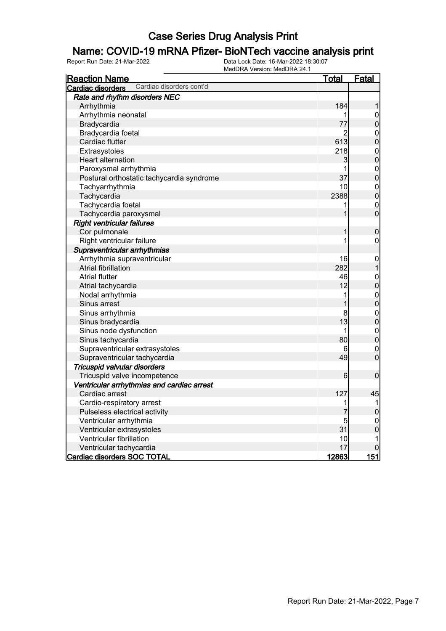#### Name: COVID-19 mRNA Pfizer- BioNTech vaccine analysis print

| <b>Reaction Name</b>                          | <u>Total</u>   | Fatal                                |
|-----------------------------------------------|----------------|--------------------------------------|
| Cardiac disorders cont'd<br>Cardiac disorders |                |                                      |
| Rate and rhythm disorders NEC                 |                |                                      |
| Arrhythmia                                    | 184            | 1                                    |
| Arrhythmia neonatal                           | 1              | $\mathbf 0$                          |
| Bradycardia                                   | 77             | $\mathbf 0$                          |
| Bradycardia foetal                            | $\overline{2}$ |                                      |
| Cardiac flutter                               | 613            | $\begin{matrix}0\\0\end{matrix}$     |
| Extrasystoles                                 | 218            | $\begin{matrix}0\\0\end{matrix}$     |
| Heart alternation                             | 3              |                                      |
| Paroxysmal arrhythmia                         | 1              | $\begin{matrix} 0 \\ 0 \end{matrix}$ |
| Postural orthostatic tachycardia syndrome     | 37             |                                      |
| Tachyarrhythmia                               | 10             | $\begin{matrix}0\\0\end{matrix}$     |
| Tachycardia                                   | 2388           |                                      |
| Tachycardia foetal                            | 1              | $\boldsymbol{0}$                     |
| Tachycardia paroxysmal                        | 1              | $\overline{0}$                       |
| <b>Right ventricular failures</b>             |                |                                      |
| Cor pulmonale                                 | 1              | $\mathbf 0$                          |
| Right ventricular failure                     | 1              | $\mathbf 0$                          |
| Supraventricular arrhythmias                  |                |                                      |
| Arrhythmia supraventricular                   | 16             | $\mathbf 0$                          |
| Atrial fibrillation                           | 282            | $\mathbf 1$                          |
| <b>Atrial flutter</b>                         | 46             | $\begin{matrix}0\\0\end{matrix}$     |
| Atrial tachycardia                            | 12             |                                      |
| Nodal arrhythmia                              | 1              | $\begin{matrix}0\\0\end{matrix}$     |
| Sinus arrest                                  | 1              |                                      |
| Sinus arrhythmia                              | 8              | $\begin{matrix}0\\0\end{matrix}$     |
| Sinus bradycardia                             | 13             |                                      |
| Sinus node dysfunction                        | 1              | $0\atop 0$                           |
| Sinus tachycardia                             | 80             |                                      |
| Supraventricular extrasystoles                | 6              | $\mathbf{0}$                         |
| Supraventricular tachycardia                  | 49             | $\overline{0}$                       |
| Tricuspid valvular disorders                  |                |                                      |
| Tricuspid valve incompetence                  | 6              | $\mathbf 0$                          |
| Ventricular arrhythmias and cardiac arrest    |                |                                      |
| Cardiac arrest                                | 127            | 45                                   |
| Cardio-respiratory arrest                     | 1              | 1                                    |
| Pulseless electrical activity                 | 7              | $\mathbf 0$                          |
| Ventricular arrhythmia                        | 5              | $\mathbf 0$                          |
| Ventricular extrasystoles                     | 31             | $\overline{0}$                       |
| Ventricular fibrillation                      | 10             | 1                                    |
| Ventricular tachycardia                       | 17             | 0                                    |
| <b>Cardiac disorders SOC TOTAL</b>            | 12863          | 151                                  |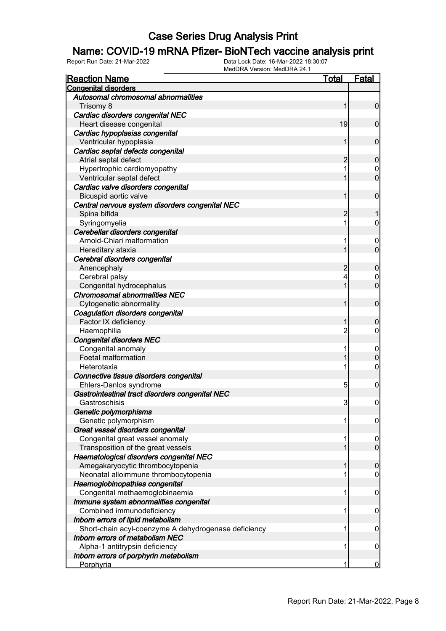#### Name: COVID-19 mRNA Pfizer- BioNTech vaccine analysis print

| <b>Reaction Name</b>                                 | <u>Total</u>   | <b>Fatal</b>     |
|------------------------------------------------------|----------------|------------------|
| <b>Congenital disorders</b>                          |                |                  |
| Autosomal chromosomal abnormalities                  |                |                  |
| Trisomy 8                                            | 1              | $\mathbf 0$      |
| Cardiac disorders congenital NEC                     |                |                  |
| Heart disease congenital                             | 19             | $\mathbf 0$      |
| Cardiac hypoplasias congenital                       |                |                  |
| Ventricular hypoplasia                               | 1              | $\mathbf 0$      |
| Cardiac septal defects congenital                    |                |                  |
| Atrial septal defect                                 | 2              | $\mathbf 0$      |
| Hypertrophic cardiomyopathy                          | 1              | $\mathbf 0$      |
| Ventricular septal defect                            | 1              | $\overline{0}$   |
| Cardiac valve disorders congenital                   |                |                  |
| Bicuspid aortic valve                                | 1              | $\mathbf 0$      |
| Central nervous system disorders congenital NEC      |                |                  |
| Spina bifida                                         | 2              | 1                |
| Syringomyelia                                        | 1              | 0                |
| Cerebellar disorders congenital                      |                |                  |
| Arnold-Chiari malformation                           | 1              | $\overline{0}$   |
| Hereditary ataxia                                    | 1              | $\mathbf 0$      |
| Cerebral disorders congenital                        |                |                  |
| Anencephaly                                          | 2              | $\mathbf 0$      |
| Cerebral palsy                                       | 4              | $\mathbf 0$      |
| Congenital hydrocephalus                             | 1              | $\overline{0}$   |
| <b>Chromosomal abnormalities NEC</b>                 |                |                  |
| Cytogenetic abnormality                              | 1              | $\mathbf 0$      |
| Coagulation disorders congenital                     |                |                  |
| Factor IX deficiency                                 | 1              | $\mathbf 0$      |
| Haemophilia                                          | $\overline{2}$ | $\mathbf 0$      |
| <b>Congenital disorders NEC</b>                      |                |                  |
| Congenital anomaly                                   | 1              | $\boldsymbol{0}$ |
| Foetal malformation                                  | 1              | $\mathbf 0$      |
| Heterotaxia                                          | 1              | $\mathbf 0$      |
| Connective tissue disorders congenital               |                |                  |
| Ehlers-Danlos syndrome                               | $\overline{5}$ | 0                |
| Gastrointestinal tract disorders congenital NEC      |                |                  |
| Gastroschisis                                        | $\overline{3}$ | $\boldsymbol{0}$ |
| Genetic polymorphisms                                |                |                  |
| Genetic polymorphism                                 | 1              | $\overline{0}$   |
| Great vessel disorders congenital                    |                |                  |
| Congenital great vessel anomaly                      | 1              | $\boldsymbol{0}$ |
| Transposition of the great vessels                   | 1              | $\overline{0}$   |
| Haematological disorders congenital NEC              |                |                  |
| Amegakaryocytic thrombocytopenia                     | 1              | $\mathbf 0$      |
| Neonatal alloimmune thrombocytopenia                 | 1              | $\mathbf 0$      |
| Haemoglobinopathies congenital                       |                |                  |
| Congenital methaemoglobinaemia                       | 1              | $\mathbf 0$      |
| Immune system abnormalities congenital               |                |                  |
| Combined immunodeficiency                            | 1              | $\mathbf 0$      |
| Inborn errors of lipid metabolism                    |                |                  |
| Short-chain acyl-coenzyme A dehydrogenase deficiency | 1              | $\mathbf 0$      |
| <b>Inborn errors of metabolism NEC</b>               |                |                  |
| Alpha-1 antitrypsin deficiency                       | 1              | $\mathbf 0$      |
| Inborn errors of porphyrin metabolism                |                |                  |
| Porphyria                                            | 1              | $\overline{0}$   |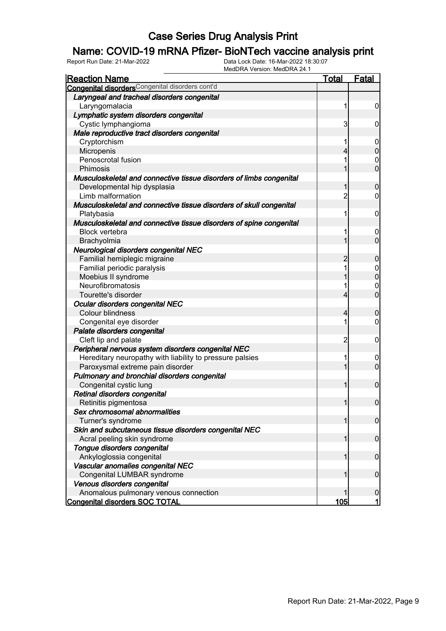### Name: COVID-19 mRNA Pfizer- BioNTech vaccine analysis print

| <u>Reaction Name</u>                                                | <b>Total</b>   | <b>Fatal</b>     |
|---------------------------------------------------------------------|----------------|------------------|
| <b>Congenital disorders</b> Congenital disorders cont'd             |                |                  |
| Laryngeal and tracheal disorders congenital                         |                |                  |
| Laryngomalacia                                                      | 1              | $\boldsymbol{0}$ |
| Lymphatic system disorders congenital                               |                |                  |
| Cystic lymphangioma                                                 | 3              | $\boldsymbol{0}$ |
| Male reproductive tract disorders congenital                        |                |                  |
| Cryptorchism                                                        | 1              | $\mathbf 0$      |
| Micropenis                                                          | $\overline{4}$ | $\mathbf 0$      |
| Penoscrotal fusion                                                  | 1              | $\mathbf 0$      |
| Phimosis                                                            | 1              | $\mathbf{0}$     |
| Musculoskeletal and connective tissue disorders of limbs congenital |                |                  |
| Developmental hip dysplasia                                         | 1              | $\boldsymbol{0}$ |
| Limb malformation                                                   | $\overline{2}$ | $\overline{0}$   |
| Musculoskeletal and connective tissue disorders of skull congenital |                |                  |
| Platybasia                                                          | 1              | $\mathbf 0$      |
| Musculoskeletal and connective tissue disorders of spine congenital |                |                  |
| <b>Block vertebra</b>                                               | 1              | $\boldsymbol{0}$ |
| Brachyolmia                                                         | 1              | $\overline{0}$   |
| Neurological disorders congenital NEC                               |                |                  |
| Familial hemiplegic migraine                                        | $\overline{2}$ | $\boldsymbol{0}$ |
| Familial periodic paralysis                                         | 1              | 0                |
| Moebius II syndrome                                                 | $\overline{1}$ |                  |
| Neurofibromatosis                                                   | 1              | $\mathbf 0$      |
| Tourette's disorder                                                 | $\overline{4}$ | $\mathbf{0}$     |
| Ocular disorders congenital NEC                                     |                |                  |
| Colour blindness                                                    | $\overline{4}$ | $\mathbf 0$      |
| Congenital eye disorder                                             | 1              | $\mathbf 0$      |
| Palate disorders congenital                                         |                |                  |
| Cleft lip and palate                                                | $\overline{c}$ | $\mathbf 0$      |
| Peripheral nervous system disorders congenital NEC                  |                |                  |
| Hereditary neuropathy with liability to pressure palsies            | 1              | $\boldsymbol{0}$ |
| Paroxysmal extreme pain disorder                                    | $\overline{1}$ | $\overline{0}$   |
| Pulmonary and bronchial disorders congenital                        |                |                  |
| Congenital cystic lung                                              | 1              | $\boldsymbol{0}$ |
| Retinal disorders congenital                                        |                |                  |
| Retinitis pigmentosa                                                | $\mathbf{1}$   | $\boldsymbol{0}$ |
| Sex chromosomal abnormalities                                       |                |                  |
| Turner's syndrome                                                   | 1              | $\mathbf 0$      |
| Skin and subcutaneous tissue disorders congenital NEC               |                |                  |
| Acral peeling skin syndrome                                         | 1              | $\boldsymbol{0}$ |
| Tongue disorders congenital                                         |                |                  |
| Ankyloglossia congenital                                            | 1              | $\boldsymbol{0}$ |
| Vascular anomalies congenital NEC                                   |                |                  |
| Congenital LUMBAR syndrome                                          | 1              | $\boldsymbol{0}$ |
| Venous disorders congenital                                         |                |                  |
| Anomalous pulmonary venous connection                               | 1              | $\mathbf 0$      |
| <b>Congenital disorders SOC TOTAL</b>                               | 105            | $\mathbf{1}$     |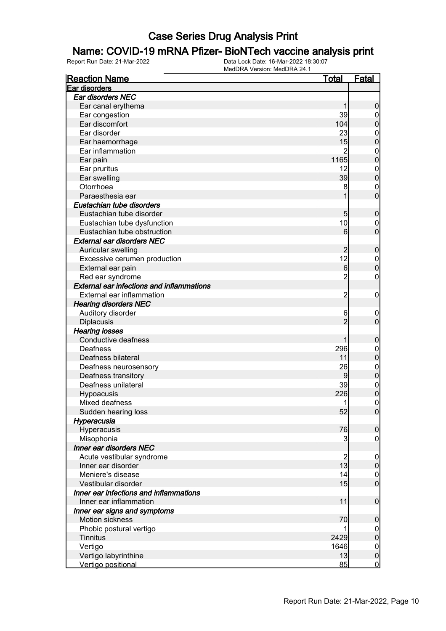### Name: COVID-19 mRNA Pfizer- BioNTech vaccine analysis print

| <b>Reaction Name</b>                             | <u>Total</u>   | <b>Fatal</b>                       |
|--------------------------------------------------|----------------|------------------------------------|
| Ear disorders                                    |                |                                    |
| Ear disorders NEC                                |                |                                    |
| Ear canal erythema                               |                | 0                                  |
| Ear congestion                                   | 39             | $\overline{0}$                     |
| Ear discomfort                                   | 104            | $\mathbf 0$                        |
| Ear disorder                                     | 23             | $\mathbf{0}$                       |
| Ear haemorrhage                                  | 15             | $\mathbf 0$                        |
| Ear inflammation                                 | 2              | $\mathbf{0}$                       |
| Ear pain                                         | 1165           | $\mathbf 0$                        |
| Ear pruritus                                     | 12             | $\mathbf{0}$                       |
| Ear swelling                                     | 39             | $\overline{0}$                     |
| Otorrhoea                                        | 8              | $\mathbf{0}$                       |
| Paraesthesia ear                                 |                | $\overline{0}$                     |
| Eustachian tube disorders                        |                |                                    |
| Eustachian tube disorder                         | 5              | $\boldsymbol{0}$                   |
| Eustachian tube dysfunction                      | 10             | $\mathbf 0$                        |
| Eustachian tube obstruction                      | 6              | $\overline{0}$                     |
| <b>External ear disorders NEC</b>                |                |                                    |
| Auricular swelling                               |                | $\boldsymbol{0}$                   |
| Excessive cerumen production                     | 12             |                                    |
| External ear pain                                | 6              | $\boldsymbol{0}$<br>$\overline{0}$ |
| Red ear syndrome                                 | $\overline{c}$ |                                    |
| <b>External ear infections and inflammations</b> |                | $\mathbf{0}$                       |
|                                                  |                |                                    |
| External ear inflammation                        | $\overline{2}$ | $\mathbf 0$                        |
| <b>Hearing disorders NEC</b>                     |                |                                    |
| Auditory disorder                                | 6              | $\mathbf 0$                        |
| <b>Diplacusis</b>                                | $\overline{2}$ | $\mathbf 0$                        |
| <b>Hearing losses</b>                            |                |                                    |
| Conductive deafness                              |                | $\mathbf 0$                        |
| Deafness                                         | 296            | $\mathbf 0$                        |
| Deafness bilateral                               | 11             | $\mathbf 0$                        |
| Deafness neurosensory                            | 26             | $\mathbf{0}$                       |
| Deafness transitory                              | 9              | $\overline{0}$                     |
| Deafness unilateral                              | 39             | $\boldsymbol{0}$                   |
| Hypoacusis                                       | 226            | $\overline{0}$                     |
| Mixed deafness                                   | 1              | $\overline{0}$                     |
| Sudden hearing loss                              | 52             | 0                                  |
| Hyperacusia                                      |                |                                    |
| Hyperacusis                                      | 76             | $\mathbf 0$                        |
| Misophonia                                       | 3              | $\boldsymbol{0}$                   |
| Inner ear disorders NEC                          |                |                                    |
| Acute vestibular syndrome                        | $\overline{c}$ | $\mathbf 0$                        |
| Inner ear disorder                               | 13             | $\boldsymbol{0}$                   |
| Meniere's disease                                | 14             | $\mathbf 0$                        |
| Vestibular disorder                              | 15             | $\overline{0}$                     |
| Inner ear infections and inflammations           |                |                                    |
| Inner ear inflammation                           | 11             | $\boldsymbol{0}$                   |
| Inner ear signs and symptoms                     |                |                                    |
| <b>Motion sickness</b>                           | 70             | $\boldsymbol{0}$                   |
| Phobic postural vertigo                          | 1              | $\overline{0}$                     |
| <b>Tinnitus</b>                                  | 2429           | $\mathbf 0$                        |
| Vertigo                                          | 1646           | $\boldsymbol{0}$                   |
| Vertigo labyrinthine                             | 13             | $\mathbf 0$                        |
| Vertigo positional                               | 85             | $\overline{0}$                     |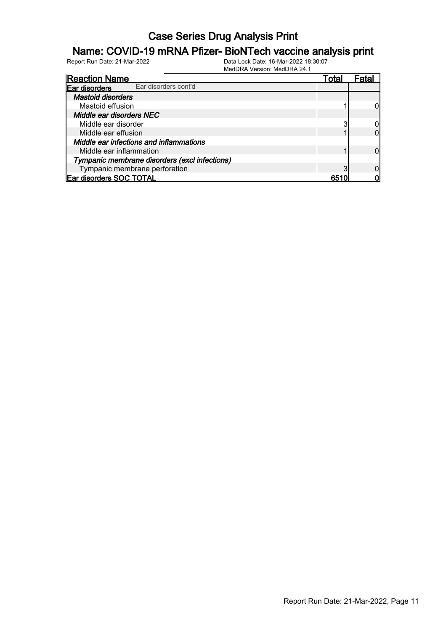#### Name: COVID-19 mRNA Pfizer- BioNTech vaccine analysis print

| <b>Reaction Name</b>                          | Total |  |
|-----------------------------------------------|-------|--|
| Ear disorders cont'd<br>Ear disorders         |       |  |
| <b>Mastoid disorders</b>                      |       |  |
| Mastoid effusion                              |       |  |
| Middle ear disorders NEC                      |       |  |
| Middle ear disorder                           |       |  |
| Middle ear effusion                           |       |  |
| Middle ear infections and inflammations       |       |  |
| Middle ear inflammation                       |       |  |
| Tympanic membrane disorders (excl infections) |       |  |
| Tympanic membrane perforation                 |       |  |
| <b>Ear disorders SOC TOTAL</b>                |       |  |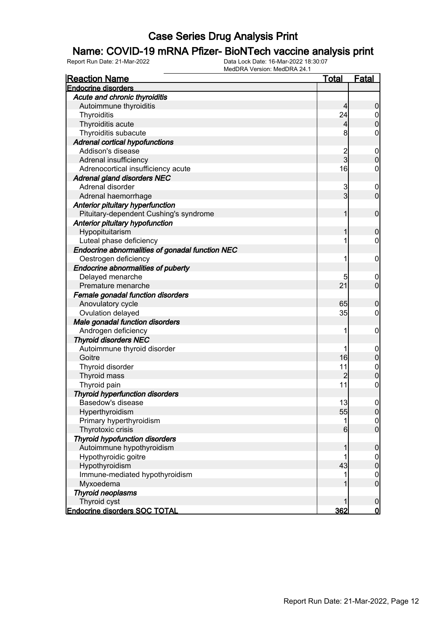#### Name: COVID-19 mRNA Pfizer- BioNTech vaccine analysis print

| <b>Reaction Name</b>                            | <b>Total</b>    | <b>Fatal</b>                     |
|-------------------------------------------------|-----------------|----------------------------------|
| <b>Endocrine disorders</b>                      |                 |                                  |
| Acute and chronic thyroiditis                   |                 |                                  |
| Autoimmune thyroiditis                          | $\overline{4}$  | $\boldsymbol{0}$                 |
| Thyroiditis                                     | 24              | $\overline{0}$                   |
| Thyroiditis acute                               | $\overline{4}$  | $\overline{0}$                   |
| Thyroiditis subacute                            | 8               | $\mathbf 0$                      |
| <b>Adrenal cortical hypofunctions</b>           |                 |                                  |
| Addison's disease                               |                 | $\mathbf 0$                      |
| Adrenal insufficiency                           | $\frac{2}{3}$   | $\boldsymbol{0}$                 |
| Adrenocortical insufficiency acute              | 16              | $\boldsymbol{0}$                 |
| <b>Adrenal gland disorders NEC</b>              |                 |                                  |
| Adrenal disorder                                | 3               | $\mathbf 0$                      |
| Adrenal haemorrhage                             | $\overline{3}$  | $\mathbf 0$                      |
| Anterior pituitary hyperfunction                |                 |                                  |
| Pituitary-dependent Cushing's syndrome          | 1               | $\boldsymbol{0}$                 |
| Anterior pituitary hypofunction                 |                 |                                  |
| Hypopituitarism                                 | 1               | $\boldsymbol{0}$                 |
| Luteal phase deficiency                         | 1               | $\overline{0}$                   |
| Endocrine abnormalities of gonadal function NEC |                 |                                  |
| Oestrogen deficiency                            | 1               | $\mathbf 0$                      |
| <b>Endocrine abnormalities of puberty</b>       |                 |                                  |
| Delayed menarche                                | 5               | $\mathbf 0$                      |
| Premature menarche                              | 21              | $\overline{0}$                   |
| Female gonadal function disorders               |                 |                                  |
| Anovulatory cycle                               | 65              | $\boldsymbol{0}$                 |
| Ovulation delayed                               | 35              | $\mathbf 0$                      |
| Male gonadal function disorders                 |                 |                                  |
| Androgen deficiency                             | 1               | $\mathbf 0$                      |
| <b>Thyroid disorders NEC</b>                    |                 |                                  |
| Autoimmune thyroid disorder                     | 1               | $\mathbf 0$                      |
| Goitre                                          | 16              | $\mathbf 0$                      |
| Thyroid disorder                                | 11              | $\boldsymbol{0}$                 |
| Thyroid mass                                    | $\overline{2}$  | $\overline{0}$                   |
| Thyroid pain                                    | 11              | $\boldsymbol{0}$                 |
| <b>Thyroid hyperfunction disorders</b>          |                 |                                  |
| Basedow's disease                               | 13              | $\boldsymbol{0}$                 |
| Hyperthyroidism                                 |                 |                                  |
| Primary hyperthyroidism                         | 55<br>1         | 0                                |
|                                                 | $6 \overline{}$ | $\overline{0}$<br>$\overline{0}$ |
| Thyrotoxic crisis                               |                 |                                  |
| <b>Thyroid hypofunction disorders</b>           |                 |                                  |
| Autoimmune hypothyroidism                       | 1               | $\boldsymbol{0}$                 |
| Hypothyroidic goitre                            |                 | $\overline{0}$                   |
| Hypothyroidism                                  | 43              | $\pmb{0}$                        |
| Immune-mediated hypothyroidism                  | 1               | $\overline{0}$                   |
| Myxoedema                                       | 1               | $\boldsymbol{0}$                 |
| <b>Thyroid neoplasms</b>                        |                 |                                  |
| Thyroid cyst                                    | 1               | $\boldsymbol{0}$                 |
| <b>Endocrine disorders SOC TOTAL</b>            | 362             | $\mathbf{0}$                     |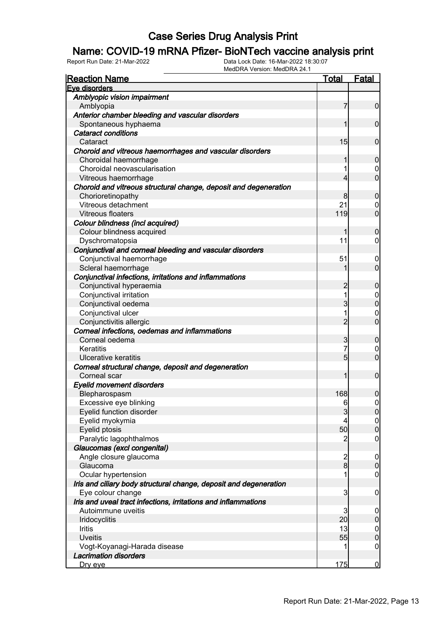### Name: COVID-19 mRNA Pfizer- BioNTech vaccine analysis print

| <b>Reaction Name</b>                                              | <b>Total</b>            | <b>Fatal</b>     |
|-------------------------------------------------------------------|-------------------------|------------------|
| Eve disorders                                                     |                         |                  |
| Amblyopic vision impairment                                       |                         |                  |
| Amblyopia                                                         | 7                       | $\mathbf 0$      |
| Anterior chamber bleeding and vascular disorders                  |                         |                  |
| Spontaneous hyphaema                                              | 1                       | $\mathbf 0$      |
| <b>Cataract conditions</b>                                        |                         |                  |
| Cataract                                                          | 15                      | $\mathbf 0$      |
| Choroid and vitreous haemorrhages and vascular disorders          |                         |                  |
| Choroidal haemorrhage                                             | 1                       | $\boldsymbol{0}$ |
| Choroidal neovascularisation                                      | 1                       | 0                |
| Vitreous haemorrhage                                              | 4                       | $\overline{0}$   |
| Choroid and vitreous structural change, deposit and degeneration  |                         |                  |
| Chorioretinopathy                                                 | 8                       | $\boldsymbol{0}$ |
| Vitreous detachment                                               | 21                      | 0                |
| <b>Vitreous floaters</b>                                          | 119                     | $\overline{0}$   |
| Colour blindness (incl acquired)                                  |                         |                  |
| Colour blindness acquired                                         | 1                       | $\boldsymbol{0}$ |
| Dyschromatopsia                                                   | 11                      | $\overline{0}$   |
| Conjunctival and corneal bleeding and vascular disorders          |                         |                  |
| Conjunctival haemorrhage                                          | 51                      | $\mathbf 0$      |
| Scleral haemorrhage                                               | 1                       | $\overline{0}$   |
| Conjunctival infections, irritations and inflammations            |                         |                  |
| Conjunctival hyperaemia                                           | $\overline{c}$          | $\boldsymbol{0}$ |
| Conjunctival irritation                                           | 1                       | $\overline{0}$   |
| Conjunctival oedema                                               | 3                       | $\mathbf 0$      |
| Conjunctival ulcer                                                | 1                       | $\mathbf 0$      |
| Conjunctivitis allergic                                           | $\overline{2}$          | $\overline{0}$   |
| Corneal infections, oedemas and inflammations                     |                         |                  |
| Corneal oedema                                                    | 3                       | $\boldsymbol{0}$ |
| Keratitis                                                         | $\overline{7}$          | $\mathbf 0$      |
| Ulcerative keratitis                                              | 5                       | $\overline{0}$   |
| Corneal structural change, deposit and degeneration               |                         |                  |
| Corneal scar                                                      | 1                       | $\boldsymbol{0}$ |
| <b>Eyelid movement disorders</b>                                  |                         |                  |
| Blepharospasm                                                     | 168                     | 0                |
| Excessive eye blinking                                            | 6                       | $\mathbf 0$      |
| Eyelid function disorder                                          | $\mathbf{3}$            | 0                |
| Eyelid myokymia                                                   | 4                       | 0                |
| Eyelid ptosis                                                     | 50                      | $\pmb{0}$        |
| Paralytic lagophthalmos                                           | 2                       | $\mathbf 0$      |
| Glaucomas (excl congenital)                                       |                         |                  |
| Angle closure glaucoma                                            | $\overline{\mathbf{c}}$ | $\mathbf 0$      |
| Glaucoma                                                          | $\overline{8}$          | $\pmb{0}$        |
| Ocular hypertension                                               | 1                       | $\mathbf 0$      |
| Iris and ciliary body structural change, deposit and degeneration |                         |                  |
| Eye colour change                                                 | 3                       | $\mathbf 0$      |
| Iris and uveal tract infections, irritations and inflammations    |                         |                  |
| Autoimmune uveitis                                                | 3                       | $\mathbf 0$      |
| <b>Iridocyclitis</b>                                              | 20                      | $\pmb{0}$        |
| Iritis                                                            | 13                      | $\boldsymbol{0}$ |
| <b>Uveitis</b>                                                    | 55                      | $\mathbf 0$      |
| Vogt-Koyanagi-Harada disease                                      | 1                       | $\mathbf 0$      |
| <b>Lacrimation disorders</b>                                      |                         |                  |
| <u>Dry eye</u>                                                    | 175                     | $\bf{0}$         |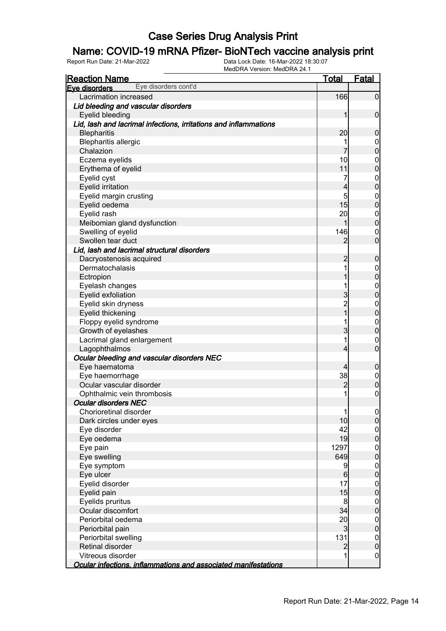### Name: COVID-19 mRNA Pfizer- BioNTech vaccine analysis print

| <b>Reaction Name</b>                                             | <u>Total</u>   | Fatal            |
|------------------------------------------------------------------|----------------|------------------|
| Eye disorders cont'd<br>Eve disorders                            |                |                  |
| Lacrimation increased                                            | 166            | $\overline{0}$   |
| Lid bleeding and vascular disorders                              |                |                  |
| Eyelid bleeding                                                  | 1              | $\mathbf 0$      |
| Lid, lash and lacrimal infections, irritations and inflammations |                |                  |
| <b>Blepharitis</b>                                               | 20             | $\boldsymbol{0}$ |
| <b>Blepharitis allergic</b>                                      |                | $\mathbf 0$      |
| Chalazion                                                        | 7              | $\overline{0}$   |
| Eczema eyelids                                                   | 10             | $\mathbf{0}$     |
| Erythema of eyelid                                               | 11             | $\overline{0}$   |
| Eyelid cyst                                                      | 7              | $\mathbf{0}$     |
| <b>Eyelid irritation</b>                                         | 4              | $\overline{0}$   |
| Eyelid margin crusting                                           | 5              | $\mathbf{0}$     |
| Eyelid oedema                                                    | 15             | $\overline{0}$   |
| Eyelid rash                                                      | 20             | $\mathbf{0}$     |
| Meibomian gland dysfunction                                      | 1              | $\overline{0}$   |
| Swelling of eyelid                                               | 146            | $\mathbf 0$      |
| Swollen tear duct                                                | $\overline{2}$ | $\overline{0}$   |
| Lid, lash and lacrimal structural disorders                      |                |                  |
| Dacryostenosis acquired                                          | $\overline{2}$ | $\mathbf 0$      |
| Dermatochalasis                                                  | 1              | $\mathbf{0}$     |
| Ectropion                                                        |                | $\mathbf 0$      |
| Eyelash changes                                                  | 1              | $\mathbf{0}$     |
| Eyelid exfoliation                                               | 3              | $\overline{0}$   |
| Eyelid skin dryness                                              | $\overline{c}$ | $\mathbf{0}$     |
| Eyelid thickening                                                | $\overline{1}$ | $\mathbf 0$      |
| Floppy eyelid syndrome                                           | 1              | $\mathbf{0}$     |
| Growth of eyelashes                                              | 3              | $\mathbf 0$      |
| Lacrimal gland enlargement                                       | 1              | $\mathbf 0$      |
| Lagophthalmos                                                    | $\overline{4}$ | $\overline{0}$   |
| Ocular bleeding and vascular disorders NEC                       |                |                  |
| Eye haematoma                                                    | 4              | $\boldsymbol{0}$ |
| Eye haemorrhage                                                  | 38             | $\overline{0}$   |
| Ocular vascular disorder                                         | $\overline{2}$ | $\mathbf 0$      |
| Ophthalmic vein thrombosis                                       | 1              | $\mathbf 0$      |
| <b>Ocular disorders NEC</b>                                      |                |                  |
| Chorioretinal disorder                                           | 1              | 0                |
| Dark circles under eyes                                          | 10             | $\overline{0}$   |
| Eye disorder                                                     | 42             | $\overline{0}$   |
| Eye oedema                                                       | 19             | $\overline{0}$   |
| Eye pain                                                         | 1297           | $\boldsymbol{0}$ |
| Eye swelling                                                     | 649            | $\overline{0}$   |
| Eye symptom                                                      | 9              | $\boldsymbol{0}$ |
| Eye ulcer                                                        | $6\phantom{a}$ | $\overline{0}$   |
| Eyelid disorder                                                  | 17             | $\boldsymbol{0}$ |
| Eyelid pain                                                      | 15             | $\overline{0}$   |
| Eyelids pruritus                                                 | 8              | $\boldsymbol{0}$ |
| Ocular discomfort                                                | 34             | $\overline{0}$   |
| Periorbital oedema                                               | 20             | $\boldsymbol{0}$ |
| Periorbital pain                                                 | $\mathbf{3}$   | $\mathbf 0$      |
| Periorbital swelling                                             | 131            | $\boldsymbol{0}$ |
| Retinal disorder                                                 | $\overline{2}$ | $\mathbf 0$      |
| Vitreous disorder                                                | 1              | $\mathbf 0$      |
| Ocular infections, inflammations and associated manifestations   |                |                  |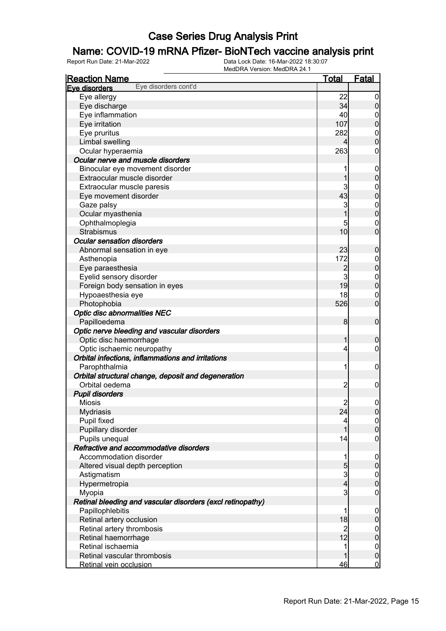### Name: COVID-19 mRNA Pfizer- BioNTech vaccine analysis print

| <b>Reaction Name</b>                                       | <u>Total</u>   | <b>Fatal</b>     |
|------------------------------------------------------------|----------------|------------------|
| Eye disorders cont'd<br>Eye disorders                      |                |                  |
| Eye allergy                                                | 22             | $\overline{0}$   |
| Eye discharge                                              | 34             | 0                |
| Eye inflammation                                           | 40             | $\mathbf 0$      |
| Eye irritation                                             | 107            | $\boldsymbol{0}$ |
| Eye pruritus                                               | 282            | $\mathbf 0$      |
| Limbal swelling                                            | 4              | $\overline{0}$   |
| Ocular hyperaemia                                          | 263            | 0                |
| Ocular nerve and muscle disorders                          |                |                  |
| Binocular eye movement disorder                            | 1              | $\overline{0}$   |
| Extraocular muscle disorder                                |                | 0                |
| Extraocular muscle paresis                                 | 3              | $\boldsymbol{0}$ |
| Eye movement disorder                                      | 43             | $\boldsymbol{0}$ |
| Gaze palsy                                                 | 3              | $\boldsymbol{0}$ |
| Ocular myasthenia                                          |                | $\mathbf 0$      |
| Ophthalmoplegia                                            | 5              | $\mathbf 0$      |
| Strabismus                                                 | 10             | $\overline{0}$   |
| <b>Ocular sensation disorders</b>                          |                |                  |
| Abnormal sensation in eye                                  | 23             | $\mathbf 0$      |
| Asthenopia                                                 | 172            | $\mathbf 0$      |
| Eye paraesthesia                                           | $\overline{c}$ | $\mathbf 0$      |
| Eyelid sensory disorder                                    | 3              | $\boldsymbol{0}$ |
| Foreign body sensation in eyes                             | 19             | $\overline{0}$   |
| Hypoaesthesia eye                                          | 18             | $\mathbf 0$      |
| Photophobia                                                | 526            | $\overline{0}$   |
|                                                            |                |                  |
| <b>Optic disc abnormalities NEC</b><br>Papilloedema        | 8              | $\mathbf 0$      |
|                                                            |                |                  |
| Optic nerve bleeding and vascular disorders                |                |                  |
| Optic disc haemorrhage                                     | 1              | 0                |
| Optic ischaemic neuropathy                                 | 4              | 0                |
| Orbital infections, inflammations and irritations          |                |                  |
| Parophthalmia                                              | 1              | $\mathbf 0$      |
| Orbital structural change, deposit and degeneration        |                |                  |
| Orbital oedema                                             | 2              | $\mathbf 0$      |
| <b>Pupil disorders</b>                                     |                |                  |
| <b>Miosis</b>                                              | $\overline{c}$ | $\mathbf 0$      |
| <b>Mydriasis</b>                                           | 24             | <sup>o</sup>     |
| Pupil fixed                                                | 4              | $\overline{0}$   |
| Pupillary disorder                                         | 1              | $\mathbf 0$      |
| Pupils unequal                                             | 14             | $\boldsymbol{0}$ |
| Refractive and accommodative disorders                     |                |                  |
| Accommodation disorder                                     | 1              | $\mathbf 0$      |
| Altered visual depth perception                            | 5              | $\mathbf 0$      |
| Astigmatism                                                | $\overline{3}$ | $\mathbf 0$      |
| Hypermetropia                                              | $\overline{4}$ | $\overline{0}$   |
| Myopia                                                     | 3              | $\boldsymbol{0}$ |
| Retinal bleeding and vascular disorders (excl retinopathy) |                |                  |
| Papillophlebitis                                           | 1              | $\mathbf 0$      |
| Retinal artery occlusion                                   | 18             | $\mathbf 0$      |
| Retinal artery thrombosis                                  | 2              | $\mathbf 0$      |
| Retinal haemorrhage                                        | 12             | $\mathbf 0$      |
| Retinal ischaemia                                          | 1              | $\mathbf 0$      |
| Retinal vascular thrombosis                                |                | $\mathbf 0$      |
| Retinal vein occlusion                                     | 46             | $\mathbf 0$      |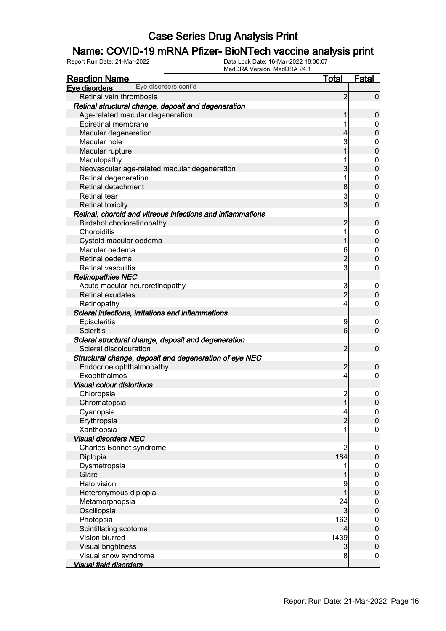### Name: COVID-19 mRNA Pfizer- BioNTech vaccine analysis print

| <b>Reaction Name</b>                                       | <u>Total</u>   | <b>Fatal</b>                     |
|------------------------------------------------------------|----------------|----------------------------------|
| Eye disorders cont'd<br>Eve disorders                      |                |                                  |
| Retinal vein thrombosis                                    | 2              | 0                                |
| Retinal structural change, deposit and degeneration        |                |                                  |
| Age-related macular degeneration                           |                | 0                                |
| Epiretinal membrane                                        | 1              | 0                                |
| Macular degeneration                                       | 4              | 0                                |
| Macular hole                                               | 3              | 0                                |
| Macular rupture                                            |                | 0                                |
| Maculopathy                                                |                | $\mathbf 0$                      |
| Neovascular age-related macular degeneration               | 3              | 0                                |
| Retinal degeneration                                       | 1              | $\mathbf 0$                      |
| Retinal detachment                                         | 8              | 0                                |
| <b>Retinal tear</b>                                        | 3              | $\mathbf 0$                      |
| <b>Retinal toxicity</b>                                    | 3 <sub>l</sub> | 0                                |
| Retinal, choroid and vitreous infections and inflammations |                |                                  |
| Birdshot chorioretinopathy                                 | 2              | 0                                |
| Choroiditis                                                | 1              | $\mathbf 0$                      |
| Cystoid macular oedema                                     |                | 0                                |
| Macular oedema                                             | 6              | $\mathbf{0}$                     |
| Retinal oedema                                             | $\overline{2}$ | 0                                |
| <b>Retinal vasculitis</b>                                  | 3              | 0                                |
| <b>Retinopathies NEC</b>                                   |                |                                  |
| Acute macular neuroretinopathy                             | 3              | $\overline{0}$                   |
| Retinal exudates                                           | $\overline{2}$ | 0                                |
| Retinopathy                                                | 4              | 0                                |
| Scleral infections, irritations and inflammations          |                |                                  |
| Episcleritis                                               | 9              | $\overline{0}$                   |
| <b>Scleritis</b>                                           | 6              | $\overline{0}$                   |
| Scleral structural change, deposit and degeneration        |                |                                  |
| Scleral discolouration                                     | 2              | $\mathbf 0$                      |
| Structural change, deposit and degeneration of eye NEC     |                |                                  |
| Endocrine ophthalmopathy                                   | 2              | 0                                |
| Exophthalmos                                               | 4              | 0                                |
| <b>Visual colour distortions</b>                           |                |                                  |
| Chloropsia                                                 | $\overline{c}$ |                                  |
| Chromatopsia                                               | 1              | $\mathbf 0$<br>0                 |
| Cyanopsia                                                  | $\overline{4}$ |                                  |
| Erythropsia                                                | $\overline{2}$ | $\overline{0}$<br>$\overline{0}$ |
| Xanthopsia                                                 | 1              | 0                                |
| <b>Visual disorders NEC</b>                                |                |                                  |
|                                                            | 2              |                                  |
| Charles Bonnet syndrome<br>Diplopia                        | 184            | $\mathbf 0$<br>0                 |
| Dysmetropsia                                               | 1              |                                  |
| Glare                                                      |                | $\boldsymbol{0}$<br>0            |
| Halo vision                                                |                |                                  |
|                                                            | 9              | $\mathbf 0$                      |
| Heteronymous diplopia                                      |                | 0                                |
| Metamorphopsia                                             | 24             | $\boldsymbol{0}$                 |
| Oscillopsia                                                | 3              | $\overline{0}$                   |
| Photopsia                                                  | 162            | $\boldsymbol{0}$                 |
| Scintillating scotoma                                      | 4              | $\overline{0}$                   |
| Vision blurred                                             | 1439           | $\mathbf{0}$                     |
| Visual brightness                                          | 3              | 0                                |
| Visual snow syndrome                                       | 8              | $\mathbf 0$                      |
| <b>Visual field disorders</b>                              |                |                                  |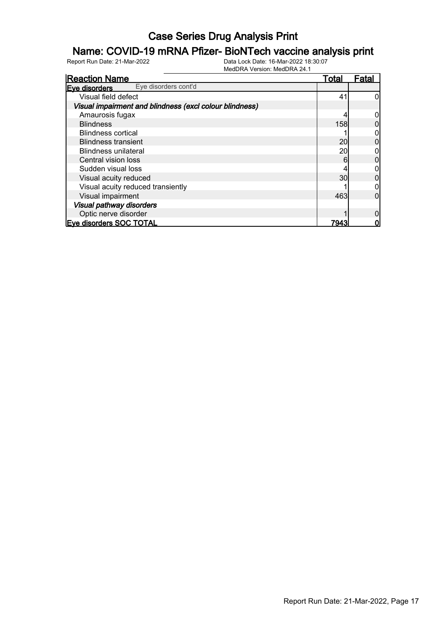### Name: COVID-19 mRNA Pfizer- BioNTech vaccine analysis print

| <b>Reaction Name</b>                                    | <u>Total</u> | Fatal |
|---------------------------------------------------------|--------------|-------|
| Eye disorders cont'd<br>Eve disorders                   |              |       |
| Visual field defect                                     | 41           |       |
| Visual impairment and blindness (excl colour blindness) |              |       |
| Amaurosis fugax                                         |              |       |
| <b>Blindness</b>                                        | 158          |       |
| <b>Blindness cortical</b>                               |              |       |
| <b>Blindness transient</b>                              | 20           |       |
| <b>Blindness unilateral</b>                             | 20           |       |
| Central vision loss                                     | 6            |       |
| Sudden visual loss                                      |              |       |
| Visual acuity reduced                                   | 30           |       |
| Visual acuity reduced transiently                       |              |       |
| Visual impairment                                       | 463          |       |
| Visual pathway disorders                                |              |       |
| Optic nerve disorder                                    |              |       |
| <b>Eve disorders SOC TOTAL</b>                          | 7943         |       |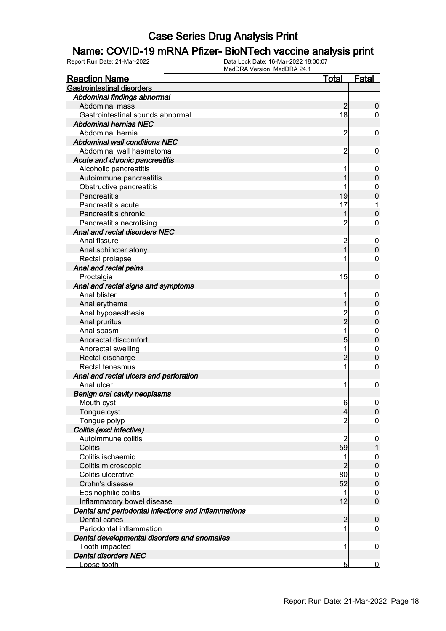#### Name: COVID-19 mRNA Pfizer- BioNTech vaccine analysis print

| <u>Reaction Name</u>                                | Total          | <u>Fatal</u>     |
|-----------------------------------------------------|----------------|------------------|
| <b>Gastrointestinal disorders</b>                   |                |                  |
| Abdominal findings abnormal                         |                |                  |
| Abdominal mass                                      | $\overline{2}$ | 0                |
| Gastrointestinal sounds abnormal                    | 18             | $\overline{0}$   |
| <b>Abdominal hernias NEC</b>                        |                |                  |
| Abdominal hernia                                    | $\overline{2}$ | $\mathbf 0$      |
| Abdominal wall conditions NEC                       |                |                  |
| Abdominal wall haematoma                            | $\overline{2}$ | 0                |
| Acute and chronic pancreatitis                      |                |                  |
| Alcoholic pancreatitis                              | 1              | $\mathbf 0$      |
| Autoimmune pancreatitis                             |                | $\mathbf 0$      |
| Obstructive pancreatitis                            | 1              | $\mathbf 0$      |
| Pancreatitis                                        | 19             | $\boldsymbol{0}$ |
| Pancreatitis acute                                  | 17             | 1                |
| Pancreatitis chronic                                | 1              | $\mathbf 0$      |
| Pancreatitis necrotising                            | $\overline{c}$ | $\mathbf 0$      |
| Anal and rectal disorders NEC                       |                |                  |
| Anal fissure                                        | $\overline{c}$ | $\mathbf 0$      |
| Anal sphincter atony                                | $\mathbf{1}$   | $\overline{0}$   |
| Rectal prolapse                                     |                | 0                |
| Anal and rectal pains                               |                |                  |
| Proctalgia                                          | 15             | $\mathbf 0$      |
| Anal and rectal signs and symptoms                  |                |                  |
| Anal blister                                        | 1              | $\mathbf 0$      |
| Anal erythema                                       |                | $\mathbf 0$      |
| Anal hypoaesthesia                                  | 2<br>2         | $\mathbf{0}$     |
| Anal pruritus                                       |                | $\mathbf 0$      |
| Anal spasm                                          | 1              | $\mathbf{0}$     |
| Anorectal discomfort                                | 5              | $\overline{0}$   |
| Anorectal swelling                                  | 1              | $\mathbf 0$      |
| Rectal discharge                                    | $\overline{2}$ | $\overline{0}$   |
| Rectal tenesmus                                     | 1              | $\mathbf 0$      |
| Anal and rectal ulcers and perforation              |                |                  |
| Anal ulcer                                          | 1              | $\mathbf 0$      |
| <b>Benign oral cavity neoplasms</b>                 |                |                  |
| Mouth cyst                                          | 6              | $\mathbf 0$      |
| Tongue cyst                                         | $\overline{4}$ | 0                |
| Tongue polyp                                        | $\overline{2}$ | $\overline{0}$   |
| Colitis (excl infective)                            |                |                  |
| Autoimmune colitis                                  | $\overline{2}$ | $\mathbf 0$      |
| Colitis                                             | 59             | 1                |
| Colitis ischaemic                                   | 1              | $\mathbf 0$      |
| Colitis microscopic                                 | $\overline{2}$ | $\overline{0}$   |
| Colitis ulcerative                                  | 80             | $\boldsymbol{0}$ |
| Crohn's disease                                     | 52             | $\overline{0}$   |
| Eosinophilic colitis                                | 1              | $\mathbf 0$      |
| Inflammatory bowel disease                          | 12             | $\overline{0}$   |
| Dental and periodontal infections and inflammations |                |                  |
| Dental caries                                       | $\overline{c}$ | $\mathbf 0$      |
| Periodontal inflammation                            | 1              | $\mathbf 0$      |
| Dental developmental disorders and anomalies        |                |                  |
| Tooth impacted                                      | 1              | $\mathbf 0$      |
| <b>Dental disorders NEC</b>                         |                |                  |
| Loose tooth                                         | 5              | $\overline{0}$   |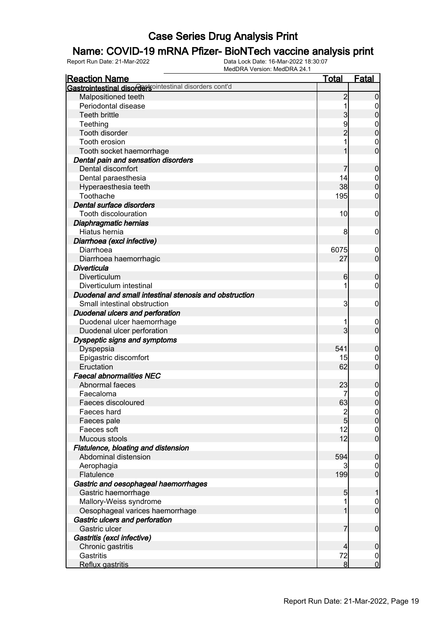### Name: COVID-19 mRNA Pfizer- BioNTech vaccine analysis print

| <b>Reaction Name</b>                                   | <u>Total</u>   | <b>Fatal</b>                  |
|--------------------------------------------------------|----------------|-------------------------------|
| Gastrointestinal disordersointestinal disorders cont'd |                |                               |
| Malpositioned teeth                                    | $\overline{c}$ | $\overline{0}$                |
| Periodontal disease                                    | 1              | 0                             |
| Teeth brittle                                          | 3              | $\mathbf 0$                   |
| Teething                                               | 9              | $\mathbf{0}$                  |
| Tooth disorder                                         |                | $\overline{0}$                |
| Tooth erosion                                          |                | $\mathbf 0$                   |
| Tooth socket haemorrhage                               |                | $\overline{0}$                |
| Dental pain and sensation disorders                    |                |                               |
| Dental discomfort                                      |                | $\mathbf 0$                   |
| Dental paraesthesia                                    | 14             | $\overline{0}$                |
| Hyperaesthesia teeth                                   | 38             | $\boldsymbol{0}$              |
| Toothache                                              | 195            | 0                             |
| Dental surface disorders                               |                |                               |
| Tooth discolouration                                   | 10             | $\boldsymbol{0}$              |
| Diaphragmatic hernias                                  |                |                               |
| Hiatus hernia                                          | 8              | $\mathbf 0$                   |
| Diarrhoea (excl infective)                             |                |                               |
| Diarrhoea                                              | 6075           | $\boldsymbol{0}$              |
| Diarrhoea haemorrhagic                                 | 27             | $\mathbf 0$                   |
| <b>Diverticula</b>                                     |                |                               |
| Diverticulum                                           | 6              | $\mathbf 0$                   |
| Diverticulum intestinal                                | 1              | $\mathbf 0$                   |
| Duodenal and small intestinal stenosis and obstruction |                |                               |
| Small intestinal obstruction                           | 3              | $\mathbf 0$                   |
| <b>Duodenal ulcers and perforation</b>                 |                |                               |
| Duodenal ulcer haemorrhage                             |                | $\mathbf 0$                   |
| Duodenal ulcer perforation                             | 3              | $\mathbf 0$                   |
| Dyspeptic signs and symptoms                           |                |                               |
| Dyspepsia                                              | 541            | $\mathbf 0$                   |
| Epigastric discomfort                                  | 15             | 0                             |
| Eructation                                             | 62             | $\overline{0}$                |
| <b>Faecal abnormalities NEC</b>                        |                |                               |
| Abnormal faeces                                        | 23             | $\boldsymbol{0}$              |
| Faecaloma                                              |                | $\mathbf{0}$                  |
| Faeces discoloured                                     | 63             | $\overline{0}$                |
| Faeces hard                                            |                | $\Omega$                      |
| Faeces pale                                            | $\frac{2}{5}$  | 0                             |
| Faeces soft                                            | 12             | $\mathbf 0$                   |
| Mucous stools                                          | 12             | $\overline{0}$                |
| Flatulence, bloating and distension                    |                |                               |
| Abdominal distension                                   | 594            | $\boldsymbol{0}$              |
| Aerophagia                                             |                | $\overline{0}$                |
| Flatulence                                             | 199            | $\overline{0}$                |
| Gastric and oesophageal haemorrhages                   |                |                               |
| Gastric haemorrhage                                    | 5              | 1                             |
| Mallory-Weiss syndrome                                 | 1              | $\mathbf 0$                   |
| Oesophageal varices haemorrhage                        | 1              | $\mathbf 0$                   |
| Gastric ulcers and perforation                         |                |                               |
| Gastric ulcer                                          | 7              | $\boldsymbol{0}$              |
| Gastritis (excl infective)                             |                |                               |
| Chronic gastritis                                      | $\overline{4}$ |                               |
| Gastritis                                              | 72             | $\boldsymbol{0}$              |
| Reflux gastritis                                       | 8 <sup>1</sup> | $\overline{0}$<br>$\mathbf 0$ |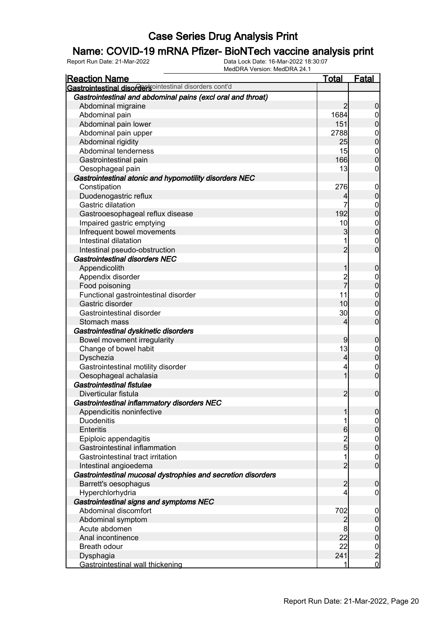### Name: COVID-19 mRNA Pfizer- BioNTech vaccine analysis print

| <b>Reaction Name</b>                                         | <b>Total</b>   | <b>Fatal</b>     |
|--------------------------------------------------------------|----------------|------------------|
| Gastrointestinal disordertsointestinal disorders cont'd      |                |                  |
| Gastrointestinal and abdominal pains (excl oral and throat)  |                |                  |
| Abdominal migraine                                           | $\overline{2}$ | $\boldsymbol{0}$ |
| Abdominal pain                                               | 1684           | $\boldsymbol{0}$ |
| Abdominal pain lower                                         | 151            | $\pmb{0}$        |
| Abdominal pain upper                                         | 2788           | $\mathbf 0$      |
| Abdominal rigidity                                           | 25             | $\overline{0}$   |
| Abdominal tenderness                                         | 15             | $\mathbf 0$      |
| Gastrointestinal pain                                        | 166            | $\mathbf 0$      |
| Oesophageal pain                                             | 13             | 0                |
| Gastrointestinal atonic and hypomotility disorders NEC       |                |                  |
| Constipation                                                 | 276            | $\mathbf 0$      |
| Duodenogastric reflux                                        | 4              | $\mathbf 0$      |
| Gastric dilatation                                           | 7              | $\mathbf 0$      |
| Gastrooesophageal reflux disease                             | 192            | $\overline{0}$   |
| Impaired gastric emptying                                    | 10             | $\boldsymbol{0}$ |
| Infrequent bowel movements                                   | 3              | $\overline{0}$   |
| Intestinal dilatation                                        |                | $\mathbf 0$      |
| Intestinal pseudo-obstruction                                | $\overline{2}$ | $\overline{0}$   |
| <b>Gastrointestinal disorders NEC</b>                        |                |                  |
| Appendicolith                                                | 1              | $\mathbf 0$      |
| Appendix disorder                                            |                | $\mathbf 0$      |
| Food poisoning                                               | 2<br>7         | $\pmb{0}$        |
| Functional gastrointestinal disorder                         | 11             | $\mathbf 0$      |
| Gastric disorder                                             | 10             | $\pmb{0}$        |
| Gastrointestinal disorder                                    | 30             | $\mathbf 0$      |
| Stomach mass                                                 | 4              | $\mathbf 0$      |
| Gastrointestinal dyskinetic disorders                        |                |                  |
| Bowel movement irregularity                                  | 9              | $\mathbf 0$      |
| Change of bowel habit                                        | 13             | $\mathbf 0$      |
| Dyschezia                                                    | 4              | $\boldsymbol{0}$ |
| Gastrointestinal motility disorder                           | 4              | $\mathbf 0$      |
| Oesophageal achalasia                                        | 1              | $\mathbf 0$      |
| Gastrointestinal fistulae                                    |                |                  |
| Diverticular fistula                                         | $\overline{2}$ | $\boldsymbol{0}$ |
| Gastrointestinal inflammatory disorders NEC                  |                |                  |
| Appendicitis noninfective                                    | 1              | 0                |
| <b>Duodenitis</b>                                            | 1              | 0                |
| <b>Enteritis</b>                                             | 6              | $\mathbf 0$      |
| Epiploic appendagitis                                        |                | $\boldsymbol{0}$ |
| Gastrointestinal inflammation                                | $\frac{2}{5}$  | $\overline{0}$   |
| Gastrointestinal tract irritation                            | 1              | $\boldsymbol{0}$ |
| Intestinal angioedema                                        | $\overline{2}$ | $\overline{0}$   |
| Gastrointestinal mucosal dystrophies and secretion disorders |                |                  |
| Barrett's oesophagus                                         | $\overline{2}$ | $\boldsymbol{0}$ |
| Hyperchlorhydria                                             | 4              | $\boldsymbol{0}$ |
| Gastrointestinal signs and symptoms NEC                      |                |                  |
| Abdominal discomfort                                         | 702            | $\mathbf 0$      |
| Abdominal symptom                                            | $\overline{2}$ | $\pmb{0}$        |
| Acute abdomen                                                | 8              | $\overline{0}$   |
| Anal incontinence                                            | 22             | $\mathbf 0$      |
| Breath odour                                                 | 22             |                  |
| Dysphagia                                                    | 241            | $\frac{0}{2}$    |
| Gastrointestinal wall thickening                             | 1              | $\overline{0}$   |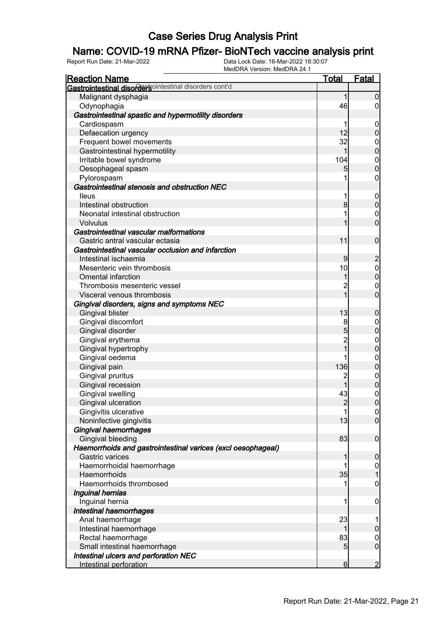### Name: COVID-19 mRNA Pfizer- BioNTech vaccine analysis print

| <b>Reaction Name</b>                                                            | <b>Total</b>   | Fatal                                |
|---------------------------------------------------------------------------------|----------------|--------------------------------------|
| Gastrointestinal disordersointestinal disorders cont'd                          |                |                                      |
| Malignant dysphagia                                                             | 1              | $\overline{0}$                       |
| Odynophagia                                                                     | 46             | $\overline{0}$                       |
| Gastrointestinal spastic and hypermotility disorders                            |                |                                      |
| Cardiospasm                                                                     | 1              | $\mathbf 0$                          |
| Defaecation urgency                                                             | 12             | $\mathbf 0$                          |
| Frequent bowel movements                                                        | 32             | $\boldsymbol{0}$                     |
| Gastrointestinal hypermotility                                                  | 1              | $\mathbf 0$                          |
| Irritable bowel syndrome                                                        | 104            |                                      |
| Oesophageal spasm                                                               | 5              | $\begin{matrix} 0 \\ 0 \end{matrix}$ |
| Pylorospasm                                                                     | 1              | $\boldsymbol{0}$                     |
| Gastrointestinal stenosis and obstruction NEC                                   |                |                                      |
| <b>Ileus</b>                                                                    | 1              | $\mathbf 0$                          |
| Intestinal obstruction                                                          | $\bf{8}$       | $\mathbf 0$                          |
| Neonatal intestinal obstruction                                                 |                | $\boldsymbol{0}$                     |
| Volvulus                                                                        |                | $\overline{0}$                       |
| Gastrointestinal vascular malformations                                         |                |                                      |
| Gastric antral vascular ectasia                                                 | 11             | $\mathbf 0$                          |
| Gastrointestinal vascular occlusion and infarction                              |                |                                      |
| Intestinal ischaemia                                                            | $\overline{9}$ | $\overline{c}$                       |
| Mesenteric vein thrombosis                                                      | 10             |                                      |
| <b>Omental infarction</b>                                                       | 1              | $0$<br>0                             |
| Thrombosis mesenteric vessel                                                    | $\overline{c}$ | $\boldsymbol{0}$                     |
| Visceral venous thrombosis                                                      | $\overline{1}$ | $\overline{0}$                       |
| Gingival disorders, signs and symptoms NEC                                      |                |                                      |
| <b>Gingival blister</b>                                                         | 13             | $\boldsymbol{0}$                     |
| Gingival discomfort                                                             | 8              | $\boldsymbol{0}$                     |
| Gingival disorder                                                               | 5              | $\mathbf 0$                          |
| Gingival erythema                                                               | $\overline{c}$ |                                      |
| Gingival hypertrophy                                                            | $\overline{1}$ | $0\atop 0$                           |
| Gingival oedema                                                                 |                | $\mathbf{0}$                         |
| Gingival pain                                                                   | 136            | $\overline{0}$                       |
| Gingival pruritus                                                               | $\overline{c}$ |                                      |
| Gingival recession                                                              | 1              | $\begin{matrix} 0 \\ 0 \end{matrix}$ |
| Gingival swelling                                                               | 43             | $\mathbf{0}$                         |
| Gingival ulceration                                                             | $\overline{2}$ | $\overline{0}$                       |
| Gingivitis ulcerative                                                           | 1              | 0                                    |
| Noninfective gingivitis                                                         | 13             | $\overline{0}$                       |
| Gingival haemorrhages                                                           |                |                                      |
| Gingival bleeding                                                               | 83             | $\mathbf 0$                          |
|                                                                                 |                |                                      |
| Haemorrhoids and gastrointestinal varices (excl oesophageal)<br>Gastric varices | 1              | $\mathbf 0$                          |
|                                                                                 | 1              |                                      |
| Haemorrhoidal haemorrhage<br>Haemorrhoids                                       | 35             | $\mathbf 0$<br>$\overline{1}$        |
| Haemorrhoids thrombosed                                                         |                |                                      |
|                                                                                 |                | $\boldsymbol{0}$                     |
| Inguinal hernias                                                                |                |                                      |
| Inguinal hernia                                                                 | 1              | $\mathbf 0$                          |
| Intestinal haemorrhages                                                         |                |                                      |
| Anal haemorrhage                                                                | 23             | 1                                    |
| Intestinal haemorrhage                                                          | 1              | $\pmb{0}$                            |
| Rectal haemorrhage                                                              | 83             | $\mathbf 0$                          |
| Small intestinal haemorrhage                                                    | 5              | $\overline{0}$                       |
| Intestinal ulcers and perforation NEC                                           |                |                                      |
| Intestinal perforation                                                          | 6              | $\overline{2}$                       |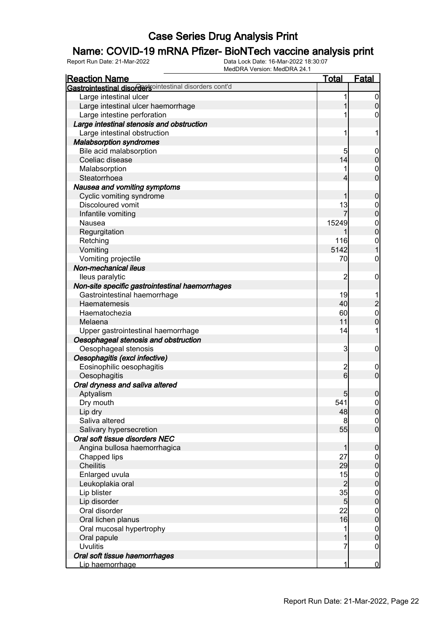### Name: COVID-19 mRNA Pfizer- BioNTech vaccine analysis print

| <b>Reaction Name</b>                                      | <b>Total</b>         | Fatal                            |
|-----------------------------------------------------------|----------------------|----------------------------------|
| Gastrointestinal disordersointestinal disorders cont'd    |                      |                                  |
| Large intestinal ulcer                                    | 1                    | $\boldsymbol{0}$                 |
| Large intestinal ulcer haemorrhage                        |                      | $\mathbf 0$                      |
| Large intestine perforation                               |                      | 0                                |
| Large intestinal stenosis and obstruction                 |                      |                                  |
| Large intestinal obstruction                              | 1                    | 1                                |
| <b>Malabsorption syndromes</b>                            |                      |                                  |
| Bile acid malabsorption                                   | 5                    | $\mathbf 0$                      |
| Coeliac disease                                           | 14                   | $\mathbf 0$                      |
| Malabsorption                                             |                      | $\mathbf 0$                      |
| Steatorrhoea                                              | 4                    | $\overline{0}$                   |
| Nausea and vomiting symptoms                              |                      |                                  |
| Cyclic vomiting syndrome                                  | 1                    | $\boldsymbol{0}$                 |
| Discoloured vomit                                         | 13                   |                                  |
| Infantile vomiting                                        | 7                    | $0\atop 0$                       |
| Nausea                                                    | 15249                |                                  |
| Regurgitation                                             | 1                    | $0\atop 0$                       |
| Retching                                                  | 116                  | $\mathbf 0$                      |
| Vomiting                                                  | 5142                 | $\overline{1}$                   |
| Vomiting projectile                                       | 70                   | $\mathbf 0$                      |
| Non-mechanical ileus                                      |                      |                                  |
| lleus paralytic                                           | $\overline{2}$       | $\mathbf 0$                      |
| Non-site specific gastrointestinal haemorrhages           |                      |                                  |
| Gastrointestinal haemorrhage                              | 19                   |                                  |
| Haematemesis                                              | 40                   | $\overline{c}$                   |
| Haematochezia                                             | 60                   | $\mathbf{0}$                     |
| Melaena                                                   | 11                   | $\overline{0}$                   |
| Upper gastrointestinal haemorrhage                        | 14                   | 1                                |
| Oesophageal stenosis and obstruction                      |                      |                                  |
| Oesophageal stenosis                                      | 3                    | $\mathbf 0$                      |
| Oesophagitis (excl infective)                             |                      |                                  |
| Eosinophilic oesophagitis                                 | $\overline{2}$       | $\mathbf 0$                      |
| Oesophagitis                                              | 6                    | $\overline{0}$                   |
| Oral dryness and saliva altered                           |                      |                                  |
|                                                           |                      |                                  |
| Aptyalism<br>Dry mouth                                    | 5<br>541             | $\pmb{0}$<br>$\overline{0}$      |
|                                                           | 48                   |                                  |
| Lip dry<br>Saliva altered                                 |                      | 0                                |
|                                                           | 8<br>55              | $\overline{0}$<br>$\overline{0}$ |
| Salivary hypersecretion<br>Oral soft tissue disorders NEC |                      |                                  |
|                                                           |                      |                                  |
| Angina bullosa haemorrhagica                              | 1                    | $\boldsymbol{0}$                 |
| Chapped lips<br><b>Cheilitis</b>                          | 27<br>29             | $\boldsymbol{0}$                 |
|                                                           |                      | $\mathbf 0$                      |
| Enlarged uvula                                            | 15<br>$\overline{c}$ | $0$<br>0                         |
| Leukoplakia oral                                          |                      |                                  |
| Lip blister                                               | 35                   | $0$<br>0                         |
| Lip disorder                                              | $\overline{5}$       |                                  |
| Oral disorder                                             | 22                   | $0$<br>0                         |
| Oral lichen planus                                        | 16                   |                                  |
| Oral mucosal hypertrophy                                  | 1                    | $0\atop 0$                       |
| Oral papule                                               | 1                    |                                  |
| <b>Uvulitis</b>                                           | 7                    | $\mathbf 0$                      |
| Oral soft tissue haemorrhages                             |                      |                                  |
| Lip haemorrhage                                           | 1                    | $\overline{0}$                   |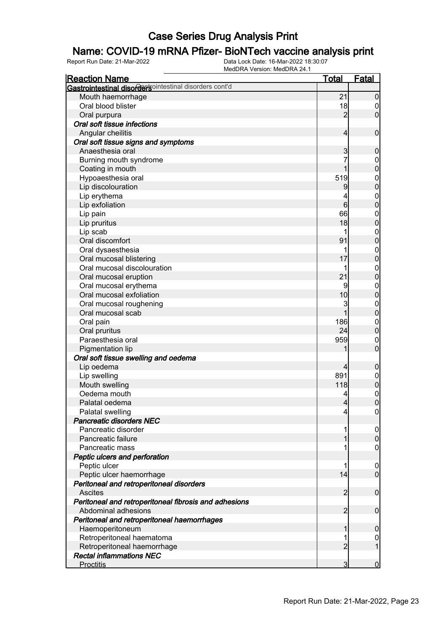### Name: COVID-19 mRNA Pfizer- BioNTech vaccine analysis print

| <b>Reaction Name</b>                                   | <b>Total</b>    | <b>Fatal</b>                     |
|--------------------------------------------------------|-----------------|----------------------------------|
| Gastrointestinal disordersointestinal disorders cont'd |                 |                                  |
| Mouth haemorrhage                                      | 21              | $\boldsymbol{0}$                 |
| Oral blood blister                                     | 18              | $\overline{0}$                   |
| Oral purpura                                           | $\overline{2}$  | $\overline{0}$                   |
| Oral soft tissue infections                            |                 |                                  |
| Angular cheilitis                                      | $\overline{4}$  | $\boldsymbol{0}$                 |
| Oral soft tissue signs and symptoms                    |                 |                                  |
| Anaesthesia oral                                       | 3               | $\boldsymbol{0}$                 |
| Burning mouth syndrome                                 | 7               | $\boldsymbol{0}$                 |
| Coating in mouth                                       | 1               | $\mathbf 0$                      |
| Hypoaesthesia oral                                     | 519             | $\mathbf{0}$                     |
| Lip discolouration                                     | 9               | $\mathbf 0$                      |
| Lip erythema                                           | 4               | $\mathbf{0}$                     |
| Lip exfoliation                                        | 6               | $\overline{0}$                   |
| Lip pain                                               | 66              | $\mathbf{0}$                     |
| Lip pruritus                                           | 18              | $\overline{0}$                   |
| Lip scab                                               | 1               | $\mathbf{0}$                     |
| Oral discomfort                                        | 91              | $\overline{0}$                   |
| Oral dysaesthesia                                      | 1               | $\mathbf{0}$                     |
| Oral mucosal blistering                                | 17              | $\mathbf 0$                      |
| Oral mucosal discolouration                            | 1               | $\mathbf{0}$                     |
| Oral mucosal eruption                                  | 21              | $\mathbf 0$                      |
| Oral mucosal erythema                                  | 9               | $\mathbf{0}$                     |
| Oral mucosal exfoliation                               | 10              | $\mathbf 0$                      |
| Oral mucosal roughening                                | 3               | $\mathbf{0}$                     |
| Oral mucosal scab                                      | 1               | $\mathbf 0$                      |
| Oral pain                                              | 186             | $\mathbf{0}$                     |
| Oral pruritus                                          | 24              | $\mathbf 0$                      |
| Paraesthesia oral                                      | 959             | $\mathbf{0}$                     |
| Pigmentation lip                                       |                 | $\overline{0}$                   |
| Oral soft tissue swelling and oedema                   |                 |                                  |
| Lip oedema                                             | 4               | $\boldsymbol{0}$                 |
| Lip swelling                                           | 891             | $\mathbf 0$                      |
| Mouth swelling                                         | 118             | $\mathbf 0$                      |
| Oedema mouth                                           | 4               |                                  |
| Palatal oedema                                         | $\overline{4}$  | $\begin{matrix}0\\0\end{matrix}$ |
| Palatal swelling                                       | $\vert 4 \vert$ | 0                                |
| <b>Pancreatic disorders NEC</b>                        |                 |                                  |
| Pancreatic disorder                                    |                 | $\overline{0}$                   |
| Pancreatic failure                                     |                 | $\boldsymbol{0}$                 |
| Pancreatic mass                                        |                 | $\mathbf 0$                      |
| Peptic ulcers and perforation                          |                 |                                  |
| Peptic ulcer                                           | 1               | $\mathbf 0$                      |
| Peptic ulcer haemorrhage                               | 14              | $\overline{0}$                   |
| Peritoneal and retroperitoneal disorders               |                 |                                  |
| <b>Ascites</b>                                         | $\overline{2}$  | $\boldsymbol{0}$                 |
| Peritoneal and retroperitoneal fibrosis and adhesions  |                 |                                  |
| Abdominal adhesions                                    | $\overline{2}$  | $\boldsymbol{0}$                 |
| Peritoneal and retroperitoneal haemorrhages            |                 |                                  |
| Haemoperitoneum                                        | 1               | $\mathbf 0$                      |
| Retroperitoneal haematoma                              | 1               | $\overline{0}$                   |
| Retroperitoneal haemorrhage                            | $\overline{2}$  | 1                                |
| <b>Rectal inflammations NEC</b>                        |                 |                                  |
| <b>Proctitis</b>                                       | 3               | $\mathbf 0$                      |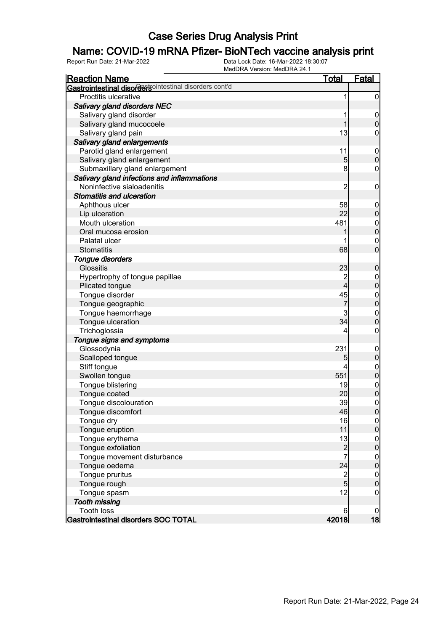### Name: COVID-19 mRNA Pfizer- BioNTech vaccine analysis print

| <b>Reaction Name</b>                                   | <b>Total</b>                                | <b>Fatal</b>                         |
|--------------------------------------------------------|---------------------------------------------|--------------------------------------|
| Gastrointestinal disordersointestinal disorders cont'd |                                             |                                      |
| Proctitis ulcerative                                   | 1                                           | $\mathbf 0$                          |
| <b>Salivary gland disorders NEC</b>                    |                                             |                                      |
| Salivary gland disorder                                |                                             | $\mathbf 0$                          |
| Salivary gland mucocoele                               | 1                                           | $\pmb{0}$                            |
| Salivary gland pain                                    | 13                                          | 0                                    |
| Salivary gland enlargements                            |                                             |                                      |
| Parotid gland enlargement                              | 11                                          | $\boldsymbol{0}$                     |
| Salivary gland enlargement                             | 5                                           | $\mathbf 0$                          |
| Submaxillary gland enlargement                         | 8                                           | $\boldsymbol{0}$                     |
| Salivary gland infections and inflammations            |                                             |                                      |
| Noninfective sialoadenitis                             | $\overline{c}$                              | $\boldsymbol{0}$                     |
| <b>Stomatitis and ulceration</b>                       |                                             |                                      |
| Aphthous ulcer                                         | 58                                          | $\mathbf 0$                          |
| Lip ulceration                                         | 22                                          | $\pmb{0}$                            |
| Mouth ulceration                                       | 481                                         |                                      |
| Oral mucosa erosion                                    |                                             | $0\atop 0$                           |
| Palatal ulcer                                          |                                             | $\mathbf{0}$                         |
| <b>Stomatitis</b>                                      | 68                                          | $\overline{0}$                       |
| Tongue disorders                                       |                                             |                                      |
| <b>Glossitis</b>                                       | 23                                          | $\boldsymbol{0}$                     |
| Hypertrophy of tongue papillae                         | $\overline{c}$                              | $\boldsymbol{0}$                     |
| Plicated tongue                                        | $\overline{\mathbf{4}}$                     | $\overline{0}$                       |
| Tongue disorder                                        | 45                                          |                                      |
| Tongue geographic                                      | $\overline{7}$                              | $0$ 0                                |
| Tongue haemorrhage                                     | 3                                           |                                      |
| Tongue ulceration                                      | 34                                          | $\begin{matrix}0\\0\end{matrix}$     |
| Trichoglossia                                          | 4                                           | $\pmb{0}$                            |
| Tongue signs and symptoms                              |                                             |                                      |
| Glossodynia                                            | 231                                         | $\mathbf 0$                          |
| Scalloped tongue                                       | 5                                           | $\pmb{0}$                            |
| Stiff tongue                                           | 4                                           |                                      |
| Swollen tongue                                         | 551                                         | $0$ 0                                |
| Tongue blistering                                      | 19                                          |                                      |
| Tongue coated                                          | 20                                          | $0\atop 0$                           |
| Tongue discolouration                                  | 39                                          | $\mathbf 0$                          |
| Tongue discomfort                                      | 46                                          | 0                                    |
| Tongue dry                                             | 16                                          | $\overline{0}$                       |
| Tongue eruption                                        | 11                                          | $\pmb{0}$                            |
| Tongue erythema                                        |                                             |                                      |
| Tongue exfoliation                                     | $\begin{array}{c} 13 \\ 2 \\ 7 \end{array}$ | $0\atop 0$                           |
| Tongue movement disturbance                            |                                             |                                      |
| Tongue oedema                                          | 24                                          | $\begin{matrix} 0 \\ 0 \end{matrix}$ |
| Tongue pruritus                                        |                                             |                                      |
| Tongue rough                                           | $\frac{2}{5}$                               | $0\atop 0$                           |
| Tongue spasm                                           | 12                                          | $\boldsymbol{0}$                     |
| <b>Tooth missing</b>                                   |                                             |                                      |
| <b>Tooth loss</b>                                      | 6                                           | 0                                    |
| Gastrointestinal disorders SOC TOTAL                   | 42018                                       | <u> 18</u>                           |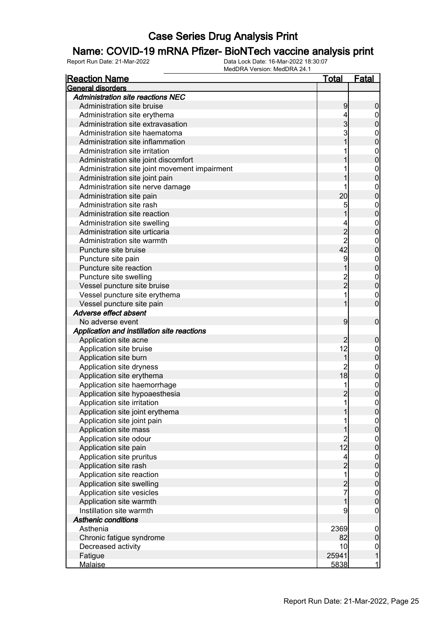### Name: COVID-19 mRNA Pfizer- BioNTech vaccine analysis print

| <b>Reaction Name</b>                              | <u>Total</u>                                | <b>Fatal</b>                    |
|---------------------------------------------------|---------------------------------------------|---------------------------------|
| General disorders                                 |                                             |                                 |
| <b>Administration site reactions NEC</b>          |                                             |                                 |
| Administration site bruise                        | 9                                           | $\boldsymbol{0}$                |
| Administration site erythema                      | 4                                           | 0                               |
| Administration site extravasation                 | $\overline{3}$                              | $\mathbf 0$                     |
| Administration site haematoma                     | 3                                           | $\boldsymbol{0}$                |
| Administration site inflammation                  |                                             | $\mathbf 0$                     |
| Administration site irritation                    |                                             | $\mathbf{0}$                    |
| Administration site joint discomfort              |                                             | $\overline{0}$                  |
| Administration site joint movement impairment     |                                             | $\mathbf{0}$                    |
| Administration site joint pain                    |                                             | $\overline{0}$                  |
| Administration site nerve damage                  |                                             | $\mathbf 0$                     |
| Administration site pain                          | 20                                          | $\mathbf 0$                     |
| Administration site rash                          | 5                                           | $\mathbf{0}$                    |
| Administration site reaction                      |                                             | $\mathbf 0$                     |
| Administration site swelling                      | 4                                           | $\mathbf 0$                     |
| Administration site urticaria                     |                                             | $\mathbf 0$                     |
| Administration site warmth                        | $\begin{array}{c} 2 \\ 2 \\ 42 \end{array}$ | $\mathbf 0$                     |
| Puncture site bruise                              |                                             | $\mathbf 0$                     |
| Puncture site pain                                | 9                                           | $\mathbf{0}$                    |
| Puncture site reaction                            |                                             | $\mathbf 0$                     |
| Puncture site swelling                            |                                             | $\mathbf{0}$                    |
| Vessel puncture site bruise                       | 2<br>2                                      | $\mathbf 0$                     |
| Vessel puncture site erythema                     |                                             | 0                               |
| Vessel puncture site pain                         |                                             | $\overline{0}$                  |
| Adverse effect absent                             |                                             |                                 |
| No adverse event                                  | 9                                           | $\mathbf 0$                     |
| Application and instillation site reactions       |                                             |                                 |
| Application site acne                             | $\overline{2}$                              |                                 |
| Application site bruise                           | 12                                          | $\boldsymbol{0}$                |
|                                                   | $\overline{1}$                              | $\boldsymbol{0}$<br>$\mathbf 0$ |
| Application site burn<br>Application site dryness |                                             |                                 |
|                                                   | $\overline{c}$<br>18                        | $\mathbf{0}$<br>$\mathbf 0$     |
| Application site erythema                         | 1                                           |                                 |
| Application site haemorrhage                      |                                             | $\boldsymbol{0}$                |
| Application site hypoaesthesia                    | $\overline{c}$                              | $\overline{0}$                  |
| Application site irritation                       | $\mathbf{1}$                                | $\boldsymbol{0}$                |
| Application site joint erythema                   | 1                                           | 0                               |
| Application site joint pain                       |                                             | $\overline{0}$                  |
| Application site mass                             |                                             | $\pmb{0}$                       |
| Application site odour                            | $\begin{array}{c} 2 \\ 12 \end{array}$      | $\boldsymbol{0}$                |
| Application site pain                             |                                             | $\overline{0}$                  |
| Application site pruritus                         | $\overline{4}$                              | $\boldsymbol{0}$                |
| Application site rash                             | $\overline{c}$                              | $\boldsymbol{0}$                |
| Application site reaction                         | 1                                           | $\boldsymbol{0}$                |
| Application site swelling                         | $\frac{2}{7}$                               | $\mathbf 0$                     |
| Application site vesicles                         |                                             | $\overline{0}$                  |
| Application site warmth                           | $\overline{1}$                              | $\mathbf 0$                     |
| Instillation site warmth                          | 9                                           | $\mathbf 0$                     |
| <b>Asthenic conditions</b>                        |                                             |                                 |
| Asthenia                                          | 2369                                        | $\mathbf 0$                     |
| Chronic fatigue syndrome                          | 82                                          | $\overline{0}$                  |
| Decreased activity                                | 10                                          | $\overline{0}$                  |
| Fatigue                                           | 25941                                       | $\mathbf{1}$                    |
| <b>Malaise</b>                                    | 5838                                        | $\mathbf{1}$                    |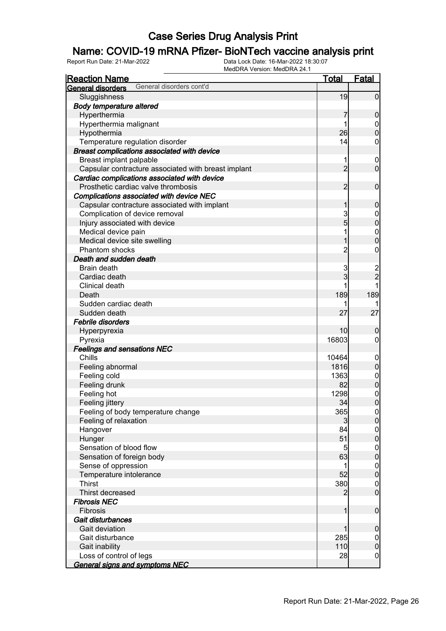### Name: COVID-19 mRNA Pfizer- BioNTech vaccine analysis print

| <b>Reaction Name</b>                                 | <u>Total</u>   | <b>Fatal</b>                         |
|------------------------------------------------------|----------------|--------------------------------------|
| General disorders cont'd<br><b>General disorders</b> |                |                                      |
| Sluggishness                                         | 19             | $\overline{0}$                       |
| <b>Body temperature altered</b>                      |                |                                      |
| Hyperthermia                                         | 7              | $\mathbf 0$                          |
| Hyperthermia malignant                               | 1              |                                      |
| Hypothermia                                          | 26             | $\begin{matrix} 0 \\ 0 \end{matrix}$ |
| Temperature regulation disorder                      | 14             | 0                                    |
| Breast complications associated with device          |                |                                      |
| Breast implant palpable                              | 1              | $\boldsymbol{0}$                     |
| Capsular contracture associated with breast implant  | $\overline{2}$ | $\overline{0}$                       |
| Cardiac complications associated with device         |                |                                      |
| Prosthetic cardiac valve thrombosis                  | $\overline{2}$ | $\mathbf 0$                          |
| Complications associated with device NEC             |                |                                      |
| Capsular contracture associated with implant         | 1              | $\mathbf 0$                          |
| Complication of device removal                       | 3              |                                      |
| Injury associated with device                        | 5              | $0$<br>0                             |
| Medical device pain                                  | 1              | $\begin{matrix}0\\0\end{matrix}$     |
| Medical device site swelling                         | 1              |                                      |
| Phantom shocks                                       | $\overline{2}$ | $\mathbf 0$                          |
| Death and sudden death                               |                |                                      |
| <b>Brain death</b>                                   | 3              |                                      |
| Cardiac death                                        | 3              | $\frac{2}{2}$                        |
| Clinical death                                       |                | $\mathbf{1}$                         |
| Death                                                | 189            | 189                                  |
| Sudden cardiac death                                 |                |                                      |
| Sudden death                                         | 27             | 27                                   |
| Febrile disorders                                    |                |                                      |
| Hyperpyrexia                                         | 10             | 0                                    |
| Pyrexia                                              | 16803          | $\overline{0}$                       |
| <b>Feelings and sensations NEC</b>                   |                |                                      |
| Chills                                               | 10464          |                                      |
| Feeling abnormal                                     | 1816           | $0$ 0                                |
| Feeling cold                                         | 1363           | $\begin{matrix} 0 \\ 0 \end{matrix}$ |
| Feeling drunk                                        | 82             |                                      |
| Feeling hot                                          | 1298           | $\begin{matrix} 0 \\ 0 \end{matrix}$ |
| Feeling jittery                                      | 34             |                                      |
| Feeling of body temperature change                   | 365            | 0                                    |
| Feeling of relaxation                                | $\mathbf{3}$   | $\overline{0}$                       |
| Hangover                                             | 84             | $\begin{matrix} 0 \\ 0 \end{matrix}$ |
| Hunger                                               | 51             |                                      |
| Sensation of blood flow                              | $\overline{5}$ | $\boldsymbol{0}$                     |
| Sensation of foreign body                            | 63             | $\mathbf 0$                          |
| Sense of oppression                                  | 1              | $0\atop 0$                           |
| Temperature intolerance                              | 52             |                                      |
| <b>Thirst</b>                                        | 380            | $\begin{matrix} 0 \\ 0 \end{matrix}$ |
| Thirst decreased                                     | 2              |                                      |
| <b>Fibrosis NEC</b>                                  |                |                                      |
| Fibrosis                                             | $\mathbf{1}$   | $\boldsymbol{0}$                     |
| Gait disturbances                                    |                |                                      |
| Gait deviation                                       | 1              | $\mathbf 0$                          |
| Gait disturbance                                     | 285            | $\overline{0}$                       |
| Gait inability                                       | 110            | $\pmb{0}$                            |
| Loss of control of legs                              | 28             | $\boldsymbol{0}$                     |
| <b>General signs and symptoms NEC</b>                |                |                                      |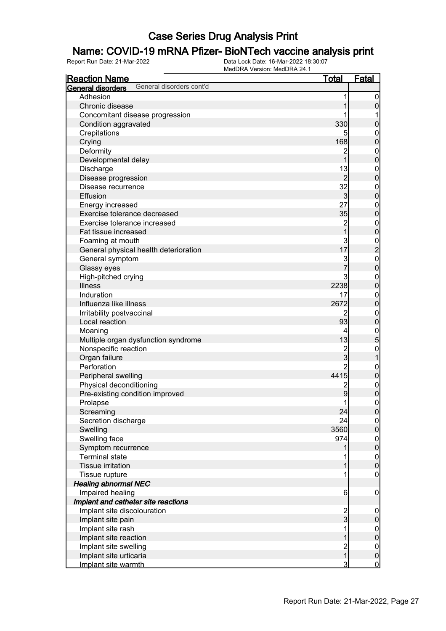### Name: COVID-19 mRNA Pfizer- BioNTech vaccine analysis print

| <b>Reaction Name</b>                          | <b>Total</b>                 | <b>Fatal</b>                  |
|-----------------------------------------------|------------------------------|-------------------------------|
| General disorders cont'd<br>General disorders |                              |                               |
| Adhesion                                      |                              | $\overline{0}$                |
| Chronic disease                               |                              | $\mathbf 0$                   |
| Concomitant disease progression               |                              |                               |
| Condition aggravated                          | 330                          | $\pmb{0}$                     |
| Crepitations                                  |                              | 0                             |
| Crying                                        | 168                          | $\mathbf 0$                   |
| Deformity                                     | $\overline{c}$               | $\mathbf 0$                   |
| Developmental delay                           | $\overline{1}$               | $\mathbf 0$                   |
| Discharge                                     | 13                           | $\boldsymbol{0}$              |
| Disease progression                           | $\overline{2}$               | $\mathbf 0$                   |
| Disease recurrence                            | 32                           | $\boldsymbol{0}$              |
| Effusion                                      | $\overline{3}$               | $\mathbf 0$                   |
| Energy increased                              | 27                           | $\mathbf{0}$                  |
| Exercise tolerance decreased                  | 35                           | $\mathbf 0$                   |
| Exercise tolerance increased                  |                              | $\mathbf{0}$                  |
| Fat tissue increased                          | 2<br>1                       | $\mathbf 0$                   |
| Foaming at mouth                              |                              |                               |
| General physical health deterioration         | $\frac{3}{17}$               | $\frac{0}{2}$                 |
| General symptom                               |                              | $\mathbf{0}$                  |
| Glassy eyes                                   | 3<br>7                       | $\overline{0}$                |
| High-pitched crying                           | 3                            | $\mathbf{0}$                  |
| <b>Illness</b>                                | 2238                         | $\mathbf 0$                   |
| Induration                                    | 17                           | $\mathbf 0$                   |
| Influenza like illness                        | 2672                         | $\mathbf 0$                   |
| Irritability postvaccinal                     | 2                            | $\mathbf 0$                   |
| Local reaction                                | 93                           | $\mathbf 0$                   |
| Moaning                                       | 4                            |                               |
| Multiple organ dysfunction syndrome           | 13                           | $\frac{0}{5}$                 |
| Nonspecific reaction                          |                              |                               |
| Organ failure                                 | $\frac{2}{3}$                | $\mathbf 0$<br>1              |
| Perforation                                   | $\overline{2}$               |                               |
| Peripheral swelling                           | 4415                         | $\boldsymbol{0}$<br>$\pmb{0}$ |
|                                               |                              |                               |
| Physical deconditioning                       | $\overline{\mathbf{c}}$<br>9 | $\boldsymbol{0}$              |
| Pre-existing condition improved               |                              | $\mathbf 0$                   |
| Prolapse                                      | 1                            | $\mathbf 0$                   |
| Screaming                                     | 24                           | $\overline{0}$                |
| Secretion discharge                           | 24                           | $\overline{0}$                |
| Swelling                                      | 3560                         | $\mathbf 0$                   |
| Swelling face                                 | 974                          | $0\atop 0$                    |
| Symptom recurrence                            |                              |                               |
| <b>Terminal state</b>                         |                              | $0\atop 0$                    |
| <b>Tissue irritation</b>                      |                              |                               |
| Tissue rupture                                |                              | $\boldsymbol{0}$              |
| <b>Healing abnormal NEC</b>                   |                              |                               |
| Impaired healing                              | 6                            | $\mathbf 0$                   |
| Implant and catheter site reactions           |                              |                               |
| Implant site discolouration                   | $\frac{2}{3}$                | $\mathbf 0$                   |
| Implant site pain                             |                              | $\pmb{0}$                     |
| Implant site rash                             | 1                            | $0$ 0                         |
| Implant site reaction                         |                              |                               |
| Implant site swelling                         | 2<br>1                       | $\overline{0}$                |
| Implant site urticaria                        |                              | $\pmb{0}$                     |
| Implant site warmth                           | 3                            | $\overline{0}$                |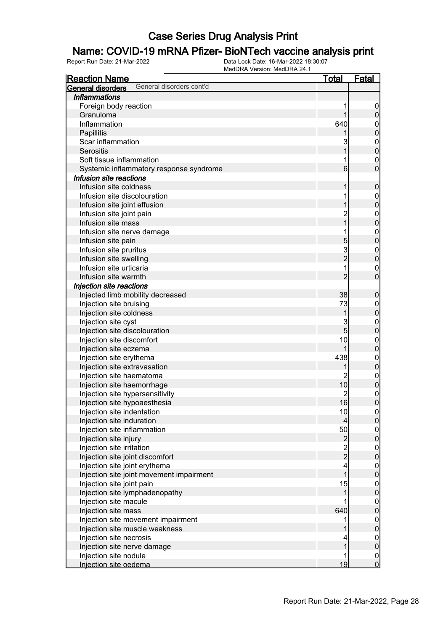#### Name: COVID-19 mRNA Pfizer- BioNTech vaccine analysis print

| <b>Reaction Name</b>                          | <u>Total</u>                               | Fatal                                |
|-----------------------------------------------|--------------------------------------------|--------------------------------------|
| General disorders cont'd<br>General disorders |                                            |                                      |
| <b>Inflammations</b>                          |                                            |                                      |
| Foreign body reaction                         | 1                                          | $\overline{0}$                       |
| Granuloma                                     | 1                                          | $\pmb{0}$                            |
| Inflammation                                  | 640                                        | $\mathbf 0$                          |
| Papillitis                                    |                                            | $\overline{0}$                       |
| Scar inflammation                             | 3                                          |                                      |
| Serositis                                     | 1                                          | $\begin{matrix} 0 \\ 0 \end{matrix}$ |
| Soft tissue inflammation                      | 1                                          | $\mathbf{0}$                         |
| Systemic inflammatory response syndrome       | 6                                          | $\overline{0}$                       |
| Infusion site reactions                       |                                            |                                      |
| Infusion site coldness                        | 1                                          | $\boldsymbol{0}$                     |
| Infusion site discolouration                  | 1                                          | $\boldsymbol{0}$                     |
| Infusion site joint effusion                  | 1                                          | $\overline{0}$                       |
| Infusion site joint pain                      |                                            | $\mathbf{0}$                         |
| Infusion site mass                            | 2<br>1                                     | $\mathbf 0$                          |
| Infusion site nerve damage                    | 1                                          |                                      |
| Infusion site pain                            | 5                                          | $0\atop 0$                           |
| Infusion site pruritus                        |                                            | $\mathbf{0}$                         |
| Infusion site swelling                        | 3<br>2                                     | $\mathbf 0$                          |
| Infusion site urticaria                       | 1                                          | $\mathbf{0}$                         |
| Infusion site warmth                          | $\overline{2}$                             | $\overline{0}$                       |
| Injection site reactions                      |                                            |                                      |
| Injected limb mobility decreased              | 38                                         | $\boldsymbol{0}$                     |
| Injection site bruising                       | 73                                         | $\boldsymbol{0}$                     |
| Injection site coldness                       | 1                                          | $\mathbf 0$                          |
| Injection site cyst                           | 3                                          | $\boldsymbol{0}$                     |
| Injection site discolouration                 | 5                                          | $\mathbf 0$                          |
| Injection site discomfort                     | 10                                         | $\mathbf{0}$                         |
| Injection site eczema                         | 1                                          | $\overline{0}$                       |
| Injection site erythema                       | 438                                        | $\boldsymbol{0}$                     |
| Injection site extravasation                  | 1                                          | $\mathbf 0$                          |
| Injection site haematoma                      | $\overline{2}$                             | $\boldsymbol{0}$                     |
| Injection site haemorrhage                    | 10                                         | $\mathbf 0$                          |
| Injection site hypersensitivity               | $\overline{2}$                             |                                      |
| Injection site hypoaesthesia                  | 16                                         | $\begin{matrix}0\\0\end{matrix}$     |
| Injection site indentation                    | 10                                         | 0                                    |
| Injection site induration                     | $\overline{4}$                             | $\overline{0}$                       |
| Injection site inflammation                   | 50                                         |                                      |
| Injection site injury                         |                                            | $\begin{matrix} 0 \\ 0 \end{matrix}$ |
| Injection site irritation                     | $\begin{array}{c} 2 \\ 2 \\ 2 \end{array}$ | $\begin{matrix} 0 \\ 0 \end{matrix}$ |
| Injection site joint discomfort               |                                            |                                      |
| Injection site joint erythema                 | $\overline{\mathbf{4}}$                    | $\begin{matrix} 0 \\ 0 \end{matrix}$ |
| Injection site joint movement impairment      | $\overline{1}$                             |                                      |
| Injection site joint pain                     | 15                                         | $\begin{matrix} 0 \\ 0 \end{matrix}$ |
| Injection site lymphadenopathy                | 1                                          |                                      |
| Injection site macule                         |                                            | $\begin{matrix} 0 \\ 0 \end{matrix}$ |
| Injection site mass                           | 640                                        |                                      |
| Injection site movement impairment            | 1                                          | $\begin{matrix} 0 \\ 0 \end{matrix}$ |
| Injection site muscle weakness                |                                            |                                      |
| Injection site necrosis                       | 4                                          | $\begin{matrix} 0 \\ 0 \end{matrix}$ |
| Injection site nerve damage                   | $\overline{1}$                             |                                      |
| Injection site nodule                         | 1                                          | $\frac{0}{0}$                        |
| Injection site oedema                         | 19                                         |                                      |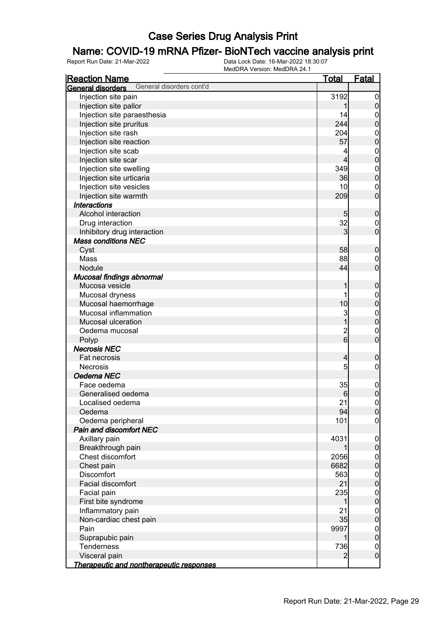### Name: COVID-19 mRNA Pfizer- BioNTech vaccine analysis print

| <b>Reaction Name</b>                                 | <u>Total</u>   | <u>Fatal</u>     |
|------------------------------------------------------|----------------|------------------|
| General disorders cont'd<br><b>General disorders</b> |                |                  |
| Injection site pain                                  | 3192           | $\overline{0}$   |
| Injection site pallor                                | 1              | $\pmb{0}$        |
| Injection site paraesthesia                          | 14             | $\boldsymbol{0}$ |
| Injection site pruritus                              | 244            | $\overline{0}$   |
| Injection site rash                                  | 204            |                  |
| Injection site reaction                              | 57             | 0<br>0           |
| Injection site scab                                  | 4              |                  |
| Injection site scar                                  | $\overline{4}$ | $0\atop 0$       |
| Injection site swelling                              | 349            |                  |
| Injection site urticaria                             | 36             | $0\atop 0$       |
| Injection site vesicles                              | 10             | $\boldsymbol{0}$ |
| Injection site warmth                                | 209            | $\overline{0}$   |
| <b>Interactions</b>                                  |                |                  |
| Alcohol interaction                                  | 5              | $\pmb{0}$        |
| Drug interaction                                     | 32             | $\boldsymbol{0}$ |
| Inhibitory drug interaction                          | 3              | $\overline{0}$   |
| <b>Mass conditions NEC</b>                           |                |                  |
| Cyst                                                 | 58             | $\pmb{0}$        |
| Mass                                                 | 88             | $\mathbf{0}$     |
| Nodule                                               | 44             | $\overline{0}$   |
| Mucosal findings abnormal                            |                |                  |
| Mucosa vesicle                                       | 1              | $\boldsymbol{0}$ |
| Mucosal dryness                                      | 1              | $\mathbf{0}$     |
| Mucosal haemorrhage                                  | 10             | $\mathbf 0$      |
| Mucosal inflammation                                 | 3              |                  |
| Mucosal ulceration                                   | $\overline{1}$ | $0\atop 0$       |
| Oedema mucosal                                       |                | $\mathbf{0}$     |
| Polyp                                                | $\frac{2}{6}$  | $\overline{0}$   |
| <b>Necrosis NEC</b>                                  |                |                  |
| Fat necrosis                                         | $\overline{4}$ | $\boldsymbol{0}$ |
| <b>Necrosis</b>                                      | 5              | $\boldsymbol{0}$ |
| Oedema NEC                                           |                |                  |
| Face oedema                                          | 35             | $\boldsymbol{0}$ |
| Generalised oedema                                   | 6              | $\overline{0}$   |
| Localised oedema                                     | 21             | $\overline{0}$   |
| Oedema                                               | 94             | 0                |
| Oedema peripheral                                    | 101            | $\overline{0}$   |
| Pain and discomfort NEC                              |                |                  |
| Axillary pain                                        | 4031           | $\boldsymbol{0}$ |
| Breakthrough pain                                    | 1              | $\pmb{0}$        |
| Chest discomfort                                     | 2056           | $\boldsymbol{0}$ |
| Chest pain                                           | 6682           | $\overline{0}$   |
| Discomfort                                           | 563            | $\boldsymbol{0}$ |
| Facial discomfort                                    | 21             | $\mathbf 0$      |
| Facial pain                                          | 235            | $\boldsymbol{0}$ |
| First bite syndrome                                  | 1              | $\mathbf 0$      |
| Inflammatory pain                                    | 21             | $\boldsymbol{0}$ |
| Non-cardiac chest pain                               | 35             | $\mathbf 0$      |
| Pain                                                 | 9997           | $\boldsymbol{0}$ |
| Suprapubic pain                                      | 1              | $\mathbf 0$      |
| Tenderness                                           | 736            | $\boldsymbol{0}$ |
| Visceral pain                                        | $\overline{2}$ | $\boldsymbol{0}$ |
| Therapeutic and nontherapeutic responses             |                |                  |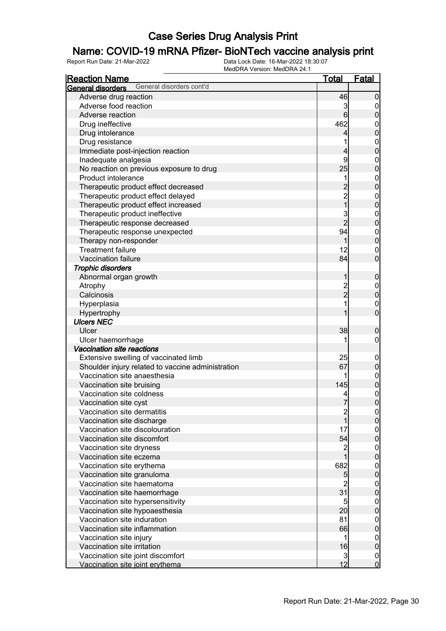### Name: COVID-19 mRNA Pfizer- BioNTech vaccine analysis print

| <b>Reaction Name</b>                                 | <b>Total</b>                          | <b>Fatal</b>                         |
|------------------------------------------------------|---------------------------------------|--------------------------------------|
| General disorders cont'd<br><b>General disorders</b> |                                       |                                      |
| Adverse drug reaction                                | 46                                    | $\mathbf 0$                          |
| Adverse food reaction                                | 3                                     | $\overline{0}$                       |
| Adverse reaction                                     | 6                                     | $\pmb{0}$                            |
| Drug ineffective                                     | 462                                   | $\mathbf{0}$                         |
| Drug intolerance                                     | 4                                     | $\mathbf 0$                          |
| Drug resistance                                      | 1                                     | $\boldsymbol{0}$                     |
| Immediate post-injection reaction                    | $\overline{\mathbf{4}}$               | $\overline{0}$                       |
| Inadequate analgesia                                 | 9                                     | $\boldsymbol{0}$                     |
| No reaction on previous exposure to drug             | 25                                    | $\overline{0}$                       |
| Product intolerance                                  | 1                                     |                                      |
| Therapeutic product effect decreased                 | $\overline{\mathbf{c}}$               | $0\atop 0$                           |
| Therapeutic product effect delayed                   |                                       | $\boldsymbol{0}$                     |
| Therapeutic product effect increased                 | $\frac{2}{1}$                         | $\overline{0}$                       |
| Therapeutic product ineffective                      |                                       | $\boldsymbol{0}$                     |
| Therapeutic response decreased                       | $\frac{3}{2}$                         | $\overline{0}$                       |
| Therapeutic response unexpected                      | 94                                    | $\boldsymbol{0}$                     |
| Therapy non-responder                                | 1                                     | $\overline{0}$                       |
| <b>Treatment failure</b>                             | 12                                    | $\mathbf 0$                          |
| Vaccination failure                                  | 84                                    | $\overline{0}$                       |
| <b>Trophic disorders</b>                             |                                       |                                      |
|                                                      | 1                                     |                                      |
| Abnormal organ growth                                |                                       | $\mathbf 0$                          |
| Atrophy                                              | $\frac{2}{2}$                         | $\boldsymbol{0}$                     |
| Calcinosis                                           |                                       | $\mathbf 0$                          |
| Hyperplasia                                          | 1                                     | $\mathbf 0$                          |
| Hypertrophy                                          |                                       | $\overline{0}$                       |
| <b>Ulcers NEC</b>                                    |                                       |                                      |
| Ulcer                                                | 38                                    | $\mathbf 0$                          |
| Ulcer haemorrhage                                    |                                       | $\boldsymbol{0}$                     |
| Vaccination site reactions                           |                                       |                                      |
| Extensive swelling of vaccinated limb                | 25                                    | $\mathbf 0$                          |
| Shoulder injury related to vaccine administration    | 67                                    | $\pmb{0}$                            |
| Vaccination site anaesthesia                         |                                       | $0\atop 0$                           |
| Vaccination site bruising                            | 145                                   |                                      |
| Vaccination site coldness                            | 4                                     | $\begin{matrix} 0 \\ 0 \end{matrix}$ |
| Vaccination site cyst                                | 7                                     |                                      |
| Vaccination site dermatitis                          | $\begin{array}{c} 2 \\ 1 \end{array}$ | 0                                    |
| Vaccination site discharge                           |                                       | 0                                    |
| Vaccination site discolouration                      | 17                                    | $\boldsymbol{0}$                     |
| Vaccination site discomfort                          | 54                                    | $\overline{0}$                       |
| Vaccination site dryness                             | $\frac{2}{1}$                         | $\boldsymbol{0}$                     |
| Vaccination site eczema                              |                                       | $\overline{0}$                       |
| Vaccination site erythema                            | 682                                   | $\boldsymbol{0}$                     |
| Vaccination site granuloma                           | 5                                     | $\mathbf 0$                          |
| Vaccination site haematoma                           | $\overline{c}$                        | $\boldsymbol{0}$                     |
| Vaccination site haemorrhage                         | 31                                    | $\mathbf 0$                          |
| Vaccination site hypersensitivity                    | 5                                     | $\boldsymbol{0}$                     |
| Vaccination site hypoaesthesia                       | 20                                    | $\mathbf 0$                          |
| Vaccination site induration                          | 81                                    | $\boldsymbol{0}$                     |
| Vaccination site inflammation                        | 66                                    | $\mathbf 0$                          |
| Vaccination site injury                              | 1                                     | $\mathbf 0$                          |
| Vaccination site irritation                          | 16                                    | $\mathbf 0$                          |
| Vaccination site joint discomfort                    | $\mathbf{3}$                          | $\overline{0}$                       |
| Vaccination site joint erythema                      | 12                                    | $\mathbf 0$                          |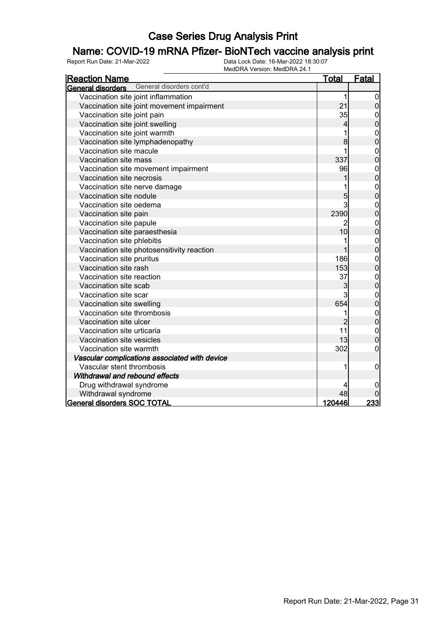### Name: COVID-19 mRNA Pfizer- BioNTech vaccine analysis print

| <u>Reaction Name</u>                          | <u>Total</u>            | <b>Fatal</b>                     |
|-----------------------------------------------|-------------------------|----------------------------------|
| General disorders cont'd<br>General disorders |                         |                                  |
| Vaccination site joint inflammation           | 1                       | $\overline{0}$                   |
| Vaccination site joint movement impairment    | 21                      | $\overline{0}$                   |
| Vaccination site joint pain                   | 35                      | $\mathbf 0$                      |
| Vaccination site joint swelling               | $\overline{\mathbf{4}}$ | $\bf{0}$                         |
| Vaccination site joint warmth                 | 1                       | $\boldsymbol{0}$                 |
| Vaccination site lymphadenopathy              | 8                       | $\overline{0}$                   |
| Vaccination site macule                       | 1                       | $\boldsymbol{0}$                 |
| Vaccination site mass                         | 337                     | $\overline{0}$                   |
| Vaccination site movement impairment          | 96                      | $\boldsymbol{0}$                 |
| Vaccination site necrosis                     |                         | $\overline{0}$                   |
| Vaccination site nerve damage                 |                         | $\boldsymbol{0}$                 |
| Vaccination site nodule                       | 5                       | $\overline{0}$                   |
| Vaccination site oedema                       | 3                       | $\mathbf{0}$                     |
| Vaccination site pain                         | 2390                    | $\overline{0}$                   |
| Vaccination site papule                       | 2                       | $\mathbf{0}$                     |
| Vaccination site paraesthesia                 | 10                      | $\overline{0}$                   |
| Vaccination site phlebitis                    | 1                       | $\mathbf{0}$                     |
| Vaccination site photosensitivity reaction    | 1                       | $\overline{0}$                   |
| Vaccination site pruritus                     | 186                     | $\mathbf{0}$                     |
| Vaccination site rash                         | 153                     | $\overline{0}$                   |
| Vaccination site reaction                     | 37                      | $\boldsymbol{0}$                 |
| Vaccination site scab                         | 3                       | $\overline{0}$                   |
| Vaccination site scar                         | 3                       | $\mathbf{0}$                     |
| Vaccination site swelling                     | 654                     | $\overline{0}$                   |
| Vaccination site thrombosis                   | 1                       | $\begin{matrix}0\\0\end{matrix}$ |
| Vaccination site ulcer                        | $\overline{2}$          |                                  |
| Vaccination site urticaria                    | 11                      | $\mathbf{0}$                     |
| Vaccination site vesicles                     | 13                      | $\overline{0}$                   |
| Vaccination site warmth                       | 302                     | $\mathbf 0$                      |
| Vascular complications associated with device |                         |                                  |
| Vascular stent thrombosis                     | 1                       | $\boldsymbol{0}$                 |
| Withdrawal and rebound effects                |                         |                                  |
| Drug withdrawal syndrome                      | 4                       |                                  |
| Withdrawal syndrome                           | 48                      |                                  |
| <b>General disorders SOC TOTAL</b>            | 120446                  | 233                              |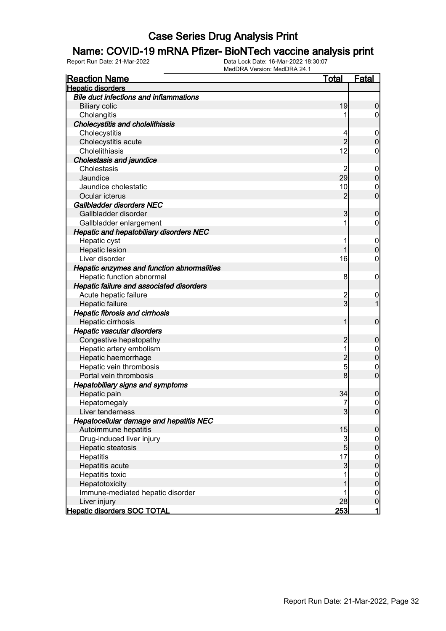#### Name: COVID-19 mRNA Pfizer- BioNTech vaccine analysis print

| <b>Reaction Name</b>                           | <u>Total</u>    | <b>Fatal</b>     |
|------------------------------------------------|-----------------|------------------|
| <b>Hepatic disorders</b>                       |                 |                  |
| <b>Bile duct infections and inflammations</b>  |                 |                  |
| <b>Biliary colic</b>                           | 19              | 0                |
| Cholangitis                                    |                 | 0                |
| <b>Cholecystitis and cholelithiasis</b>        |                 |                  |
| Cholecystitis                                  | 4               | $\overline{0}$   |
| Cholecystitis acute                            | $\overline{2}$  | 0                |
| Cholelithiasis                                 | 12              | 0                |
| <b>Cholestasis and jaundice</b>                |                 |                  |
| Cholestasis                                    | 2               | $\mathbf 0$      |
| Jaundice                                       | 29              | $\mathbf 0$      |
| Jaundice cholestatic                           | 10              | $\mathbf 0$      |
| Ocular icterus                                 | $\overline{2}$  | $\overline{0}$   |
| Gallbladder disorders NEC                      |                 |                  |
| Gallbladder disorder                           | 3               | 0                |
| Gallbladder enlargement                        | 1               | 0                |
| <b>Hepatic and hepatobiliary disorders NEC</b> |                 |                  |
| Hepatic cyst                                   | 1               | $\overline{0}$   |
| Hepatic lesion                                 |                 | $\overline{0}$   |
| Liver disorder                                 | 16              | 0                |
| Hepatic enzymes and function abnormalities     |                 |                  |
| Hepatic function abnormal                      | 8               | $\mathbf 0$      |
| Hepatic failure and associated disorders       |                 |                  |
| Acute hepatic failure                          | 2               | $\mathbf 0$      |
| Hepatic failure                                | $\overline{3}$  | 1                |
| <b>Hepatic fibrosis and cirrhosis</b>          |                 |                  |
| Hepatic cirrhosis                              | 1               | $\mathbf 0$      |
| Hepatic vascular disorders                     |                 |                  |
| Congestive hepatopathy                         | 2               | 0                |
| Hepatic artery embolism                        | 1               | 0                |
| Hepatic haemorrhage                            | $\overline{c}$  | $\overline{0}$   |
| Hepatic vein thrombosis                        | 5               | $\mathbf{0}$     |
| Portal vein thrombosis                         | 8               | $\overline{0}$   |
| <b>Hepatobiliary signs and symptoms</b>        |                 |                  |
| Hepatic pain                                   | 34              | 0                |
| Hepatomegaly                                   | 7               | $\boldsymbol{0}$ |
| Liver tenderness                               | 3               | 0                |
| Hepatocellular damage and hepatitis NEC        |                 |                  |
| Autoimmune hepatitis                           | 15              | $\boldsymbol{0}$ |
| Drug-induced liver injury                      | $\mathbf{3}$    | $\overline{0}$   |
| Hepatic steatosis                              | $5\overline{)}$ | $\boldsymbol{0}$ |
| Hepatitis                                      | 17              | $\mathbf 0$      |
| Hepatitis acute                                | 3               | $\boldsymbol{0}$ |
| Hepatitis toxic                                |                 | $\mathbf 0$      |
| Hepatotoxicity                                 |                 | $\boldsymbol{0}$ |
| Immune-mediated hepatic disorder               |                 | $\mathbf 0$      |
| Liver injury                                   | 28              | $\mathbf 0$      |
| <b>Hepatic disorders SOC TOTAL</b>             | <b>253</b>      | 1                |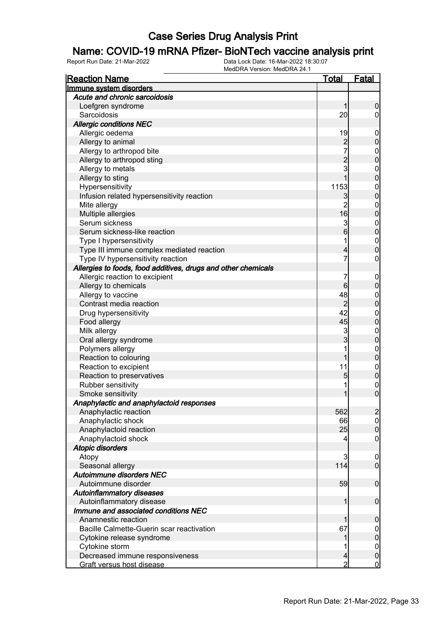#### Name: COVID-19 mRNA Pfizer- BioNTech vaccine analysis print

| <b>Reaction Name</b>                                          | <b>Total</b>    | <b>Fatal</b>     |
|---------------------------------------------------------------|-----------------|------------------|
| Immune system disorders                                       |                 |                  |
| Acute and chronic sarcoidosis                                 |                 |                  |
| Loefgren syndrome                                             | 1               | $\boldsymbol{0}$ |
| Sarcoidosis                                                   | 20              | $\overline{0}$   |
| <b>Allergic conditions NEC</b>                                |                 |                  |
| Allergic oedema                                               | 19              | $\boldsymbol{0}$ |
| Allergy to animal                                             |                 | $\boldsymbol{0}$ |
| Allergy to arthropod bite                                     | $\frac{2}{7}$   | $\mathbf 0$      |
| Allergy to arthropod sting                                    |                 | $\mathbf 0$      |
| Allergy to metals                                             | $\frac{2}{3}$   | $\mathbf 0$      |
| Allergy to sting                                              | 1               | $\mathbf 0$      |
| Hypersensitivity                                              | 1153            | $\mathbf 0$      |
| Infusion related hypersensitivity reaction                    | 3               | $\mathbf 0$      |
| Mite allergy                                                  | $\overline{c}$  | $\mathbf 0$      |
| Multiple allergies                                            | 16              | $\mathbf 0$      |
| Serum sickness                                                | 3               | $\mathbf 0$      |
| Serum sickness-like reaction                                  | $6\overline{6}$ | $\mathbf 0$      |
| Type I hypersensitivity                                       | 1               | $\boldsymbol{0}$ |
| Type III immune complex mediated reaction                     | $\overline{4}$  | $\mathbf 0$      |
| Type IV hypersensitivity reaction                             | 7               | 0                |
| Allergies to foods, food additives, drugs and other chemicals |                 |                  |
| Allergic reaction to excipient                                | 7               | $\mathbf 0$      |
| Allergy to chemicals                                          | $6 \,$          | $\boldsymbol{0}$ |
| Allergy to vaccine                                            | 48              | $\mathbf 0$      |
| Contrast media reaction                                       | $\overline{2}$  | $\mathbf 0$      |
| Drug hypersensitivity                                         | 42              | $\mathbf 0$      |
| Food allergy                                                  | 45              | $\boldsymbol{0}$ |
| Milk allergy                                                  | 3               | $\mathbf 0$      |
| Oral allergy syndrome                                         | $\overline{3}$  | $\boldsymbol{0}$ |
| Polymers allergy                                              |                 | $\mathbf 0$      |
| Reaction to colouring                                         | 1               | $\boldsymbol{0}$ |
| Reaction to excipient                                         | 11              | $\boldsymbol{0}$ |
| Reaction to preservatives                                     | 5               | $\pmb{0}$        |
| Rubber sensitivity                                            | 1               | $\boldsymbol{0}$ |
| Smoke sensitivity                                             | 1               | $\mathbf 0$      |
| Anaphylactic and anaphylactoid responses                      |                 |                  |
| Anaphylactic reaction                                         | 562             | $\overline{2}$   |
| Anaphylactic shock                                            | 66              | 0                |
| Anaphylactoid reaction                                        | 25              | $\mathbf 0$      |
| Anaphylactoid shock                                           | 4               | $\mathbf 0$      |
| <b>Atopic disorders</b>                                       |                 |                  |
| Atopy                                                         | 3               | $\mathbf 0$      |
| Seasonal allergy                                              | 114             | $\overline{0}$   |
| Autoimmune disorders NEC                                      |                 |                  |
| Autoimmune disorder                                           | 59              | $\boldsymbol{0}$ |
| <b>Autoinflammatory diseases</b>                              |                 |                  |
| Autoinflammatory disease                                      | 1               | $\boldsymbol{0}$ |
| Immune and associated conditions NEC                          |                 |                  |
| Anamnestic reaction                                           |                 | $\mathbf 0$      |
| Bacille Calmette-Guerin scar reactivation                     | 67              | $\overline{0}$   |
| Cytokine release syndrome                                     |                 | $\pmb{0}$        |
| Cytokine storm                                                |                 | $\overline{0}$   |
| Decreased immune responsiveness                               | $\overline{4}$  | $\pmb{0}$        |
| Graft versus host disease                                     | $\overline{2}$  | $\mathbf 0$      |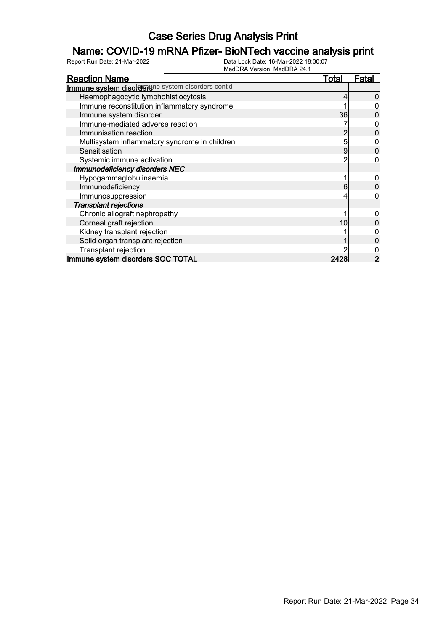### Name: COVID-19 mRNA Pfizer- BioNTech vaccine analysis print

| <b>Reaction Name</b>                              | <u>Total</u> | Fata |
|---------------------------------------------------|--------------|------|
| Immune system disordersne system disorders cont'd |              |      |
| Haemophagocytic lymphohistiocytosis               |              |      |
| Immune reconstitution inflammatory syndrome       |              |      |
| Immune system disorder                            | 36           |      |
| Immune-mediated adverse reaction                  |              |      |
| Immunisation reaction                             |              |      |
| Multisystem inflammatory syndrome in children     | 5            |      |
| Sensitisation                                     | 9            |      |
| Systemic immune activation                        |              |      |
| Immunodeficiency disorders NEC                    |              |      |
| Hypogammaglobulinaemia                            |              |      |
| Immunodeficiency                                  | 6            |      |
| Immunosuppression                                 |              |      |
| <b>Transplant rejections</b>                      |              |      |
| Chronic allograft nephropathy                     |              |      |
| Corneal graft rejection                           | 10           |      |
| Kidney transplant rejection                       |              |      |
| Solid organ transplant rejection                  |              |      |
| Transplant rejection                              |              |      |
| Immune system disorders SOC TOTAL                 | 2428         |      |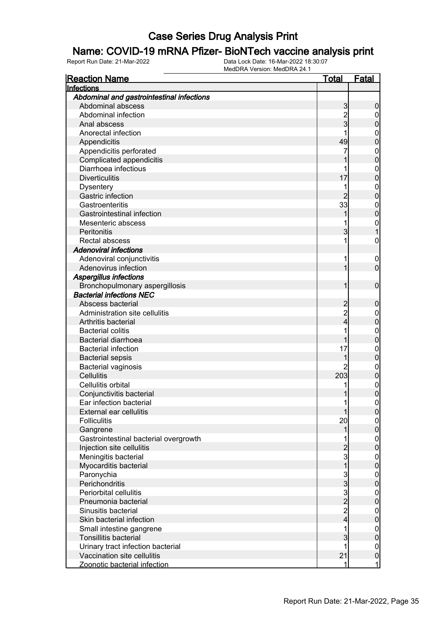#### Name: COVID-19 mRNA Pfizer- BioNTech vaccine analysis print

| <b>Reaction Name</b>                      | Total          | <b>Fatal</b>     |
|-------------------------------------------|----------------|------------------|
| Infections                                |                |                  |
| Abdominal and gastrointestinal infections |                |                  |
| Abdominal abscess                         | 3              | 0                |
| Abdominal infection                       |                | $\mathbf 0$      |
| Anal abscess                              | 2<br>3         | 0                |
| Anorectal infection                       |                | $\mathbf 0$      |
| Appendicitis                              | 49             | 0                |
| Appendicitis perforated                   | 7              | $\mathbf{0}$     |
| Complicated appendicitis                  |                | 0                |
| Diarrhoea infectious                      |                | $\mathbf 0$      |
| <b>Diverticulitis</b>                     | 17             | 0                |
| <b>Dysentery</b>                          | 1              | $\mathbf{0}$     |
| Gastric infection                         | 2              | 0                |
| Gastroenteritis                           | 33             | $\mathbf{0}$     |
| Gastrointestinal infection                |                | 0                |
| Mesenteric abscess                        |                | $\mathbf{0}$     |
| Peritonitis                               | 3              |                  |
| Rectal abscess                            | 1              | $\mathbf 0$      |
| <b>Adenoviral infections</b>              |                |                  |
| Adenoviral conjunctivitis                 | 1              | $\overline{0}$   |
| Adenovirus infection                      |                | 0                |
| <b>Aspergillus infections</b>             |                |                  |
| Bronchopulmonary aspergillosis            |                | $\mathbf 0$      |
| <b>Bacterial infections NEC</b>           |                |                  |
|                                           |                |                  |
| Abscess bacterial                         | 2              | 0                |
| Administration site cellulitis            | $\overline{c}$ | 0                |
| Arthritis bacterial                       | 4              | 0                |
| <b>Bacterial colitis</b>                  |                | $\mathbf{0}$     |
| <b>Bacterial diarrhoea</b>                |                | 0                |
| <b>Bacterial infection</b>                | 17             | $\mathbf{0}$     |
| <b>Bacterial sepsis</b>                   |                | 0                |
| <b>Bacterial vaginosis</b>                | 2              | $\mathbf{0}$     |
| <b>Cellulitis</b>                         | 203            | 0                |
| Cellulitis orbital                        | 1              | $\mathbf{0}$     |
| Conjunctivitis bacterial                  |                | 0                |
| Ear infection bacterial                   | 1              | 0                |
| <b>External ear cellulitis</b>            |                | <sup>0</sup>     |
| <b>Folliculitis</b>                       | 20             | $\overline{0}$   |
| Gangrene                                  | 1              | $\overline{0}$   |
| Gastrointestinal bacterial overgrowth     |                | $\mathbf 0$      |
| Injection site cellulitis                 | $\overline{2}$ | $\overline{0}$   |
| Meningitis bacterial                      | 3              | $\mathbf 0$      |
| Myocarditis bacterial                     | 1              | $\overline{0}$   |
| Paronychia                                | 3              | $\mathbf 0$      |
| Perichondritis                            | 3              | $\overline{0}$   |
| Periorbital cellulitis                    | $\overline{3}$ | $\mathbf 0$      |
| Pneumonia bacterial                       | $\overline{2}$ | $\overline{0}$   |
| Sinusitis bacterial                       | $\overline{c}$ | $\mathbf 0$      |
| Skin bacterial infection                  | 4              | $\overline{0}$   |
| Small intestine gangrene                  | 1              | $\mathbf 0$      |
| <b>Tonsillitis bacterial</b>              | 3              | $\mathbf 0$      |
| Urinary tract infection bacterial         | 1              | $\boldsymbol{0}$ |
| Vaccination site cellulitis               | 21             | $\mathbf 0$      |
| Zoonotic bacterial infection              | 1              | 1                |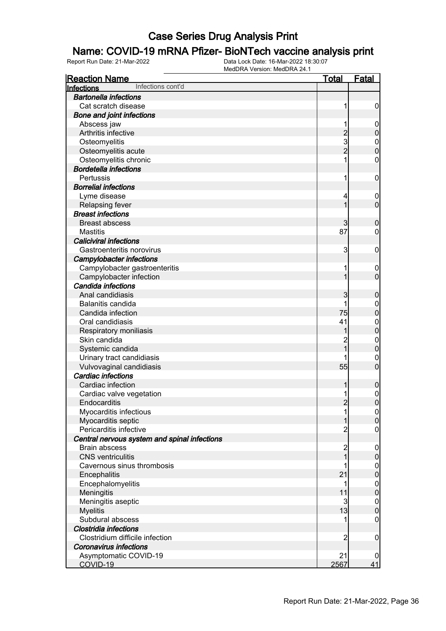#### Name: COVID-19 mRNA Pfizer- BioNTech vaccine analysis print

| <b>Reaction Name</b>                         | <u>Total</u>                               | Fatal            |
|----------------------------------------------|--------------------------------------------|------------------|
| Infections cont'd<br>Infections              |                                            |                  |
| <b>Bartonella infections</b>                 |                                            |                  |
| Cat scratch disease                          | 1                                          | $\boldsymbol{0}$ |
| <b>Bone and joint infections</b>             |                                            |                  |
| Abscess jaw                                  |                                            | $\mathbf 0$      |
| Arthritis infective                          |                                            | $\mathbf 0$      |
| Osteomyelitis                                | $\begin{array}{c} 2 \\ 3 \\ 2 \end{array}$ | $\mathbf{0}$     |
| Osteomyelitis acute                          |                                            | $\mathbf 0$      |
| Osteomyelitis chronic                        |                                            | $\mathbf 0$      |
| <b>Bordetella infections</b>                 |                                            |                  |
| Pertussis                                    | 1                                          | $\mathbf 0$      |
| <b>Borrelial infections</b>                  |                                            |                  |
| Lyme disease                                 | 4                                          | $\overline{0}$   |
| <b>Relapsing fever</b>                       | 1                                          | $\mathbf 0$      |
| <b>Breast infections</b>                     |                                            |                  |
| <b>Breast abscess</b>                        | 3                                          | $\boldsymbol{0}$ |
| <b>Mastitis</b>                              | 87                                         | $\mathbf 0$      |
| <b>Caliciviral infections</b>                |                                            |                  |
| Gastroenteritis norovirus                    | 3                                          | $\mathbf 0$      |
| <b>Campylobacter infections</b>              |                                            |                  |
| Campylobacter gastroenteritis                |                                            | $\mathbf 0$      |
| Campylobacter infection                      | 1                                          | $\overline{0}$   |
| Candida infections                           |                                            |                  |
| Anal candidiasis                             | 3                                          | $\boldsymbol{0}$ |
| Balanitis candida                            |                                            | $\mathbf 0$      |
| Candida infection                            | 75                                         | $\mathbf 0$      |
| Oral candidiasis                             | 41                                         | $\mathbf{0}$     |
| Respiratory moniliasis                       |                                            | $\mathbf 0$      |
| Skin candida                                 |                                            | $\mathbf{0}$     |
| Systemic candida                             | $\overline{1}$                             | $\mathbf 0$      |
| Urinary tract candidiasis                    |                                            | $\mathbf{0}$     |
| Vulvovaginal candidiasis                     | 55                                         | $\overline{0}$   |
| <b>Cardiac infections</b>                    |                                            |                  |
| Cardiac infection                            | 1                                          | $\boldsymbol{0}$ |
| Cardiac valve vegetation                     |                                            | $\mathbf{0}$     |
| Endocarditis                                 | $\overline{2}$                             | $\overline{0}$   |
| Myocarditis infectious                       | 1                                          | 0                |
| Myocarditis septic                           | $\mathbf{1}$                               | $\overline{0}$   |
| Pericarditis infective                       | $\overline{c}$                             | $\mathbf 0$      |
| Central nervous system and spinal infections |                                            |                  |
| <b>Brain abscess</b>                         | $\overline{c}$                             | $\mathbf 0$      |
| <b>CNS</b> ventriculitis                     | $\overline{1}$                             | $\pmb{0}$        |
| Cavernous sinus thrombosis                   | 1                                          | $\boldsymbol{0}$ |
| Encephalitis                                 | 21                                         | $\mathbf 0$      |
| Encephalomyelitis                            | 1                                          | $\boldsymbol{0}$ |
| Meningitis                                   | 11                                         | $\mathbf 0$      |
| Meningitis aseptic                           | 3                                          | $\boldsymbol{0}$ |
| <b>Myelitis</b>                              | 13                                         | $\mathbf 0$      |
| Subdural abscess                             |                                            | $\mathbf 0$      |
| Clostridia infections                        |                                            |                  |
| Clostridium difficile infection              | $\overline{2}$                             | $\mathbf 0$      |
| <b>Coronavirus infections</b>                |                                            |                  |
| Asymptomatic COVID-19                        | 21                                         | 0                |
| COVID-19                                     | 2567                                       | 41               |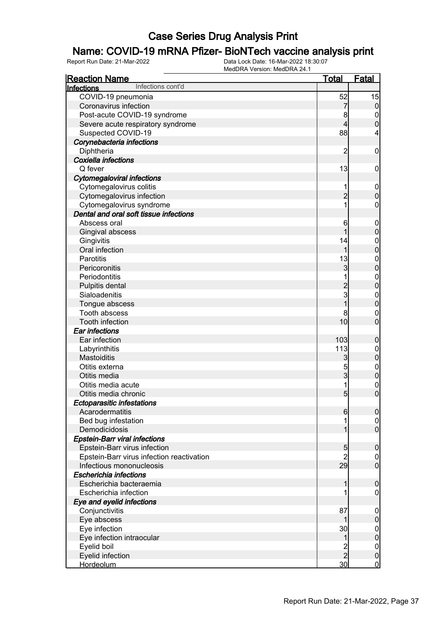### Name: COVID-19 mRNA Pfizer- BioNTech vaccine analysis print

| <b>Reaction Name</b>                      | <b>Total</b>        | <u>Fatal</u>                   |
|-------------------------------------------|---------------------|--------------------------------|
| Infections cont'd<br>Infections           |                     |                                |
| COVID-19 pneumonia                        | 52                  | 15                             |
| Coronavirus infection                     | 7                   | $\overline{0}$                 |
| Post-acute COVID-19 syndrome              | 8                   | $\mathbf 0$                    |
| Severe acute respiratory syndrome         | 4                   | $\overline{0}$                 |
| Suspected COVID-19                        | 88                  | 4                              |
| Corynebacteria infections                 |                     |                                |
| Diphtheria                                | $\overline{2}$      | $\mathbf 0$                    |
| <b>Coxiella infections</b>                |                     |                                |
| Q fever                                   | 13                  | $\mathbf 0$                    |
| <b>Cytomegaloviral infections</b>         |                     |                                |
| Cytomegalovirus colitis                   |                     | $\mathbf 0$                    |
| Cytomegalovirus infection                 | $\overline{2}$      | $\mathbf 0$                    |
| Cytomegalovirus syndrome                  |                     | 0                              |
| Dental and oral soft tissue infections    |                     |                                |
| Abscess oral                              | 6                   | $\mathbf 0$                    |
| Gingival abscess                          |                     | $\boldsymbol{0}$               |
| Gingivitis                                | 14                  | $\mathbf 0$                    |
| Oral infection                            | 1                   | $\overline{0}$                 |
| <b>Parotitis</b>                          | 13                  | $\mathbf{0}$                   |
| Pericoronitis                             | $\overline{3}$      | $\overline{0}$                 |
| Periodontitis                             |                     |                                |
| Pulpitis dental                           | $\overline{c}$      | $\mathbf{0}$<br>$\overline{0}$ |
| Sialoadenitis                             | 3                   |                                |
|                                           | 1                   | $\mathbf{0}$<br>$\overline{0}$ |
| Tongue abscess<br>Tooth abscess           |                     |                                |
|                                           | 8<br>10             | $\mathbf 0$<br>$\overline{0}$  |
| Tooth infection                           |                     |                                |
| Ear infections                            |                     |                                |
| Ear infection                             | 103                 | $\boldsymbol{0}$               |
| Labyrinthitis                             | 113                 | $\mathbf 0$<br>$\mathbf 0$     |
| Mastoiditis                               | 3                   |                                |
| Otitis externa                            | 5<br>$\overline{3}$ | $\boldsymbol{0}$               |
| Otitis media                              |                     | $\mathbf 0$                    |
| Otitis media acute                        | 1                   | $\mathbf 0$                    |
| Otitis media chronic                      | 5 <sub>5</sub>      | $\overline{0}$                 |
| <b>Ectoparasitic infestations</b>         |                     |                                |
| Acarodermatitis                           | $6 \mid$            | 0                              |
| Bed bug infestation                       |                     | $\overline{0}$                 |
| Demodicidosis                             |                     | $\overline{0}$                 |
| <b>Epstein-Barr viral infections</b>      |                     |                                |
| Epstein-Barr virus infection              | 5                   | $\mathbf 0$                    |
| Epstein-Barr virus infection reactivation | $\overline{c}$      | $\overline{0}$                 |
| Infectious mononucleosis                  | 29                  | $\overline{0}$                 |
| Escherichia infections                    |                     |                                |
| Escherichia bacteraemia                   |                     | $\mathbf 0$                    |
| Escherichia infection                     |                     | 0                              |
| Eye and eyelid infections                 |                     |                                |
| Conjunctivitis                            | 87                  | $\mathbf 0$                    |
| Eye abscess                               |                     | $\pmb{0}$                      |
| Eye infection                             | 30                  | $\overline{0}$                 |
| Eye infection intraocular                 | 1                   | $\mathbf 0$                    |
| Eyelid boil                               | 2<br>2              | $\overline{0}$                 |
| Eyelid infection                          |                     | $\mathbf 0$                    |
| <b>Hordeolum</b>                          | 30 <sub>2</sub>     | $\overline{0}$                 |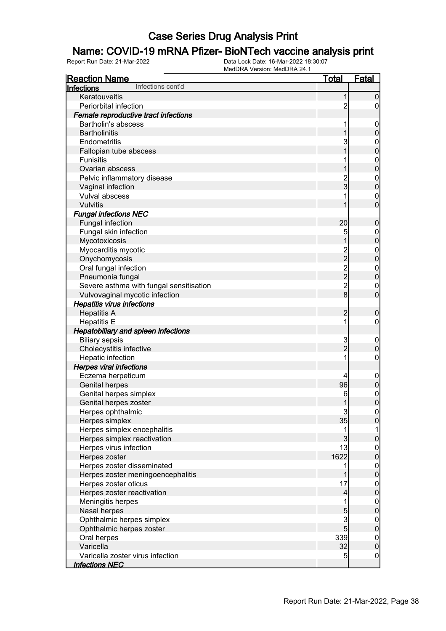#### Name: COVID-19 mRNA Pfizer- BioNTech vaccine analysis print

| <u>Reaction Name</u>                       | <u>Total</u>   | <u>Fatal</u>                     |
|--------------------------------------------|----------------|----------------------------------|
| Infections cont'd<br>Infections            |                |                                  |
| Keratouveitis                              | 1              | $\overline{0}$                   |
| Periorbital infection                      | $\overline{c}$ | 0                                |
| Female reproductive tract infections       |                |                                  |
| <b>Bartholin's abscess</b>                 | 1              | $\mathbf 0$                      |
| <b>Bartholinitis</b>                       |                | $\pmb{0}$                        |
| Endometritis                               | 3              | $\mathbf{0}$                     |
| Fallopian tube abscess                     | 1              | $\mathbf 0$                      |
| <b>Funisitis</b>                           | 1              | $\mathbf{0}$                     |
| Ovarian abscess                            |                | $\overline{0}$                   |
| Pelvic inflammatory disease                |                | $\mathbf{0}$                     |
| Vaginal infection                          | $\frac{2}{3}$  | $\overline{0}$                   |
| Vulval abscess                             | 1              | $\mathbf 0$                      |
| Vulvitis                                   | 1              | $\overline{0}$                   |
| <b>Fungal infections NEC</b>               |                |                                  |
| <b>Fungal infection</b>                    | 20             | $\mathbf 0$                      |
| Fungal skin infection                      | 5              | $\mathbf{0}$                     |
| Mycotoxicosis                              | 1              | $\overline{0}$                   |
| Myocarditis mycotic                        |                | $\mathbf{0}$                     |
| Onychomycosis                              |                | $\overline{0}$                   |
| Oral fungal infection                      |                |                                  |
| Pneumonia fungal                           | 222228         | $\begin{matrix}0\\0\end{matrix}$ |
| Severe asthma with fungal sensitisation    |                | $\mathbf 0$                      |
| Vulvovaginal mycotic infection             |                | $\overline{0}$                   |
| <b>Hepatitis virus infections</b>          |                |                                  |
| <b>Hepatitis A</b>                         | $\overline{c}$ | $\mathbf 0$                      |
| <b>Hepatitis E</b>                         | 1              | $\boldsymbol{0}$                 |
| <b>Hepatobiliary and spleen infections</b> |                |                                  |
| <b>Biliary sepsis</b>                      | 3              | $\boldsymbol{0}$                 |
| Cholecystitis infective                    | $\overline{2}$ | $\mathbf 0$                      |
| Hepatic infection                          | 1              | $\boldsymbol{0}$                 |
| <b>Herpes viral infections</b>             |                |                                  |
| Eczema herpeticum                          | 4              | $\mathbf 0$                      |
| <b>Genital herpes</b>                      | 96             | $\pmb{0}$                        |
| Genital herpes simplex                     | 6              |                                  |
| Genital herpes zoster                      | 1              | $\begin{matrix}0\\0\end{matrix}$ |
| Herpes ophthalmic                          | $\overline{3}$ | $\mathbf{0}$                     |
| Herpes simplex                             | 35             | $\overline{0}$                   |
| Herpes simplex encephalitis                | 1              | 1                                |
| Herpes simplex reactivation                | $\mathbf{3}$   | $\pmb{0}$                        |
| Herpes virus infection                     | 13             | $\boldsymbol{0}$                 |
| Herpes zoster                              | 1622           | $\overline{0}$                   |
| Herpes zoster disseminated                 | 1              |                                  |
| Herpes zoster meningoencephalitis          | 1              | $0\atop 0$                       |
| Herpes zoster oticus                       | 17             |                                  |
| Herpes zoster reactivation                 | $\overline{4}$ | $0\atop 0$                       |
| Meningitis herpes                          | 1              | $\boldsymbol{0}$                 |
| Nasal herpes                               | 5              | $\overline{0}$                   |
| Ophthalmic herpes simplex                  | $\mathbf{3}$   |                                  |
| Ophthalmic herpes zoster                   | 5 <sub>5</sub> | $0\atop 0$                       |
| Oral herpes                                | 339            |                                  |
| Varicella                                  | 32             | $0\atop 0$                       |
| Varicella zoster virus infection           | $\overline{5}$ | $\overline{0}$                   |
| <b>Infections NEC</b>                      |                |                                  |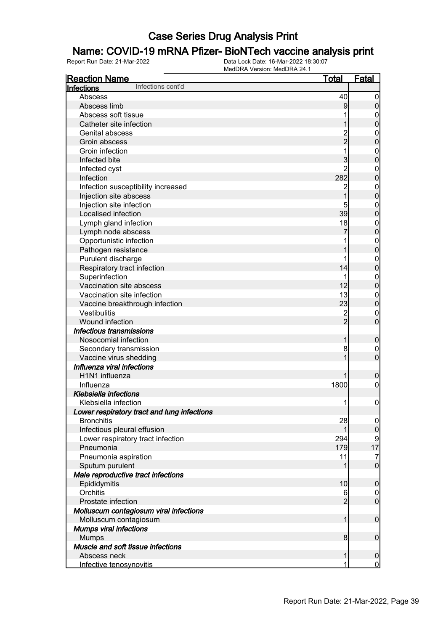### Name: COVID-19 mRNA Pfizer- BioNTech vaccine analysis print

| <b>Reaction Name</b>                        | Total          | <b>Fatal</b>                |
|---------------------------------------------|----------------|-----------------------------|
| Infections cont'd<br>Infections             |                |                             |
| Abscess                                     | 40             | $\mathbf 0$                 |
| Abscess limb                                | 9              | $\pmb{0}$                   |
| Abscess soft tissue                         |                | $\mathbf 0$                 |
| Catheter site infection                     |                | $\mathbf 0$                 |
| Genital abscess                             |                | $\mathbf{0}$                |
| Groin abscess                               | 2<br>2         | $\mathbf 0$                 |
| Groin infection                             |                | $\mathbf{0}$                |
| Infected bite                               | 3              | $\mathbf 0$                 |
| Infected cyst                               | $\overline{2}$ | $\mathbf{0}$                |
| Infection                                   | 282            | $\mathbf 0$                 |
| Infection susceptibility increased          | 2              | $\mathbf{0}$                |
| Injection site abscess                      | 1              | $\mathbf 0$                 |
| Injection site infection                    |                | $\mathbf{0}$                |
| Localised infection                         | 39             | $\mathbf 0$                 |
| Lymph gland infection                       | 18             | $\mathbf{0}$                |
| Lymph node abscess                          |                | $\mathbf 0$                 |
| Opportunistic infection                     |                | $\mathbf{0}$                |
| Pathogen resistance                         |                | $\mathbf 0$                 |
| Purulent discharge                          |                | $\mathbf{0}$                |
| Respiratory tract infection                 | 14             | $\mathbf 0$                 |
| Superinfection                              |                |                             |
| Vaccination site abscess                    | 12             | $\mathbf{0}$<br>$\mathbf 0$ |
| Vaccination site infection                  | 13             |                             |
|                                             |                | $\mathbf{0}$                |
| Vaccine breakthrough infection              | 23             | $\mathbf 0$                 |
| <b>Vestibulitis</b>                         | 2<br>2         | $\mathbf 0$                 |
| Wound infection                             |                | $\overline{0}$              |
| <b>Infectious transmissions</b>             |                |                             |
| Nosocomial infection                        | 1              | $\boldsymbol{0}$            |
| Secondary transmission                      | 8              | 0                           |
| Vaccine virus shedding                      |                | $\overline{0}$              |
| Influenza viral infections                  |                |                             |
| H1N1 influenza                              |                | $\boldsymbol{0}$            |
| Influenza                                   | 1800           | $\boldsymbol{0}$            |
| Klebsiella infections                       |                |                             |
| Klebsiella infection                        | 1              | $\boldsymbol{0}$            |
| Lower respiratory tract and lung infections |                |                             |
| <b>Bronchitis</b>                           | 28             | 0                           |
| Infectious pleural effusion                 | 1              | $\overline{0}$              |
| Lower respiratory tract infection           | 294            | 9                           |
| Pneumonia                                   | 179            | 17                          |
| Pneumonia aspiration                        | 11             | $\overline{7}$              |
| Sputum purulent                             | 1              | $\overline{0}$              |
| Male reproductive tract infections          |                |                             |
| Epididymitis                                | 10             | $\mathbf 0$                 |
| Orchitis                                    | 6              | $\overline{0}$              |
| Prostate infection                          | $\overline{2}$ | $\mathbf 0$                 |
| Molluscum contagiosum viral infections      |                |                             |
| Molluscum contagiosum                       | 1              | $\boldsymbol{0}$            |
| <b>Mumps viral infections</b>               |                |                             |
| <b>Mumps</b>                                | 8              | $\boldsymbol{0}$            |
| Muscle and soft tissue infections           |                |                             |
| Abscess neck                                | 1              | $\boldsymbol{0}$            |
| Infective tenosynovitis                     | 1              | $\overline{0}$              |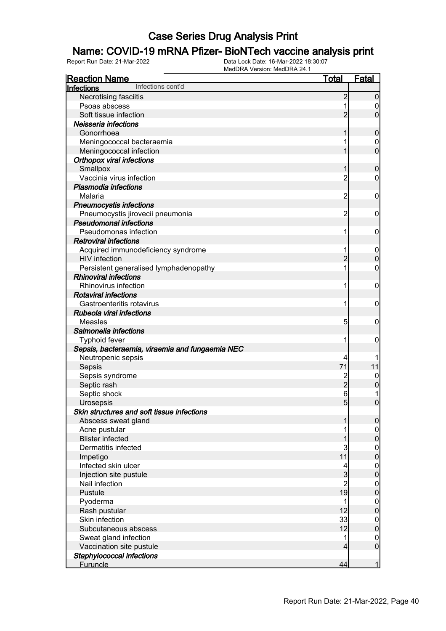#### Name: COVID-19 mRNA Pfizer- BioNTech vaccine analysis print

| <b>Reaction Name</b>                                                   | <b>Total</b>   | <b>Fatal</b>                    |
|------------------------------------------------------------------------|----------------|---------------------------------|
| Infections cont'd<br>Infections                                        |                |                                 |
| Necrotising fasciitis                                                  | $\overline{c}$ | $\overline{0}$                  |
| Psoas abscess                                                          |                | 0                               |
| Soft tissue infection                                                  | $\overline{2}$ | $\mathbf 0$                     |
| Neisseria infections                                                   |                |                                 |
| Gonorrhoea                                                             |                | $\mathbf 0$                     |
| Meningococcal bacteraemia                                              |                | 0                               |
| Meningococcal infection                                                |                | $\mathbf 0$                     |
| <b>Orthopox viral infections</b>                                       |                |                                 |
| Smallpox                                                               |                | $\boldsymbol{0}$                |
| Vaccinia virus infection                                               | $\overline{c}$ | 0                               |
| <b>Plasmodia infections</b>                                            |                |                                 |
| Malaria                                                                | $\overline{2}$ | $\mathbf 0$                     |
| <b>Pneumocystis infections</b>                                         |                |                                 |
| Pneumocystis jirovecii pneumonia                                       | $\overline{2}$ | $\mathbf 0$                     |
| <b>Pseudomonal infections</b>                                          |                |                                 |
| Pseudomonas infection                                                  | 1              | $\mathbf 0$                     |
| <b>Retroviral infections</b>                                           |                |                                 |
|                                                                        |                |                                 |
| Acquired immunodeficiency syndrome<br><b>HIV</b> infection             | $\overline{2}$ | $\boldsymbol{0}$<br>$\mathbf 0$ |
|                                                                        |                |                                 |
| Persistent generalised lymphadenopathy<br><b>Rhinoviral infections</b> |                | 0                               |
|                                                                        |                |                                 |
| Rhinovirus infection                                                   | 1              | $\mathbf 0$                     |
| <b>Rotaviral infections</b>                                            |                |                                 |
| Gastroenteritis rotavirus                                              | 1              | $\mathbf 0$                     |
| <b>Rubeola viral infections</b>                                        |                |                                 |
| Measles                                                                | 5              | $\mathbf 0$                     |
| Salmonella infections                                                  |                |                                 |
| <b>Typhoid fever</b>                                                   |                | 0                               |
| Sepsis, bacteraemia, viraemia and fungaemia NEC                        |                |                                 |
| Neutropenic sepsis                                                     |                |                                 |
| Sepsis                                                                 | 71             | 11                              |
| Sepsis syndrome                                                        |                | $\boldsymbol{0}$                |
| Septic rash                                                            | $\overline{2}$ | $\mathbf 0$                     |
| Septic shock                                                           | 6              |                                 |
| Urosepsis                                                              | 5 <sub>5</sub> | $\mathbf 0$                     |
| Skin structures and soft tissue infections                             |                |                                 |
| Abscess sweat gland                                                    |                | 0                               |
| Acne pustular                                                          |                | $\overline{0}$                  |
| <b>Blister infected</b>                                                |                | $\mathbf 0$                     |
| Dermatitis infected                                                    | 3              | $\boldsymbol{0}$                |
| Impetigo                                                               | 11             | $\overline{0}$                  |
| Infected skin ulcer                                                    |                | $\boldsymbol{0}$                |
| Injection site pustule                                                 | 3              | $\mathbf 0$                     |
| Nail infection                                                         | $\overline{c}$ | $\overline{0}$                  |
| Pustule                                                                | 19             | $\mathbf 0$                     |
| Pyoderma                                                               |                | $\overline{0}$                  |
| Rash pustular                                                          | 12             | $\overline{0}$                  |
| Skin infection                                                         | 33             | $\overline{0}$                  |
| Subcutaneous abscess                                                   | 12             | $\overline{0}$                  |
| Sweat gland infection                                                  | 1              | $\overline{0}$                  |
| Vaccination site pustule                                               | 4              | $\overline{0}$                  |
| Staphylococcal infections                                              |                |                                 |
| <b>Furuncle</b>                                                        | 44             | $\mathbf{1}$                    |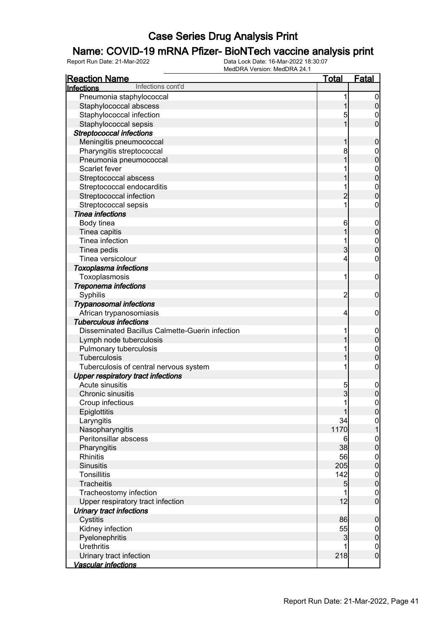### Name: COVID-19 mRNA Pfizer- BioNTech vaccine analysis print

| <b>Reaction Name</b>                            | <u>Total</u>   | <b>Fatal</b>                           |
|-------------------------------------------------|----------------|----------------------------------------|
| Infections cont'd<br><b>Infections</b>          |                |                                        |
| Pneumonia staphylococcal                        | 1              | $\boldsymbol{0}$                       |
| Staphylococcal abscess                          |                | 0                                      |
| Staphylococcal infection                        | 5              | 0                                      |
| Staphylococcal sepsis                           | 1              | 0                                      |
| <b>Streptococcal infections</b>                 |                |                                        |
| Meningitis pneumococcal                         |                | 0                                      |
| Pharyngitis streptococcal                       | 8              | $\mathbf 0$                            |
| Pneumonia pneumococcal                          |                | 0                                      |
| Scarlet fever                                   |                | $\mathbf{0}$                           |
| Streptococcal abscess                           |                | $\mathbf{0}$                           |
| Streptococcal endocarditis                      | 1              | $\mathbf{0}$                           |
| Streptococcal infection                         | $\overline{2}$ | 0                                      |
| Streptococcal sepsis                            | 1              | 0                                      |
| <b>Tinea infections</b>                         |                |                                        |
| Body tinea                                      | 6              | $\mathbf 0$                            |
| Tinea capitis                                   |                | 0                                      |
| Tinea infection                                 | 1              | $\mathbf{0}$                           |
| Tinea pedis                                     | 3              | 0                                      |
| Tinea versicolour                               | 4              | 0                                      |
| Toxoplasma infections                           |                |                                        |
| Toxoplasmosis                                   | 1              | $\mathbf 0$                            |
| Treponema infections                            |                |                                        |
| Syphilis                                        | $\overline{2}$ | 0                                      |
| <b>Trypanosomal infections</b>                  |                |                                        |
| African trypanosomiasis                         | 4              | 0                                      |
| <b>Tuberculous infections</b>                   |                |                                        |
| Disseminated Bacillus Calmette-Guerin infection | 1              | $\mathbf 0$                            |
| Lymph node tuberculosis                         |                | 0                                      |
| Pulmonary tuberculosis                          | 1              | $\mathbf{0}$                           |
| Tuberculosis                                    |                | 0                                      |
| Tuberculosis of central nervous system          | 1              | 0                                      |
| <b>Upper respiratory tract infections</b>       |                |                                        |
| Acute sinusitis                                 | 5              | $\mathbf 0$                            |
| Chronic sinusitis                               | 3              | 0                                      |
| Croup infectious                                | 1              | $\mathbf{0}$                           |
| Epiglottitis                                    |                | $\overline{0}$                         |
| Laryngitis                                      | 34             |                                        |
| Nasopharyngitis                                 | 1170           | $\begin{bmatrix} 0 \\ 1 \end{bmatrix}$ |
| Peritonsillar abscess                           | 6              | $\mathbf{0}$                           |
| Pharyngitis                                     | 38             | $\overline{0}$                         |
| <b>Rhinitis</b>                                 | 56             | $\mathbf{0}$                           |
| <b>Sinusitis</b>                                | 205            | $\overline{0}$                         |
| <b>Tonsillitis</b>                              | 142            | $\mathbf{0}$                           |
| <b>Tracheitis</b>                               | 5              | $\overline{0}$                         |
| Tracheostomy infection                          | 1              | $\boldsymbol{0}$                       |
| Upper respiratory tract infection               | 12             | $\overline{0}$                         |
| <b>Urinary tract infections</b>                 |                |                                        |
| Cystitis                                        | 86             | $\mathbf 0$                            |
| Kidney infection                                | 55             | $\boldsymbol{0}$                       |
| Pyelonephritis                                  | 3              | $\pmb{0}$                              |
| <b>Urethritis</b>                               |                | $\mathbf{0}$                           |
| Urinary tract infection                         | 218            | $\overline{0}$                         |
| Vascular infections                             |                |                                        |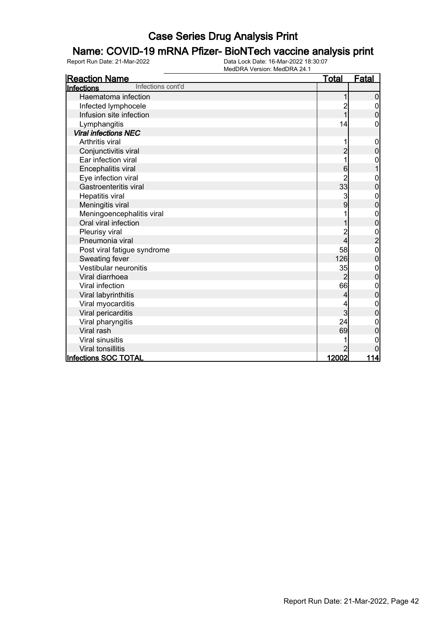### Name: COVID-19 mRNA Pfizer- BioNTech vaccine analysis print

| <b>Reaction Name</b>                   | <u>Total</u>   | <b>Fatal</b>     |
|----------------------------------------|----------------|------------------|
| Infections cont'd<br><b>Infections</b> |                |                  |
| Haematoma infection                    |                | 0                |
| Infected lymphocele                    | $\overline{c}$ | $\boldsymbol{0}$ |
| Infusion site infection                | $\overline{1}$ | $\overline{0}$   |
| Lymphangitis                           | 14             | 0                |
| <b>Viral infections NEC</b>            |                |                  |
| <b>Arthritis viral</b>                 |                | $\mathbf 0$      |
| Conjunctivitis viral                   | $\overline{2}$ | $\overline{0}$   |
| Ear infection viral                    | 1              | $\mathbf{0}$     |
| Encephalitis viral                     | 6              | 1                |
| Eye infection viral                    | $\overline{2}$ | 0                |
| Gastroenteritis viral                  | 33             | 0                |
| Hepatitis viral                        | 3              | $\mathbf 0$      |
| Meningitis viral                       | 9              | $\overline{0}$   |
| Meningoencephalitis viral              |                | $\mathbf{0}$     |
| Oral viral infection                   | 1              | $\mathbf 0$      |
| Pleurisy viral                         |                |                  |
| Pneumonia viral                        | 4              | $\frac{0}{2}$    |
| Post viral fatigue syndrome            | 58             | $\mathbf{0}$     |
| Sweating fever                         | 126            | $\overline{0}$   |
| Vestibular neuronitis                  | 35             | $\mathbf{0}$     |
| Viral diarrhoea                        | $\overline{2}$ | $\overline{0}$   |
| Viral infection                        | 66             | 0                |
| Viral labyrinthitis                    | 4              | 0                |
| Viral myocarditis                      | 4              | $\mathbf{0}$     |
| Viral pericarditis                     | 3              | $\overline{0}$   |
| Viral pharyngitis                      | 24             | $\mathbf 0$      |
| Viral rash                             | 69             | $\mathbf 0$      |
| <b>Viral sinusitis</b>                 |                | 0                |
| <b>Viral tonsillitis</b>               |                |                  |
| Infections SOC TOTAL                   | <u>12002 </u>  | 114              |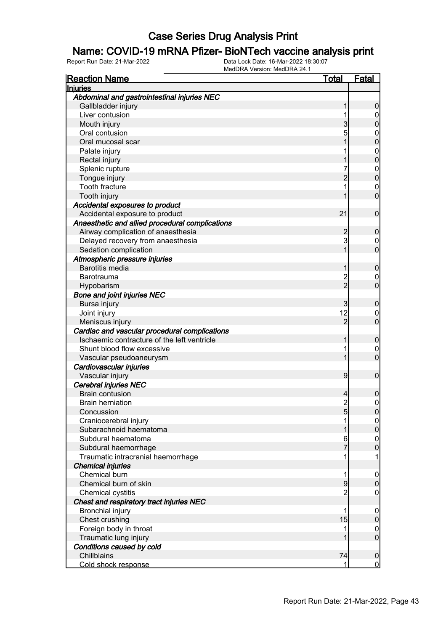#### Name: COVID-19 mRNA Pfizer- BioNTech vaccine analysis print

| <b>Injuries</b><br>Abdominal and gastrointestinal injuries NEC<br>Gallbladder injury<br>0<br>Liver contusion<br>$\mathbf 0$<br>3<br>Mouth injury<br>0<br>5<br>Oral contusion<br>$\mathbf{0}$<br>Oral mucosal scar<br>0<br>Palate injury<br>$\mathbf{0}$<br>0<br>Rectal injury<br>Splenic rupture<br>7<br>$\mathbf{0}$<br>$\overline{0}$<br>Tongue injury<br>2<br>Tooth fracture<br>1<br>$\mathbf{0}$<br>$\overline{0}$<br>Tooth injury<br>Accidental exposures to product<br>21<br>Accidental exposure to product<br>$\mathbf 0$<br>Anaesthetic and allied procedural complications<br>Airway complication of anaesthesia<br>0<br>3<br>Delayed recovery from anaesthesia<br>$\mathbf 0$<br>$\overline{0}$<br>1<br>Sedation complication<br>Atmospheric pressure injuries<br><b>Barotitis media</b><br>$\mathbf 0$<br>$\overline{c}$<br>Barotrauma<br>$\mathbf 0$<br>$\overline{2}$<br>$\overline{0}$<br>Hypobarism<br><b>Bone and joint injuries NEC</b><br>Bursa injury<br>3<br>0<br>12<br>Joint injury<br>$\mathbf 0$<br>$\overline{0}$<br>$\overline{2}$<br>Meniscus injury<br>Cardiac and vascular procedural complications<br>Ischaemic contracture of the left ventricle<br>$\mathbf 0$<br>Shunt blood flow excessive<br>1<br>$\mathbf 0$<br>$\overline{0}$<br>Vascular pseudoaneurysm<br>Cardiovascular injuries<br>Vascular injury<br>9<br>$\mathbf 0$<br>Cerebral injuries NEC<br><b>Brain contusion</b><br>0<br>4<br>$\overline{c}$<br>$\mathbf{0}$<br><b>Brain herniation</b> |
|------------------------------------------------------------------------------------------------------------------------------------------------------------------------------------------------------------------------------------------------------------------------------------------------------------------------------------------------------------------------------------------------------------------------------------------------------------------------------------------------------------------------------------------------------------------------------------------------------------------------------------------------------------------------------------------------------------------------------------------------------------------------------------------------------------------------------------------------------------------------------------------------------------------------------------------------------------------------------------------------------------------------------------------------------------------------------------------------------------------------------------------------------------------------------------------------------------------------------------------------------------------------------------------------------------------------------------------------------------------------------------------------------------------------------------------------------------------------------------------|
|                                                                                                                                                                                                                                                                                                                                                                                                                                                                                                                                                                                                                                                                                                                                                                                                                                                                                                                                                                                                                                                                                                                                                                                                                                                                                                                                                                                                                                                                                          |
|                                                                                                                                                                                                                                                                                                                                                                                                                                                                                                                                                                                                                                                                                                                                                                                                                                                                                                                                                                                                                                                                                                                                                                                                                                                                                                                                                                                                                                                                                          |
|                                                                                                                                                                                                                                                                                                                                                                                                                                                                                                                                                                                                                                                                                                                                                                                                                                                                                                                                                                                                                                                                                                                                                                                                                                                                                                                                                                                                                                                                                          |
|                                                                                                                                                                                                                                                                                                                                                                                                                                                                                                                                                                                                                                                                                                                                                                                                                                                                                                                                                                                                                                                                                                                                                                                                                                                                                                                                                                                                                                                                                          |
|                                                                                                                                                                                                                                                                                                                                                                                                                                                                                                                                                                                                                                                                                                                                                                                                                                                                                                                                                                                                                                                                                                                                                                                                                                                                                                                                                                                                                                                                                          |
|                                                                                                                                                                                                                                                                                                                                                                                                                                                                                                                                                                                                                                                                                                                                                                                                                                                                                                                                                                                                                                                                                                                                                                                                                                                                                                                                                                                                                                                                                          |
|                                                                                                                                                                                                                                                                                                                                                                                                                                                                                                                                                                                                                                                                                                                                                                                                                                                                                                                                                                                                                                                                                                                                                                                                                                                                                                                                                                                                                                                                                          |
|                                                                                                                                                                                                                                                                                                                                                                                                                                                                                                                                                                                                                                                                                                                                                                                                                                                                                                                                                                                                                                                                                                                                                                                                                                                                                                                                                                                                                                                                                          |
|                                                                                                                                                                                                                                                                                                                                                                                                                                                                                                                                                                                                                                                                                                                                                                                                                                                                                                                                                                                                                                                                                                                                                                                                                                                                                                                                                                                                                                                                                          |
|                                                                                                                                                                                                                                                                                                                                                                                                                                                                                                                                                                                                                                                                                                                                                                                                                                                                                                                                                                                                                                                                                                                                                                                                                                                                                                                                                                                                                                                                                          |
|                                                                                                                                                                                                                                                                                                                                                                                                                                                                                                                                                                                                                                                                                                                                                                                                                                                                                                                                                                                                                                                                                                                                                                                                                                                                                                                                                                                                                                                                                          |
|                                                                                                                                                                                                                                                                                                                                                                                                                                                                                                                                                                                                                                                                                                                                                                                                                                                                                                                                                                                                                                                                                                                                                                                                                                                                                                                                                                                                                                                                                          |
|                                                                                                                                                                                                                                                                                                                                                                                                                                                                                                                                                                                                                                                                                                                                                                                                                                                                                                                                                                                                                                                                                                                                                                                                                                                                                                                                                                                                                                                                                          |
|                                                                                                                                                                                                                                                                                                                                                                                                                                                                                                                                                                                                                                                                                                                                                                                                                                                                                                                                                                                                                                                                                                                                                                                                                                                                                                                                                                                                                                                                                          |
|                                                                                                                                                                                                                                                                                                                                                                                                                                                                                                                                                                                                                                                                                                                                                                                                                                                                                                                                                                                                                                                                                                                                                                                                                                                                                                                                                                                                                                                                                          |
|                                                                                                                                                                                                                                                                                                                                                                                                                                                                                                                                                                                                                                                                                                                                                                                                                                                                                                                                                                                                                                                                                                                                                                                                                                                                                                                                                                                                                                                                                          |
|                                                                                                                                                                                                                                                                                                                                                                                                                                                                                                                                                                                                                                                                                                                                                                                                                                                                                                                                                                                                                                                                                                                                                                                                                                                                                                                                                                                                                                                                                          |
|                                                                                                                                                                                                                                                                                                                                                                                                                                                                                                                                                                                                                                                                                                                                                                                                                                                                                                                                                                                                                                                                                                                                                                                                                                                                                                                                                                                                                                                                                          |
|                                                                                                                                                                                                                                                                                                                                                                                                                                                                                                                                                                                                                                                                                                                                                                                                                                                                                                                                                                                                                                                                                                                                                                                                                                                                                                                                                                                                                                                                                          |
|                                                                                                                                                                                                                                                                                                                                                                                                                                                                                                                                                                                                                                                                                                                                                                                                                                                                                                                                                                                                                                                                                                                                                                                                                                                                                                                                                                                                                                                                                          |
|                                                                                                                                                                                                                                                                                                                                                                                                                                                                                                                                                                                                                                                                                                                                                                                                                                                                                                                                                                                                                                                                                                                                                                                                                                                                                                                                                                                                                                                                                          |
|                                                                                                                                                                                                                                                                                                                                                                                                                                                                                                                                                                                                                                                                                                                                                                                                                                                                                                                                                                                                                                                                                                                                                                                                                                                                                                                                                                                                                                                                                          |
|                                                                                                                                                                                                                                                                                                                                                                                                                                                                                                                                                                                                                                                                                                                                                                                                                                                                                                                                                                                                                                                                                                                                                                                                                                                                                                                                                                                                                                                                                          |
|                                                                                                                                                                                                                                                                                                                                                                                                                                                                                                                                                                                                                                                                                                                                                                                                                                                                                                                                                                                                                                                                                                                                                                                                                                                                                                                                                                                                                                                                                          |
|                                                                                                                                                                                                                                                                                                                                                                                                                                                                                                                                                                                                                                                                                                                                                                                                                                                                                                                                                                                                                                                                                                                                                                                                                                                                                                                                                                                                                                                                                          |
|                                                                                                                                                                                                                                                                                                                                                                                                                                                                                                                                                                                                                                                                                                                                                                                                                                                                                                                                                                                                                                                                                                                                                                                                                                                                                                                                                                                                                                                                                          |
|                                                                                                                                                                                                                                                                                                                                                                                                                                                                                                                                                                                                                                                                                                                                                                                                                                                                                                                                                                                                                                                                                                                                                                                                                                                                                                                                                                                                                                                                                          |
|                                                                                                                                                                                                                                                                                                                                                                                                                                                                                                                                                                                                                                                                                                                                                                                                                                                                                                                                                                                                                                                                                                                                                                                                                                                                                                                                                                                                                                                                                          |
|                                                                                                                                                                                                                                                                                                                                                                                                                                                                                                                                                                                                                                                                                                                                                                                                                                                                                                                                                                                                                                                                                                                                                                                                                                                                                                                                                                                                                                                                                          |
|                                                                                                                                                                                                                                                                                                                                                                                                                                                                                                                                                                                                                                                                                                                                                                                                                                                                                                                                                                                                                                                                                                                                                                                                                                                                                                                                                                                                                                                                                          |
|                                                                                                                                                                                                                                                                                                                                                                                                                                                                                                                                                                                                                                                                                                                                                                                                                                                                                                                                                                                                                                                                                                                                                                                                                                                                                                                                                                                                                                                                                          |
|                                                                                                                                                                                                                                                                                                                                                                                                                                                                                                                                                                                                                                                                                                                                                                                                                                                                                                                                                                                                                                                                                                                                                                                                                                                                                                                                                                                                                                                                                          |
|                                                                                                                                                                                                                                                                                                                                                                                                                                                                                                                                                                                                                                                                                                                                                                                                                                                                                                                                                                                                                                                                                                                                                                                                                                                                                                                                                                                                                                                                                          |
|                                                                                                                                                                                                                                                                                                                                                                                                                                                                                                                                                                                                                                                                                                                                                                                                                                                                                                                                                                                                                                                                                                                                                                                                                                                                                                                                                                                                                                                                                          |
|                                                                                                                                                                                                                                                                                                                                                                                                                                                                                                                                                                                                                                                                                                                                                                                                                                                                                                                                                                                                                                                                                                                                                                                                                                                                                                                                                                                                                                                                                          |
|                                                                                                                                                                                                                                                                                                                                                                                                                                                                                                                                                                                                                                                                                                                                                                                                                                                                                                                                                                                                                                                                                                                                                                                                                                                                                                                                                                                                                                                                                          |
| Concussion<br>5<br>$\overline{0}$                                                                                                                                                                                                                                                                                                                                                                                                                                                                                                                                                                                                                                                                                                                                                                                                                                                                                                                                                                                                                                                                                                                                                                                                                                                                                                                                                                                                                                                        |
| Craniocerebral injury<br>1<br>$\overline{0}$                                                                                                                                                                                                                                                                                                                                                                                                                                                                                                                                                                                                                                                                                                                                                                                                                                                                                                                                                                                                                                                                                                                                                                                                                                                                                                                                                                                                                                             |
| Subarachnoid haematoma<br>$\mathbf 0$                                                                                                                                                                                                                                                                                                                                                                                                                                                                                                                                                                                                                                                                                                                                                                                                                                                                                                                                                                                                                                                                                                                                                                                                                                                                                                                                                                                                                                                    |
| Subdural haematoma<br>6<br>$\mathbf 0$                                                                                                                                                                                                                                                                                                                                                                                                                                                                                                                                                                                                                                                                                                                                                                                                                                                                                                                                                                                                                                                                                                                                                                                                                                                                                                                                                                                                                                                   |
| 7<br>$\overline{0}$<br>Subdural haemorrhage                                                                                                                                                                                                                                                                                                                                                                                                                                                                                                                                                                                                                                                                                                                                                                                                                                                                                                                                                                                                                                                                                                                                                                                                                                                                                                                                                                                                                                              |
| Traumatic intracranial haemorrhage<br>1<br>1                                                                                                                                                                                                                                                                                                                                                                                                                                                                                                                                                                                                                                                                                                                                                                                                                                                                                                                                                                                                                                                                                                                                                                                                                                                                                                                                                                                                                                             |
| <b>Chemical injuries</b>                                                                                                                                                                                                                                                                                                                                                                                                                                                                                                                                                                                                                                                                                                                                                                                                                                                                                                                                                                                                                                                                                                                                                                                                                                                                                                                                                                                                                                                                 |
| Chemical burn<br>1<br>$\mathbf 0$                                                                                                                                                                                                                                                                                                                                                                                                                                                                                                                                                                                                                                                                                                                                                                                                                                                                                                                                                                                                                                                                                                                                                                                                                                                                                                                                                                                                                                                        |
| 9<br>Chemical burn of skin<br>$\mathbf 0$                                                                                                                                                                                                                                                                                                                                                                                                                                                                                                                                                                                                                                                                                                                                                                                                                                                                                                                                                                                                                                                                                                                                                                                                                                                                                                                                                                                                                                                |
| $\overline{2}$<br>Chemical cystitis<br>$\mathbf 0$                                                                                                                                                                                                                                                                                                                                                                                                                                                                                                                                                                                                                                                                                                                                                                                                                                                                                                                                                                                                                                                                                                                                                                                                                                                                                                                                                                                                                                       |
| Chest and respiratory tract injuries NEC                                                                                                                                                                                                                                                                                                                                                                                                                                                                                                                                                                                                                                                                                                                                                                                                                                                                                                                                                                                                                                                                                                                                                                                                                                                                                                                                                                                                                                                 |
| <b>Bronchial injury</b><br>1                                                                                                                                                                                                                                                                                                                                                                                                                                                                                                                                                                                                                                                                                                                                                                                                                                                                                                                                                                                                                                                                                                                                                                                                                                                                                                                                                                                                                                                             |
| $\mathbf 0$<br>15<br>Chest crushing<br>$\pmb{0}$                                                                                                                                                                                                                                                                                                                                                                                                                                                                                                                                                                                                                                                                                                                                                                                                                                                                                                                                                                                                                                                                                                                                                                                                                                                                                                                                                                                                                                         |
| Foreign body in throat<br>1                                                                                                                                                                                                                                                                                                                                                                                                                                                                                                                                                                                                                                                                                                                                                                                                                                                                                                                                                                                                                                                                                                                                                                                                                                                                                                                                                                                                                                                              |
| $\mathbf 0$<br>$\overline{0}$                                                                                                                                                                                                                                                                                                                                                                                                                                                                                                                                                                                                                                                                                                                                                                                                                                                                                                                                                                                                                                                                                                                                                                                                                                                                                                                                                                                                                                                            |
| Traumatic lung injury                                                                                                                                                                                                                                                                                                                                                                                                                                                                                                                                                                                                                                                                                                                                                                                                                                                                                                                                                                                                                                                                                                                                                                                                                                                                                                                                                                                                                                                                    |
| Conditions caused by cold<br>Chillblains<br>74                                                                                                                                                                                                                                                                                                                                                                                                                                                                                                                                                                                                                                                                                                                                                                                                                                                                                                                                                                                                                                                                                                                                                                                                                                                                                                                                                                                                                                           |
| $\mathbf 0$<br>1<br>$\mathbf 0$<br>Cold shock response                                                                                                                                                                                                                                                                                                                                                                                                                                                                                                                                                                                                                                                                                                                                                                                                                                                                                                                                                                                                                                                                                                                                                                                                                                                                                                                                                                                                                                   |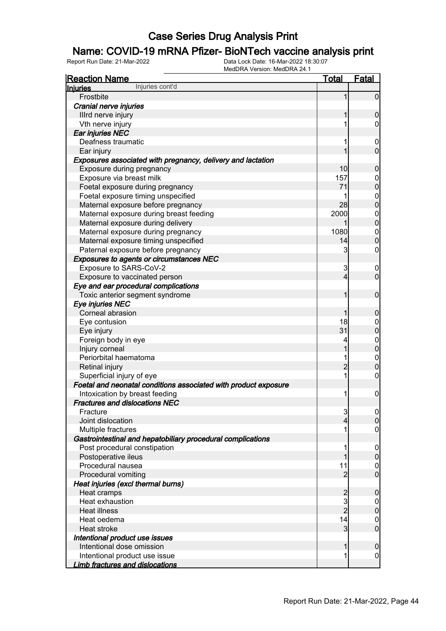#### Name: COVID-19 mRNA Pfizer- BioNTech vaccine analysis print

| <b>Reaction Name</b>                                            | <b>Total</b>   | Fatal                            |
|-----------------------------------------------------------------|----------------|----------------------------------|
| Injuries cont'd<br><b>Injuries</b>                              |                |                                  |
| Frostbite                                                       | 1              | $\overline{0}$                   |
| Cranial nerve injuries                                          |                |                                  |
| Illrd nerve injury                                              | 1              | $\mathbf 0$                      |
| Vth nerve injury                                                | 1              | $\overline{0}$                   |
| Ear injuries NEC                                                |                |                                  |
| Deafness traumatic                                              |                | $\mathbf 0$                      |
| Ear injury                                                      |                | $\overline{0}$                   |
| Exposures associated with pregnancy, delivery and lactation     |                |                                  |
| Exposure during pregnancy                                       | 10             | $\mathbf 0$                      |
| Exposure via breast milk                                        | 157            | $\boldsymbol{0}$                 |
| Foetal exposure during pregnancy                                | 71             | $\overline{0}$                   |
| Foetal exposure timing unspecified                              | 1              |                                  |
| Maternal exposure before pregnancy                              | 28             | $\begin{matrix}0\\0\end{matrix}$ |
| Maternal exposure during breast feeding                         | 2000           |                                  |
| Maternal exposure during delivery                               |                | $\begin{matrix}0\\0\end{matrix}$ |
| Maternal exposure during pregnancy                              | 1080           | $\begin{matrix}0\\0\end{matrix}$ |
| Maternal exposure timing unspecified                            | 14             |                                  |
| Paternal exposure before pregnancy                              | 3              | $\mathbf 0$                      |
| <b>Exposures to agents or circumstances NEC</b>                 |                |                                  |
| Exposure to SARS-CoV-2                                          | 3              | $\mathbf 0$                      |
| Exposure to vaccinated person                                   | 4              | $\mathbf 0$                      |
| Eye and ear procedural complications                            |                |                                  |
| Toxic anterior segment syndrome                                 | 1              | $\mathbf 0$                      |
| Eye injuries NEC                                                |                |                                  |
| Corneal abrasion                                                | 1              | $\mathbf 0$                      |
| Eye contusion                                                   | 18             | $\boldsymbol{0}$                 |
| Eye injury                                                      | 31             | $\overline{0}$                   |
| Foreign body in eye                                             | 4              |                                  |
| Injury corneal                                                  | 1              | $\begin{matrix}0\\0\end{matrix}$ |
| Periorbital haematoma                                           | 1              |                                  |
| Retinal injury                                                  | $\overline{2}$ | $\begin{matrix}0\\0\end{matrix}$ |
| Superficial injury of eye                                       | 1              | $\pmb{0}$                        |
| Foetal and neonatal conditions associated with product exposure |                |                                  |
| Intoxication by breast feeding                                  | 1              | $\boldsymbol{0}$                 |
| <b>Fractures and dislocations NEC</b>                           |                |                                  |
| Fracture                                                        | $\mathbf{3}$   | $\Omega$                         |
| Joint dislocation                                               | 4              | $\mathbf 0$                      |
| Multiple fractures                                              |                | $\mathbf 0$                      |
| Gastrointestinal and hepatobiliary procedural complications     |                |                                  |
| Post procedural constipation                                    |                | $\mathbf 0$                      |
| Postoperative ileus                                             | 1              | $\pmb{0}$                        |
| Procedural nausea                                               | 11             | $\overline{0}$                   |
| Procedural vomiting                                             | $\overline{c}$ | $\overline{0}$                   |
| Heat injuries (excl thermal burns)                              |                |                                  |
| Heat cramps                                                     |                | $\mathbf 0$                      |
| Heat exhaustion                                                 | 2<br>3         | $\overline{0}$                   |
| Heat illness                                                    | $\overline{2}$ | $\mathbf 0$                      |
| Heat oedema                                                     | 14             | $\mathbf 0$                      |
| Heat stroke                                                     | 3              | $\boldsymbol{0}$                 |
| Intentional product use issues                                  |                |                                  |
| Intentional dose omission                                       | 1              | $\mathbf 0$                      |
| Intentional product use issue                                   | 1              | $\overline{0}$                   |
| <b>Limb fractures and dislocations</b>                          |                |                                  |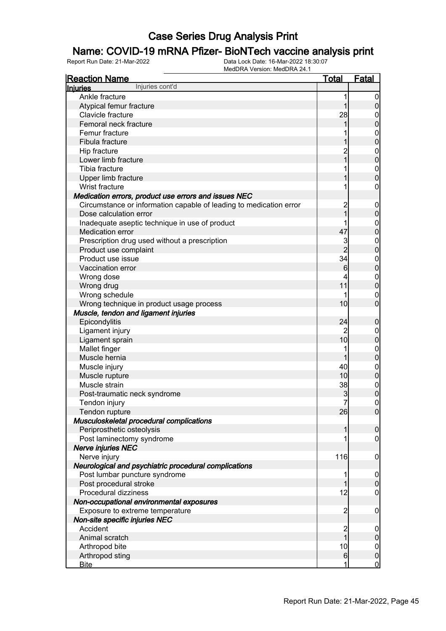### Name: COVID-19 mRNA Pfizer- BioNTech vaccine analysis print

| <b>Reaction Name</b>                                               | <u>Total</u>   | <b>Fatal</b>                    |
|--------------------------------------------------------------------|----------------|---------------------------------|
| Injuries cont'd<br><b>Injuries</b>                                 |                |                                 |
| Ankle fracture                                                     | 1              | $\overline{0}$                  |
| Atypical femur fracture                                            | 1              | $\boldsymbol{0}$                |
| Clavicle fracture                                                  | 28             | $\mathbf 0$                     |
| Femoral neck fracture                                              | 1              | $\mathbf 0$                     |
| Femur fracture                                                     |                | $\boldsymbol{0}$                |
| Fibula fracture                                                    |                | $\overline{0}$                  |
| Hip fracture                                                       | $\overline{c}$ | $\boldsymbol{0}$                |
| Lower limb fracture                                                | $\overline{1}$ | $\mathbf 0$                     |
| Tibia fracture                                                     |                | $\mathbf{0}$                    |
| Upper limb fracture                                                |                | $\overline{0}$                  |
| Wrist fracture                                                     |                | $\boldsymbol{0}$                |
| Medication errors, product use errors and issues NEC               |                |                                 |
| Circumstance or information capable of leading to medication error | $\overline{c}$ | $\mathbf 0$                     |
| Dose calculation error                                             | $\overline{1}$ | $\pmb{0}$                       |
| Inadequate aseptic technique in use of product                     |                | $\boldsymbol{0}$                |
| <b>Medication error</b>                                            | 47             | $\mathbf 0$                     |
| Prescription drug used without a prescription                      | 3              | $\mathbf{0}$                    |
| Product use complaint                                              | $\overline{2}$ | $\mathbf 0$                     |
| Product use issue                                                  | 34             | $\mathbf{0}$                    |
| Vaccination error                                                  | 6              | $\mathbf 0$                     |
| Wrong dose                                                         |                | $\boldsymbol{0}$                |
| Wrong drug                                                         | 11             | $\mathbf 0$                     |
| Wrong schedule                                                     |                | $\mathbf 0$                     |
| Wrong technique in product usage process                           | 10             | $\overline{0}$                  |
| Muscle, tendon and ligament injuries                               |                |                                 |
| Epicondylitis                                                      | 24             |                                 |
|                                                                    | 2              | $\boldsymbol{0}$                |
| Ligament injury                                                    | 10             | $\boldsymbol{0}$<br>$\mathbf 0$ |
| Ligament sprain                                                    | 1              |                                 |
| Mallet finger<br>Muscle hernia                                     | 1              | $\boldsymbol{0}$                |
|                                                                    | 40             | $\mathbf 0$                     |
| Muscle injury                                                      |                | $\boldsymbol{0}$                |
| Muscle rupture                                                     | 10             | $\mathbf 0$                     |
| Muscle strain                                                      | 38             | $\boldsymbol{0}$                |
| Post-traumatic neck syndrome                                       | 3              | $\overline{0}$                  |
| Tendon injury                                                      | $\overline{7}$ | $\pmb{0}$                       |
| Tendon rupture                                                     | 26             | $\overline{0}$                  |
| Musculoskeletal procedural complications                           |                |                                 |
| Periprosthetic osteolysis                                          | 1              | $\boldsymbol{0}$                |
| Post laminectomy syndrome                                          |                | $\mathbf 0$                     |
| <b>Nerve injuries NEC</b>                                          |                |                                 |
| Nerve injury                                                       | 116            | $\mathbf 0$                     |
| Neurological and psychiatric procedural complications              |                |                                 |
| Post lumbar puncture syndrome                                      |                | $\mathbf 0$                     |
| Post procedural stroke                                             | 1              | $\mathbf 0$                     |
| Procedural dizziness                                               | 12             | $\mathbf 0$                     |
| Non-occupational environmental exposures                           |                |                                 |
| Exposure to extreme temperature                                    | $\overline{c}$ | $\mathbf 0$                     |
| Non-site specific injuries NEC                                     |                |                                 |
| Accident                                                           | $\overline{c}$ | $\mathbf 0$                     |
| Animal scratch                                                     | $\overline{1}$ | $\pmb{0}$                       |
| Arthropod bite                                                     | 10             | $\boldsymbol{0}$                |
| Arthropod sting                                                    | $6 \,$         | $\pmb{0}$                       |
| <b>Bite</b>                                                        | 1              | $\overline{0}$                  |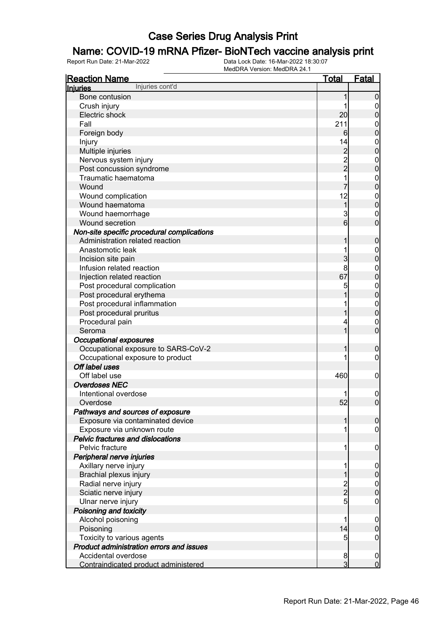### Name: COVID-19 mRNA Pfizer- BioNTech vaccine analysis print

| <b>Reaction Name</b>                       | <b>Total</b>                               | <b>Fatal</b>                    |
|--------------------------------------------|--------------------------------------------|---------------------------------|
| Injuries cont'd<br><b>Injuries</b>         |                                            |                                 |
| Bone contusion                             | 1                                          | $\boldsymbol{0}$                |
| Crush injury                               | 1                                          | $\overline{0}$                  |
| Electric shock                             | 20                                         | $\mathbf 0$                     |
| Fall                                       | 211                                        | $\mathbf{0}$                    |
| Foreign body                               | 6                                          | $\mathbf 0$                     |
| Injury                                     | 14                                         | $\mathbf{0}$                    |
| Multiple injuries                          |                                            | $\mathbf 0$                     |
| Nervous system injury                      |                                            | $\mathbf{0}$                    |
| Post concussion syndrome                   | $\begin{array}{c} 2 \\ 2 \\ 2 \end{array}$ | $\mathbf 0$                     |
| Traumatic haematoma                        | 1                                          | $\mathbf{0}$                    |
| Wound                                      |                                            | $\mathbf 0$                     |
| Wound complication                         | 12                                         | $\mathbf{0}$                    |
| Wound haematoma                            | $\overline{1}$                             | $\mathbf 0$                     |
| Wound haemorrhage                          | 3                                          | $\mathbf{0}$                    |
| Wound secretion                            | 6                                          | $\overline{0}$                  |
| Non-site specific procedural complications |                                            |                                 |
| Administration related reaction            | 1                                          | $\boldsymbol{0}$                |
| Anastomotic leak                           | 1                                          |                                 |
| Incision site pain                         | 3                                          | $\boldsymbol{0}$<br>$\mathbf 0$ |
| Infusion related reaction                  | 8                                          |                                 |
| Injection related reaction                 | 67                                         | $\boldsymbol{0}$<br>$\mathbf 0$ |
|                                            |                                            |                                 |
| Post procedural complication               | 5                                          | $\mathbf{0}$<br>$\mathbf 0$     |
| Post procedural erythema                   |                                            |                                 |
| Post procedural inflammation               |                                            | $\mathbf{0}$                    |
| Post procedural pruritus                   | 1                                          | $\mathbf 0$                     |
| Procedural pain                            | 4                                          | $\mathbf{0}$                    |
| Seroma                                     | 1                                          | $\overline{0}$                  |
| <b>Occupational exposures</b>              |                                            |                                 |
| Occupational exposure to SARS-CoV-2        | 1                                          | $\boldsymbol{0}$                |
| Occupational exposure to product           |                                            | $\boldsymbol{0}$                |
| Off label uses                             |                                            |                                 |
| Off label use                              | 460                                        | $\mathbf 0$                     |
| <b>Overdoses NEC</b>                       |                                            |                                 |
| Intentional overdose                       |                                            | $\mathbf 0$                     |
| Overdose                                   | 52                                         | $\overline{0}$                  |
| Pathways and sources of exposure           |                                            |                                 |
| Exposure via contaminated device           | 1                                          | $\boldsymbol{0}$                |
| Exposure via unknown route                 | 1                                          | $\overline{0}$                  |
| <b>Pelvic fractures and dislocations</b>   |                                            |                                 |
| Pelvic fracture                            | 1                                          | $\mathbf 0$                     |
| Peripheral nerve injuries                  |                                            |                                 |
| Axillary nerve injury                      | 1                                          | $\boldsymbol{0}$                |
| Brachial plexus injury                     | 1                                          | $\pmb{0}$                       |
| Radial nerve injury                        | $\frac{2}{2}$                              | $\boldsymbol{0}$                |
| Sciatic nerve injury                       |                                            | $\overline{0}$                  |
| Ulnar nerve injury                         | $\overline{5}$                             | $\boldsymbol{0}$                |
| Poisoning and toxicity                     |                                            |                                 |
| Alcohol poisoning                          | 1                                          | $\boldsymbol{0}$                |
| Poisoning                                  | 14                                         | $\mathbf 0$                     |
| Toxicity to various agents                 | 5                                          | $\mathbf 0$                     |
| Product administration errors and issues   |                                            |                                 |
| Accidental overdose                        | 8                                          | $\mathbf 0$                     |
| Contraindicated product administered       | $\overline{3}$                             | $\mathbf 0$                     |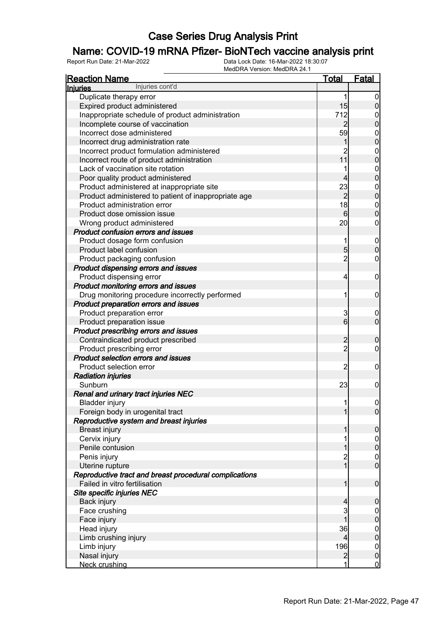### Name: COVID-19 mRNA Pfizer- BioNTech vaccine analysis print

| <b>Reaction Name</b>                                             | <b>Total</b>     | Fatal                                |
|------------------------------------------------------------------|------------------|--------------------------------------|
| Injuries cont'd<br><b>Injuries</b>                               |                  |                                      |
| Duplicate therapy error                                          | 1                | $\mathbf 0$                          |
| Expired product administered                                     | 15               | $\boldsymbol{0}$                     |
| Inappropriate schedule of product administration                 | 712              | $\boldsymbol{0}$                     |
| Incomplete course of vaccination                                 | $\overline{2}$   | $\overline{0}$                       |
| Incorrect dose administered                                      | 59               |                                      |
| Incorrect drug administration rate                               | 1                | $0\atop 0$                           |
| Incorrect product formulation administered                       | $\overline{c}$   |                                      |
| Incorrect route of product administration                        | 11               | $0\atop 0$                           |
| Lack of vaccination site rotation                                |                  |                                      |
| Poor quality product administered                                | 4                | $0\atop 0$                           |
| Product administered at inappropriate site                       | 23               |                                      |
| Product administered to patient of inappropriate age             | $\overline{2}$   | $0\atop 0$                           |
| Product administration error                                     | 18               |                                      |
| Product dose omission issue                                      | $6 \overline{6}$ | $0\atop 0$                           |
| Wrong product administered                                       | 20               | $\mathbf 0$                          |
| <b>Product confusion errors and issues</b>                       |                  |                                      |
| Product dosage form confusion                                    | 1                |                                      |
| Product label confusion                                          | $\overline{5}$   | $\boldsymbol{0}$<br>$\overline{0}$   |
| Product packaging confusion                                      | $\overline{2}$   | 0                                    |
| Product dispensing errors and issues                             |                  |                                      |
|                                                                  | 4                | $\mathbf 0$                          |
| Product dispensing error<br>Product monitoring errors and issues |                  |                                      |
|                                                                  | 1                |                                      |
| Drug monitoring procedure incorrectly performed                  |                  | $\mathbf 0$                          |
| Product preparation errors and issues                            |                  |                                      |
| Product preparation error                                        | 3                | $\boldsymbol{0}$<br>$\overline{0}$   |
| Product preparation issue                                        | $6 \mid$         |                                      |
| Product prescribing errors and issues                            |                  |                                      |
| Contraindicated product prescribed                               | $\overline{2}$   | $\boldsymbol{0}$                     |
| Product prescribing error                                        | $\overline{2}$   | 0                                    |
| <b>Product selection errors and issues</b>                       |                  |                                      |
| Product selection error                                          | 2                | $\mathbf 0$                          |
| <b>Radiation injuries</b>                                        |                  |                                      |
| Sunburn                                                          | 23               | $\mathbf 0$                          |
| Renal and urinary tract injuries NEC                             |                  |                                      |
| <b>Bladder injury</b>                                            | 11               | 0                                    |
| Foreign body in urogenital tract                                 | 1                | $\overline{0}$                       |
| Reproductive system and breast injuries                          |                  |                                      |
| <b>Breast injury</b>                                             |                  | $\mathbf 0$                          |
| Cervix injury                                                    |                  | $0$ 0                                |
| Penile contusion                                                 |                  |                                      |
| Penis injury                                                     | 2                | $\begin{matrix} 0 \\ 0 \end{matrix}$ |
| Uterine rupture                                                  | $\mathbf{1}$     |                                      |
| Reproductive tract and breast procedural complications           |                  |                                      |
| Failed in vitro fertilisation                                    | 1                | $\mathbf 0$                          |
| Site specific injuries NEC                                       |                  |                                      |
| Back injury                                                      | 4                | $\boldsymbol{0}$                     |
| Face crushing                                                    | 3                | $0\atop 0$                           |
| Face injury                                                      |                  |                                      |
| Head injury                                                      | 36               | $0$<br>0                             |
| Limb crushing injury                                             | 4                |                                      |
| Limb injury                                                      | 196              | $\boldsymbol{0}$                     |
| Nasal injury                                                     | $\overline{2}$   | $\mathbf 0$                          |
| Neck crushing                                                    | 1                | $\overline{0}$                       |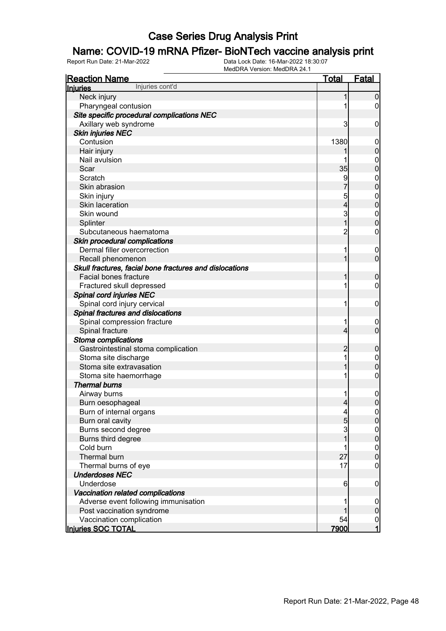### Name: COVID-19 mRNA Pfizer- BioNTech vaccine analysis print

| <b>Reaction Name</b>                                    | <u>Total</u>   | Fatal                                |
|---------------------------------------------------------|----------------|--------------------------------------|
| Injuries cont'd<br><b>Injuries</b>                      |                |                                      |
| Neck injury                                             | 1              | $\mathbf 0$                          |
| Pharyngeal contusion                                    |                | 0                                    |
| Site specific procedural complications NEC              |                |                                      |
| Axillary web syndrome                                   | 3              | $\mathbf 0$                          |
| <b>Skin injuries NEC</b>                                |                |                                      |
| Contusion                                               | 1380           | $\mathbf 0$                          |
| Hair injury                                             |                | $\mathbf 0$                          |
| Nail avulsion                                           | 1              | $\boldsymbol{0}$                     |
| Scar                                                    | 35             | $\overline{0}$                       |
| Scratch                                                 | 9              | $\boldsymbol{0}$                     |
| Skin abrasion                                           |                | $\overline{0}$                       |
| Skin injury                                             | 5              | $\boldsymbol{0}$                     |
| Skin laceration                                         | 4              | $\overline{0}$                       |
| Skin wound                                              | 3              | $\boldsymbol{0}$                     |
| Splinter                                                | 1              | $\overline{0}$                       |
| Subcutaneous haematoma                                  | $\overline{c}$ | 0                                    |
| Skin procedural complications                           |                |                                      |
| Dermal filler overcorrection                            | 1              | $\mathbf 0$                          |
| Recall phenomenon                                       |                | $\mathbf 0$                          |
| Skull fractures, facial bone fractures and dislocations |                |                                      |
| <b>Facial bones fracture</b>                            | 1              | $\boldsymbol{0}$                     |
| Fractured skull depressed                               | 1              | 0                                    |
| Spinal cord injuries NEC                                |                |                                      |
| Spinal cord injury cervical                             | 1              | $\mathbf 0$                          |
| Spinal fractures and dislocations                       |                |                                      |
| Spinal compression fracture                             | 1              | $\mathbf 0$                          |
| Spinal fracture                                         | 4              | $\overline{0}$                       |
| Stoma complications                                     |                |                                      |
| Gastrointestinal stoma complication                     | $\overline{2}$ | $\boldsymbol{0}$                     |
| Stoma site discharge                                    | 1              | $\boldsymbol{0}$                     |
| Stoma site extravasation                                |                | $\mathbf 0$                          |
| Stoma site haemorrhage                                  | 1              | $\boldsymbol{0}$                     |
| <b>Thermal burns</b>                                    |                |                                      |
| Airway burns                                            |                | $\boldsymbol{0}$                     |
| Burn oesophageal                                        | $\overline{4}$ | $\overline{0}$                       |
| Burn of internal organs                                 | 4              | 0                                    |
| Burn oral cavity                                        | 5              | $\overline{0}$                       |
| Burns second degree                                     | 3              |                                      |
| Burns third degree                                      | 1              | $\begin{matrix} 0 \\ 0 \end{matrix}$ |
| Cold burn                                               | 1              |                                      |
| Thermal burn                                            | 27             | $\begin{matrix} 0 \\ 0 \end{matrix}$ |
| Thermal burns of eye                                    | 17             | $\mathbf 0$                          |
| <b>Underdoses NEC</b>                                   |                |                                      |
| Underdose                                               | 6              | $\mathbf 0$                          |
| Vaccination related complications                       |                |                                      |
| Adverse event following immunisation                    |                | $\mathbf 0$                          |
| Post vaccination syndrome                               |                | $\pmb{0}$                            |
| Vaccination complication                                | 54             | $\overline{0}$                       |
| Injuries SOC TOTAL                                      | 7900           | $\overline{1}$                       |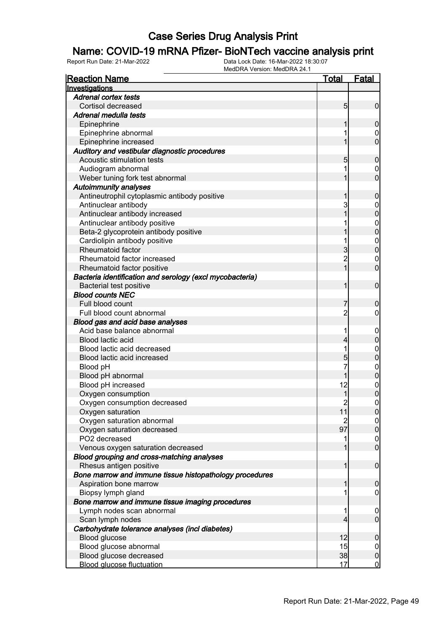#### Name: COVID-19 mRNA Pfizer- BioNTech vaccine analysis print

| <b>Reaction Name</b>                                     | <u>Total</u>   | <b>Fatal</b>                         |
|----------------------------------------------------------|----------------|--------------------------------------|
| Investigations                                           |                |                                      |
| <b>Adrenal cortex tests</b>                              |                |                                      |
| Cortisol decreased                                       | 5              | $\mathbf 0$                          |
| Adrenal medulla tests                                    |                |                                      |
| Epinephrine                                              | 1              | $\mathbf 0$                          |
| Epinephrine abnormal                                     | 1              | $\mathbf 0$                          |
| Epinephrine increased                                    | 1              | $\overline{0}$                       |
| Auditory and vestibular diagnostic procedures            |                |                                      |
| Acoustic stimulation tests                               | 5              | $\mathbf 0$                          |
| Audiogram abnormal                                       | 1              | $\mathbf 0$                          |
| Weber tuning fork test abnormal                          | 1              | $\overline{0}$                       |
| <b>Autoimmunity analyses</b>                             |                |                                      |
| Antineutrophil cytoplasmic antibody positive             | 1              | $\mathbf 0$                          |
| Antinuclear antibody                                     | 3              | $\mathbf{0}$                         |
| Antinuclear antibody increased                           | 1              | $\overline{0}$                       |
| Antinuclear antibody positive                            |                |                                      |
| Beta-2 glycoprotein antibody positive                    |                | 0<br>0                               |
| Cardiolipin antibody positive                            | 1              |                                      |
| Rheumatoid factor                                        | 3              | $\begin{matrix} 0 \\ 0 \end{matrix}$ |
| Rheumatoid factor increased                              | $\overline{2}$ | $\mathbf{0}$                         |
| Rheumatoid factor positive                               | $\overline{1}$ | $\overline{0}$                       |
| Bacteria identification and serology (excl mycobacteria) |                |                                      |
| Bacterial test positive                                  | 1              | $\mathbf 0$                          |
| <b>Blood counts NEC</b>                                  |                |                                      |
| Full blood count                                         | 7              | $\mathbf 0$                          |
| Full blood count abnormal                                | $\overline{2}$ | $\mathbf 0$                          |
| Blood gas and acid base analyses                         |                |                                      |
| Acid base balance abnormal                               | 1              | $\mathbf 0$                          |
| Blood lactic acid                                        | 4              | $\mathbf 0$                          |
| Blood lactic acid decreased                              | 1              | $\mathbf{0}$                         |
| Blood lactic acid increased                              | 5              | $\mathbf 0$                          |
| Blood pH                                                 | 7              |                                      |
| Blood pH abnormal                                        |                | $0\atop 0$                           |
| Blood pH increased                                       | 12             | $\mathbf{0}$                         |
| Oxygen consumption                                       | 1              | $\overline{0}$                       |
| Oxygen consumption decreased                             | $\overline{2}$ | $\mathbf 0$                          |
| Oxygen saturation                                        | 11             | 0                                    |
| Oxygen saturation abnormal                               | $\overline{2}$ | 0                                    |
| Oxygen saturation decreased                              | 97             | $\overline{0}$                       |
| PO2 decreased                                            | 1              |                                      |
| Venous oxygen saturation decreased                       | 1              | $\begin{matrix} 0 \\ 0 \end{matrix}$ |
| Blood grouping and cross-matching analyses               |                |                                      |
| Rhesus antigen positive                                  | $\mathbf{1}$   | $\boldsymbol{0}$                     |
| Bone marrow and immune tissue histopathology procedures  |                |                                      |
| Aspiration bone marrow                                   | 1              | $\mathbf 0$                          |
| Biopsy lymph gland                                       | 1              | $\mathbf 0$                          |
| Bone marrow and immune tissue imaging procedures         |                |                                      |
| Lymph nodes scan abnormal                                | 1              | $\overline{0}$                       |
| Scan lymph nodes                                         | $\overline{4}$ | $\mathbf{0}$                         |
| Carbohydrate tolerance analyses (incl diabetes)          |                |                                      |
| Blood glucose                                            | 12             | $\mathbf 0$                          |
| Blood glucose abnormal                                   | 15             | $\mathbf 0$                          |
| Blood glucose decreased                                  | 38             | $\pmb{0}$                            |
| <b>Blood glucose fluctuation</b>                         | 17             | $\overline{0}$                       |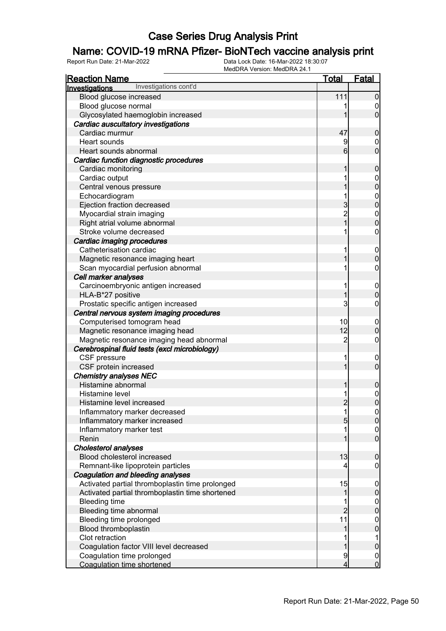### Name: COVID-19 mRNA Pfizer- BioNTech vaccine analysis print

| <u>Reaction Name</u>                            | <u>Total</u>    | <b>Fatal</b>                       |
|-------------------------------------------------|-----------------|------------------------------------|
| Investigations cont'd<br>Investigations         |                 |                                    |
| Blood glucose increased                         | 111             | $\overline{0}$                     |
| Blood glucose normal                            | 1               | $\overline{0}$                     |
| Glycosylated haemoglobin increased              | 1               | $\overline{0}$                     |
| Cardiac auscultatory investigations             |                 |                                    |
| Cardiac murmur                                  | 47              | $\boldsymbol{0}$                   |
| Heart sounds                                    | 9               | $\boldsymbol{0}$                   |
| Heart sounds abnormal                           | $6 \overline{}$ | $\overline{0}$                     |
| Cardiac function diagnostic procedures          |                 |                                    |
| Cardiac monitoring                              | 1               | $\boldsymbol{0}$                   |
| Cardiac output                                  | 1               |                                    |
| Central venous pressure                         | 1               | $0\atop 0$                         |
| Echocardiogram                                  | 1               |                                    |
| Ejection fraction decreased                     | 3               | $0$ 0                              |
| Myocardial strain imaging                       |                 |                                    |
| Right atrial volume abnormal                    | 2<br>1          | $\begin{matrix}0\\0\end{matrix}$   |
| Stroke volume decreased                         | 1               | $\pmb{0}$                          |
| Cardiac imaging procedures                      |                 |                                    |
| Catheterisation cardiac                         | 1               | $\boldsymbol{0}$                   |
| Magnetic resonance imaging heart                | 1               | $\mathbf 0$                        |
| Scan myocardial perfusion abnormal              | 1               | $\pmb{0}$                          |
| Cell marker analyses                            |                 |                                    |
| Carcinoembryonic antigen increased              | 1               | $\boldsymbol{0}$                   |
| HLA-B*27 positive                               | 1               | $\mathbf 0$                        |
| Prostatic specific antigen increased            | 3               | $\pmb{0}$                          |
| Central nervous system imaging procedures       |                 |                                    |
| Computerised tomogram head                      | 10              | $\boldsymbol{0}$                   |
| Magnetic resonance imaging head                 | 12              | $\mathbf 0$                        |
| Magnetic resonance imaging head abnormal        | $\overline{2}$  | $\boldsymbol{0}$                   |
| Cerebrospinal fluid tests (excl microbiology)   |                 |                                    |
| CSF pressure                                    | 1               | $\boldsymbol{0}$                   |
| CSF protein increased                           | 1               | $\overline{0}$                     |
| <b>Chemistry analyses NEC</b>                   |                 |                                    |
| Histamine abnormal                              | 1               | $\boldsymbol{0}$                   |
| Histamine level                                 | 1               |                                    |
| Histamine level increased                       | $\overline{c}$  | $\begin{matrix}0\\0\end{matrix}$   |
| Inflammatory marker decreased                   | 1               |                                    |
| Inflammatory marker increased                   | 5               | 0 <br> 0                           |
| Inflammatory marker test                        | 1               |                                    |
| Renin                                           | 1               | $\overline{0}$<br>$\overline{0}$   |
| Cholesterol analyses                            |                 |                                    |
| Blood cholesterol increased                     | 13              | $\boldsymbol{0}$                   |
| Remnant-like lipoprotein particles              | 4               | $\mathbf 0$                        |
| Coagulation and bleeding analyses               |                 |                                    |
| Activated partial thromboplastin time prolonged | 15              |                                    |
| Activated partial thromboplastin time shortened | 1               | $\boldsymbol{0}$<br>$\pmb{0}$      |
|                                                 |                 |                                    |
| <b>Bleeding time</b><br>Bleeding time abnormal  | $\overline{2}$  | $\boldsymbol{0}$<br>$\mathbf 0$    |
|                                                 | 11              |                                    |
| Bleeding time prolonged                         | 1               | $\boldsymbol{0}$                   |
| Blood thromboplastin<br>Clot retraction         |                 | $\overline{0}$                     |
|                                                 |                 | 1                                  |
| Coagulation factor VIII level decreased         | 1               | $\pmb{0}$                          |
| Coagulation time prolonged                      | 9               | $\boldsymbol{0}$<br>$\overline{0}$ |
| <b>Coagulation time shortened</b>               | 4               |                                    |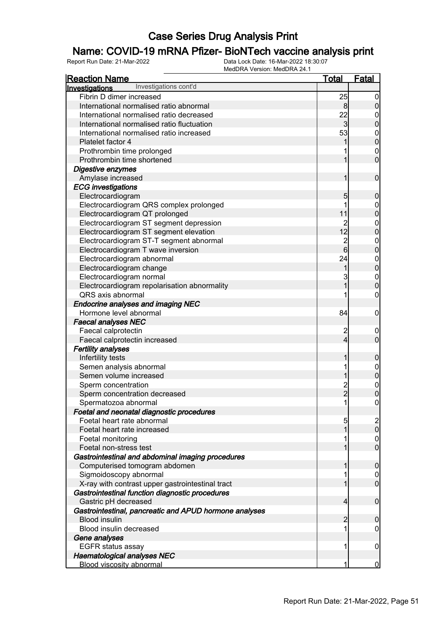### Name: COVID-19 mRNA Pfizer- BioNTech vaccine analysis print

| <u>Reaction Name</u>                                                          | <u>Total</u>   | <b>Fatal</b>                         |
|-------------------------------------------------------------------------------|----------------|--------------------------------------|
| Investigations cont'd<br>Investigations                                       |                |                                      |
| Fibrin D dimer increased                                                      | 25             | $\overline{0}$                       |
| International normalised ratio abnormal                                       | 8              | $\pmb{0}$                            |
| International normalised ratio decreased                                      | 22             | $\boldsymbol{0}$                     |
| International normalised ratio fluctuation                                    | $\overline{3}$ | $\overline{0}$                       |
| International normalised ratio increased                                      | 53             |                                      |
| Platelet factor 4                                                             | 1              | $\begin{matrix} 0 \\ 0 \end{matrix}$ |
| Prothrombin time prolonged                                                    |                | $\mathbf{0}$                         |
| Prothrombin time shortened                                                    | 1              | $\overline{0}$                       |
| Digestive enzymes                                                             |                |                                      |
| Amylase increased                                                             | 1              | $\boldsymbol{0}$                     |
| <b>ECG</b> investigations                                                     |                |                                      |
| Electrocardiogram                                                             | 5              | $\boldsymbol{0}$                     |
| Electrocardiogram QRS complex prolonged                                       | 1              | $\boldsymbol{0}$                     |
| Electrocardiogram QT prolonged                                                | 11             | $\overline{0}$                       |
| Electrocardiogram ST segment depression                                       | $\overline{c}$ |                                      |
| Electrocardiogram ST segment elevation                                        | 12             | $\mathbf{0}$<br>$\mathbf{0}$         |
|                                                                               |                |                                      |
| Electrocardiogram ST-T segment abnormal<br>Electrocardiogram T wave inversion | $\frac{2}{6}$  | $0\atop 0$                           |
|                                                                               |                |                                      |
| Electrocardiogram abnormal                                                    | 24             | $0$<br>0                             |
| Electrocardiogram change                                                      | 1              |                                      |
| Electrocardiogram normal                                                      | 3              | $\begin{matrix}0\\0\end{matrix}$     |
| Electrocardiogram repolarisation abnormality                                  | $\overline{1}$ |                                      |
| QRS axis abnormal                                                             |                | $\mathbf 0$                          |
| <b>Endocrine analyses and imaging NEC</b>                                     |                |                                      |
| Hormone level abnormal                                                        | 84             | $\mathbf 0$                          |
| <b>Faecal analyses NEC</b>                                                    |                |                                      |
| Faecal calprotectin                                                           | $\overline{c}$ | $\mathbf 0$                          |
| Faecal calprotectin increased                                                 | $\overline{4}$ | $\overline{0}$                       |
| <b>Fertility analyses</b>                                                     |                |                                      |
| Infertility tests                                                             | 1              | $\boldsymbol{0}$                     |
| Semen analysis abnormal                                                       | 1              | $0$ 0                                |
| Semen volume increased                                                        | 1              |                                      |
| Sperm concentration                                                           | $\frac{2}{2}$  | $\begin{matrix}0\\0\end{matrix}$     |
| Sperm concentration decreased                                                 |                |                                      |
| Spermatozoa abnormal                                                          | 1              | $\mathbf 0$                          |
| Foetal and neonatal diagnostic procedures                                     |                |                                      |
| Foetal heart rate abnormal                                                    | 5              | $\frac{2}{0}$                        |
| Foetal heart rate increased                                                   | 1              |                                      |
| Foetal monitoring                                                             | 1              | $\overline{0}$                       |
| Foetal non-stress test                                                        | 1              | $\overline{0}$                       |
| Gastrointestinal and abdominal imaging procedures                             |                |                                      |
| Computerised tomogram abdomen                                                 | 1              | $\boldsymbol{0}$                     |
| Sigmoidoscopy abnormal                                                        | 1              | $\overline{0}$                       |
| X-ray with contrast upper gastrointestinal tract                              | 1              | $\overline{0}$                       |
| Gastrointestinal function diagnostic procedures                               |                |                                      |
| Gastric pH decreased                                                          | $\overline{4}$ | $\boldsymbol{0}$                     |
| Gastrointestinal, pancreatic and APUD hormone analyses                        |                |                                      |
| <b>Blood insulin</b>                                                          | $\overline{c}$ | $\mathbf 0$                          |
| Blood insulin decreased                                                       | 1              | $\mathbf 0$                          |
| Gene analyses                                                                 |                |                                      |
| <b>EGFR status assay</b>                                                      | 1              | $\mathbf 0$                          |
| <b>Haematological analyses NEC</b>                                            |                |                                      |
| <b>Blood viscosity abnormal</b>                                               | 1              | $\overline{0}$                       |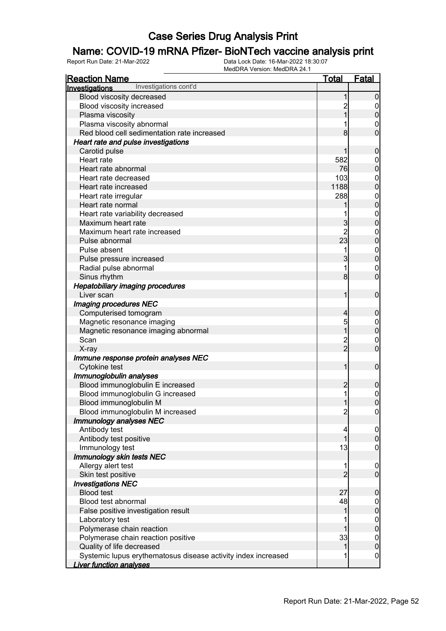### Name: COVID-19 mRNA Pfizer- BioNTech vaccine analysis print

| <b>Reaction Name</b>                                          | <u>Total</u>                     | <b>Fatal</b>                       |
|---------------------------------------------------------------|----------------------------------|------------------------------------|
| Investigations cont'd<br>Investigations                       |                                  |                                    |
| Blood viscosity decreased                                     |                                  | 0                                  |
| Blood viscosity increased                                     | 2                                | $\mathbf 0$                        |
| Plasma viscosity                                              |                                  | 0                                  |
| Plasma viscosity abnormal                                     |                                  | $\mathbf 0$                        |
| Red blood cell sedimentation rate increased                   | 8                                | 0                                  |
| Heart rate and pulse investigations                           |                                  |                                    |
| Carotid pulse                                                 |                                  | 0                                  |
| Heart rate                                                    | 582                              | $\boldsymbol{0}$                   |
| Heart rate abnormal                                           | 76                               | 0                                  |
| Heart rate decreased                                          | 103                              | $\mathbf{0}$                       |
| Heart rate increased                                          | 1188                             | 0                                  |
| Heart rate irregular                                          | 288                              | $\mathbf{0}$                       |
| Heart rate normal                                             |                                  | 0                                  |
| Heart rate variability decreased                              |                                  | $\mathbf{0}$                       |
| Maximum heart rate                                            | 3                                | 0                                  |
| Maximum heart rate increased                                  | $\overline{2}$                   | $\mathbf{0}$                       |
| Pulse abnormal                                                | 23                               | $\mathbf 0$                        |
| Pulse absent                                                  | 1                                | $\mathbf{0}$                       |
| Pulse pressure increased                                      | 3                                | $\overline{0}$                     |
| Radial pulse abnormal                                         | 1                                | $\mathbf 0$                        |
| Sinus rhythm                                                  | 8 <sup>1</sup>                   | $\overline{0}$                     |
| <b>Hepatobiliary imaging procedures</b>                       |                                  |                                    |
| Liver scan                                                    | 1                                | $\mathbf 0$                        |
| Imaging procedures NEC                                        |                                  |                                    |
| Computerised tomogram                                         | 4                                | 0                                  |
| Magnetic resonance imaging                                    | 5                                | $\boldsymbol{0}$                   |
| Magnetic resonance imaging abnormal                           | 1                                | $\overline{0}$                     |
| Scan                                                          | $\overline{c}$<br>$\overline{2}$ | $\boldsymbol{0}$<br>$\overline{0}$ |
| X-ray                                                         |                                  |                                    |
| Immune response protein analyses NEC<br>Cytokine test         | 1                                | $\mathbf 0$                        |
| Immunoglobulin analyses                                       |                                  |                                    |
| Blood immunoglobulin E increased                              | $\overline{c}$                   | 0                                  |
| Blood immunoglobulin G increased                              | 1                                | $\boldsymbol{0}$                   |
| Blood immunoglobulin M                                        |                                  | $\overline{0}$                     |
| Blood immunoglobulin M increased                              | $\overline{2}$                   | $\overline{0}$                     |
| Immunology analyses NEC                                       |                                  |                                    |
| Antibody test                                                 | 4                                | $\overline{0}$                     |
| Antibody test positive                                        |                                  | $\mathbf 0$                        |
| Immunology test                                               | 13                               | 0                                  |
| Immunology skin tests NEC                                     |                                  |                                    |
| Allergy alert test                                            | 1                                | $\mathbf 0$                        |
| Skin test positive                                            | $\overline{2}$                   | $\overline{0}$                     |
| <b>Investigations NEC</b>                                     |                                  |                                    |
| <b>Blood test</b>                                             | 27                               | 0                                  |
| Blood test abnormal                                           | 48                               | $\mathbf 0$                        |
| False positive investigation result                           | 1                                | $\mathbf 0$                        |
| Laboratory test                                               |                                  | $\mathbf 0$                        |
| Polymerase chain reaction                                     |                                  | $\mathbf 0$                        |
| Polymerase chain reaction positive                            | 33                               | $\boldsymbol{0}$                   |
| Quality of life decreased                                     | 1                                | $\overline{0}$                     |
| Systemic lupus erythematosus disease activity index increased | 1                                | $\boldsymbol{0}$                   |
| <b>Liver function analyses</b>                                |                                  |                                    |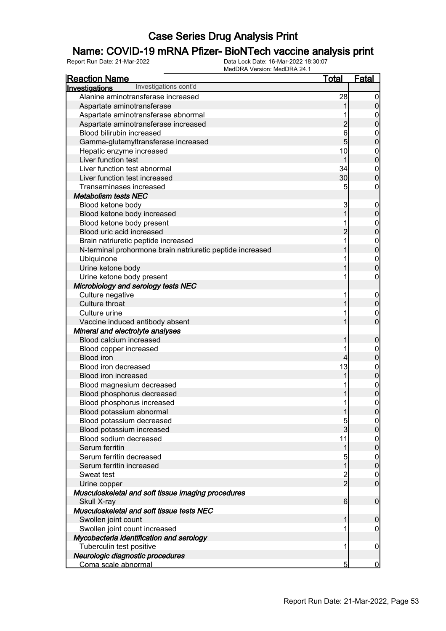### Name: COVID-19 mRNA Pfizer- BioNTech vaccine analysis print

| <b>Reaction Name</b>                                      | <b>Total</b>     | <b>Fatal</b>     |
|-----------------------------------------------------------|------------------|------------------|
| Investigations cont'd<br><b>Investigations</b>            |                  |                  |
| Alanine aminotransferase increased                        | 28               | $\overline{0}$   |
| Aspartate aminotransferase                                |                  | $\pmb{0}$        |
| Aspartate aminotransferase abnormal                       |                  | $\boldsymbol{0}$ |
| Aspartate aminotransferase increased                      | $\overline{c}$   | $\overline{0}$   |
| Blood bilirubin increased                                 | 6                | $\mathbf{0}$     |
| Gamma-glutamyltransferase increased                       | $\overline{5}$   | $\mathbf 0$      |
| Hepatic enzyme increased                                  | 10               | $\mathbf{0}$     |
| Liver function test                                       | 1                | $\overline{0}$   |
| Liver function test abnormal                              | 34               | $\boldsymbol{0}$ |
| Liver function test increased                             | 30               | $\mathbf 0$      |
| Transaminases increased                                   | 5                | $\boldsymbol{0}$ |
| <b>Metabolism tests NEC</b>                               |                  |                  |
| Blood ketone body                                         | 3                | $\mathbf 0$      |
| Blood ketone body increased                               | 1                | $\pmb{0}$        |
| Blood ketone body present                                 |                  |                  |
| Blood uric acid increased                                 | $\overline{c}$   | $0\atop 0$       |
| Brain natriuretic peptide increased                       |                  |                  |
| N-terminal prohormone brain natriuretic peptide increased |                  | $0\atop 0$       |
| Ubiquinone                                                |                  |                  |
| Urine ketone body                                         |                  | $0\atop 0$       |
| Urine ketone body present                                 |                  | $\boldsymbol{0}$ |
| Microbiology and serology tests NEC                       |                  |                  |
| Culture negative                                          | 1                | $\mathbf 0$      |
| Culture throat                                            |                  | $\mathbf 0$      |
| Culture urine                                             |                  | $\mathbf 0$      |
| Vaccine induced antibody absent                           |                  | $\overline{0}$   |
| Mineral and electrolyte analyses                          |                  |                  |
| Blood calcium increased                                   | 1                | $\mathbf 0$      |
| Blood copper increased                                    |                  | $\mathbf{0}$     |
| <b>Blood iron</b>                                         | $\overline{4}$   | $\mathbf 0$      |
| Blood iron decreased                                      | 13               |                  |
| Blood iron increased                                      | 1                | $0\atop 0$       |
| Blood magnesium decreased                                 |                  |                  |
| Blood phosphorus decreased                                |                  | $0\atop 0$       |
| Blood phosphorus increased                                | 1                | $\mathbf 0$      |
| Blood potassium abnormal                                  | 1                | 0                |
| Blood potassium decreased                                 | 5                | $\overline{0}$   |
| Blood potassium increased                                 | $\overline{3}$   | $\overline{0}$   |
| Blood sodium decreased                                    | 11               | $\boldsymbol{0}$ |
| Serum ferritin                                            | 1                | $\overline{0}$   |
| Serum ferritin decreased                                  | 5                | $\boldsymbol{0}$ |
| Serum ferritin increased                                  | $\overline{1}$   | $\mathbf 0$      |
| Sweat test                                                | $\frac{2}{2}$    | $\overline{0}$   |
| Urine copper                                              |                  | $\overline{0}$   |
| Musculoskeletal and soft tissue imaging procedures        |                  |                  |
| Skull X-ray                                               | $6 \overline{6}$ | $\boldsymbol{0}$ |
| Musculoskeletal and soft tissue tests NEC                 |                  |                  |
| Swollen joint count                                       | 1                | $\mathbf 0$      |
| Swollen joint count increased                             | 1                | $\boldsymbol{0}$ |
| Mycobacteria identification and serology                  |                  |                  |
| Tuberculin test positive                                  | 1                | $\mathbf 0$      |
| Neurologic diagnostic procedures                          |                  |                  |
| Coma scale abnormal                                       | 5                | $\overline{0}$   |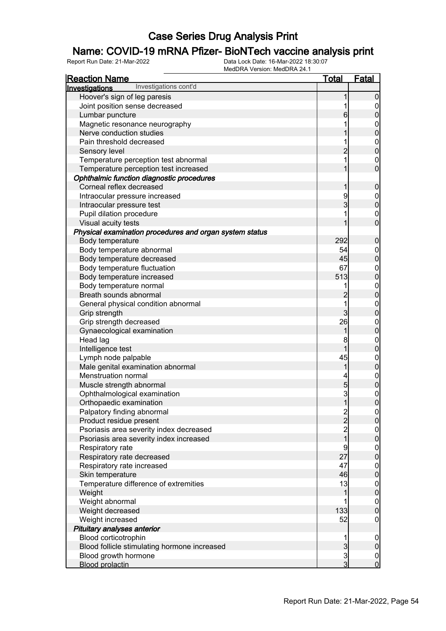### Name: COVID-19 mRNA Pfizer- BioNTech vaccine analysis print

| <b>Reaction Name</b>                                    | <b>Total</b>                               | <u>Fatal</u>                         |
|---------------------------------------------------------|--------------------------------------------|--------------------------------------|
| Investigations cont'd<br>Investigations                 |                                            |                                      |
| Hoover's sign of leg paresis                            | 1                                          | $\mathbf 0$                          |
| Joint position sense decreased                          | 1                                          | $\mathbf 0$                          |
| Lumbar puncture                                         | 6                                          | $\bf{0}$                             |
| Magnetic resonance neurography                          | 1                                          | $\mathbf{0}$                         |
| Nerve conduction studies                                |                                            | $\mathbf{0}$                         |
| Pain threshold decreased                                | 1                                          |                                      |
| Sensory level                                           | $\overline{c}$                             | $0\atop 0$                           |
| Temperature perception test abnormal                    | 1                                          | $\mathbf{0}$                         |
| Temperature perception test increased                   | 1                                          | $\overline{0}$                       |
| Ophthalmic function diagnostic procedures               |                                            |                                      |
| Corneal reflex decreased                                | 1                                          | $\boldsymbol{0}$                     |
| Intraocular pressure increased                          | 9                                          |                                      |
| Intraocular pressure test                               | 3                                          | $0\atop 0$                           |
| Pupil dilation procedure                                |                                            | $\begin{matrix}0\\0\end{matrix}$     |
| Visual acuity tests                                     | 1                                          |                                      |
| Physical examination procedures and organ system status |                                            |                                      |
| Body temperature                                        | 292                                        | $\boldsymbol{0}$                     |
| Body temperature abnormal                               | 54                                         | $\boldsymbol{0}$                     |
| Body temperature decreased                              | 45                                         | $\overline{0}$                       |
| Body temperature fluctuation                            | 67                                         | $\mathbf{0}$                         |
| Body temperature increased                              | 513                                        | $\mathbf{0}$                         |
| Body temperature normal                                 | 1                                          |                                      |
| Breath sounds abnormal                                  | $\overline{c}$                             | $0\atop 0$                           |
| General physical condition abnormal                     | 1                                          |                                      |
| Grip strength                                           | $\overline{3}$                             | $0$<br>0                             |
| Grip strength decreased                                 | 26                                         | $\mathbf{0}$                         |
| Gynaecological examination                              | 1                                          | $\overline{0}$                       |
| Head lag                                                | 8                                          | $0\atop 0$                           |
| Intelligence test                                       | 1                                          |                                      |
| Lymph node palpable                                     | 45                                         | $0$ 0                                |
| Male genital examination abnormal                       | 1                                          |                                      |
| Menstruation normal                                     | 4                                          | $0\atop 0$                           |
| Muscle strength abnormal                                | 5                                          |                                      |
| Ophthalmological examination                            | 3                                          | $\begin{matrix}0\\0\end{matrix}$     |
| Orthopaedic examination                                 | 1                                          |                                      |
| Palpatory finding abnormal                              |                                            | 0                                    |
| Product residue present                                 |                                            | $\overline{0}$                       |
| Psoriasis area severity index decreased                 | $\begin{array}{c} 2 \\ 2 \\ 1 \end{array}$ | $\begin{matrix} 0 \\ 0 \end{matrix}$ |
| Psoriasis area severity index increased                 |                                            |                                      |
| Respiratory rate                                        | 9                                          | $\begin{matrix} 0 \\ 0 \end{matrix}$ |
| Respiratory rate decreased                              | 27                                         |                                      |
| Respiratory rate increased                              | 47                                         | $0\atop 0$                           |
| Skin temperature                                        | 46                                         |                                      |
| Temperature difference of extremities                   | 13                                         | $0$ 0                                |
| Weight                                                  | 1                                          |                                      |
| Weight abnormal                                         | 1                                          | $\begin{matrix} 0 \\ 0 \end{matrix}$ |
| Weight decreased                                        | 133                                        |                                      |
| Weight increased                                        | 52                                         | $\mathbf 0$                          |
| Pituitary analyses anterior                             |                                            |                                      |
| Blood corticotrophin                                    | 1                                          | $\boldsymbol{0}$                     |
| Blood follicle stimulating hormone increased            | $\mathbf{3}$                               | $\pmb{0}$                            |
| Blood growth hormone                                    | $\frac{3}{3}$                              | $\boldsymbol{0}$                     |
| <b>Blood prolactin</b>                                  |                                            | $\overline{0}$                       |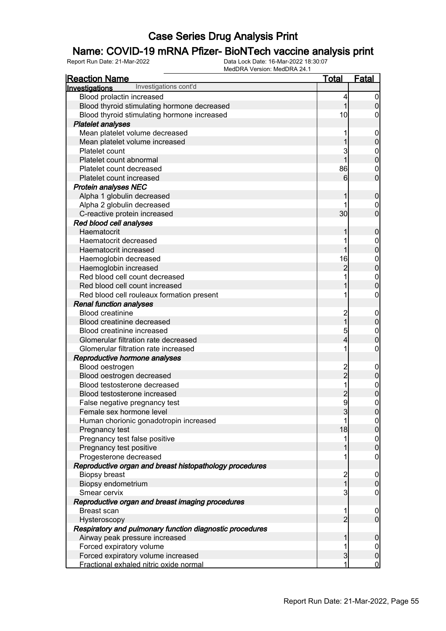### Name: COVID-19 mRNA Pfizer- BioNTech vaccine analysis print

| <b>Reaction Name</b>                                     | <b>Total</b>   | <b>Fatal</b>                         |
|----------------------------------------------------------|----------------|--------------------------------------|
| Investigations cont'd<br>Investigations                  |                |                                      |
| Blood prolactin increased                                | 4              | 0                                    |
| Blood thyroid stimulating hormone decreased              | 1              | $\mathbf 0$                          |
| Blood thyroid stimulating hormone increased              | 10             | 0                                    |
| <b>Platelet analyses</b>                                 |                |                                      |
| Mean platelet volume decreased                           |                | $\mathbf 0$                          |
| Mean platelet volume increased                           |                | $\mathbf 0$                          |
| Platelet count                                           | 3              | $\mathbf 0$                          |
| Platelet count abnormal                                  |                | $\overline{0}$                       |
| Platelet count decreased                                 | 86             | 0                                    |
| Platelet count increased                                 | 6              | $\overline{0}$                       |
| <b>Protein analyses NEC</b>                              |                |                                      |
| Alpha 1 globulin decreased                               |                | $\boldsymbol{0}$                     |
| Alpha 2 globulin decreased                               |                | 0                                    |
| C-reactive protein increased                             | 30             | $\overline{0}$                       |
| Red blood cell analyses                                  |                |                                      |
| Haematocrit                                              |                | $\boldsymbol{0}$                     |
| Haematocrit decreased                                    |                | $\overline{0}$                       |
| Haematocrit increased                                    |                | $\overline{0}$                       |
| Haemoglobin decreased                                    | 16             | $\mathbf{0}$                         |
| Haemoglobin increased                                    | $\overline{c}$ | $\overline{0}$                       |
| Red blood cell count decreased                           |                | $\boldsymbol{0}$                     |
| Red blood cell count increased                           |                | $\overline{0}$                       |
| Red blood cell rouleaux formation present                |                | 0                                    |
| <b>Renal function analyses</b>                           |                |                                      |
| <b>Blood creatinine</b>                                  | $\overline{c}$ | $\mathbf 0$                          |
| Blood creatinine decreased                               | 1              | $\pmb{0}$                            |
| Blood creatinine increased                               | 5              | $\mathbf{0}$                         |
| Glomerular filtration rate decreased                     | 4              | $\mathbf 0$                          |
| Glomerular filtration rate increased                     |                | 0                                    |
| Reproductive hormone analyses                            |                |                                      |
| Blood oestrogen                                          |                | $\overline{0}$                       |
| Blood oestrogen decreased                                | 2<br>2         | $\pmb{0}$                            |
| Blood testosterone decreased                             |                | $\mathbf{0}$                         |
| Blood testosterone increased                             | $\overline{c}$ | $\overline{0}$                       |
| False negative pregnancy test                            | $\overline{9}$ | 0                                    |
| Female sex hormone level                                 | 3              | $\overline{0}$                       |
| Human chorionic gonadotropin increased                   |                | $\overline{0}$                       |
| Pregnancy test                                           | 18             | $\overline{0}$                       |
| Pregnancy test false positive                            | 1              |                                      |
| Pregnancy test positive                                  |                | $\begin{matrix} 0 \\ 0 \end{matrix}$ |
| Progesterone decreased                                   |                | $\mathbf 0$                          |
| Reproductive organ and breast histopathology procedures  |                |                                      |
| <b>Biopsy breast</b>                                     | 2              | $\mathbf 0$                          |
| Biopsy endometrium                                       | $\overline{1}$ | $\pmb{0}$                            |
| Smear cervix                                             | 3              | $\mathbf 0$                          |
| Reproductive organ and breast imaging procedures         |                |                                      |
| <b>Breast scan</b>                                       | 1              | $\mathbf 0$                          |
| Hysteroscopy                                             | $\overline{2}$ | $\overline{0}$                       |
| Respiratory and pulmonary function diagnostic procedures |                |                                      |
| Airway peak pressure increased                           |                | $\mathbf 0$                          |
| Forced expiratory volume                                 |                | $\mathbf 0$                          |
| Forced expiratory volume increased                       | 3              | $\pmb{0}$                            |
| Fractional exhaled nitric oxide normal                   |                | $\overline{0}$                       |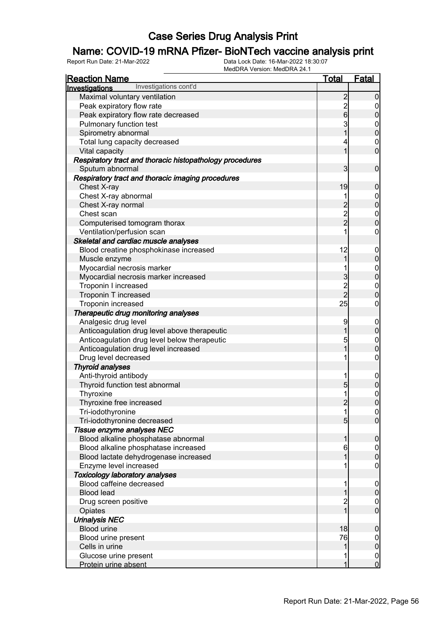### Name: COVID-19 mRNA Pfizer- BioNTech vaccine analysis print

| <u>Reaction Name</u>                                                          | <u>Total</u>        | <u>Fatal</u>                     |
|-------------------------------------------------------------------------------|---------------------|----------------------------------|
| Investigations cont'd<br>Investigations                                       |                     |                                  |
| Maximal voluntary ventilation                                                 | $\overline{2}$      | $\overline{0}$                   |
| Peak expiratory flow rate                                                     |                     | $\mathbf 0$                      |
| Peak expiratory flow rate decreased                                           | $\frac{2}{6}$       | $\overline{0}$                   |
| Pulmonary function test                                                       | 3                   | $\mathbf{0}$                     |
| Spirometry abnormal                                                           | $\overline{1}$      | $\overline{0}$                   |
| Total lung capacity decreased                                                 | 4                   | $\mathbf 0$                      |
| Vital capacity                                                                | 1                   | $\mathbf 0$                      |
| Respiratory tract and thoracic histopathology procedures<br>Sputum abnormal   | 3                   | $\mathbf 0$                      |
| Respiratory tract and thoracic imaging procedures                             |                     |                                  |
| Chest X-ray                                                                   | 19                  | $\boldsymbol{0}$                 |
| Chest X-ray abnormal                                                          | 1                   | $\boldsymbol{0}$                 |
| Chest X-ray normal                                                            | $\overline{c}$      | $\overline{0}$                   |
| Chest scan                                                                    |                     | $\mathbf{0}$                     |
| Computerised tomogram thorax                                                  | $\frac{2}{2}$       | $\overline{0}$                   |
| Ventilation/perfusion scan                                                    | 1                   | $\mathbf 0$                      |
| Skeletal and cardiac muscle analyses                                          |                     |                                  |
| Blood creatine phosphokinase increased                                        | 12                  | $\mathbf 0$                      |
| Muscle enzyme                                                                 | 1                   | $\mathbf 0$                      |
| Myocardial necrosis marker                                                    | 1                   | $\boldsymbol{0}$                 |
| Myocardial necrosis marker increased                                          | $\overline{3}$      | $\overline{0}$                   |
| Troponin I increased                                                          |                     | $\mathbf{0}$                     |
| Troponin T increased                                                          | $\frac{2}{2}$       | $\overline{0}$                   |
| Troponin increased                                                            | 25                  | $\mathbf 0$                      |
| Therapeutic drug monitoring analyses                                          |                     |                                  |
| Analgesic drug level                                                          | 9                   | $\mathbf 0$                      |
| Anticoagulation drug level above therapeutic                                  | $\mathbf 1$         | $\mathbf 0$                      |
| Anticoagulation drug level below therapeutic                                  | 5                   | $\boldsymbol{0}$                 |
| Anticoagulation drug level increased                                          | $\overline{1}$      | $\overline{0}$                   |
| Drug level decreased                                                          | 1                   | $\boldsymbol{0}$                 |
| <b>Thyroid analyses</b>                                                       |                     |                                  |
| Anti-thyroid antibody                                                         | 1                   |                                  |
| Thyroid function test abnormal                                                | $\overline{5}$      | $\mathbf 0$<br>$\mathbf 0$       |
| Thyroxine                                                                     |                     |                                  |
| Thyroxine free increased                                                      | $\overline{2}$      | $\mathbf{0}$<br>$\overline{0}$   |
| Tri-iodothyronine                                                             |                     |                                  |
| Tri-iodothyronine decreased                                                   | 5 <sub>5</sub>      | 0 <br>$\overline{0}$             |
| Tissue enzyme analyses NEC                                                    |                     |                                  |
| Blood alkaline phosphatase abnormal                                           | 1                   | $\mathbf 0$                      |
|                                                                               |                     |                                  |
| Blood alkaline phosphatase increased<br>Blood lactate dehydrogenase increased | 6                   | $\overline{0}$<br>$\overline{0}$ |
|                                                                               |                     |                                  |
| Enzyme level increased                                                        |                     | 0                                |
| <b>Toxicology laboratory analyses</b><br>Blood caffeine decreased             |                     |                                  |
| <b>Blood lead</b>                                                             |                     | $\mathbf 0$<br>$\boldsymbol{0}$  |
|                                                                               |                     |                                  |
| Drug screen positive                                                          | $\overline{c}$<br>1 | $\mathbf 0$<br>$\overline{0}$    |
| Opiates                                                                       |                     |                                  |
| <b>Urinalysis NEC</b>                                                         |                     |                                  |
| <b>Blood urine</b>                                                            | 18                  | $\boldsymbol{0}$                 |
| Blood urine present                                                           | 76                  | $\mathbf 0$                      |
| Cells in urine                                                                | 1                   | $\mathbf 0$                      |
| Glucose urine present                                                         |                     | $\boldsymbol{0}$                 |
| Protein urine absent                                                          | 1                   | $\overline{0}$                   |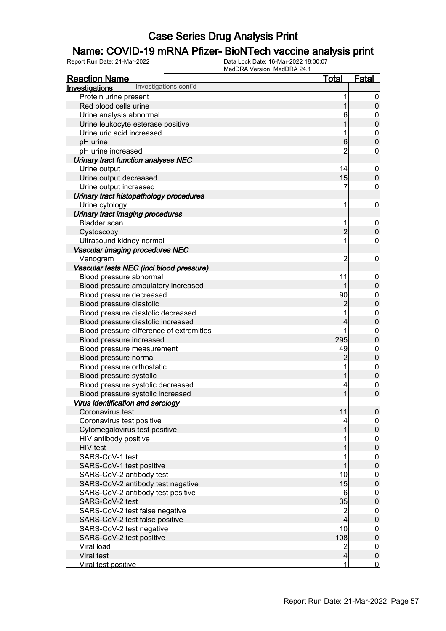### Name: COVID-19 mRNA Pfizer- BioNTech vaccine analysis print

| <b>Reaction Name</b>                     | <b>Total</b>   | <b>Fatal</b>                         |
|------------------------------------------|----------------|--------------------------------------|
| Investigations cont'd<br>Investigations  |                |                                      |
| Protein urine present                    |                | $\overline{0}$                       |
| Red blood cells urine                    |                | $\boldsymbol{0}$                     |
| Urine analysis abnormal                  | 6              | $\boldsymbol{0}$                     |
| Urine leukocyte esterase positive        |                | $\mathbf 0$                          |
| Urine uric acid increased                |                | $\boldsymbol{0}$                     |
| pH urine                                 | 6              | $\overline{0}$                       |
| pH urine increased                       | $\overline{2}$ | 0                                    |
| Urinary tract function analyses NEC      |                |                                      |
| Urine output                             | 14             | $\mathbf 0$                          |
| Urine output decreased                   | 15             | $\mathbf 0$                          |
| Urine output increased                   | 7              | $\mathbf 0$                          |
| Urinary tract histopathology procedures  |                |                                      |
| Urine cytology                           | 1              | $\mathbf 0$                          |
| Urinary tract imaging procedures         |                |                                      |
| <b>Bladder</b> scan                      | 1              | $\mathbf 0$                          |
| Cystoscopy                               | $\overline{2}$ | $\mathbf 0$                          |
| Ultrasound kidney normal                 | 1              | $\boldsymbol{0}$                     |
| Vascular imaging procedures NEC          |                |                                      |
| Venogram                                 | $\overline{c}$ | $\mathbf 0$                          |
| Vascular tests NEC (incl blood pressure) |                |                                      |
| Blood pressure abnormal                  | 11             | $\mathbf 0$                          |
| Blood pressure ambulatory increased      | 1              | $\mathbf 0$                          |
| Blood pressure decreased                 | 90             | $\mathbf{0}$                         |
| Blood pressure diastolic                 | $\overline{c}$ | $\overline{0}$                       |
| Blood pressure diastolic decreased       |                |                                      |
| Blood pressure diastolic increased       | 4              | $0\atop 0$                           |
| Blood pressure difference of extremities | 1              | $\boldsymbol{0}$                     |
| Blood pressure increased                 | 295            | $\mathbf 0$                          |
| Blood pressure measurement               | 49             | $\mathbf{0}$                         |
| Blood pressure normal                    | $\overline{c}$ | $\overline{0}$                       |
| Blood pressure orthostatic               |                | $\boldsymbol{0}$                     |
| Blood pressure systolic                  |                | $\overline{0}$                       |
| Blood pressure systolic decreased        | 4              | $\boldsymbol{0}$                     |
| Blood pressure systolic increased        | 1              | $\overline{0}$                       |
| Virus identification and serology        |                |                                      |
| Coronavirus test                         | 11             | 0                                    |
| Coronavirus test positive                | 4              | $\overline{0}$                       |
| Cytomegalovirus test positive            |                | $\mathbf 0$                          |
| HIV antibody positive                    |                |                                      |
| HIV test                                 |                | $0$<br>0                             |
| SARS-CoV-1 test                          |                |                                      |
| SARS-CoV-1 test positive                 |                | $\begin{matrix} 0 \\ 0 \end{matrix}$ |
| SARS-CoV-2 antibody test                 | 10             | $\mathbf 0$                          |
| SARS-CoV-2 antibody test negative        | 15             | $\mathbf 0$                          |
| SARS-CoV-2 antibody test positive        | 6              | $\mathbf 0$                          |
| SARS-CoV-2 test                          | 35             | $\mathbf 0$                          |
| SARS-CoV-2 test false negative           |                | $\mathbf 0$                          |
| SARS-CoV-2 test false positive           | $\frac{2}{4}$  | $\mathbf 0$                          |
| SARS-CoV-2 test negative                 | 10             | $\mathbf 0$                          |
| SARS-CoV-2 test positive                 | 108            | $\mathbf 0$                          |
| Viral load                               | $\overline{c}$ | $\boldsymbol{0}$                     |
| Viral test                               | $\overline{4}$ | $\pmb{0}$                            |
| Viral test positive                      | 1              | $\overline{0}$                       |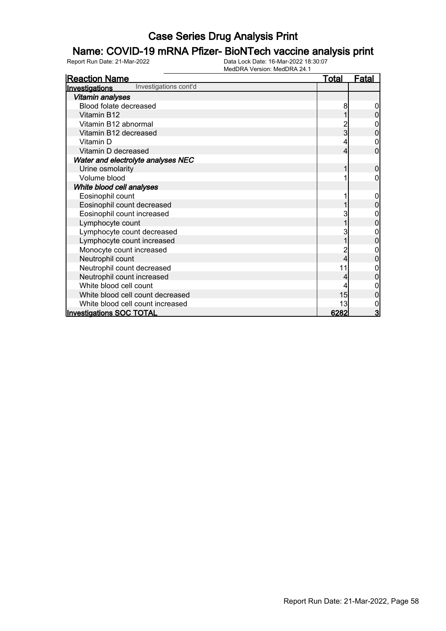### Name: COVID-19 mRNA Pfizer- BioNTech vaccine analysis print

| <b>Reaction Name</b>                    | <b>Total</b> | <b>Fatal</b> |
|-----------------------------------------|--------------|--------------|
| Investigations cont'd<br>Investigations |              |              |
| <b>Vitamin analyses</b>                 |              |              |
| Blood folate decreased                  | 8            |              |
| Vitamin B12                             |              | 0            |
| Vitamin B12 abnormal                    |              | 0            |
| Vitamin B12 decreased                   | 3            | 0            |
| Vitamin D                               | 4            | 0            |
| Vitamin D decreased                     | 4            | 0            |
| Water and electrolyte analyses NEC      |              |              |
| Urine osmolarity                        |              | $\mathbf{0}$ |
| Volume blood                            |              | 0            |
| White blood cell analyses               |              |              |
| Eosinophil count                        |              |              |
| Eosinophil count decreased              |              |              |
| Eosinophil count increased              | 3            | 0            |
| Lymphocyte count                        |              | 0            |
| Lymphocyte count decreased              | 3            |              |
| Lymphocyte count increased              |              | 0            |
| Monocyte count increased                | 2            | 0            |
| Neutrophil count                        | 4            | 0            |
| Neutrophil count decreased              | 11           |              |
| Neutrophil count increased              |              |              |
| White blood cell count                  |              | 0            |
| White blood cell count decreased        | 15           |              |
| White blood cell count increased        | 13           | 0            |
| <b>Investigations SOC TOTAL</b>         | 6282         | 3            |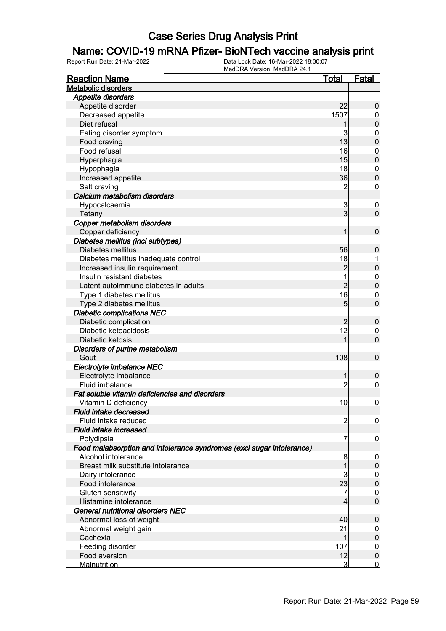#### Name: COVID-19 mRNA Pfizer- BioNTech vaccine analysis print

| <b>Reaction Name</b>                                                  | <b>Total</b>   | <b>Fatal</b>                         |
|-----------------------------------------------------------------------|----------------|--------------------------------------|
| <b>Metabolic disorders</b>                                            |                |                                      |
| <b>Appetite disorders</b>                                             |                |                                      |
| Appetite disorder                                                     | 22             | $\boldsymbol{0}$                     |
| Decreased appetite                                                    | 1507           | 0                                    |
| Diet refusal                                                          |                | $\mathbf 0$                          |
| Eating disorder symptom                                               | 3              | $\mathbf 0$                          |
| Food craving                                                          | 13             | $\mathbf 0$                          |
| Food refusal                                                          | 16             | $\boldsymbol{0}$                     |
| Hyperphagia                                                           | 15             | $\mathbf 0$                          |
| Hypophagia                                                            | 18             | $\boldsymbol{0}$                     |
| Increased appetite                                                    | 36             | $\mathbf 0$                          |
| Salt craving                                                          | $\overline{c}$ | 0                                    |
| Calcium metabolism disorders                                          |                |                                      |
| Hypocalcaemia                                                         | 3              | $\mathbf 0$                          |
| Tetany                                                                | 3              | $\mathbf 0$                          |
| Copper metabolism disorders                                           |                |                                      |
| Copper deficiency                                                     | 1              | $\mathbf 0$                          |
| Diabetes mellitus (incl subtypes)                                     |                |                                      |
| Diabetes mellitus                                                     | 56             | $\mathbf 0$                          |
| Diabetes mellitus inadequate control                                  | 18             |                                      |
| Increased insulin requirement                                         | $\overline{c}$ | $\mathbf 0$                          |
| Insulin resistant diabetes                                            |                | $\boldsymbol{0}$                     |
| Latent autoimmune diabetes in adults                                  | $\overline{2}$ | $\mathbf 0$                          |
| Type 1 diabetes mellitus                                              | 16             | $\mathbf 0$                          |
| Type 2 diabetes mellitus                                              | 5              | $\mathbf 0$                          |
| <b>Diabetic complications NEC</b>                                     |                |                                      |
| Diabetic complication                                                 | $\overline{2}$ | $\boldsymbol{0}$                     |
| Diabetic ketoacidosis                                                 | 12             | 0                                    |
| Diabetic ketosis                                                      | 1              | $\mathbf 0$                          |
| Disorders of purine metabolism                                        |                |                                      |
| Gout                                                                  | 108            | $\mathbf 0$                          |
| Electrolyte imbalance NEC                                             |                |                                      |
| Electrolyte imbalance                                                 | 1              | $\mathbf 0$                          |
| Fluid imbalance                                                       | 2              | $\mathbf 0$                          |
| Fat soluble vitamin deficiencies and disorders                        |                |                                      |
| Vitamin D deficiency                                                  | 10             | $\mathbf 0$                          |
| Fluid intake decreased                                                |                |                                      |
| Fluid intake reduced                                                  | $\overline{2}$ | $\overline{0}$                       |
| Fluid intake increased                                                |                |                                      |
| Polydipsia                                                            | 7              | $\mathbf 0$                          |
| Food malabsorption and intolerance syndromes (excl sugar intolerance) |                |                                      |
| Alcohol intolerance                                                   | 8              | $\mathbf 0$                          |
| Breast milk substitute intolerance                                    |                | $\pmb{0}$                            |
| Dairy intolerance                                                     | 3              | $\begin{matrix} 0 \\ 0 \end{matrix}$ |
| Food intolerance                                                      | 23             |                                      |
| Gluten sensitivity                                                    | 7              | $\mathbf 0$                          |
| Histamine intolerance                                                 |                | $\overline{0}$                       |
| <b>General nutritional disorders NEC</b>                              |                |                                      |
| Abnormal loss of weight                                               | 40             | $\boldsymbol{0}$                     |
| Abnormal weight gain                                                  | 21             | $\mathbf 0$                          |
| Cachexia                                                              | 1              | $\pmb{0}$                            |
| Feeding disorder                                                      | 107            | $\mathbf 0$                          |
| Food aversion                                                         | 12             | $\mathbf 0$                          |
| <b>Malnutrition</b>                                                   | 3              | $\mathbf 0$                          |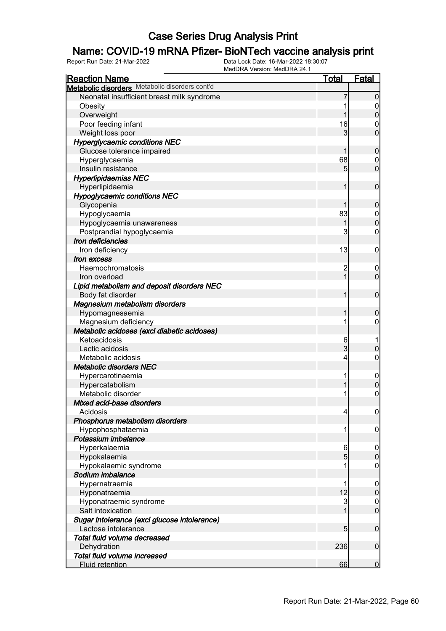### Name: COVID-19 mRNA Pfizer- BioNTech vaccine analysis print

| <b>Reaction Name</b>                           | <b>Total</b>    | <b>Fatal</b>     |
|------------------------------------------------|-----------------|------------------|
| Metabolic disorders Metabolic disorders cont'd |                 |                  |
| Neonatal insufficient breast milk syndrome     |                 | 0                |
| Obesity                                        |                 | 0                |
| Overweight                                     |                 | $\boldsymbol{0}$ |
| Poor feeding infant                            | 16              | 0                |
| Weight loss poor                               | 3               | $\overline{0}$   |
| <b>Hyperglycaemic conditions NEC</b>           |                 |                  |
| Glucose tolerance impaired                     |                 | $\mathbf 0$      |
| Hyperglycaemia                                 | 68              | 0                |
| Insulin resistance                             | 5               | $\mathbf 0$      |
| <b>Hyperlipidaemias NEC</b>                    |                 |                  |
| Hyperlipidaemia                                |                 | $\mathbf 0$      |
| <b>Hypoglycaemic conditions NEC</b>            |                 |                  |
| Glycopenia                                     |                 | $\boldsymbol{0}$ |
| Hypoglycaemia                                  | 83              | $\mathbf 0$      |
| Hypoglycaemia unawareness                      |                 | $\boldsymbol{0}$ |
| Postprandial hypoglycaemia                     | 3               | 0                |
| Iron deficiencies                              |                 |                  |
| Iron deficiency                                | 13              | $\mathbf 0$      |
| Iron excess                                    |                 |                  |
| Haemochromatosis                               | $\overline{c}$  | $\boldsymbol{0}$ |
| Iron overload                                  | 1               | $\mathbf 0$      |
| Lipid metabolism and deposit disorders NEC     |                 |                  |
| Body fat disorder                              | 1               | $\mathbf 0$      |
| Magnesium metabolism disorders                 |                 |                  |
| Hypomagnesaemia                                |                 | $\mathbf 0$      |
| Magnesium deficiency                           |                 | 0                |
| Metabolic acidoses (excl diabetic acidoses)    |                 |                  |
| Ketoacidosis                                   | 6               |                  |
| Lactic acidosis                                | 3               | $\boldsymbol{0}$ |
| Metabolic acidosis                             | 4               | 0                |
| <b>Metabolic disorders NEC</b>                 |                 |                  |
| Hypercarotinaemia                              |                 | $\overline{0}$   |
| Hypercatabolism                                |                 | $\mathbf 0$      |
| Metabolic disorder                             |                 | $\mathbf 0$      |
| Mixed acid-base disorders                      |                 |                  |
| Acidosis                                       | $\overline{4}$  | $\overline{0}$   |
| Phosphorus metabolism disorders                |                 |                  |
| Hypophosphataemia                              | 1               | 0                |
| Potassium imbalance                            |                 |                  |
| Hyperkalaemia                                  | 6               | $\mathbf 0$      |
| Hypokalaemia                                   | $5\overline{)}$ | $\boldsymbol{0}$ |
| Hypokalaemic syndrome                          |                 | $\mathbf 0$      |
| Sodium imbalance                               |                 |                  |
| Hypernatraemia                                 |                 | $\mathbf 0$      |
| Hyponatraemia                                  | 12              | $\pmb{0}$        |
| Hyponatraemic syndrome                         | 3               | $\mathbf 0$      |
| Salt intoxication                              |                 | $\mathbf 0$      |
| Sugar intolerance (excl glucose intolerance)   |                 |                  |
| Lactose intolerance                            | $5\overline{)}$ | $\mathbf 0$      |
| Total fluid volume decreased                   |                 |                  |
| Dehydration                                    | 236             | $\mathbf 0$      |
| Total fluid volume increased                   |                 |                  |
| Fluid retention                                | 66              | $\mathbf 0$      |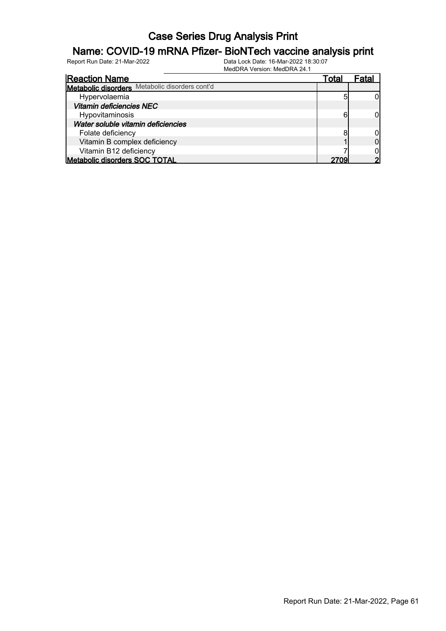#### Name: COVID-19 mRNA Pfizer- BioNTech vaccine analysis print

| <b>Reaction Name</b>                           | Total | ⊦atal |
|------------------------------------------------|-------|-------|
| Metabolic disorders Metabolic disorders cont'd |       |       |
| Hypervolaemia                                  |       |       |
| <b>Vitamin deficiencies NEC</b>                |       |       |
| Hypovitaminosis                                | 6     |       |
| Water soluble vitamin deficiencies             |       |       |
| Folate deficiency                              | я     |       |
| Vitamin B complex deficiency                   |       |       |
| Vitamin B12 deficiency                         |       |       |
| <b>Metabolic disorders SOC TOTAL</b>           | 2709  |       |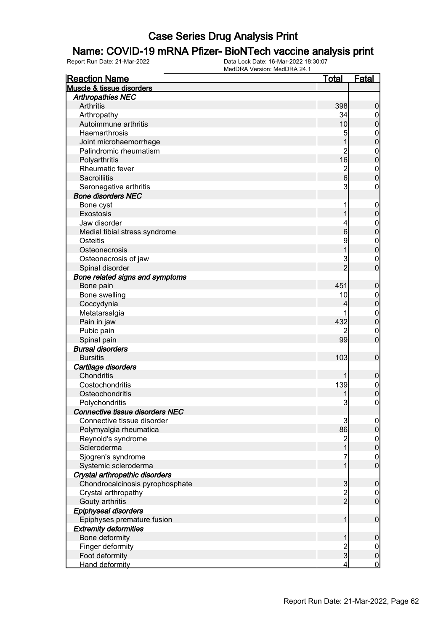#### Name: COVID-19 mRNA Pfizer- BioNTech vaccine analysis print

| <b>Reaction Name</b>            | <u>Total</u>                          | Fatal                                |
|---------------------------------|---------------------------------------|--------------------------------------|
| Muscle & tissue disorders       |                                       |                                      |
| <b>Arthropathies NEC</b>        |                                       |                                      |
| <b>Arthritis</b>                | 398                                   | $\mathbf 0$                          |
| Arthropathy                     | 34                                    | $\boldsymbol{0}$                     |
| Autoimmune arthritis            | 10                                    | $\mathbf 0$                          |
| Haemarthrosis                   | 5                                     |                                      |
| Joint microhaemorrhage          | 1                                     | $0\atop 0$                           |
| Palindromic rheumatism          | $\overline{2}$                        |                                      |
| Polyarthritis                   | 16                                    | $\begin{matrix}0\\0\end{matrix}$     |
| <b>Rheumatic fever</b>          |                                       |                                      |
| Sacroiliitis                    | $\frac{2}{6}$                         | $\begin{matrix}0\\0\end{matrix}$     |
| Seronegative arthritis          | $\mathbf{3}$                          | $\pmb{0}$                            |
| <b>Bone disorders NEC</b>       |                                       |                                      |
| Bone cyst                       | 1                                     | $\mathbf{0}$                         |
| Exostosis                       | 1                                     | $\overline{0}$                       |
| Jaw disorder                    | 4                                     |                                      |
| Medial tibial stress syndrome   | 6                                     | $\begin{matrix}0\\0\end{matrix}$     |
| Osteitis                        | 9                                     |                                      |
| Osteonecrosis                   | $\overline{1}$                        | $\begin{matrix}0\\0\end{matrix}$     |
|                                 | 3                                     |                                      |
| Osteonecrosis of jaw            | $\overline{2}$                        | $\begin{matrix} 0 \\ 0 \end{matrix}$ |
| Spinal disorder                 |                                       |                                      |
| Bone related signs and symptoms |                                       |                                      |
| Bone pain                       | 451                                   | $\boldsymbol{0}$                     |
| Bone swelling                   | 10                                    | $0\atop 0$                           |
| Coccydynia                      | 4                                     |                                      |
| Metatarsalgia                   |                                       | $\begin{matrix}0\\0\end{matrix}$     |
| Pain in jaw                     | 432                                   |                                      |
| Pubic pain                      |                                       | $\mathbf{0}$                         |
| Spinal pain                     | 99                                    | $\overline{0}$                       |
| <b>Bursal disorders</b>         |                                       |                                      |
| <b>Bursitis</b>                 | 103                                   | $\boldsymbol{0}$                     |
| Cartilage disorders             |                                       |                                      |
| Chondritis                      |                                       | $\boldsymbol{0}$                     |
| Costochondritis                 | 139                                   | $0\atop 0$                           |
| Osteochondritis                 |                                       |                                      |
| Polychondritis                  | 3                                     | $\overline{0}$                       |
| Connective tissue disorders NEC |                                       |                                      |
| Connective tissue disorder      | 3                                     | $\overline{0}$                       |
| Polymyalgia rheumatica          | 86                                    | $\pmb{0}$                            |
| Reynold's syndrome              | $\begin{array}{c} 2 \\ 1 \end{array}$ | $0\atop 0$                           |
| Scleroderma                     |                                       |                                      |
| Sjogren's syndrome              | 7                                     | $\begin{matrix}0\\0\end{matrix}$     |
| Systemic scleroderma            | 1                                     |                                      |
| Crystal arthropathic disorders  |                                       |                                      |
| Chondrocalcinosis pyrophosphate |                                       | $\mathbf 0$                          |
| Crystal arthropathy             | $\frac{3}{2}$                         | $\boldsymbol{0}$                     |
| Gouty arthritis                 |                                       | $\overline{0}$                       |
| Epiphyseal disorders            |                                       |                                      |
| Epiphyses premature fusion      | 1                                     | $\boldsymbol{0}$                     |
| <b>Extremity deformities</b>    |                                       |                                      |
| Bone deformity                  | 1                                     | $\mathbf 0$                          |
| Finger deformity                |                                       | $\overline{0}$                       |
| Foot deformity                  | $\frac{2}{3}$                         | $\pmb{0}$                            |
| <b>Hand deformity</b>           | 4                                     | $\overline{0}$                       |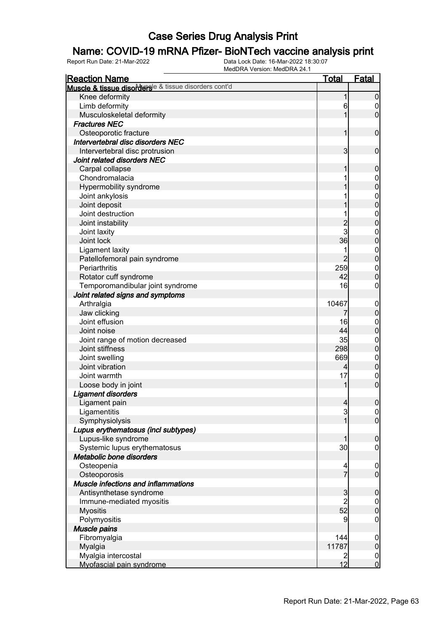### Name: COVID-19 mRNA Pfizer- BioNTech vaccine analysis print

| <b>Reaction Name</b>                                 | <u>Total</u>   | <b>Fatal</b>                   |
|------------------------------------------------------|----------------|--------------------------------|
| Muscle & tissue disorderse & tissue disorders cont'd |                |                                |
| Knee deformity                                       | 1              | $\boldsymbol{0}$               |
| Limb deformity                                       | 6              | $\boldsymbol{0}$               |
| Musculoskeletal deformity                            | 1              | $\mathbf 0$                    |
| <b>Fractures NEC</b>                                 |                |                                |
| Osteoporotic fracture                                | 1              | $\mathbf 0$                    |
| Intervertebral disc disorders NEC                    |                |                                |
| Intervertebral disc protrusion                       | $\overline{3}$ | $\mathbf 0$                    |
| Joint related disorders NEC                          |                |                                |
| Carpal collapse                                      | 1              | $\boldsymbol{0}$               |
| Chondromalacia                                       |                | $\boldsymbol{0}$               |
| Hypermobility syndrome                               |                | $\mathbf 0$                    |
| Joint ankylosis                                      |                | $\mathbf{0}$                   |
| Joint deposit                                        |                | $\overline{0}$                 |
| Joint destruction                                    |                | $\mathbf{0}$                   |
| Joint instability                                    |                | $\overline{0}$                 |
| Joint laxity                                         | 2<br>3         | $\mathbf{0}$                   |
| Joint lock                                           | 36             | $\mathbf 0$                    |
| Ligament laxity                                      | 1              |                                |
| Patellofemoral pain syndrome                         | $\overline{2}$ | $\mathbf{0}$<br>$\overline{0}$ |
| Periarthritis                                        | 259            |                                |
|                                                      | 42             | $\mathbf{0}$<br>$\mathbf 0$    |
| Rotator cuff syndrome                                | 16             |                                |
| Temporomandibular joint syndrome                     |                | $\mathbf 0$                    |
| Joint related signs and symptoms                     |                |                                |
| Arthralgia                                           | 10467          | $\mathbf 0$                    |
| Jaw clicking                                         | 7              | $\pmb{0}$                      |
| Joint effusion                                       | 16             | $\boldsymbol{0}$               |
| Joint noise                                          | 44             | $\pmb{0}$                      |
| Joint range of motion decreased                      | 35             | $\mathbf{0}$                   |
| Joint stiffness                                      | 298            | $\mathbf 0$                    |
| Joint swelling                                       | 669            | $\mathbf{0}$                   |
| Joint vibration                                      | $\overline{4}$ | $\mathbf 0$                    |
| Joint warmth                                         | 17             | $\mathbf 0$                    |
| Loose body in joint                                  | 1              | $\boldsymbol{0}$               |
| Ligament disorders                                   |                |                                |
| Ligament pain                                        | $\overline{4}$ | $\boldsymbol{0}$               |
| Ligamentitis                                         | $\mathbf{3}$   | 0                              |
| Symphysiolysis                                       | 1              | $\overline{0}$                 |
| Lupus erythematosus (incl subtypes)                  |                |                                |
| Lupus-like syndrome                                  | 1              | $\pmb{0}$                      |
| Systemic lupus erythematosus                         | 30             | $\mathbf 0$                    |
| Metabolic bone disorders                             |                |                                |
| Osteopenia                                           | 4              | $\mathbf 0$                    |
| Osteoporosis                                         | $\overline{7}$ | $\overline{0}$                 |
| <b>Muscle infections and inflammations</b>           |                |                                |
| Antisynthetase syndrome                              | $\mathbf{3}$   | $\boldsymbol{0}$               |
| Immune-mediated myositis                             | $\overline{2}$ | $\overline{0}$                 |
| <b>Myositis</b>                                      | 52             | $\mathbf 0$                    |
| Polymyositis                                         | 9              | $\mathbf 0$                    |
| Muscle pains                                         |                |                                |
| Fibromyalgia                                         | 144            | $\mathbf 0$                    |
| Myalgia                                              | 11787          | $\pmb{0}$                      |
| Myalgia intercostal                                  | $\overline{2}$ | $\overline{0}$                 |
| Myofascial pain syndrome                             | 12             | $\mathbf 0$                    |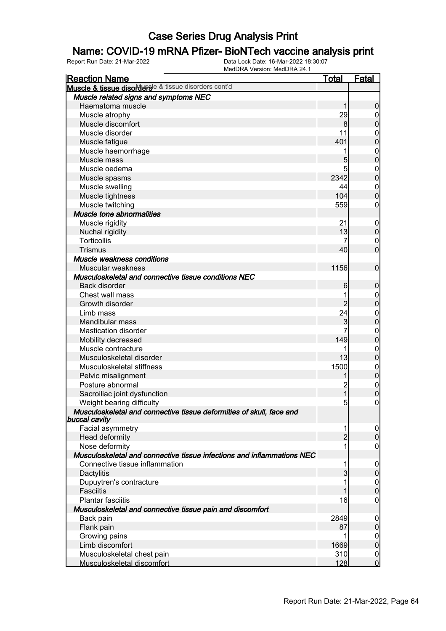#### Name: COVID-19 mRNA Pfizer- BioNTech vaccine analysis print

| <b>Reaction Name</b>                                                                         | <u>Total</u>            | <u>Fatal</u>     |
|----------------------------------------------------------------------------------------------|-------------------------|------------------|
| Muscle & tissue disordersle & tissue disorders cont'd                                        |                         |                  |
| Muscle related signs and symptoms NEC                                                        |                         |                  |
| Haematoma muscle                                                                             | 1                       | $\boldsymbol{0}$ |
| Muscle atrophy                                                                               | 29                      | $\overline{0}$   |
| Muscle discomfort                                                                            | 8                       | $\mathbf 0$      |
| Muscle disorder                                                                              | 11                      | $\boldsymbol{0}$ |
| Muscle fatigue                                                                               | 401                     | $\overline{0}$   |
| Muscle haemorrhage                                                                           | 1                       | $\boldsymbol{0}$ |
| Muscle mass                                                                                  | 5                       | $\overline{0}$   |
| Muscle oedema                                                                                | 5                       | $\boldsymbol{0}$ |
| Muscle spasms                                                                                | 2342                    | $\overline{0}$   |
| Muscle swelling                                                                              | 44                      | $\boldsymbol{0}$ |
| Muscle tightness                                                                             | 104                     | $\overline{0}$   |
| Muscle twitching                                                                             | 559                     | $\mathbf 0$      |
| <b>Muscle tone abnormalities</b>                                                             |                         |                  |
| Muscle rigidity                                                                              | 21                      | $\boldsymbol{0}$ |
| Nuchal rigidity                                                                              | 13                      | $\mathbf 0$      |
| <b>Torticollis</b>                                                                           | 7                       | $\boldsymbol{0}$ |
| <b>Trismus</b>                                                                               | 40                      | $\overline{0}$   |
| Muscle weakness conditions                                                                   |                         |                  |
| Muscular weakness                                                                            | 1156                    | $\boldsymbol{0}$ |
| Musculoskeletal and connective tissue conditions NEC                                         |                         |                  |
| Back disorder                                                                                | 6                       | $\boldsymbol{0}$ |
| Chest wall mass                                                                              | 1                       | $\boldsymbol{0}$ |
| Growth disorder                                                                              | $\overline{2}$          | $\mathbf 0$      |
| Limb mass                                                                                    | 24                      | $\boldsymbol{0}$ |
| Mandibular mass                                                                              | 3                       | $\mathbf 0$      |
| <b>Mastication disorder</b>                                                                  | 7                       | $\boldsymbol{0}$ |
| Mobility decreased                                                                           | 149                     | $\overline{0}$   |
| Muscle contracture                                                                           | 1                       | $\mathbf{0}$     |
| Musculoskeletal disorder                                                                     | 13                      | $\overline{0}$   |
| Musculoskeletal stiffness                                                                    | 1500                    |                  |
| Pelvic misalignment                                                                          |                         | $0\atop 0$       |
| Posture abnormal                                                                             | $\overline{\mathbf{c}}$ | $\boldsymbol{0}$ |
| Sacroiliac joint dysfunction                                                                 | $\overline{1}$          | $\overline{0}$   |
| Weight bearing difficulty                                                                    | $5\overline{)}$         | $\pmb{0}$        |
| Musculoskeletal and connective tissue deformities of skull, face and<br><b>buccal cavity</b> |                         |                  |
| Facial asymmetry                                                                             | 1                       | 0                |
| Head deformity                                                                               | $\overline{2}$          | $\mathbf 0$      |
| Nose deformity                                                                               | 1                       | 0                |
| Musculoskeletal and connective tissue infections and inflammations NEC                       |                         |                  |
| Connective tissue inflammation                                                               | 1                       | $\boldsymbol{0}$ |
| Dactylitis                                                                                   | 3                       | 0                |
| Dupuytren's contracture                                                                      |                         | 0                |
| <b>Fasciitis</b>                                                                             |                         | 0                |
| <b>Plantar fasciitis</b>                                                                     | 16                      | 0                |
| Musculoskeletal and connective tissue pain and discomfort                                    |                         |                  |
| Back pain                                                                                    | 2849                    | 0                |
| Flank pain                                                                                   | 87                      | $\mathbf 0$      |
| Growing pains                                                                                | 1                       | 0                |
| Limb discomfort                                                                              | 1669                    | $\mathbf 0$      |
| Musculoskeletal chest pain                                                                   | 310                     | $\mathbf 0$      |
| Musculoskeletal discomfort                                                                   | 128                     | $\overline{0}$   |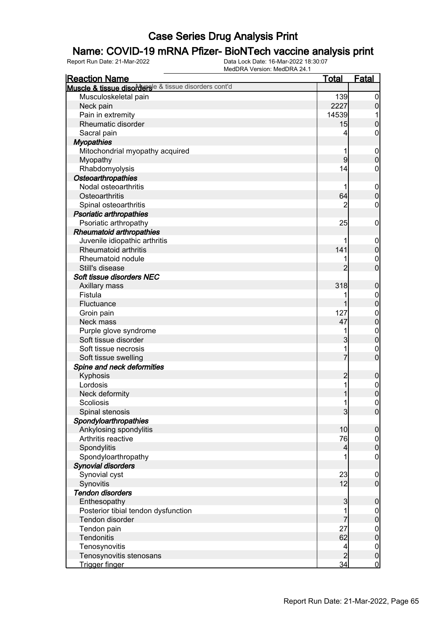### Name: COVID-19 mRNA Pfizer- BioNTech vaccine analysis print

| Muscle & tissue disordersle & tissue disorders cont'd<br>Musculoskeletal pain<br>139<br>2227<br>Neck pain<br>Pain in extremity<br>14539<br>Rheumatic disorder<br>15<br>Sacral pain<br>4<br><b>Myopathies</b><br>Mitochondrial myopathy acquired<br>1<br>9<br>Myopathy<br>14<br>Rhabdomyolysis<br>Osteoarthropathies<br>Nodal osteoarthritis | $\overline{0}$<br>$\mathsf{O}\xspace$<br>1<br>$\mathbf 0$ |
|---------------------------------------------------------------------------------------------------------------------------------------------------------------------------------------------------------------------------------------------------------------------------------------------------------------------------------------------|-----------------------------------------------------------|
|                                                                                                                                                                                                                                                                                                                                             |                                                           |
|                                                                                                                                                                                                                                                                                                                                             |                                                           |
|                                                                                                                                                                                                                                                                                                                                             |                                                           |
|                                                                                                                                                                                                                                                                                                                                             |                                                           |
|                                                                                                                                                                                                                                                                                                                                             |                                                           |
|                                                                                                                                                                                                                                                                                                                                             | $\mathbf 0$                                               |
|                                                                                                                                                                                                                                                                                                                                             |                                                           |
|                                                                                                                                                                                                                                                                                                                                             | $\boldsymbol{0}$                                          |
|                                                                                                                                                                                                                                                                                                                                             | $\overline{0}$                                            |
|                                                                                                                                                                                                                                                                                                                                             | $\boldsymbol{0}$                                          |
|                                                                                                                                                                                                                                                                                                                                             |                                                           |
| 1                                                                                                                                                                                                                                                                                                                                           |                                                           |
| 64<br>Osteoarthritis                                                                                                                                                                                                                                                                                                                        | $\boldsymbol{0}$<br>$\overline{0}$                        |
| 2                                                                                                                                                                                                                                                                                                                                           |                                                           |
| Spinal osteoarthritis                                                                                                                                                                                                                                                                                                                       | $\mathbf 0$                                               |
| <b>Psoriatic arthropathies</b>                                                                                                                                                                                                                                                                                                              |                                                           |
| Psoriatic arthropathy<br>25                                                                                                                                                                                                                                                                                                                 | $\boldsymbol{0}$                                          |
| <b>Rheumatoid arthropathies</b>                                                                                                                                                                                                                                                                                                             |                                                           |
| Juvenile idiopathic arthritis                                                                                                                                                                                                                                                                                                               | $\boldsymbol{0}$                                          |
| 141<br>Rheumatoid arthritis                                                                                                                                                                                                                                                                                                                 | $\mathbf 0$                                               |
| Rheumatoid nodule                                                                                                                                                                                                                                                                                                                           | $\mathbf{0}$                                              |
| $\overline{2}$<br>Still's disease                                                                                                                                                                                                                                                                                                           | $\overline{0}$                                            |
| Soft tissue disorders NEC                                                                                                                                                                                                                                                                                                                   |                                                           |
| 318<br>Axillary mass                                                                                                                                                                                                                                                                                                                        | $\boldsymbol{0}$                                          |
| Fistula<br>1                                                                                                                                                                                                                                                                                                                                | $\boldsymbol{0}$                                          |
| Fluctuance<br>1                                                                                                                                                                                                                                                                                                                             | $\overline{0}$                                            |
| 127<br>Groin pain                                                                                                                                                                                                                                                                                                                           | $\mathbf{0}$                                              |
| 47<br>Neck mass                                                                                                                                                                                                                                                                                                                             | $\overline{0}$                                            |
| Purple glove syndrome<br>1                                                                                                                                                                                                                                                                                                                  | $\begin{matrix}0\\0\end{matrix}$                          |
| 3<br>Soft tissue disorder                                                                                                                                                                                                                                                                                                                   |                                                           |
| 1<br>Soft tissue necrosis                                                                                                                                                                                                                                                                                                                   | $\mathbf{0}$                                              |
| 7<br>Soft tissue swelling                                                                                                                                                                                                                                                                                                                   | $\overline{0}$                                            |
| Spine and neck deformities                                                                                                                                                                                                                                                                                                                  |                                                           |
| Kyphosis<br>$\overline{c}$                                                                                                                                                                                                                                                                                                                  | $\boldsymbol{0}$                                          |
| 1<br>Lordosis                                                                                                                                                                                                                                                                                                                               |                                                           |
| Neck deformity<br>1                                                                                                                                                                                                                                                                                                                         | $0$<br>0                                                  |
| <b>Scoliosis</b><br>1                                                                                                                                                                                                                                                                                                                       | $\overline{0}$                                            |
| Spinal stenosis<br>3                                                                                                                                                                                                                                                                                                                        | $\overline{0}$                                            |
| Spondyloarthropathies                                                                                                                                                                                                                                                                                                                       |                                                           |
| 10<br>Ankylosing spondylitis                                                                                                                                                                                                                                                                                                                | $\boldsymbol{0}$                                          |
| Arthritis reactive<br>76                                                                                                                                                                                                                                                                                                                    | $\boldsymbol{0}$                                          |
| Spondylitis<br>$\overline{4}$                                                                                                                                                                                                                                                                                                               | $\mathbf 0$                                               |
| Spondyloarthropathy<br>1                                                                                                                                                                                                                                                                                                                    | $\mathbf 0$                                               |
| <b>Synovial disorders</b>                                                                                                                                                                                                                                                                                                                   |                                                           |
| Synovial cyst<br>23                                                                                                                                                                                                                                                                                                                         | $\mathbf 0$                                               |
| 12<br>Synovitis                                                                                                                                                                                                                                                                                                                             | $\boldsymbol{0}$                                          |
| <b>Tendon disorders</b>                                                                                                                                                                                                                                                                                                                     |                                                           |
| Enthesopathy<br>$\mathbf{3}$                                                                                                                                                                                                                                                                                                                | $\boldsymbol{0}$                                          |
| Posterior tibial tendon dysfunction<br>1                                                                                                                                                                                                                                                                                                    | $\boldsymbol{0}$                                          |
| Tendon disorder                                                                                                                                                                                                                                                                                                                             | $\mathbf 0$                                               |
| 27<br>Tendon pain                                                                                                                                                                                                                                                                                                                           | $\boldsymbol{0}$                                          |
| 62<br>Tendonitis                                                                                                                                                                                                                                                                                                                            | $\mathbf 0$                                               |
| Tenosynovitis<br>4                                                                                                                                                                                                                                                                                                                          |                                                           |
| $\overline{2}$<br>Tenosynovitis stenosans                                                                                                                                                                                                                                                                                                   | $\boldsymbol{0}$<br>$\pmb{0}$                             |
| 34<br>Trigger finger                                                                                                                                                                                                                                                                                                                        | $\overline{0}$                                            |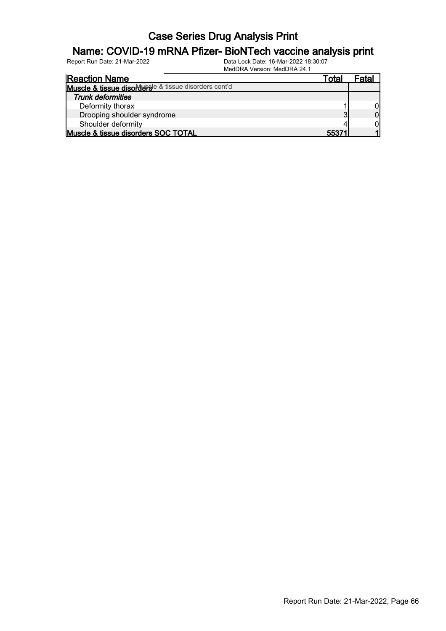#### Name: COVID-19 mRNA Pfizer- BioNTech vaccine analysis print

| <b>Reaction Name</b>                                  | Total | Fatal |
|-------------------------------------------------------|-------|-------|
| Muscle & tissue disordersle & tissue disorders cont'd |       |       |
| <b>Trunk deformities</b>                              |       |       |
| Deformity thorax                                      |       |       |
| Drooping shoulder syndrome                            |       |       |
| Shoulder deformity                                    |       |       |
| Muscle & tissue disorders SOC TOTAL                   | 55371 |       |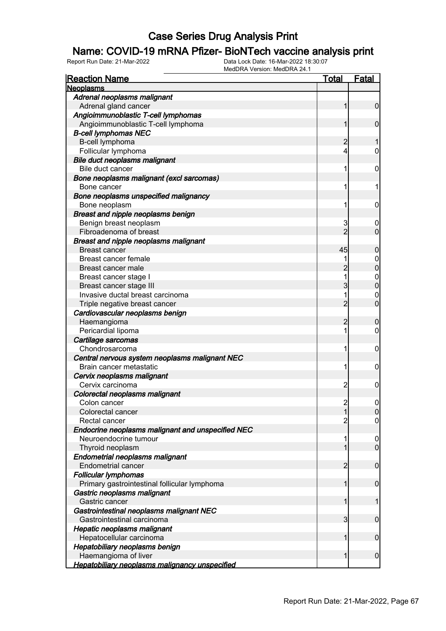#### Name: COVID-19 mRNA Pfizer- BioNTech vaccine analysis print

| <b>Reaction Name</b>                              | Total                   | <u>Fatal</u>     |
|---------------------------------------------------|-------------------------|------------------|
| <b>Neoplasms</b>                                  |                         |                  |
| Adrenal neoplasms malignant                       |                         |                  |
| Adrenal gland cancer                              | 1                       | $\overline{0}$   |
| Angioimmunoblastic T-cell lymphomas               |                         |                  |
| Angioimmunoblastic T-cell lymphoma                | 1                       | $\mathbf 0$      |
| <b>B-cell lymphomas NEC</b>                       |                         |                  |
| B-cell lymphoma                                   | 2                       |                  |
| Follicular lymphoma                               | 4                       | 0                |
| Bile duct neoplasms malignant                     |                         |                  |
| Bile duct cancer                                  | 1                       | 0                |
| Bone neoplasms malignant (excl sarcomas)          |                         |                  |
| Bone cancer                                       | 1                       | 1                |
| Bone neoplasms unspecified malignancy             |                         |                  |
| Bone neoplasm                                     | 1                       | 0                |
| Breast and nipple neoplasms benign                |                         |                  |
| Benign breast neoplasm                            | 3                       | $\boldsymbol{0}$ |
| Fibroadenoma of breast                            | $\overline{2}$          | $\overline{0}$   |
| Breast and nipple neoplasms malignant             |                         |                  |
| <b>Breast cancer</b>                              | 45                      | 0                |
| Breast cancer female                              |                         | 0                |
| Breast cancer male                                |                         | $\mathbf{0}$     |
| Breast cancer stage I                             | 1                       | $\mathbf 0$      |
| Breast cancer stage III                           | 3                       | $\overline{0}$   |
| Invasive ductal breast carcinoma                  | 1                       | $\mathbf 0$      |
| Triple negative breast cancer                     | $\overline{2}$          | $\overline{0}$   |
| Cardiovascular neoplasms benign                   |                         |                  |
| Haemangioma                                       | 2                       | 0                |
| Pericardial lipoma                                | 1                       | 0                |
| Cartilage sarcomas                                |                         |                  |
| Chondrosarcoma                                    | 1                       | 0                |
| Central nervous system neoplasms malignant NEC    |                         |                  |
| Brain cancer metastatic                           | 1                       | 0                |
| Cervix neoplasms malignant                        |                         |                  |
| Cervix carcinoma                                  | 2                       | 0                |
| Colorectal neoplasms malignant                    |                         |                  |
| Colon cancer                                      | 2                       | $\mathbf 0$      |
| Colorectal cancer                                 | 11                      | <sup>o</sup>     |
| Rectal cancer                                     | $\overline{2}$          | $\overline{0}$   |
| Endocrine neoplasms malignant and unspecified NEC |                         |                  |
| Neuroendocrine tumour                             | 1                       | $\mathbf 0$      |
| Thyroid neoplasm                                  | 1                       | $\overline{0}$   |
| <b>Endometrial neoplasms malignant</b>            |                         |                  |
| <b>Endometrial cancer</b>                         | $\overline{c}$          | $\boldsymbol{0}$ |
| <b>Follicular lymphomas</b>                       |                         |                  |
| Primary gastrointestinal follicular lymphoma      | 1                       | $\boldsymbol{0}$ |
| Gastric neoplasms malignant                       |                         |                  |
| Gastric cancer                                    | 1                       | 1                |
| Gastrointestinal neoplasms malignant NEC          |                         |                  |
| Gastrointestinal carcinoma                        | $\overline{\mathbf{3}}$ | $\boldsymbol{0}$ |
| Hepatic neoplasms malignant                       |                         |                  |
| Hepatocellular carcinoma                          | 1                       | $\boldsymbol{0}$ |
| Hepatobiliary neoplasms benign                    |                         |                  |
| Haemangioma of liver                              | 1                       | $\boldsymbol{0}$ |
| Hepatobiliary neoplasms malignancy unspecified    |                         |                  |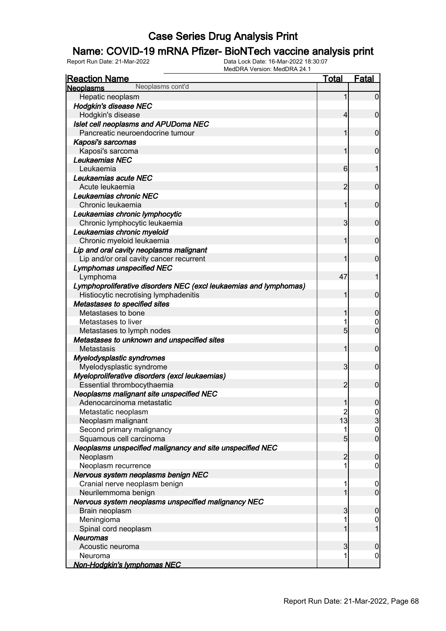### Name: COVID-19 mRNA Pfizer- BioNTech vaccine analysis print

| Neoplasms cont'd<br><b>Neoplasms</b>                              |                                        |                                      |
|-------------------------------------------------------------------|----------------------------------------|--------------------------------------|
|                                                                   |                                        |                                      |
| Hepatic neoplasm                                                  | 1                                      | $\overline{0}$                       |
| <b>Hodgkin's disease NEC</b>                                      |                                        |                                      |
| Hodgkin's disease                                                 | 4                                      | $\mathbf 0$                          |
| Islet cell neoplasms and APUDoma NEC                              |                                        |                                      |
| Pancreatic neuroendocrine tumour                                  |                                        | $\mathbf 0$                          |
| Kaposi's sarcomas                                                 |                                        |                                      |
| Kaposi's sarcoma                                                  |                                        | $\mathbf 0$                          |
| Leukaemias NEC                                                    |                                        |                                      |
| Leukaemia                                                         | 6                                      | 1                                    |
| Leukaemias acute NEC                                              |                                        |                                      |
| Acute leukaemia                                                   | $\overline{2}$                         | $\mathbf 0$                          |
| Leukaemias chronic NEC                                            |                                        |                                      |
| Chronic leukaemia                                                 | 1                                      | $\mathbf 0$                          |
| Leukaemias chronic lymphocytic                                    |                                        |                                      |
| Chronic lymphocytic leukaemia                                     | 3                                      | $\mathbf 0$                          |
| Leukaemias chronic myeloid                                        |                                        |                                      |
| Chronic myeloid leukaemia                                         | 1                                      | $\mathbf 0$                          |
| Lip and oral cavity neoplasms malignant                           |                                        |                                      |
| Lip and/or oral cavity cancer recurrent                           |                                        | $\mathbf 0$                          |
| <b>Lymphomas unspecified NEC</b>                                  |                                        |                                      |
| Lymphoma                                                          | 47                                     | 1                                    |
| Lymphoproliferative disorders NEC (excl leukaemias and lymphomas) |                                        |                                      |
| Histiocytic necrotising lymphadenitis                             | 1                                      | $\mathbf 0$                          |
| Metastases to specified sites                                     |                                        |                                      |
| Metastases to bone                                                |                                        | $\mathbf 0$                          |
| Metastases to liver                                               |                                        | 0                                    |
| Metastases to lymph nodes                                         | 5                                      | $\overline{0}$                       |
| Metastases to unknown and unspecified sites                       |                                        |                                      |
| Metastasis                                                        | 1                                      | $\mathbf 0$                          |
| Myelodysplastic syndromes                                         |                                        |                                      |
| Myelodysplastic syndrome                                          | $\mathbf{3}$                           | $\mathbf 0$                          |
| Myeloproliferative disorders (excl leukaemias)                    |                                        |                                      |
| Essential thrombocythaemia                                        | $\overline{2}$                         | $\mathbf 0$                          |
| Neoplasms malignant site unspecified NEC                          |                                        |                                      |
| Adenocarcinoma metastatic                                         | $\mathbf{1}$                           | $\boldsymbol{0}$                     |
| Metastatic neoplasm                                               | $\begin{array}{c} 2 \\ 13 \end{array}$ | $\frac{0}{3}$                        |
| Neoplasm malignant                                                | 1                                      |                                      |
| Second primary malignancy<br>Squamous cell carcinoma              | $5\overline{)}$                        | $\begin{matrix} 0 \\ 0 \end{matrix}$ |
| Neoplasms unspecified malignancy and site unspecified NEC         |                                        |                                      |
| Neoplasm                                                          | $\overline{2}$                         | $\boldsymbol{0}$                     |
| Neoplasm recurrence                                               | 1                                      | $\overline{0}$                       |
| Nervous system neoplasms benign NEC                               |                                        |                                      |
| Cranial nerve neoplasm benign                                     | 1                                      | $\mathbf 0$                          |
| Neurilemmoma benign                                               | 1                                      | $\overline{0}$                       |
| Nervous system neoplasms unspecified malignancy NEC               |                                        |                                      |
| Brain neoplasm                                                    | 3                                      | $\mathbf 0$                          |
| Meningioma                                                        |                                        | $\mathbf 0$                          |
| Spinal cord neoplasm                                              |                                        | $\mathbf{1}$                         |
| <b>Neuromas</b>                                                   |                                        |                                      |
| Acoustic neuroma                                                  | 3                                      | $\mathbf 0$                          |
| Neuroma                                                           | 1                                      | $\mathbf 0$                          |
| Non-Hodgkin's lymphomas NEC                                       |                                        |                                      |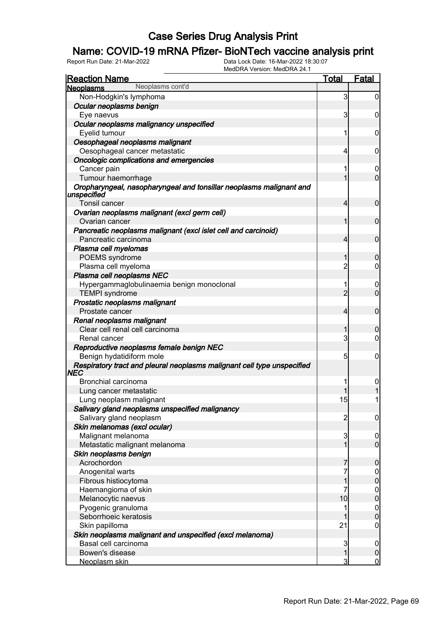### Name: COVID-19 mRNA Pfizer- BioNTech vaccine analysis print

| <b>Reaction Name</b>                                                               | Total          | <b>Fatal</b>                         |
|------------------------------------------------------------------------------------|----------------|--------------------------------------|
| Neoplasms cont'd<br><b>Neoplasms</b>                                               |                |                                      |
| Non-Hodgkin's lymphoma                                                             | 3              | $\overline{0}$                       |
| Ocular neoplasms benign                                                            |                |                                      |
| Eye naevus                                                                         | 3              | 0                                    |
| Ocular neoplasms malignancy unspecified                                            |                |                                      |
| Eyelid tumour                                                                      | 1              | 0                                    |
| Oesophageal neoplasms malignant                                                    |                |                                      |
| Oesophageal cancer metastatic                                                      | 4              | 0                                    |
| Oncologic complications and emergencies                                            |                |                                      |
| Cancer pain                                                                        | 1              | 0                                    |
| Tumour haemorrhage                                                                 | 1              | $\mathbf 0$                          |
| Oropharyngeal, nasopharyngeal and tonsillar neoplasms malignant and<br>unspecified |                |                                      |
| Tonsil cancer                                                                      | 4              | $\mathbf 0$                          |
| Ovarian neoplasms malignant (excl germ cell)<br>Ovarian cancer                     | 1              | $\mathbf 0$                          |
| Pancreatic neoplasms malignant (excl islet cell and carcinoid)                     |                |                                      |
| Pancreatic carcinoma                                                               | 4              | $\mathbf 0$                          |
| Plasma cell myelomas                                                               |                |                                      |
| POEMS syndrome                                                                     | 1              | 0                                    |
| Plasma cell myeloma                                                                | $\overline{c}$ | 0                                    |
| Plasma cell neoplasms NEC                                                          |                |                                      |
| Hypergammaglobulinaemia benign monoclonal                                          | 1              | $\boldsymbol{0}$                     |
| <b>TEMPI</b> syndrome                                                              | $\overline{2}$ | $\mathbf 0$                          |
| Prostatic neoplasms malignant                                                      |                |                                      |
| Prostate cancer                                                                    | 4              | $\mathbf 0$                          |
| Renal neoplasms malignant                                                          |                |                                      |
| Clear cell renal cell carcinoma                                                    | 1              | 0                                    |
| Renal cancer                                                                       | 3              | 0                                    |
| Reproductive neoplasms female benign NEC<br>Benign hydatidiform mole               | 5              | 0                                    |
| Respiratory tract and pleural neoplasms malignant cell type unspecified            |                |                                      |
| NEC                                                                                |                |                                      |
| Bronchial carcinoma                                                                |                | 0                                    |
| Lung cancer metastatic                                                             |                |                                      |
| Lung neoplasm malignant                                                            | 15             |                                      |
| Salivary gland neoplasms unspecified malignancy                                    |                |                                      |
| Salivary gland neoplasm                                                            | $\overline{2}$ | $\overline{0}$                       |
| Skin melanomas (excl ocular)                                                       |                |                                      |
| Malignant melanoma                                                                 | $\mathbf{3}$   | $\overline{0}$                       |
| Metastatic malignant melanoma                                                      | 1              | $\overline{0}$                       |
| Skin neoplasms benign                                                              |                |                                      |
| Acrochordon                                                                        | 7              | $\overline{0}$                       |
| Anogenital warts                                                                   | 7              | $0$<br>0                             |
| Fibrous histiocytoma                                                               | $\overline{1}$ |                                      |
| Haemangioma of skin                                                                | 7              | $0$<br>0                             |
| Melanocytic naevus                                                                 | 10             |                                      |
| Pyogenic granuloma                                                                 |                | $\begin{matrix} 0 \\ 0 \end{matrix}$ |
| Seborrhoeic keratosis                                                              |                |                                      |
| Skin papilloma                                                                     | 21             | 0                                    |
| Skin neoplasms malignant and unspecified (excl melanoma)                           |                |                                      |
| Basal cell carcinoma                                                               | 3              | $\mathbf 0$                          |
| Bowen's disease                                                                    | $\mathbf{1}$   | $\boldsymbol{0}$                     |
| Neoplasm skin                                                                      | 3              | $\overline{0}$                       |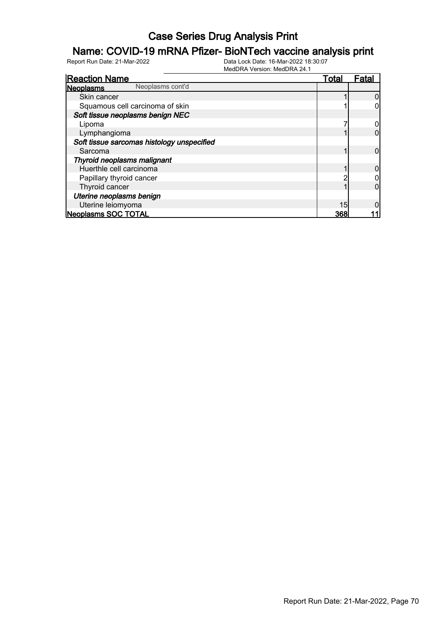### Name: COVID-19 mRNA Pfizer- BioNTech vaccine analysis print

| <b>Reaction Name</b>                       |                  | <u>Total</u> | Fata |
|--------------------------------------------|------------------|--------------|------|
| <b>Neoplasms</b>                           | Neoplasms cont'd |              |      |
| Skin cancer                                |                  |              |      |
| Squamous cell carcinoma of skin            |                  |              |      |
| Soft tissue neoplasms benign NEC           |                  |              |      |
| Lipoma                                     |                  |              |      |
| Lymphangioma                               |                  |              |      |
| Soft tissue sarcomas histology unspecified |                  |              |      |
| Sarcoma                                    |                  |              |      |
| Thyroid neoplasms malignant                |                  |              |      |
| Huerthle cell carcinoma                    |                  |              |      |
| Papillary thyroid cancer                   |                  |              |      |
| Thyroid cancer                             |                  |              |      |
| Uterine neoplasms benign                   |                  |              |      |
| Uterine leiomyoma                          |                  | 15           |      |
| <b>Neoplasms SOC TOTAL</b>                 |                  | 368          |      |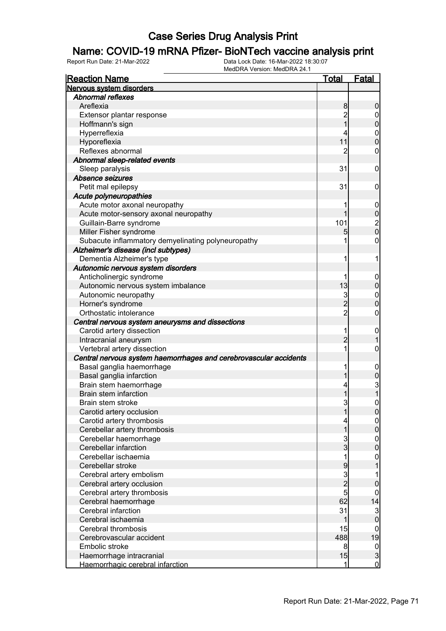#### Name: COVID-19 mRNA Pfizer- BioNTech vaccine analysis print

| <b>Reaction Name</b>                                              | <u>Total</u>   | <b>Fatal</b>     |
|-------------------------------------------------------------------|----------------|------------------|
| Nervous system disorders                                          |                |                  |
| <b>Abnormal reflexes</b>                                          |                |                  |
| Areflexia                                                         | 8              | 0                |
| Extensor plantar response                                         | 2              | 0                |
| Hoffmann's sign                                                   |                | 0                |
| Hyperreflexia                                                     |                | $\mathbf 0$      |
| Hyporeflexia                                                      | 11             | 0                |
| Reflexes abnormal                                                 | 2              | 0                |
| Abnormal sleep-related events                                     |                |                  |
| Sleep paralysis                                                   | 31             | 0                |
| Absence seizures                                                  |                |                  |
| Petit mal epilepsy                                                | 31             | 0                |
| Acute polyneuropathies                                            |                |                  |
| Acute motor axonal neuropathy                                     |                | $\mathbf 0$      |
| Acute motor-sensory axonal neuropathy                             |                | 0                |
| Guillain-Barre syndrome                                           | 101            |                  |
| Miller Fisher syndrome                                            | 5              | 2<br>0           |
| Subacute inflammatory demyelinating polyneuropathy                | 1              | 0                |
| Alzheimer's disease (incl subtypes)                               |                |                  |
| Dementia Alzheimer's type                                         | 1              | 1                |
| Autonomic nervous system disorders                                |                |                  |
| Anticholinergic syndrome                                          |                | 0                |
| Autonomic nervous system imbalance                                | 13             | 0                |
| Autonomic neuropathy                                              | 3              | $\mathbf 0$      |
| Horner's syndrome                                                 | $\overline{2}$ | 0                |
| Orthostatic intolerance                                           | $\overline{2}$ | 0                |
| Central nervous system aneurysms and dissections                  |                |                  |
| Carotid artery dissection                                         | 1              | 0                |
| Intracranial aneurysm                                             | $\overline{c}$ |                  |
| Vertebral artery dissection                                       | 1              | 0                |
| Central nervous system haemorrhages and cerebrovascular accidents |                |                  |
| Basal ganglia haemorrhage                                         |                | 0                |
| Basal ganglia infarction                                          |                | 0                |
| Brain stem haemorrhage                                            | 4              |                  |
| Brain stem infarction                                             |                | 3<br>1           |
| Brain stem stroke                                                 | 3              | 0                |
| Carotid artery occlusion                                          |                | $\Omega$         |
| Carotid artery thrombosis                                         | 4              | $\overline{0}$   |
| Cerebellar artery thrombosis                                      |                | 0                |
| Cerebellar haemorrhage                                            | 3              | 0                |
| Cerebellar infarction                                             | $\overline{3}$ | 0                |
| Cerebellar ischaemia                                              | 1              | 0                |
| Cerebellar stroke                                                 | 9              |                  |
| Cerebral artery embolism                                          | 3              |                  |
| Cerebral artery occlusion                                         | $\overline{2}$ | 0                |
| Cerebral artery thrombosis                                        | 5              | 0                |
| Cerebral haemorrhage                                              | 62             | 14               |
| Cerebral infarction                                               | 31             | 3                |
| Cerebral ischaemia                                                | 1              | $\mathbf 0$      |
| Cerebral thrombosis                                               | 15             | $\boldsymbol{0}$ |
| Cerebrovascular accident                                          | 488            | 19               |
| Embolic stroke                                                    | 8              | $\overline{0}$   |
| Haemorrhage intracranial                                          | 15             | 3                |
| Haemorrhagic cerebral infarction                                  | 1              | $\overline{0}$   |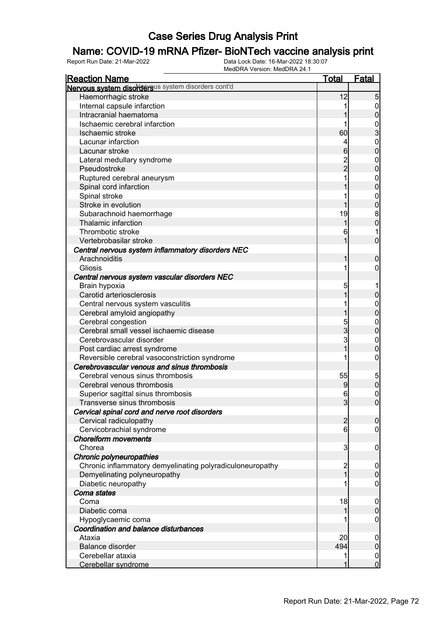### Name: COVID-19 mRNA Pfizer- BioNTech vaccine analysis print

| <b>Reaction Name</b>                                      | <u>Total</u>    | <b>Fatal</b>                          |
|-----------------------------------------------------------|-----------------|---------------------------------------|
| Nervous system disordersus system disorders cont'd        |                 |                                       |
| Haemorrhagic stroke                                       | 12              | 5                                     |
| Internal capsule infarction                               |                 | $\overline{0}$                        |
| Intracranial haematoma                                    |                 | $\mathbf 0$                           |
| Ischaemic cerebral infarction                             |                 |                                       |
| Ischaemic stroke                                          | 60              |                                       |
| Lacunar infarction                                        | 4               | 0<br>0<br>0                           |
| Lacunar stroke                                            | 6               | $\overline{0}$                        |
| Lateral medullary syndrome                                |                 | $\boldsymbol{0}$                      |
| Pseudostroke                                              | 2<br>2          | $\overline{0}$                        |
| Ruptured cerebral aneurysm                                |                 | $\boldsymbol{0}$                      |
| Spinal cord infarction                                    |                 | $\overline{0}$                        |
| Spinal stroke                                             |                 | $\mathbf{0}$                          |
| Stroke in evolution                                       | 1               | $\mathbf{0}$                          |
| Subarachnoid haemorrhage                                  | 19              |                                       |
| Thalamic infarction                                       | 1               | $\begin{matrix} 8 \\ 0 \end{matrix}$  |
| Thrombotic stroke                                         | 6               | 1                                     |
| Vertebrobasilar stroke                                    | 1               | $\mathbf 0$                           |
| Central nervous system inflammatory disorders NEC         |                 |                                       |
| Arachnoiditis                                             | 1               | $\boldsymbol{0}$                      |
| Gliosis                                                   | 1               | $\boldsymbol{0}$                      |
| Central nervous system vascular disorders NEC             |                 |                                       |
| Brain hypoxia                                             | 5               |                                       |
| Carotid arteriosclerosis                                  |                 | $\pmb{0}$                             |
| Central nervous system vasculitis                         |                 | $\mathbf{0}$                          |
| Cerebral amyloid angiopathy                               |                 | $\mathbf 0$                           |
| Cerebral congestion                                       |                 | $\mathbf{0}$                          |
| Cerebral small vessel ischaemic disease                   | 5<br>3          | $\bf{0}$                              |
| Cerebrovascular disorder                                  | 3               | $\mathbf{0}$                          |
| Post cardiac arrest syndrome                              | 1               | $\mathbf 0$                           |
| Reversible cerebral vasoconstriction syndrome             |                 | $\boldsymbol{0}$                      |
| Cerebrovascular venous and sinus thrombosis               |                 |                                       |
| Cerebral venous sinus thrombosis                          | 55              |                                       |
| Cerebral venous thrombosis                                | 9               | $\begin{array}{c} 5 \\ 0 \end{array}$ |
| Superior sagittal sinus thrombosis                        | 6               | $\mathbf{0}$                          |
| Transverse sinus thrombosis                               | 3               | $\overline{0}$                        |
| Cervical spinal cord and nerve root disorders             |                 |                                       |
| Cervical radiculopathy                                    | $\overline{a}$  | $\overline{0}$                        |
| Cervicobrachial syndrome                                  | $6 \overline{}$ | $\overline{0}$                        |
| <b>Choreiform movements</b>                               |                 |                                       |
| Chorea                                                    | 3               | $\mathbf 0$                           |
| Chronic polyneuropathies                                  |                 |                                       |
| Chronic inflammatory demyelinating polyradiculoneuropathy | $\overline{c}$  | $\mathbf 0$                           |
| Demyelinating polyneuropathy                              | $\overline{1}$  | $\pmb{0}$                             |
| Diabetic neuropathy                                       |                 | $\mathbf 0$                           |
| Coma states                                               |                 |                                       |
| Coma                                                      | 18              | $\mathbf 0$                           |
| Diabetic coma                                             | 1               | $\pmb{0}$                             |
| Hypoglycaemic coma                                        |                 | $\mathbf 0$                           |
| Coordination and balance disturbances                     |                 |                                       |
| Ataxia                                                    | 20              | $\mathbf 0$                           |
| <b>Balance disorder</b>                                   | 494             | $\pmb{0}$                             |
| Cerebellar ataxia                                         | 1               | $\overline{0}$                        |
| Cerebellar syndrome                                       | 1               | $\overline{0}$                        |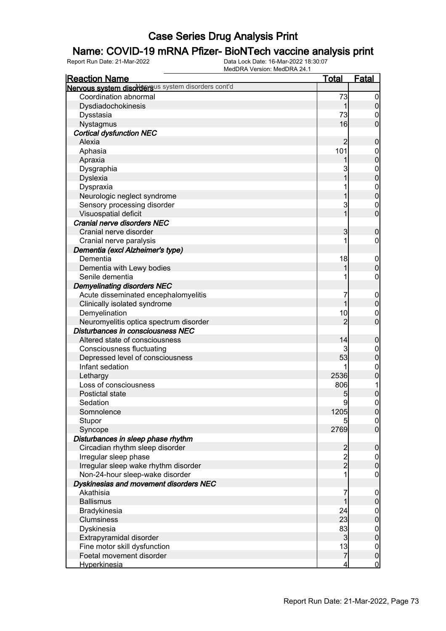### Name: COVID-19 mRNA Pfizer- BioNTech vaccine analysis print

| <b>Reaction Name</b>                               | <b>Total</b>                               | <b>Fatal</b>                         |
|----------------------------------------------------|--------------------------------------------|--------------------------------------|
| Nervous system disordersus system disorders cont'd |                                            |                                      |
| Coordination abnormal                              | 73                                         | $\boldsymbol{0}$                     |
| Dysdiadochokinesis                                 | 1                                          | $\mathbf 0$                          |
| Dysstasia                                          | 73                                         | $\mathbf 0$                          |
| Nystagmus                                          | 16                                         | $\overline{0}$                       |
| <b>Cortical dysfunction NEC</b>                    |                                            |                                      |
| Alexia                                             | 2                                          | $\mathbf 0$                          |
| Aphasia                                            | 101                                        |                                      |
| Apraxia                                            | 1                                          | $0\atop 0$                           |
| Dysgraphia                                         | 3                                          |                                      |
| <b>Dyslexia</b>                                    | 1                                          | $0\atop 0$                           |
| Dyspraxia                                          | 1                                          |                                      |
| Neurologic neglect syndrome                        | 1                                          | $\begin{matrix}0\\0\end{matrix}$     |
| Sensory processing disorder                        | 3                                          |                                      |
| Visuospatial deficit                               | $\overline{1}$                             | $\begin{matrix}0\\0\end{matrix}$     |
| Cranial nerve disorders NEC                        |                                            |                                      |
| Cranial nerve disorder                             | 3                                          | $\mathbf 0$                          |
| Cranial nerve paralysis                            | 1                                          | $\mathbf 0$                          |
| Dementia (excl Alzheimer's type)                   |                                            |                                      |
| Dementia                                           | 18                                         | $\mathbf{0}$                         |
| Dementia with Lewy bodies                          | 1                                          | $\overline{0}$                       |
| Senile dementia                                    | 1                                          | 0                                    |
| <b>Demyelinating disorders NEC</b>                 |                                            |                                      |
| Acute disseminated encephalomyelitis               | 7                                          | $\mathbf{0}$                         |
| Clinically isolated syndrome                       | 1                                          | $\overline{0}$                       |
| Demyelination                                      | 10                                         |                                      |
| Neuromyelitis optica spectrum disorder             | $\overline{2}$                             | $\begin{matrix}0\\0\end{matrix}$     |
| Disturbances in consciousness NEC                  |                                            |                                      |
| Altered state of consciousness                     | 14                                         | $\mathbf 0$                          |
| <b>Consciousness fluctuating</b>                   | 3                                          |                                      |
| Depressed level of consciousness                   | 53                                         | $0\atop 0$                           |
| Infant sedation                                    | 1                                          |                                      |
| Lethargy                                           | 2536                                       | $0\atop 0$                           |
| Loss of consciousness                              | 806                                        | 1                                    |
| Postictal state                                    | 5                                          | $\mathbf 0$                          |
| Sedation                                           | 9                                          | $\overline{0}$                       |
| Somnolence                                         | 1205                                       | 0                                    |
| Stupor                                             |                                            |                                      |
| Syncope                                            | 2769                                       | $\begin{matrix} 0 \\ 0 \end{matrix}$ |
| Disturbances in sleep phase rhythm                 |                                            |                                      |
| Circadian rhythm sleep disorder                    |                                            | $\boldsymbol{0}$                     |
| Irregular sleep phase                              | $\begin{array}{c} 2 \\ 2 \\ 2 \end{array}$ |                                      |
| Irregular sleep wake rhythm disorder               |                                            | $\begin{matrix} 0 \\ 0 \end{matrix}$ |
| Non-24-hour sleep-wake disorder                    | 1                                          | $\boldsymbol{0}$                     |
| Dyskinesias and movement disorders NEC             |                                            |                                      |
| Akathisia                                          | 7                                          | $\boldsymbol{0}$                     |
| <b>Ballismus</b>                                   | 1                                          | $\pmb{0}$                            |
| Bradykinesia                                       | 24                                         |                                      |
| Clumsiness                                         | 23                                         | $0$<br>0                             |
| Dyskinesia                                         | 83                                         |                                      |
| Extrapyramidal disorder                            | $\mathbf{3}$                               | $0\atop 0$                           |
| Fine motor skill dysfunction                       | 13                                         | $\boldsymbol{0}$                     |
| Foetal movement disorder                           | $\overline{7}$                             | $\mathbf 0$                          |
| Hyperkinesia                                       | 4                                          | $\mathbf 0$                          |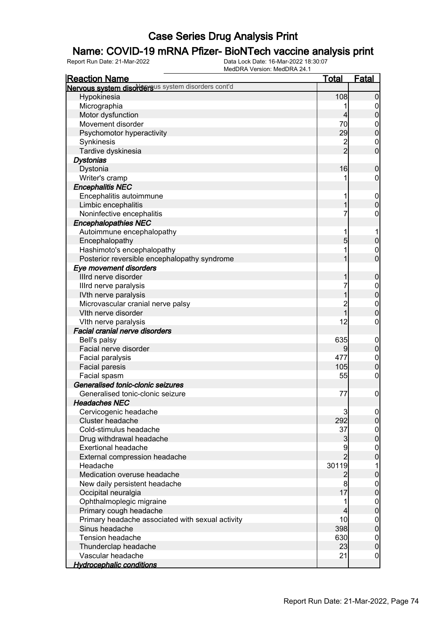### Name: COVID-19 mRNA Pfizer- BioNTech vaccine analysis print

| <b>Reaction Name</b>                               | <u>Total</u>   | <b>Fatal</b>     |
|----------------------------------------------------|----------------|------------------|
| Nervous system disordersus system disorders cont'd |                |                  |
| Hypokinesia                                        | 108            | $\mathbf 0$      |
| Micrographia                                       | 1              | $\mathbf 0$      |
| Motor dysfunction                                  | $\overline{4}$ | $\mathbf 0$      |
| Movement disorder                                  | 70             | $\boldsymbol{0}$ |
| Psychomotor hyperactivity                          | 29             | $\mathbf 0$      |
| Synkinesis                                         | $\overline{c}$ | $\mathbf 0$      |
| Tardive dyskinesia                                 | $\overline{2}$ | $\mathbf 0$      |
| <b>Dystonias</b>                                   |                |                  |
| Dystonia                                           | 16             | $\boldsymbol{0}$ |
| Writer's cramp                                     |                | $\boldsymbol{0}$ |
| <b>Encephalitis NEC</b>                            |                |                  |
| Encephalitis autoimmune                            | 1              | $\mathbf 0$      |
| Limbic encephalitis                                | 1              | $\mathbf 0$      |
| Noninfective encephalitis                          | 7              | 0                |
| <b>Encephalopathies NEC</b>                        |                |                  |
| Autoimmune encephalopathy                          | 1              | 1                |
| Encephalopathy                                     | 5              | $\mathbf 0$      |
| Hashimoto's encephalopathy                         | 1              | $\mathbf 0$      |
| Posterior reversible encephalopathy syndrome       | 1              | $\overline{0}$   |
| Eye movement disorders                             |                |                  |
| Illrd nerve disorder                               | 1              | $\boldsymbol{0}$ |
| Illrd nerve paralysis                              | 7              |                  |
| IVth nerve paralysis                               | 1              | $0\atop 0$       |
| Microvascular cranial nerve palsy                  | $\overline{c}$ | $\boldsymbol{0}$ |
| Vith nerve disorder                                | $\overline{1}$ | $\overline{0}$   |
| VIth nerve paralysis                               | 12             | $\boldsymbol{0}$ |
| <b>Facial cranial nerve disorders</b>              |                |                  |
| Bell's palsy                                       | 635            | $\mathbf 0$      |
| Facial nerve disorder                              | 9              | $\pmb{0}$        |
| Facial paralysis                                   | 477            | $\mathbf{0}$     |
| Facial paresis                                     | 105            | $\mathbf 0$      |
| Facial spasm                                       | 55             | $\boldsymbol{0}$ |
| Generalised tonic-clonic seizures                  |                |                  |
| Generalised tonic-clonic seizure                   | 77             | $\boldsymbol{0}$ |
| <b>Headaches NEC</b>                               |                |                  |
| Cervicogenic headache                              | 3              | $\Omega$         |
| Cluster headache                                   | 292            | 0                |
| Cold-stimulus headache                             | 37             | $\overline{0}$   |
| Drug withdrawal headache                           | $\mathbf{3}$   | $\boldsymbol{0}$ |
| <b>Exertional headache</b>                         | 9              | $\boldsymbol{0}$ |
| External compression headache                      | $\overline{2}$ | $\overline{0}$   |
| Headache                                           | 30119          | 1                |
| Medication overuse headache                        | $\overline{c}$ | $\bf{0}$         |
| New daily persistent headache                      | 8              | $\boldsymbol{0}$ |
| Occipital neuralgia                                | 17             | $\mathbf 0$      |
| Ophthalmoplegic migraine                           | 1              | $\boldsymbol{0}$ |
| Primary cough headache                             | 4              | $\mathbf 0$      |
| Primary headache associated with sexual activity   | 10             | $\boldsymbol{0}$ |
| Sinus headache                                     | 398            | $\mathbf 0$      |
| <b>Tension headache</b>                            | 630            | $\boldsymbol{0}$ |
| Thunderclap headache                               | 23             | $\mathbf 0$      |
| Vascular headache                                  | 21             | $\overline{0}$   |
| <b>Hydrocephalic conditions</b>                    |                |                  |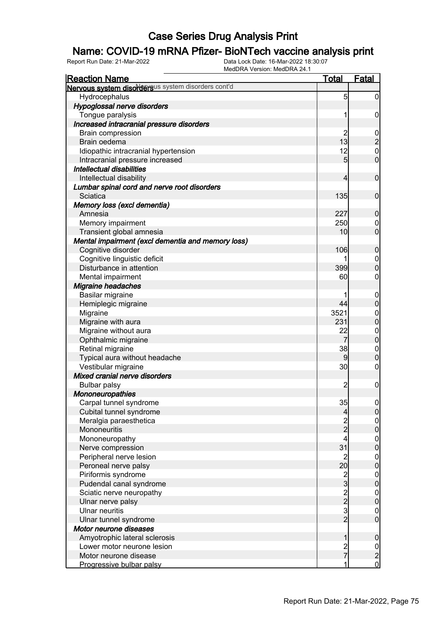### Name: COVID-19 mRNA Pfizer- BioNTech vaccine analysis print

| <b>Reaction Name</b>                               | <u>Total</u>                                   | Fatal                                     |
|----------------------------------------------------|------------------------------------------------|-------------------------------------------|
| Nervous system disordersus system disorders cont'd |                                                |                                           |
| Hydrocephalus                                      | 5                                              | $\overline{0}$                            |
| Hypoglossal nerve disorders                        |                                                |                                           |
| Tongue paralysis                                   |                                                | 0                                         |
| Increased intracranial pressure disorders          |                                                |                                           |
| <b>Brain compression</b>                           | $\overline{c}$                                 |                                           |
| Brain oedema                                       | 13                                             | $\frac{0}{2}$                             |
| Idiopathic intracranial hypertension               | 12                                             | $\mathbf 0$                               |
| Intracranial pressure increased                    | 5                                              | $\overline{0}$                            |
| Intellectual disabilities                          |                                                |                                           |
| Intellectual disability                            | 4                                              | $\overline{0}$                            |
| Lumbar spinal cord and nerve root disorders        |                                                |                                           |
| Sciatica                                           | 135                                            | $\overline{0}$                            |
| Memory loss (excl dementia)                        |                                                |                                           |
| Amnesia                                            | 227                                            | $\mathbf 0$                               |
| Memory impairment                                  | 250                                            | $\mathbf 0$                               |
| Transient global amnesia                           | 10                                             | $\overline{0}$                            |
| Mental impairment (excl dementia and memory loss)  |                                                |                                           |
| Cognitive disorder                                 | 106                                            | $\mathbf 0$                               |
| Cognitive linguistic deficit                       |                                                | $\mathbf 0$                               |
| Disturbance in attention                           | 399                                            | $\overline{0}$                            |
| Mental impairment                                  | 60                                             | 0                                         |
| <b>Migraine headaches</b>                          |                                                |                                           |
| Basilar migraine                                   |                                                | $\mathbf 0$                               |
| Hemiplegic migraine                                | 44                                             | $\overline{0}$                            |
| Migraine                                           | 3521                                           | $\mathbf 0$                               |
| Migraine with aura                                 | 231                                            | $\overline{0}$                            |
| Migraine without aura                              | 22                                             | $\mathbf{0}$                              |
| Ophthalmic migraine                                | $\overline{7}$                                 | $\overline{0}$                            |
| Retinal migraine                                   | 38                                             | $\mathbf 0$                               |
| Typical aura without headache                      | 9                                              | $\overline{0}$                            |
| Vestibular migraine                                | 30                                             | $\mathbf 0$                               |
| Mixed cranial nerve disorders                      |                                                |                                           |
| <b>Bulbar palsy</b>                                | $\overline{c}$                                 | $\boldsymbol{0}$                          |
| <b>Mononeuropathies</b>                            |                                                |                                           |
| Carpal tunnel syndrome                             | 35                                             | $\overline{0}$                            |
| Cubital tunnel syndrome                            | 4                                              | 0                                         |
| Meralgia paraesthetica                             |                                                |                                           |
| Mononeuritis                                       | $\frac{2}{2}$                                  | $\overline{0}$                            |
| Mononeuropathy                                     | 4                                              |                                           |
| Nerve compression                                  | 31                                             | $\begin{matrix} 0 \\ 0 \end{matrix}$      |
| Peripheral nerve lesion                            | $\overline{\mathbf{c}}$                        |                                           |
| Peroneal nerve palsy                               | 20                                             | $\begin{matrix} 0 \\ 0 \end{matrix}$      |
| Piriformis syndrome                                |                                                |                                           |
| Pudendal canal syndrome                            | $\frac{2}{3}$                                  | $0\atop 0$                                |
| Sciatic nerve neuropathy                           |                                                |                                           |
| Ulnar nerve palsy                                  |                                                | $\begin{matrix} 0 \\ 0 \end{matrix}$      |
| <b>Ulnar neuritis</b>                              |                                                | $\mathbf 0$                               |
| Ulnar tunnel syndrome                              | $\begin{array}{c}\n 2 \\ 2 \\ 3\n \end{array}$ | $\overline{0}$                            |
| Motor neurone diseases                             |                                                |                                           |
| Amyotrophic lateral sclerosis                      | 1                                              | $\mathbf 0$                               |
| Lower motor neurone lesion                         |                                                |                                           |
| Motor neurone disease                              | 2<br>7                                         | $\begin{matrix} 0 \\ 2 \\ 0 \end{matrix}$ |
| Progressive bulbar palsy                           | 1                                              |                                           |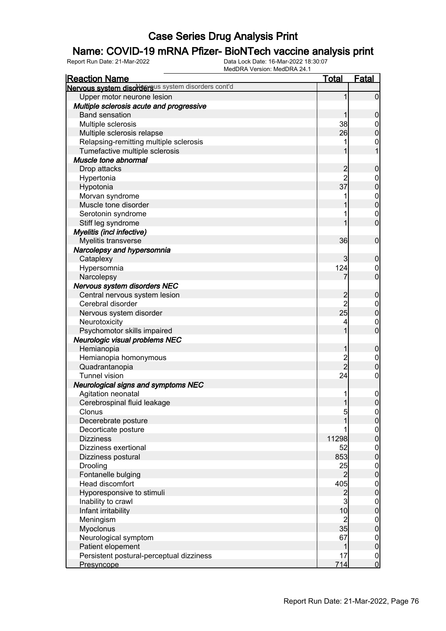### Name: COVID-19 mRNA Pfizer- BioNTech vaccine analysis print

| <b>Reaction Name</b>                               | <u>Total</u>   | <b>Fatal</b>                         |
|----------------------------------------------------|----------------|--------------------------------------|
| Nervous system disordersus system disorders cont'd |                |                                      |
| Upper motor neurone lesion                         | 1              | $\mathbf 0$                          |
| Multiple sclerosis acute and progressive           |                |                                      |
| <b>Band sensation</b>                              |                | $\mathbf 0$                          |
| Multiple sclerosis                                 | 38             | $\mathbf 0$                          |
| Multiple sclerosis relapse                         | 26             | $\mathbf 0$                          |
| Relapsing-remitting multiple sclerosis             |                | 0                                    |
| Tumefactive multiple sclerosis                     |                | $\overline{1}$                       |
| Muscle tone abnormal                               |                |                                      |
| Drop attacks                                       | $\overline{c}$ | $\boldsymbol{0}$                     |
| Hypertonia                                         | $\overline{2}$ | $\boldsymbol{0}$                     |
| Hypotonia                                          | 37             | $\overline{0}$                       |
| Morvan syndrome                                    |                |                                      |
| Muscle tone disorder                               |                | $0\atop 0$                           |
| Serotonin syndrome                                 |                | $\mathbf 0$                          |
| Stiff leg syndrome                                 |                | $\overline{0}$                       |
| Myelitis (incl infective)                          |                |                                      |
| Myelitis transverse                                | 36             | $\mathbf 0$                          |
| Narcolepsy and hypersomnia                         |                |                                      |
| Cataplexy                                          | 3              | $\mathbf 0$                          |
| Hypersomnia                                        | 124            | 0                                    |
| Narcolepsy                                         | 7              | $\overline{0}$                       |
| Nervous system disorders NEC                       |                |                                      |
| Central nervous system lesion                      | $\overline{c}$ | $\boldsymbol{0}$                     |
| Cerebral disorder                                  | $\overline{2}$ | $\mathbf{0}$                         |
| Nervous system disorder                            | 25             | $\overline{0}$                       |
| Neurotoxicity                                      | 4              | $\mathbf 0$                          |
| Psychomotor skills impaired                        |                | $\overline{0}$                       |
| Neurologic visual problems NEC                     |                |                                      |
| Hemianopia                                         | 1              | $\boldsymbol{0}$                     |
| Hemianopia homonymous                              |                | $\boldsymbol{0}$                     |
| Quadrantanopia                                     | 2<br>2         | $\mathbf 0$                          |
| <b>Tunnel vision</b>                               | 24             | $\boldsymbol{0}$                     |
| Neurological signs and symptoms NEC                |                |                                      |
| Agitation neonatal                                 |                | $\mathbf{0}$                         |
| Cerebrospinal fluid leakage                        | $\mathbf{1}$   | $\mathbf 0$                          |
| Clonus                                             | $\overline{5}$ |                                      |
| Decerebrate posture                                |                | $\frac{0}{0}$                        |
| Decorticate posture                                |                |                                      |
| <b>Dizziness</b>                                   | 11298          | $0\atop 0$                           |
| Dizziness exertional                               | 52             |                                      |
| Dizziness postural                                 | 853            | $0\atop 0$                           |
| Drooling                                           | 25             |                                      |
| Fontanelle bulging                                 | $\overline{2}$ | $0\atop 0$                           |
| <b>Head discomfort</b>                             | 405            |                                      |
| Hyporesponsive to stimuli                          | $\overline{c}$ | $\begin{matrix} 0 \\ 0 \end{matrix}$ |
| Inability to crawl                                 | $\mathbf{3}$   |                                      |
| Infant irritability                                | 10             | $\begin{matrix} 0 \\ 0 \end{matrix}$ |
| Meningism                                          | $\overline{c}$ |                                      |
| Myoclonus                                          | 35             | $0\atop 0$                           |
| Neurological symptom                               | 67             |                                      |
| Patient elopement                                  | $\mathbf{1}$   | $0\atop 0$                           |
| Persistent postural-perceptual dizziness           | 17             | $\overline{0}$                       |
| Presyncope                                         | 714            | $\mathbf 0$                          |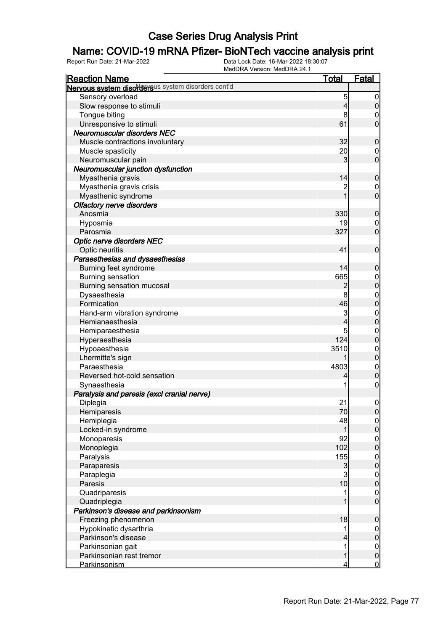### Name: COVID-19 mRNA Pfizer- BioNTech vaccine analysis print

| <b>Reaction Name</b>                               | <u>Total</u>                     | <u>Fatal</u>                  |
|----------------------------------------------------|----------------------------------|-------------------------------|
| Nervous system disordersus system disorders cont'd |                                  |                               |
| Sensory overload                                   | 5                                | $\boldsymbol{0}$              |
| Slow response to stimuli                           | 4                                | $\overline{0}$                |
| Tongue biting                                      | 8                                | $\boldsymbol{0}$              |
| Unresponsive to stimuli                            | 61                               | $\overline{0}$                |
| <b>Neuromuscular disorders NEC</b>                 |                                  |                               |
| Muscle contractions involuntary                    | 32                               | $\boldsymbol{0}$              |
| Muscle spasticity                                  | 20                               | $\mathbf 0$                   |
| Neuromuscular pain                                 | 3                                | $\mathbf 0$                   |
| Neuromuscular junction dysfunction                 |                                  |                               |
| Myasthenia gravis                                  | 14                               | $\boldsymbol{0}$              |
|                                                    |                                  |                               |
| Myasthenia gravis crisis                           | $\overline{c}$<br>$\overline{1}$ | $\mathbf 0$<br>$\overline{0}$ |
| Myasthenic syndrome                                |                                  |                               |
| <b>Olfactory nerve disorders</b>                   |                                  |                               |
| Anosmia                                            | 330                              | $\boldsymbol{0}$              |
| Hyposmia                                           | 19                               | $\mathbf 0$                   |
| Parosmia                                           | 327                              | $\mathbf 0$                   |
| <b>Optic nerve disorders NEC</b>                   |                                  |                               |
| Optic neuritis                                     | 41                               | $\boldsymbol{0}$              |
| Paraesthesias and dysaesthesias                    |                                  |                               |
| Burning feet syndrome                              | 14                               | $\boldsymbol{0}$              |
| Burning sensation                                  | 665                              | $\boldsymbol{0}$              |
| Burning sensation mucosal                          | 2                                | $\mathbf 0$                   |
| Dysaesthesia                                       | 8                                | $\boldsymbol{0}$              |
| Formication                                        | 46                               | $\overline{0}$                |
| Hand-arm vibration syndrome                        | 3                                | $\mathbf{0}$                  |
| Hemianaesthesia                                    | 4                                | $\overline{0}$                |
| Hemiparaesthesia                                   | 5                                | $\mathbf{0}$                  |
| Hyperaesthesia                                     | 124                              | $\overline{0}$                |
| Hypoaesthesia                                      | 3510                             | $\mathbf{0}$                  |
| Lhermitte's sign                                   |                                  | $\overline{0}$                |
| Paraesthesia                                       | 4803                             |                               |
| Reversed hot-cold sensation                        | 4                                | $0$<br>0                      |
| Synaesthesia                                       | 1                                | $\boldsymbol{0}$              |
| Paralysis and paresis (excl cranial nerve)         |                                  |                               |
| Diplegia                                           | 21                               | $\boldsymbol{0}$              |
| Hemiparesis                                        | 70                               | 0                             |
| Hemiplegia                                         | 48                               | $\overline{0}$                |
| Locked-in syndrome                                 | 1                                | $\mathbf 0$                   |
| Monoparesis                                        | 92                               | $\boldsymbol{0}$              |
| Monoplegia                                         | 102                              | $\mathbf 0$                   |
| Paralysis                                          | 155                              | $\boldsymbol{0}$              |
| Paraparesis                                        | $\mathbf{3}$                     | $\mathbf 0$                   |
| Paraplegia                                         | $\mathbf{3}$                     | $\boldsymbol{0}$              |
| Paresis                                            | 10                               | $\mathbf 0$                   |
| Quadriparesis                                      | 1                                | $\boldsymbol{0}$              |
| Quadriplegia                                       | 1                                | $\overline{0}$                |
| Parkinson's disease and parkinsonism               |                                  |                               |
|                                                    |                                  |                               |
| Freezing phenomenon                                | 18                               | $\pmb{0}$                     |
| Hypokinetic dysarthria                             | 1                                | $\boldsymbol{0}$              |
| Parkinson's disease                                | 4                                | $\mathbf 0$                   |
| Parkinsonian gait                                  | 1                                | $\boldsymbol{0}$              |
| Parkinsonian rest tremor                           | 1                                | $\mathbf{0}$                  |
| Parkinsonism                                       | 4                                | <u>0</u>                      |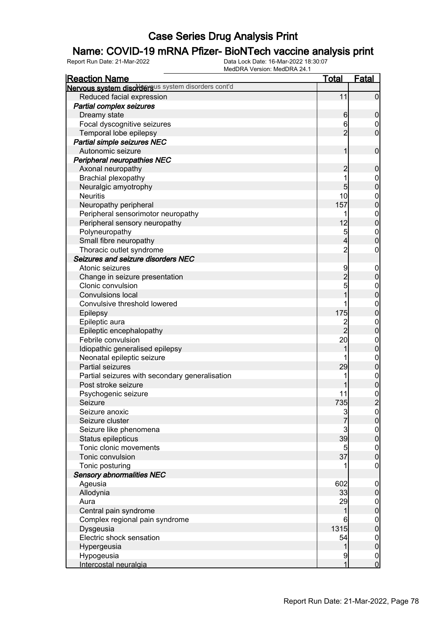### Name: COVID-19 mRNA Pfizer- BioNTech vaccine analysis print

| <b>Reaction Name</b>                               | <b>Total</b>   | <b>Fatal</b>                         |
|----------------------------------------------------|----------------|--------------------------------------|
| Nervous system disordersus system disorders cont'd |                |                                      |
| Reduced facial expression                          | 11             | $\overline{0}$                       |
| <b>Partial complex seizures</b>                    |                |                                      |
| Dreamy state                                       | $6 \,$         | $\mathbf 0$                          |
| Focal dyscognitive seizures                        | 6              | $\mathbf 0$                          |
| Temporal lobe epilepsy                             | $\overline{2}$ | $\mathbf 0$                          |
| <b>Partial simple seizures NEC</b>                 |                |                                      |
| Autonomic seizure                                  | 1              | $\mathbf 0$                          |
| <b>Peripheral neuropathies NEC</b>                 |                |                                      |
| Axonal neuropathy                                  | $\overline{c}$ | $\mathbf 0$                          |
| Brachial plexopathy                                | 1              | $\boldsymbol{0}$                     |
| Neuralgic amyotrophy                               | $\overline{5}$ | $\overline{0}$                       |
| <b>Neuritis</b>                                    | 10             | $\boldsymbol{0}$                     |
| Neuropathy peripheral                              | 157            | $\overline{0}$                       |
| Peripheral sensorimotor neuropathy                 | 1              |                                      |
| Peripheral sensory neuropathy                      | 12             | $0\atop 0$                           |
| Polyneuropathy                                     | $\overline{5}$ |                                      |
| Small fibre neuropathy                             | $\overline{4}$ | $0\atop 0$                           |
| Thoracic outlet syndrome                           | $\overline{c}$ | $\boldsymbol{0}$                     |
| Seizures and seizure disorders NEC                 |                |                                      |
| Atonic seizures                                    | 9              | $\mathbf 0$                          |
| Change in seizure presentation                     |                | $\pmb{0}$                            |
| Clonic convulsion                                  | $\frac{2}{5}$  |                                      |
| <b>Convulsions local</b>                           | 1              | $0\atop 0$                           |
| Convulsive threshold lowered                       |                | $\boldsymbol{0}$                     |
| Epilepsy                                           | 175            | $\overline{0}$                       |
| Epileptic aura                                     |                | $\boldsymbol{0}$                     |
| Epileptic encephalopathy                           | $\frac{2}{2}$  | $\mathbf 0$                          |
| Febrile convulsion                                 | 20             | $\boldsymbol{0}$                     |
| Idiopathic generalised epilepsy                    | 1              | $\overline{0}$                       |
| Neonatal epileptic seizure                         |                |                                      |
| <b>Partial seizures</b>                            | 29             | 0                                    |
| Partial seizures with secondary generalisation     |                |                                      |
| Post stroke seizure                                |                | $0$<br>0                             |
| Psychogenic seizure                                | 11             |                                      |
| Seizure                                            | 735            | $\frac{0}{2}$                        |
| Seizure anoxic                                     |                | 0                                    |
| Seizure cluster                                    | $\frac{3}{7}$  | 0                                    |
| Seizure like phenomena                             |                |                                      |
| Status epilepticus                                 | $\frac{3}{39}$ | $\begin{matrix} 0 \\ 0 \end{matrix}$ |
| Tonic clonic movements                             | $\overline{5}$ | $\boldsymbol{0}$                     |
| Tonic convulsion                                   | 37             | $\overline{0}$                       |
| Tonic posturing                                    |                | $\mathbf 0$                          |
| <b>Sensory abnormalities NEC</b>                   |                |                                      |
| Ageusia                                            | 602            | $\mathbf 0$                          |
| Allodynia                                          | 33             | $\pmb{0}$                            |
| Aura                                               | 29             | $\boldsymbol{0}$                     |
| Central pain syndrome                              | 1              | $\mathbf 0$                          |
| Complex regional pain syndrome                     | 6              | $\overline{0}$                       |
| Dysgeusia                                          | 1315           | $\mathbf 0$                          |
| Electric shock sensation                           | 54             | $\boldsymbol{0}$                     |
| Hypergeusia                                        | 1              | $\mathbf 0$                          |
| Hypogeusia                                         | 9              | $\overline{0}$                       |
| Intercostal neuralgia                              | 1              | $\mathbf 0$                          |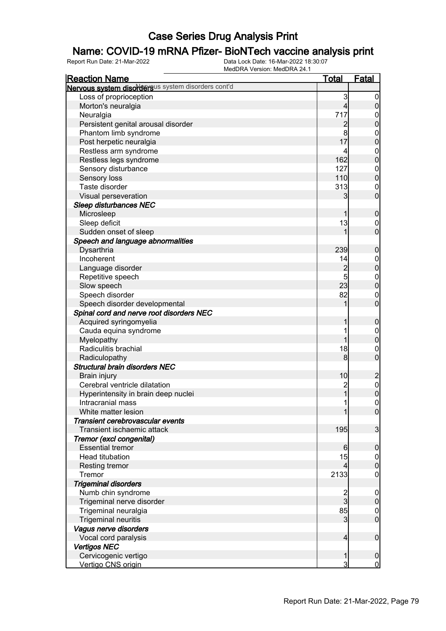### Name: COVID-19 mRNA Pfizer- BioNTech vaccine analysis print

| <b>Reaction Name</b>                               | <b>Total</b>   | <b>Fatal</b>                     |
|----------------------------------------------------|----------------|----------------------------------|
| Nervous system disordersus system disorders cont'd |                |                                  |
| Loss of proprioception                             | 3              | $\overline{0}$                   |
| Morton's neuralgia                                 | $\overline{4}$ | $\boldsymbol{0}$                 |
| Neuralgia                                          | 717            | 0                                |
| Persistent genital arousal disorder                | $\overline{c}$ | $\mathbf 0$                      |
| Phantom limb syndrome                              | 8              | $\boldsymbol{0}$                 |
| Post herpetic neuralgia                            | 17             | $\mathbf 0$                      |
| Restless arm syndrome                              | 4              | $\boldsymbol{0}$                 |
| Restless legs syndrome                             | 162            | $\mathbf 0$                      |
| Sensory disturbance                                | 127            | $\boldsymbol{0}$                 |
| Sensory loss                                       | 110            | $\overline{0}$                   |
| Taste disorder                                     | 313            | $\mathbf 0$                      |
| Visual perseveration                               | 3              | $\mathbf 0$                      |
| <b>Sleep disturbances NEC</b>                      |                |                                  |
| Microsleep                                         |                | $\mathbf 0$                      |
| Sleep deficit                                      | 13             | $\mathbf 0$                      |
| Sudden onset of sleep                              |                | $\mathbf 0$                      |
|                                                    |                |                                  |
| Speech and language abnormalities                  |                |                                  |
| Dysarthria<br>Incoherent                           | 239            | $\mathbf 0$                      |
|                                                    | 14             | $\boldsymbol{0}$                 |
| Language disorder                                  | $\overline{c}$ | $\mathbf 0$                      |
| Repetitive speech                                  | 5              | $\boldsymbol{0}$                 |
| Slow speech                                        | 23             | $\overline{0}$                   |
| Speech disorder                                    | 82             | $\mathbf 0$                      |
| Speech disorder developmental                      |                | $\mathbf 0$                      |
| Spinal cord and nerve root disorders NEC           |                |                                  |
| Acquired syringomyelia                             | 1              | $\mathbf 0$                      |
| Cauda equina syndrome                              |                | $\boldsymbol{0}$                 |
| Myelopathy                                         | 1              | $\boldsymbol{0}$                 |
| Radiculitis brachial                               | 18             | $\mathbf 0$                      |
| Radiculopathy                                      | 8              | $\mathbf 0$                      |
| <b>Structural brain disorders NEC</b>              |                |                                  |
| <b>Brain injury</b>                                | 10             | $\overline{c}$                   |
| Cerebral ventricle dilatation                      | 2<br>1         | $\begin{matrix}0\\0\end{matrix}$ |
| Hyperintensity in brain deep nuclei                |                |                                  |
| Intracranial mass                                  | 1              | $\pmb{0}$                        |
| White matter lesion                                | $\mathbf{1}$   | $\overline{0}$                   |
| Transient cerebrovascular events                   |                |                                  |
| Transient ischaemic attack                         | 195            | 3                                |
| Tremor (excl congenital)                           |                |                                  |
| <b>Essential tremor</b>                            | 6              | $\mathbf 0$                      |
| Head titubation                                    | 15             | $\overline{0}$                   |
| <b>Resting tremor</b>                              | 4              | $\mathbf 0$                      |
| Tremor                                             | 2133           | $\mathbf 0$                      |
| <b>Trigeminal disorders</b>                        |                |                                  |
| Numb chin syndrome                                 |                | $\mathbf 0$                      |
| Trigeminal nerve disorder                          | $\frac{2}{3}$  | $\pmb{0}$                        |
| Trigeminal neuralgia                               | 85             | $\overline{0}$                   |
| <b>Trigeminal neuritis</b>                         | 3              | $\mathbf 0$                      |
| Vagus nerve disorders                              |                |                                  |
| Vocal cord paralysis                               | $\overline{4}$ | $\boldsymbol{0}$                 |
| <b>Vertigos NEC</b>                                |                |                                  |
| Cervicogenic vertigo                               | 1              | $\mathbf 0$                      |
| Vertigo CNS origin                                 | 3              | $\overline{0}$                   |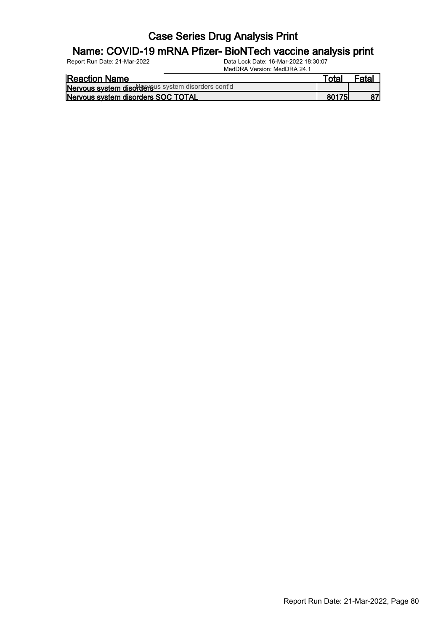#### Name: COVID-19 mRNA Pfizer- BioNTech vaccine analysis print

Report Run Date: 21-Mar-2022 Data Lock Date: 16-Mar-2022 18:30:07

MedDRA Version: MedDRA 24.1

| <b>Reaction Name</b>                               | Total |    |
|----------------------------------------------------|-------|----|
| Nervous system disordersus system disorders cont'd |       |    |
| Nervous system disorders SOC TOTAL                 | 80175 | 87 |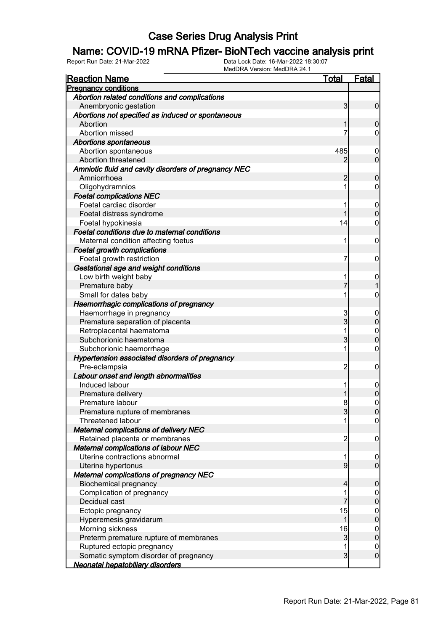### Name: COVID-19 mRNA Pfizer- BioNTech vaccine analysis print

| <b>Reaction Name</b>                                 | <u>Total</u>   | <b>Fatal</b>     |
|------------------------------------------------------|----------------|------------------|
| <b>Pregnancy conditions</b>                          |                |                  |
| Abortion related conditions and complications        |                |                  |
| Anembryonic gestation                                | 3              | $\overline{0}$   |
| Abortions not specified as induced or spontaneous    |                |                  |
| Abortion                                             | 1              | $\mathbf 0$      |
| Abortion missed                                      | 7              | $\mathbf 0$      |
| <b>Abortions spontaneous</b>                         |                |                  |
| Abortion spontaneous                                 | 485            | $\mathbf 0$      |
| Abortion threatened                                  | 2              | $\mathbf 0$      |
| Amniotic fluid and cavity disorders of pregnancy NEC |                |                  |
| Amniorrhoea                                          | 2              | $\mathbf 0$      |
| Oligohydramnios                                      | 1              | $\mathbf 0$      |
| <b>Foetal complications NEC</b>                      |                |                  |
| Foetal cardiac disorder                              | 1              | $\boldsymbol{0}$ |
| Foetal distress syndrome                             | 1              | $\overline{0}$   |
| Foetal hypokinesia                                   | 14             | 0                |
| Foetal conditions due to maternal conditions         |                |                  |
| Maternal condition affecting foetus                  | 1              | 0                |
| <b>Foetal growth complications</b>                   |                |                  |
| Foetal growth restriction                            | 7              | 0                |
| Gestational age and weight conditions                |                |                  |
| Low birth weight baby                                | 1              | $\mathbf{0}$     |
| Premature baby                                       |                |                  |
| Small for dates baby                                 | 1              | 0                |
|                                                      |                |                  |
| Haemorrhagic complications of pregnancy              |                |                  |
| Haemorrhage in pregnancy                             | 3<br>3         | $\mathbf 0$      |
| Premature separation of placenta                     |                | $\mathbf 0$      |
| Retroplacental haematoma                             | 1              | $\mathbf{0}$     |
| Subchorionic haematoma                               | 3              | $\overline{0}$   |
| Subchorionic haemorrhage                             | 1              | $\mathbf 0$      |
| Hypertension associated disorders of pregnancy       |                |                  |
| Pre-eclampsia                                        | $\overline{2}$ | 0                |
| Labour onset and length abnormalities                |                |                  |
| Induced labour                                       | 1              | $\mathbf 0$      |
| Premature delivery                                   | 1              | $\boldsymbol{0}$ |
| Premature labour                                     | 8              | $\mathbf 0$      |
| Premature rupture of membranes                       | 3              | 0                |
| <b>Threatened labour</b>                             | 1              | $\overline{0}$   |
| <b>Maternal complications of delivery NEC</b>        |                |                  |
| Retained placenta or membranes                       | $\overline{2}$ | $\mathbf 0$      |
| Maternal complications of labour NEC                 |                |                  |
| Uterine contractions abnormal                        | 1              | $\boldsymbol{0}$ |
| Uterine hypertonus                                   | 9              | $\overline{0}$   |
| <b>Maternal complications of pregnancy NEC</b>       |                |                  |
| <b>Biochemical pregnancy</b>                         | 4              | $\mathbf 0$      |
| Complication of pregnancy                            | 1              | $\boldsymbol{0}$ |
| Decidual cast                                        |                | $\mathbf 0$      |
| Ectopic pregnancy                                    | 15             |                  |
| Hyperemesis gravidarum                               | 1              | $0\atop 0$       |
| Morning sickness                                     | 16             |                  |
| Preterm premature rupture of membranes               | $\mathbf{3}$   | $0\atop 0$       |
| Ruptured ectopic pregnancy                           | 1              | $\boldsymbol{0}$ |
| Somatic symptom disorder of pregnancy                | $\overline{3}$ | $\mathbf 0$      |
| Neonatal hepatobiliary disorders                     |                |                  |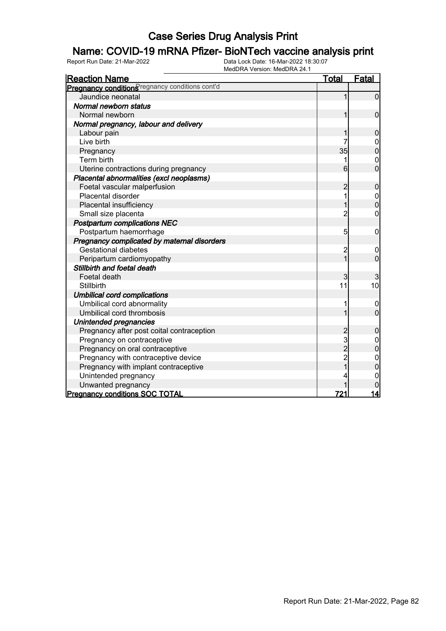### Name: COVID-19 mRNA Pfizer- BioNTech vaccine analysis print

| <b>Reaction Name</b>                           | <u>Total</u>   | Fatal                            |
|------------------------------------------------|----------------|----------------------------------|
| Pregnancy conditionSregnancy conditions cont'd |                |                                  |
| Jaundice neonatal                              |                | $\overline{0}$                   |
| Normal newborn status                          |                |                                  |
| Normal newborn                                 | 1              | $\mathbf 0$                      |
| Normal pregnancy, labour and delivery          |                |                                  |
| Labour pain                                    |                | $\mathbf 0$                      |
| Live birth                                     |                | 0                                |
| Pregnancy                                      | 35             | $\overline{0}$                   |
| Term birth                                     | 1              | $\mathbf 0$                      |
| Uterine contractions during pregnancy          | 6              | $\overline{0}$                   |
| Placental abnormalities (excl neoplasms)       |                |                                  |
| Foetal vascular malperfusion                   | 2              | $\mathbf 0$                      |
| Placental disorder                             | 1              | $\mathbf 0$                      |
| Placental insufficiency                        |                | $\overline{0}$                   |
| Small size placenta                            | $\overline{c}$ | 0                                |
| <b>Postpartum complications NEC</b>            |                |                                  |
| Postpartum haemorrhage                         | 5              | $\mathbf 0$                      |
| Pregnancy complicated by maternal disorders    |                |                                  |
| <b>Gestational diabetes</b>                    | $\overline{c}$ | $\mathbf 0$                      |
| Peripartum cardiomyopathy                      | $\overline{1}$ | $\overline{0}$                   |
| Stillbirth and foetal death                    |                |                                  |
| Foetal death                                   | 3              | 3                                |
| <b>Stillbirth</b>                              | 11             | 10                               |
| <b>Umbilical cord complications</b>            |                |                                  |
| Umbilical cord abnormality                     |                | 0                                |
| Umbilical cord thrombosis                      |                | $\overline{0}$                   |
| Unintended pregnancies                         |                |                                  |
| Pregnancy after post coital contraception      | $\overline{c}$ | $\mathbf 0$                      |
| Pregnancy on contraceptive                     | 3<br>2         | $\begin{matrix}0\\0\end{matrix}$ |
| Pregnancy on oral contraceptive                |                |                                  |
| Pregnancy with contraceptive device            | $\overline{c}$ | $\mathbf{0}$                     |
| Pregnancy with implant contraceptive           |                | 0                                |
| Unintended pregnancy                           |                | 0                                |
| Unwanted pregnancy                             |                |                                  |
| <b>Pregnancy conditions SOC TOTAL</b>          | 721            | 14                               |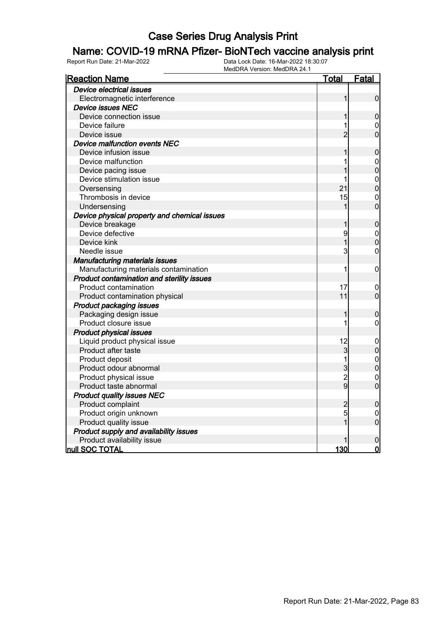### Name: COVID-19 mRNA Pfizer- BioNTech vaccine analysis print

| <b>Reaction Name</b>                         | <u>Total</u>   | <u>Fatal</u>                     |
|----------------------------------------------|----------------|----------------------------------|
| Device electrical issues                     |                |                                  |
| Electromagnetic interference                 | 1              | 0                                |
| <b>Device issues NEC</b>                     |                |                                  |
| Device connection issue                      | 1              | $\boldsymbol{0}$                 |
| Device failure                               | 1              | $\boldsymbol{0}$                 |
| Device issue                                 | $\overline{2}$ | $\overline{0}$                   |
| Device malfunction events NEC                |                |                                  |
| Device infusion issue                        | 1              | $\pmb{0}$                        |
| Device malfunction                           | 1              |                                  |
| Device pacing issue                          |                | $\begin{matrix}0\\0\end{matrix}$ |
| Device stimulation issue                     | 1              |                                  |
| Oversensing                                  | 21             | $0\atop 0$                       |
| Thrombosis in device                         | 15             | $\overline{0}$                   |
| Undersensing                                 | 1              | $\overline{0}$                   |
| Device physical property and chemical issues |                |                                  |
| Device breakage                              | 1              | $\boldsymbol{0}$                 |
| Device defective                             | 9              | $\mathbf 0$                      |
| Device kink                                  | 1              | $\overline{0}$                   |
| Needle issue                                 | 3              | $\overline{0}$                   |
| <b>Manufacturing materials issues</b>        |                |                                  |
| Manufacturing materials contamination        | 1              | $\mathbf 0$                      |
| Product contamination and sterility issues   |                |                                  |
| Product contamination                        | 17             | 0                                |
| Product contamination physical               | 11             | $\overline{0}$                   |
| <b>Product packaging issues</b>              |                |                                  |
| Packaging design issue                       | 1              | 0                                |
| Product closure issue                        | 1              | 0                                |
| <b>Product physical issues</b>               |                |                                  |
| Liquid product physical issue                | 12             | $\mathbf{0}$                     |
| Product after taste                          | 3              | $\mathbf 0$                      |
| Product deposit                              | $\mathbf{1}$   | $\begin{matrix}0\\0\end{matrix}$ |
| Product odour abnormal                       | $\overline{3}$ |                                  |
| Product physical issue                       | $\overline{c}$ | $\mathbf 0$                      |
| Product taste abnormal                       | $\overline{9}$ | $\overline{0}$                   |
| <b>Product quality issues NEC</b>            |                |                                  |
| Product complaint                            | $\overline{c}$ | $\pmb{0}$                        |
| Product origin unknown                       | 5              | 0                                |
| Product quality issue                        | $\overline{1}$ | $\overline{0}$                   |
| Product supply and availability issues       |                |                                  |
| Product availability issue                   |                | $\pmb{0}$                        |
| <b>null SOC TOTAL</b>                        | 130            | $\mathbf 0$                      |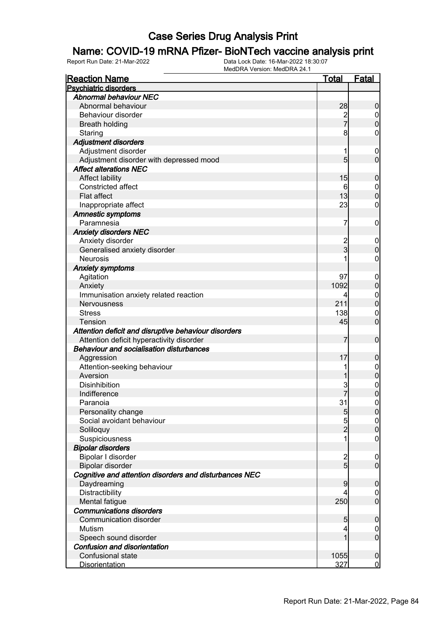### Name: COVID-19 mRNA Pfizer- BioNTech vaccine analysis print

| <b>Reaction Name</b>                                   | <u>Total</u>                     | <b>Fatal</b>                |
|--------------------------------------------------------|----------------------------------|-----------------------------|
| <b>Psychiatric disorders</b>                           |                                  |                             |
| <b>Abnormal behaviour NEC</b>                          |                                  |                             |
| Abnormal behaviour                                     | 28                               | $\boldsymbol{0}$            |
| Behaviour disorder                                     | $\overline{\mathbf{c}}$          | $\overline{0}$              |
| <b>Breath holding</b>                                  | $\overline{7}$                   | $\mathbf 0$                 |
| Staring                                                | 8                                | $\mathbf 0$                 |
| <b>Adjustment disorders</b>                            |                                  |                             |
| Adjustment disorder                                    | 1                                | $\mathbf 0$                 |
| Adjustment disorder with depressed mood                | 5                                | $\mathbf 0$                 |
| <b>Affect alterations NEC</b>                          |                                  |                             |
| <b>Affect lability</b>                                 | 15                               | $\boldsymbol{0}$            |
| Constricted affect                                     | 6                                | $\overline{0}$              |
| <b>Flat affect</b>                                     | 13                               | $\mathbf 0$                 |
| Inappropriate affect                                   | 23                               | $\mathbf 0$                 |
| <b>Amnestic symptoms</b>                               |                                  |                             |
| Paramnesia                                             | 7                                | $\mathbf 0$                 |
| <b>Anxiety disorders NEC</b>                           |                                  |                             |
| Anxiety disorder                                       | $\overline{c}$                   | $\mathbf 0$                 |
| Generalised anxiety disorder                           | $\overline{3}$                   | $\mathbf 0$                 |
| <b>Neurosis</b>                                        |                                  | $\mathbf 0$                 |
| <b>Anxiety symptoms</b>                                |                                  |                             |
| Agitation                                              | 97                               | $\mathbf 0$                 |
| Anxiety                                                | 1092                             | $\pmb{0}$                   |
| Immunisation anxiety related reaction                  | 4                                | $\boldsymbol{0}$            |
| <b>Nervousness</b>                                     | 211                              | $\mathbf 0$                 |
| <b>Stress</b>                                          | 138                              | $\mathbf 0$                 |
| <b>Tension</b>                                         | 45                               | $\mathbf 0$                 |
| Attention deficit and disruptive behaviour disorders   |                                  |                             |
| Attention deficit hyperactivity disorder               | 7                                | $\boldsymbol{0}$            |
| <b>Behaviour and socialisation disturbances</b>        |                                  |                             |
| Aggression                                             | 17                               |                             |
| Attention-seeking behaviour                            |                                  | $\boldsymbol{0}$            |
| Aversion                                               |                                  | $\mathbf 0$<br>$\mathbf{0}$ |
| <b>Disinhibition</b>                                   |                                  |                             |
| Indifference                                           | 3                                | $0\atop 0$                  |
|                                                        | 31                               | $\mathbf 0$                 |
| Paranoia                                               |                                  |                             |
| Personality change<br>Social avoidant behaviour        | 5<br>5                           | 0                           |
|                                                        | $\overline{2}$                   | 0                           |
| Soliloquy                                              |                                  | $\mathbf 0$                 |
| Suspiciousness                                         |                                  | $\boldsymbol{0}$            |
| <b>Bipolar disorders</b>                               |                                  |                             |
| Bipolar I disorder                                     | $\overline{c}$<br>$\overline{5}$ | $\mathbf 0$                 |
| Bipolar disorder                                       |                                  | $\overline{0}$              |
| Cognitive and attention disorders and disturbances NEC |                                  |                             |
| Daydreaming                                            | 9                                | $\pmb{0}$                   |
| Distractibility                                        | 4                                | $\overline{0}$              |
| Mental fatigue                                         | 250                              | $\boldsymbol{0}$            |
| <b>Communications disorders</b>                        |                                  |                             |
| Communication disorder                                 | 5                                | $\mathbf 0$                 |
| Mutism                                                 | 4                                | $\overline{0}$              |
| Speech sound disorder                                  | 1                                | $\mathbf 0$                 |
| Confusion and disorientation                           |                                  |                             |
| Confusional state                                      | 1055                             | $\boldsymbol{0}$            |
| <b>Disorientation</b>                                  | 327                              | $\overline{0}$              |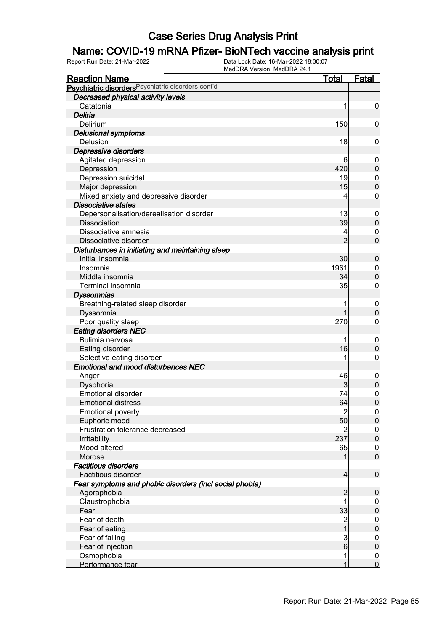### Name: COVID-19 mRNA Pfizer- BioNTech vaccine analysis print

| <u>Reaction Name</u>                                          | <u>Total</u>   | <u>Fatal</u>                     |
|---------------------------------------------------------------|----------------|----------------------------------|
| Psychiatric disorders <sup>Psychiatric disorders cont'd</sup> |                |                                  |
| Decreased physical activity levels                            |                |                                  |
| Catatonia                                                     | 1              | $\boldsymbol{0}$                 |
| Deliria                                                       |                |                                  |
| Delirium                                                      | 150            | $\mathbf 0$                      |
| <b>Delusional symptoms</b>                                    |                |                                  |
| Delusion                                                      | 18             | $\mathbf 0$                      |
| Depressive disorders                                          |                |                                  |
| Agitated depression                                           | 6              | $\mathbf 0$                      |
| Depression                                                    | 420            | $\pmb{0}$                        |
| Depression suicidal                                           | 19             | $\mathbf{0}$                     |
| Major depression                                              | 15             | $\overline{0}$                   |
| Mixed anxiety and depressive disorder                         | 4              | $\mathbf 0$                      |
| <b>Dissociative states</b>                                    |                |                                  |
| Depersonalisation/derealisation disorder                      | 13             | $\boldsymbol{0}$                 |
| <b>Dissociation</b>                                           | 39             | $\mathbf 0$                      |
| Dissociative amnesia                                          | 4              | $\mathbf 0$                      |
| Dissociative disorder                                         | $\overline{2}$ | $\overline{0}$                   |
| Disturbances in initiating and maintaining sleep              |                |                                  |
| Initial insomnia                                              | 30             | $\boldsymbol{0}$                 |
| Insomnia                                                      | 1961           | $\boldsymbol{0}$                 |
| Middle insomnia                                               | 34             | $\mathbf 0$                      |
| Terminal insomnia                                             | 35             | $\boldsymbol{0}$                 |
| <b>Dyssomnias</b>                                             |                |                                  |
| Breathing-related sleep disorder                              | 1              | $\boldsymbol{0}$                 |
| Dyssomnia                                                     | 1              | $\mathbf 0$                      |
| Poor quality sleep                                            | 270            | $\boldsymbol{0}$                 |
| <b>Eating disorders NEC</b>                                   |                |                                  |
| Bulimia nervosa                                               |                | $\mathbf 0$                      |
| Eating disorder                                               | 16             | $\boldsymbol{0}$                 |
| Selective eating disorder                                     | 1              | $\boldsymbol{0}$                 |
| <b>Emotional and mood disturbances NEC</b>                    |                |                                  |
| Anger                                                         | 46             | $\boldsymbol{0}$                 |
| Dysphoria                                                     | 3              | $\pmb{0}$                        |
| <b>Emotional disorder</b>                                     | 74             | $\begin{matrix}0\\0\end{matrix}$ |
| <b>Emotional distress</b>                                     | 64             |                                  |
| <b>Emotional poverty</b>                                      | $\mathbf{2}$   | $\Omega$                         |
| Euphoric mood                                                 | 50             | $\overline{0}$                   |
| Frustration tolerance decreased                               |                | $\overline{0}$                   |
| Irritability                                                  | 237            | $\mathbf 0$                      |
| Mood altered                                                  | 65             | $\boldsymbol{0}$                 |
| Morose                                                        | 1              | $\mathbf 0$                      |
| <b>Factitious disorders</b>                                   |                |                                  |
| Factitious disorder                                           | $\overline{4}$ | $\boldsymbol{0}$                 |
| Fear symptoms and phobic disorders (incl social phobia)       |                |                                  |
| Agoraphobia                                                   | $\overline{c}$ | $\mathbf 0$                      |
| Claustrophobia                                                | 1              | $\overline{0}$                   |
| Fear                                                          | 33             | $\pmb{0}$                        |
| Fear of death                                                 | $\frac{2}{1}$  | $\boldsymbol{0}$                 |
| Fear of eating                                                |                | $\mathbf 0$                      |
| Fear of falling                                               | $\frac{3}{6}$  | $\boldsymbol{0}$                 |
| Fear of injection                                             |                | $\mathbf 0$                      |
| Osmophobia                                                    | 1              | $\overline{0}$                   |
| Performance fear                                              | 1              | $\overline{0}$                   |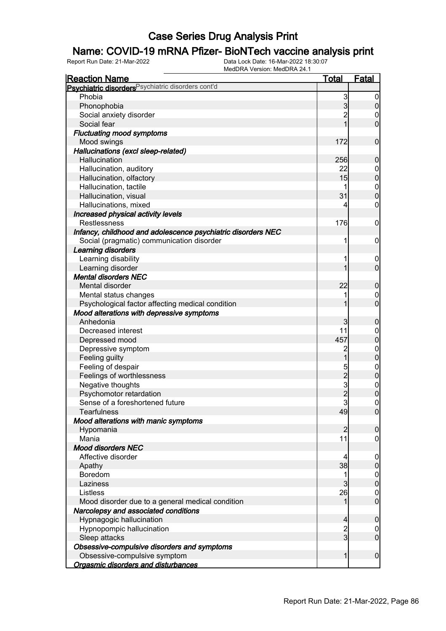### Name: COVID-19 mRNA Pfizer- BioNTech vaccine analysis print

| <b>Reaction Name</b>                                                        | <u>Total</u>        | <b>Fatal</b>                     |
|-----------------------------------------------------------------------------|---------------------|----------------------------------|
| Psychiatric disorders <sup>Psychiatric disorders cont'd</sup>               |                     |                                  |
| Phobia                                                                      | 3                   | $\boldsymbol{0}$                 |
| Phonophobia                                                                 | $\overline{3}$      | $\mathbf 0$                      |
| Social anxiety disorder                                                     | $\overline{2}$      | $\mathbf 0$                      |
| Social fear                                                                 | 1                   | $\overline{0}$                   |
| <b>Fluctuating mood symptoms</b>                                            |                     |                                  |
| Mood swings                                                                 | 172                 | $\mathbf 0$                      |
| Hallucinations (excl sleep-related)                                         |                     |                                  |
| Hallucination                                                               | 256                 | $\mathbf 0$                      |
| Hallucination, auditory                                                     | 22                  | $0\atop 0$                       |
| Hallucination, olfactory                                                    | 15                  |                                  |
| Hallucination, tactile                                                      |                     | $\begin{matrix}0\\0\end{matrix}$ |
| Hallucination, visual                                                       | 31                  |                                  |
| Hallucinations, mixed                                                       | 4                   | $\mathbf 0$                      |
| Increased physical activity levels                                          |                     |                                  |
| <b>Restlessness</b>                                                         | 176                 | $\mathbf 0$                      |
| Infancy, childhood and adolescence psychiatric disorders NEC                |                     |                                  |
| Social (pragmatic) communication disorder                                   | 1                   | 0                                |
| Learning disorders                                                          |                     |                                  |
| Learning disability                                                         | 1                   | $\mathbf 0$                      |
| Learning disorder                                                           | 1                   | $\overline{0}$                   |
| <b>Mental disorders NEC</b>                                                 |                     |                                  |
| Mental disorder                                                             | 22                  | $\mathbf 0$                      |
| Mental status changes                                                       | 1                   | $\boldsymbol{0}$                 |
| Psychological factor affecting medical condition                            | 1                   | $\overline{0}$                   |
| Mood alterations with depressive symptoms                                   |                     |                                  |
| Anhedonia                                                                   | 3                   | $\mathbf 0$                      |
| Decreased interest                                                          | 11                  | $\mathbf{0}$                     |
| Depressed mood                                                              | 457                 | $\overline{0}$                   |
| Depressive symptom                                                          | $\overline{c}$      | $0\atop 0$                       |
| Feeling guilty                                                              | $\mathbf 1$         |                                  |
| Feeling of despair                                                          |                     | $\begin{matrix}0\\0\end{matrix}$ |
| Feelings of worthlessness                                                   |                     |                                  |
| Negative thoughts                                                           |                     | $\begin{matrix}0\\0\end{matrix}$ |
| Psychomotor retardation                                                     |                     |                                  |
| Sense of a foreshortened future                                             |                     | $\overline{0}$                   |
| <b>Tearfulness</b>                                                          | 49                  | 0                                |
| Mood alterations with manic symptoms                                        |                     |                                  |
| Hypomania                                                                   | $\overline{2}$      | $\mathbf 0$                      |
| Mania                                                                       | 11                  | $\overline{0}$                   |
| <b>Mood disorders NEC</b>                                                   |                     |                                  |
| Affective disorder                                                          | 4                   | 0                                |
| Apathy                                                                      | 38                  | $\boldsymbol{0}$                 |
| Boredom                                                                     | 1                   | $\boldsymbol{0}$                 |
| Laziness                                                                    | 3                   | $\pmb{0}$                        |
| Listless                                                                    | 26                  | $\mathbf 0$<br>$\overline{0}$    |
| Mood disorder due to a general medical condition                            | 1                   |                                  |
| Narcolepsy and associated conditions                                        |                     |                                  |
| Hypnagogic hallucination                                                    | 4<br>$\overline{c}$ | $\mathbf 0$                      |
| Hypnopompic hallucination                                                   | $\overline{3}$      | $\mathbf 0$<br>$\overline{0}$    |
| Sleep attacks                                                               |                     |                                  |
| Obsessive-compulsive disorders and symptoms<br>Obsessive-compulsive symptom | $\mathbf{1}$        | $\boldsymbol{0}$                 |
|                                                                             |                     |                                  |
| Orgasmic disorders and disturbances                                         |                     |                                  |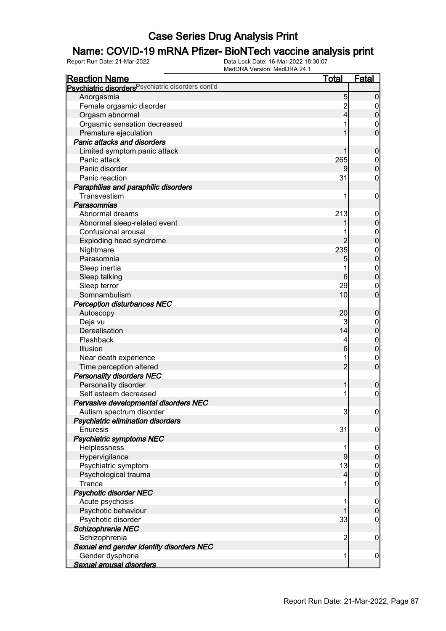### Name: COVID-19 mRNA Pfizer- BioNTech vaccine analysis print

| <u>Reaction Name</u>                                          | <b>Total</b>    | <b>Fatal</b>     |
|---------------------------------------------------------------|-----------------|------------------|
| Psychiatric disorders <sup>Psychiatric disorders cont'd</sup> |                 |                  |
| Anorgasmia                                                    | 5               | $\boldsymbol{0}$ |
| Female orgasmic disorder                                      | $\overline{c}$  | 0                |
| Orgasm abnormal                                               | 4               | $\boldsymbol{0}$ |
| Orgasmic sensation decreased                                  |                 | 0                |
| Premature ejaculation                                         |                 | $\overline{0}$   |
| <b>Panic attacks and disorders</b>                            |                 |                  |
| Limited symptom panic attack                                  |                 | $\mathbf 0$      |
| Panic attack                                                  | 265             | $\mathbf 0$      |
| Panic disorder                                                |                 | $\boldsymbol{0}$ |
| Panic reaction                                                | 31              | 0                |
| Paraphilias and paraphilic disorders                          |                 |                  |
| Transvestism                                                  | 1               | $\mathbf 0$      |
| Parasomnias                                                   |                 |                  |
| Abnormal dreams                                               | 213             | $\mathbf 0$      |
| Abnormal sleep-related event                                  |                 | $\mathbf 0$      |
| Confusional arousal                                           |                 | $\mathbf{0}$     |
| Exploding head syndrome                                       | 2               | $\overline{0}$   |
| Nightmare                                                     | 235             | $\mathbf{0}$     |
| Parasomnia                                                    | 5               | $\mathbf 0$      |
| Sleep inertia                                                 |                 | $\mathbf 0$      |
| Sleep talking                                                 | $6 \overline{}$ | $\boldsymbol{0}$ |
| Sleep terror                                                  | 29              | 0                |
| Somnambulism                                                  | 10              | $\overline{0}$   |
|                                                               |                 |                  |
| <b>Perception disturbances NEC</b>                            | 20              |                  |
| Autoscopy                                                     |                 | $\mathbf 0$      |
| Deja vu                                                       | 3<br>14         | 0                |
| Derealisation                                                 |                 | $\mathbf 0$      |
| Flashback                                                     | 4               | $\mathbf 0$      |
| Illusion                                                      | 6               | $\mathbf 0$      |
| Near death experience                                         |                 | 0                |
| Time perception altered                                       | $\overline{2}$  | $\mathbf 0$      |
| <b>Personality disorders NEC</b>                              |                 |                  |
| Personality disorder                                          | 1               | $\boldsymbol{0}$ |
| Self esteem decreased                                         |                 | $\boldsymbol{0}$ |
| Pervasive developmental disorders NEC                         |                 |                  |
| Autism spectrum disorder                                      | 3               | 0                |
| Psychiatric elimination disorders                             |                 |                  |
| <b>Enuresis</b>                                               | 31              | $\mathbf 0$      |
| <b>Psychiatric symptoms NEC</b>                               |                 |                  |
| Helplessness                                                  | 1               | $\mathbf 0$      |
| Hypervigilance                                                | 9               | $\pmb{0}$        |
| Psychiatric symptom                                           | 13              | $0\atop 0$       |
| Psychological trauma                                          | $\overline{4}$  |                  |
| Trance                                                        |                 | $\mathbf 0$      |
| <b>Psychotic disorder NEC</b>                                 |                 |                  |
| Acute psychosis                                               | 1               | $\mathbf 0$      |
| Psychotic behaviour                                           |                 | $\mathbf 0$      |
| Psychotic disorder                                            | 33              | $\mathbf 0$      |
| Schizophrenia NEC                                             |                 |                  |
| Schizophrenia                                                 | $\overline{c}$  | $\mathbf 0$      |
| Sexual and gender identity disorders NEC                      |                 |                  |
| Gender dysphoria                                              | 1               | $\overline{0}$   |
| Sexual arousal disorders                                      |                 |                  |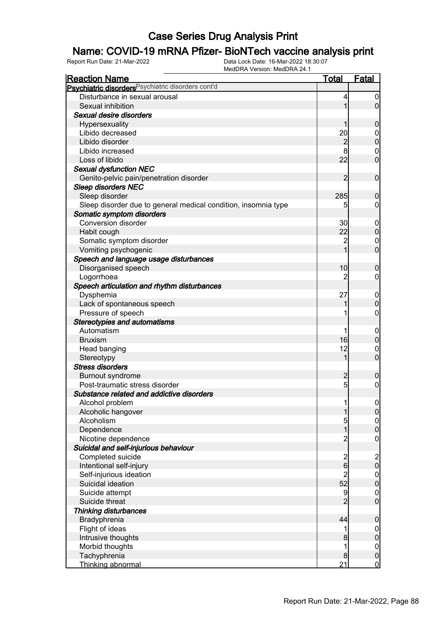### Name: COVID-19 mRNA Pfizer- BioNTech vaccine analysis print

| <b>Reaction Name</b>                                           | <u>Total</u>   | <b>Fatal</b>                          |
|----------------------------------------------------------------|----------------|---------------------------------------|
| Psychiatric disorders <sup>Psychiatric disorders cont'd</sup>  |                |                                       |
| Disturbance in sexual arousal                                  | 4              | $\boldsymbol{0}$                      |
| Sexual inhibition                                              | 1              | $\overline{0}$                        |
| Sexual desire disorders                                        |                |                                       |
| Hypersexuality                                                 |                | $\boldsymbol{0}$                      |
| Libido decreased                                               | 20             | $\overline{0}$                        |
| Libido disorder                                                | $\overline{c}$ | $\mathbf 0$                           |
| Libido increased                                               |                | $\mathbf 0$                           |
| Loss of libido                                                 | 22             | $\overline{0}$                        |
| <b>Sexual dysfunction NEC</b>                                  |                |                                       |
| Genito-pelvic pain/penetration disorder                        | $\overline{2}$ | $\mathbf 0$                           |
| <b>Sleep disorders NEC</b>                                     |                |                                       |
| Sleep disorder                                                 | 285            | $\boldsymbol{0}$                      |
| Sleep disorder due to general medical condition, insomnia type | 5              | $\overline{0}$                        |
| Somatic symptom disorders                                      |                |                                       |
| <b>Conversion disorder</b>                                     | 30             | $\mathbf 0$                           |
| Habit cough                                                    | 22             | $\pmb{0}$                             |
| Somatic symptom disorder                                       | $\overline{c}$ | $\mathbf 0$                           |
| Vomiting psychogenic                                           |                | $\overline{0}$                        |
| Speech and language usage disturbances                         |                |                                       |
| Disorganised speech                                            | 10             | $\mathbf 0$                           |
| Logorrhoea                                                     | 2              | $\mathbf 0$                           |
| Speech articulation and rhythm disturbances                    |                |                                       |
| Dysphemia                                                      | 27             | $\mathbf 0$                           |
| Lack of spontaneous speech                                     |                | $\mathbf 0$                           |
| Pressure of speech                                             |                | $\boldsymbol{0}$                      |
| <b>Stereotypies and automatisms</b>                            |                |                                       |
| Automatism                                                     |                | $\mathbf 0$                           |
| <b>Bruxism</b>                                                 | 16             | $\mathbf 0$                           |
| Head banging                                                   | 12             | 0                                     |
| Stereotypy                                                     | 1              | $\overline{0}$                        |
| <b>Stress disorders</b>                                        |                |                                       |
| <b>Burnout syndrome</b>                                        | $\overline{c}$ | $\boldsymbol{0}$                      |
| Post-traumatic stress disorder                                 | 5 <sup>1</sup> | $\mathbf 0$                           |
| Substance related and addictive disorders                      |                |                                       |
| Alcohol problem                                                | 1              | $\boldsymbol{0}$                      |
| Alcoholic hangover                                             | $\mathbf{1}$   | 0                                     |
| Alcoholism                                                     | $\overline{5}$ | 0                                     |
| Dependence                                                     | $\mathbf{1}$   | $\mathbf 0$                           |
| Nicotine dependence                                            | $\overline{c}$ | $\boldsymbol{0}$                      |
| Suicidal and self-injurious behaviour                          |                |                                       |
| Completed suicide                                              |                |                                       |
| Intentional self-injury                                        | $\frac{2}{6}$  | $\begin{array}{c} 2 \\ 0 \end{array}$ |
| Self-injurious ideation                                        | $\overline{c}$ | $\boldsymbol{0}$                      |
| Suicidal ideation                                              | 52             | $\mathbf 0$                           |
| Suicide attempt                                                | 9              |                                       |
| Suicide threat                                                 | $\overline{2}$ | $\begin{matrix} 0 \\ 0 \end{matrix}$  |
| <b>Thinking disturbances</b>                                   |                |                                       |
| Bradyphrenia                                                   | 44             | $\pmb{0}$                             |
| Flight of ideas                                                | 1              | $\boldsymbol{0}$                      |
| Intrusive thoughts                                             | 8              | $\mathbf 0$                           |
| Morbid thoughts                                                | 1              | $\boldsymbol{0}$                      |
| Tachyphrenia                                                   | 8              | $\mathbf 0$                           |
| Thinking abnormal                                              | 21             | $\overline{0}$                        |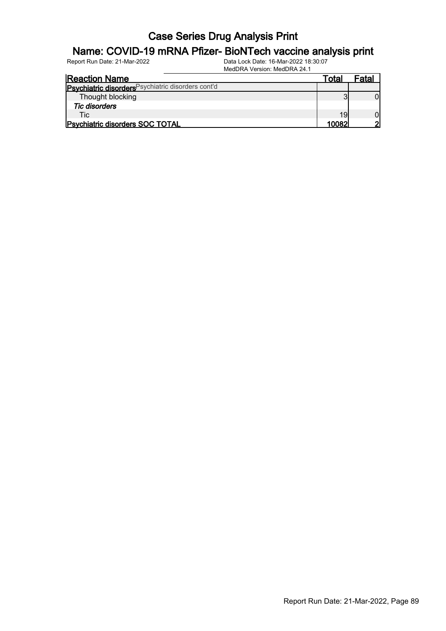### Name: COVID-19 mRNA Pfizer- BioNTech vaccine analysis print

| <b>Reaction Name</b>                               | ™ota⊦ | Fatal |
|----------------------------------------------------|-------|-------|
| Psychiatric disorders Psychiatric disorders cont'd |       |       |
| Thought blocking                                   |       |       |
| <b>Tic disorders</b>                               |       |       |
| <b>Tic</b>                                         | 19    |       |
| <b>Psychiatric disorders SOC TOTAL</b>             | 10082 |       |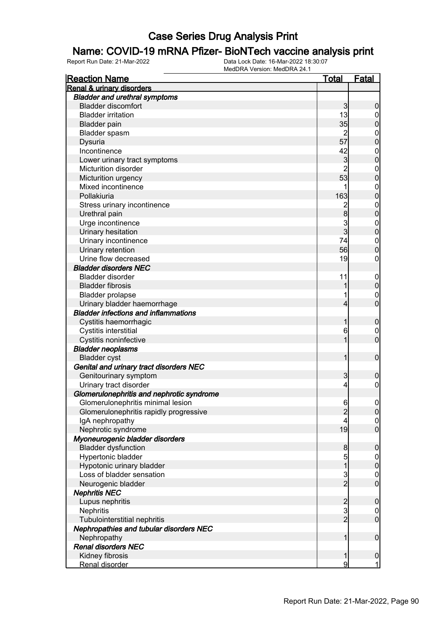#### Name: COVID-19 mRNA Pfizer- BioNTech vaccine analysis print

| <b>Reaction Name</b>                           | <b>Total</b>                               | Fatal            |
|------------------------------------------------|--------------------------------------------|------------------|
| <b>Renal &amp; urinary disorders</b>           |                                            |                  |
| <b>Bladder and urethral symptoms</b>           |                                            |                  |
| <b>Bladder discomfort</b>                      | 3                                          | $\boldsymbol{0}$ |
| <b>Bladder irritation</b>                      | 13                                         | $\overline{0}$   |
| <b>Bladder pain</b>                            | 35                                         | $\mathbf 0$      |
| Bladder spasm                                  | $\overline{2}$                             | $\boldsymbol{0}$ |
| Dysuria                                        | 57                                         | $\overline{0}$   |
| Incontinence                                   | 42                                         | $\mathbf{0}$     |
| Lower urinary tract symptoms                   | $\mathbf{3}$                               | $\overline{0}$   |
| Micturition disorder                           | $\overline{2}$                             | $\mathbf{0}$     |
| Micturition urgency                            | 53                                         | $\overline{0}$   |
| Mixed incontinence                             | 1                                          | $\mathbf{0}$     |
| Pollakiuria                                    | 163                                        | $\overline{0}$   |
| Stress urinary incontinence                    |                                            |                  |
| Urethral pain                                  | $\frac{2}{8}$                              | $0\atop 0$       |
| Urge incontinence                              | $\frac{3}{3}$                              |                  |
| Urinary hesitation                             |                                            | $0\atop 0$       |
| Urinary incontinence                           | 74                                         | $\mathbf{0}$     |
| Urinary retention                              | 56                                         | $\overline{0}$   |
| Urine flow decreased                           | 19                                         | $\boldsymbol{0}$ |
| <b>Bladder disorders NEC</b>                   |                                            |                  |
| <b>Bladder disorder</b>                        | 11                                         | $\mathbf{0}$     |
| <b>Bladder fibrosis</b>                        | 1                                          | $\mathbf 0$      |
| <b>Bladder prolapse</b>                        | 1                                          | $\mathbf{0}$     |
| Urinary bladder haemorrhage                    | $\overline{4}$                             | $\overline{0}$   |
| <b>Bladder infections and inflammations</b>    |                                            |                  |
| Cystitis haemorrhagic                          | 1                                          | $\mathbf 0$      |
| Cystitis interstitial                          | 6                                          | $\boldsymbol{0}$ |
| Cystitis noninfective                          | 1                                          | $\overline{0}$   |
| <b>Bladder neoplasms</b>                       |                                            |                  |
| <b>Bladder cyst</b>                            | 1                                          | $\boldsymbol{0}$ |
| Genital and urinary tract disorders NEC        |                                            |                  |
| Genitourinary symptom                          | 3                                          | $\mathbf 0$      |
| Urinary tract disorder                         | $\overline{4}$                             | $\mathbf 0$      |
| Glomerulonephritis and nephrotic syndrome      |                                            |                  |
| Glomerulonephritis minimal lesion              | 6                                          | $\boldsymbol{0}$ |
| Glomerulonephritis rapidly progressive         | $\overline{c}$                             | 0                |
| IgA nephropathy                                | 4                                          | 0                |
| Nephrotic syndrome                             | 19                                         | $\overline{0}$   |
| Myoneurogenic bladder disorders                |                                            |                  |
| <b>Bladder dysfunction</b>                     | 8                                          | $\boldsymbol{0}$ |
| Hypertonic bladder                             | 5                                          | $\boldsymbol{0}$ |
| Hypotonic urinary bladder                      | $\overline{1}$                             | $\pmb{0}$        |
| Loss of bladder sensation                      | $\frac{3}{2}$                              | $\boldsymbol{0}$ |
| Neurogenic bladder                             |                                            | $\mathbf 0$      |
| <b>Nephritis NEC</b>                           |                                            |                  |
| Lupus nephritis                                | $\begin{array}{c} 2 \\ 3 \\ 2 \end{array}$ | $\boldsymbol{0}$ |
| Nephritis                                      |                                            | $\overline{0}$   |
| Tubulointerstitial nephritis                   |                                            | $\mathbf 0$      |
| <b>Nephropathies and tubular disorders NEC</b> |                                            |                  |
| Nephropathy                                    | $\mathbf{1}$                               | $\mathbf 0$      |
| <b>Renal disorders NEC</b>                     |                                            |                  |
| Kidney fibrosis                                | $\mathbf{1}$                               | $\mathbf 0$      |
| Renal disorder                                 | 9                                          | $\mathbf{1}$     |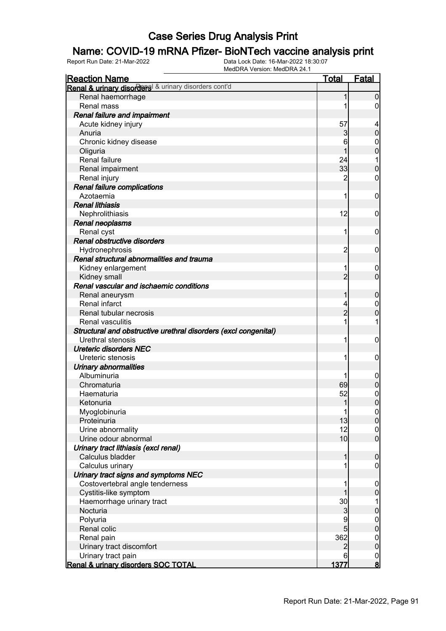### Name: COVID-19 mRNA Pfizer- BioNTech vaccine analysis print

| <b>Reaction Name</b>                                            | <b>Total</b>   | Fatal            |
|-----------------------------------------------------------------|----------------|------------------|
| Renal & urinary disorders & urinary disorders cont'd            |                |                  |
| Renal haemorrhage                                               | 1              | $\mathbf 0$      |
| Renal mass                                                      |                | 0                |
| Renal failure and impairment                                    |                |                  |
| Acute kidney injury                                             | 57             |                  |
| Anuria                                                          | 3              | $\boldsymbol{0}$ |
| Chronic kidney disease                                          | 6              | $\mathbf 0$      |
| Oliguria                                                        |                | $\mathbf 0$      |
| Renal failure                                                   | 24             |                  |
| Renal impairment                                                | 33             | $\boldsymbol{0}$ |
| Renal injury                                                    | 2              | $\mathbf 0$      |
| Renal failure complications                                     |                |                  |
| Azotaemia                                                       | 1              | $\mathbf 0$      |
| <b>Renal lithiasis</b>                                          |                |                  |
| Nephrolithiasis                                                 | 12             | $\mathbf 0$      |
| <b>Renal neoplasms</b>                                          |                |                  |
| Renal cyst                                                      | 1              | $\mathbf 0$      |
| Renal obstructive disorders                                     |                |                  |
| Hydronephrosis                                                  | 2              | $\mathbf 0$      |
| Renal structural abnormalities and trauma                       |                |                  |
| Kidney enlargement                                              |                | 0                |
| Kidney small                                                    | $\overline{2}$ | $\mathbf 0$      |
| Renal vascular and ischaemic conditions                         |                |                  |
| Renal aneurysm                                                  | 1              | $\boldsymbol{0}$ |
| Renal infarct                                                   |                | $\mathbf 0$      |
| Renal tubular necrosis                                          | $\overline{2}$ | $\mathbf 0$      |
| <b>Renal vasculitis</b>                                         |                | 1                |
| Structural and obstructive urethral disorders (excl congenital) |                |                  |
| Urethral stenosis                                               | 1              | $\mathbf 0$      |
| <b>Ureteric disorders NEC</b>                                   |                |                  |
| Ureteric stenosis                                               | 1              | $\mathbf 0$      |
| <b>Urinary abnormalities</b>                                    |                |                  |
| Albuminuria                                                     |                | $\mathbf 0$      |
| Chromaturia                                                     | 69             | $\pmb{0}$        |
| Haematuria                                                      | 52             | $\mathbf{0}$     |
| Ketonuria                                                       | $\mathbf{1}$   | $\overline{0}$   |
| Myoglobinuria                                                   | $\mathbf{1}$   |                  |
| Proteinuria                                                     | 13             | $\frac{0}{0}$    |
| Urine abnormality                                               | 12             | $\boldsymbol{0}$ |
| Urine odour abnormal                                            | 10             | $\overline{0}$   |
| Urinary tract lithiasis (excl renal)                            |                |                  |
| Calculus bladder                                                | 1              | $\boldsymbol{0}$ |
| Calculus urinary                                                |                | $\mathbf 0$      |
| Urinary tract signs and symptoms NEC                            |                |                  |
| Costovertebral angle tenderness                                 |                | $\mathbf 0$      |
| Cystitis-like symptom                                           |                | $\pmb{0}$        |
| Haemorrhage urinary tract                                       | 30             | 1                |
| Nocturia                                                        | 3              | $\pmb{0}$        |
| Polyuria                                                        | 9              |                  |
| Renal colic                                                     | 5              | $0\atop 0$       |
| Renal pain                                                      | 362            | $\boldsymbol{0}$ |
| Urinary tract discomfort                                        | $\overline{2}$ | $\mathbf 0$      |
| Urinary tract pain                                              | 6              |                  |
| Renal & urinary disorders SOC TOTAL                             | 1377           | $\frac{0}{8}$    |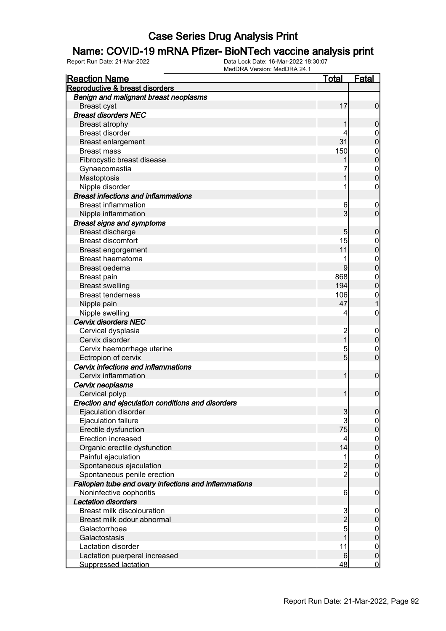### Name: COVID-19 mRNA Pfizer- BioNTech vaccine analysis print

| <b>Reaction Name</b>                                  | <u>Total</u>    | <b>Fatal</b>     |
|-------------------------------------------------------|-----------------|------------------|
| Reproductive & breast disorders                       |                 |                  |
| Benign and malignant breast neoplasms                 |                 |                  |
| <b>Breast cyst</b>                                    | 17              | $\mathbf 0$      |
| <b>Breast disorders NEC</b>                           |                 |                  |
| <b>Breast atrophy</b>                                 |                 | $\boldsymbol{0}$ |
| <b>Breast disorder</b>                                |                 | $\mathbf 0$      |
| <b>Breast enlargement</b>                             | 31              | $\mathbf 0$      |
| <b>Breast mass</b>                                    | 150             | $\boldsymbol{0}$ |
| Fibrocystic breast disease                            |                 | $\mathbf 0$      |
| Gynaecomastia                                         |                 | $\boldsymbol{0}$ |
| Mastoptosis                                           |                 | $\overline{0}$   |
| Nipple disorder                                       |                 | $\mathbf 0$      |
| <b>Breast infections and inflammations</b>            |                 |                  |
| <b>Breast inflammation</b>                            | 6               | $\overline{0}$   |
| Nipple inflammation                                   | 3               | $\mathbf 0$      |
| <b>Breast signs and symptoms</b>                      |                 |                  |
| Breast discharge                                      | 5               | $\boldsymbol{0}$ |
| <b>Breast discomfort</b>                              | 15              | $\mathbf 0$      |
| <b>Breast engorgement</b>                             | 11              | $\mathbf 0$      |
| <b>Breast haematoma</b>                               |                 | $\boldsymbol{0}$ |
| Breast oedema                                         | 9               | $\mathbf 0$      |
| <b>Breast pain</b>                                    | 868             | $\boldsymbol{0}$ |
| <b>Breast swelling</b>                                | 194             | $\mathbf 0$      |
| <b>Breast tenderness</b>                              | 106             | $\mathbf{0}$     |
| Nipple pain                                           | 47              | $\mathbf{1}$     |
| Nipple swelling                                       | 4               | $\boldsymbol{0}$ |
| <b>Cervix disorders NEC</b>                           |                 |                  |
| Cervical dysplasia                                    | $\overline{c}$  | $\mathbf 0$      |
| Cervix disorder                                       | $\overline{1}$  | $\pmb{0}$        |
| Cervix haemorrhage uterine                            | 5               | $\mathbf 0$      |
| Ectropion of cervix                                   | 5               | $\mathbf 0$      |
| Cervix infections and inflammations                   |                 |                  |
| Cervix inflammation                                   | 1               | $\boldsymbol{0}$ |
| Cervix neoplasms                                      |                 |                  |
| Cervical polyp                                        | 1               | $\mathbf 0$      |
| Erection and ejaculation conditions and disorders     |                 |                  |
| Ejaculation disorder                                  | $\mathfrak{S}$  | 0                |
| Ejaculation failure                                   | $\mathbf{3}$    | $\overline{0}$   |
| Erectile dysfunction                                  | 75              | $\pmb{0}$        |
| Erection increased                                    | 4               | $\boldsymbol{0}$ |
| Organic erectile dysfunction                          | 14              | $\mathbf 0$      |
| Painful ejaculation                                   | 1               | $\boldsymbol{0}$ |
| Spontaneous ejaculation                               |                 | $\mathbf 0$      |
| Spontaneous penile erection                           | $\frac{2}{2}$   | $\mathbf 0$      |
| Fallopian tube and ovary infections and inflammations |                 |                  |
| Noninfective oophoritis                               | $6 \overline{}$ | $\mathbf 0$      |
| <b>Lactation disorders</b>                            |                 |                  |
| Breast milk discolouration                            |                 | $\mathbf 0$      |
| Breast milk odour abnormal                            | $\frac{3}{2}$   | $\pmb{0}$        |
| Galactorrhoea                                         |                 | $\mathbf 0$      |
| Galactostasis                                         | 1               | $\mathbf 0$      |
| Lactation disorder                                    | 11              | $\boldsymbol{0}$ |
| Lactation puerperal increased                         | 6               | $\pmb{0}$        |
| <b>Suppressed lactation</b>                           | 48              | $\overline{0}$   |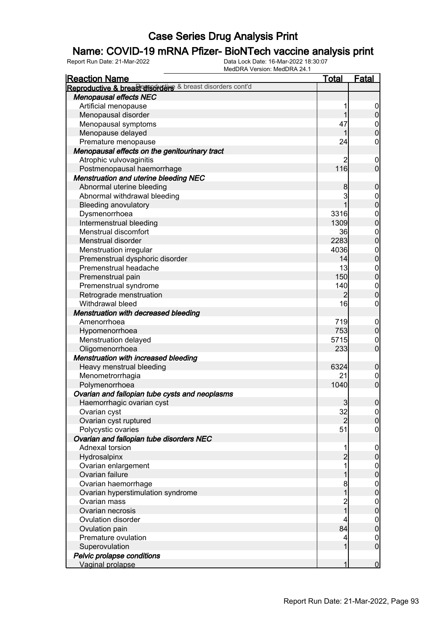### Name: COVID-19 mRNA Pfizer- BioNTech vaccine analysis print

| <b>Reaction Name</b>                                      | <b>Total</b>   | <b>Fatal</b>                         |
|-----------------------------------------------------------|----------------|--------------------------------------|
| Reproductive & breast disorders & breast disorders cont'd |                |                                      |
| <b>Menopausal effects NEC</b>                             |                |                                      |
| Artificial menopause                                      | 1              | $\overline{0}$                       |
| Menopausal disorder                                       | 1              | $\mathbf 0$                          |
| Menopausal symptoms                                       | 47             |                                      |
| Menopause delayed                                         | 1              | $0$<br>0                             |
| Premature menopause                                       | 24             | $\mathsf{O}\xspace$                  |
| Menopausal effects on the genitourinary tract             |                |                                      |
| Atrophic vulvovaginitis                                   | 2              | $\mathbf 0$                          |
| Postmenopausal haemorrhage                                | 116            | $\overline{0}$                       |
| Menstruation and uterine bleeding NEC                     |                |                                      |
| Abnormal uterine bleeding                                 | 8              | $\boldsymbol{0}$                     |
| Abnormal withdrawal bleeding                              | 3              |                                      |
| <b>Bleeding anovulatory</b>                               | 1              | $0$<br>0                             |
| Dysmenorrhoea                                             | 3316           |                                      |
| Intermenstrual bleeding                                   | 1309           | $0\atop 0$                           |
| Menstrual discomfort                                      | 36             |                                      |
| Menstrual disorder                                        | 2283           | $0\atop 0$                           |
| Menstruation irregular                                    | 4036           |                                      |
| Premenstrual dysphoric disorder                           | 14             | $0\atop 0$                           |
| Premenstrual headache                                     | 13             |                                      |
|                                                           | 150            | $\begin{matrix} 0 \\ 0 \end{matrix}$ |
| Premenstrual pain                                         |                |                                      |
| Premenstrual syndrome                                     | 140            | $\begin{matrix} 0 \\ 0 \end{matrix}$ |
| Retrograde menstruation                                   | $\overline{2}$ |                                      |
| Withdrawal bleed                                          | 16             | $\boldsymbol{0}$                     |
| Menstruation with decreased bleeding                      |                |                                      |
| Amenorrhoea                                               | 719            | $\boldsymbol{0}$                     |
| Hypomenorrhoea                                            | 753            | $\mathbf 0$                          |
| Menstruation delayed                                      | 5715           | $\boldsymbol{0}$                     |
| Oligomenorrhoea                                           | 233            | $\overline{0}$                       |
| Menstruation with increased bleeding                      |                |                                      |
| Heavy menstrual bleeding                                  | 6324           | $\boldsymbol{0}$                     |
| Menometrorrhagia                                          | 21             | $\mathbf 0$                          |
| Polymenorrhoea                                            | 1040           | $\mathbf 0$                          |
| Ovarian and fallopian tube cysts and neoplasms            |                |                                      |
| Haemorrhagic ovarian cyst                                 | $\overline{3}$ | $\pmb{0}$                            |
| Ovarian cyst                                              | 32             | 0                                    |
| Ovarian cyst ruptured                                     | $\overline{2}$ | $\overline{0}$                       |
| Polycystic ovaries                                        | 51             | $\mathbf 0$                          |
| Ovarian and fallopian tube disorders NEC                  |                |                                      |
| Adnexal torsion                                           | 1              | $\boldsymbol{0}$                     |
| Hydrosalpinx                                              | $\overline{2}$ | $\pmb{0}$                            |
| Ovarian enlargement                                       | 1              | $\mathbf 0$                          |
| Ovarian failure                                           | 1              | $\mathbf 0$                          |
| Ovarian haemorrhage                                       | 8              | $\boldsymbol{0}$                     |
| Ovarian hyperstimulation syndrome                         | $\overline{1}$ | $\mathbf 0$                          |
| Ovarian mass                                              |                | $\boldsymbol{0}$                     |
| Ovarian necrosis                                          | 2<br>1         | $\mathbf 0$                          |
| Ovulation disorder                                        | 4              | $\boldsymbol{0}$                     |
| Ovulation pain                                            | 84             | $\mathbf 0$                          |
| Premature ovulation                                       | 4              | $\boldsymbol{0}$                     |
| Superovulation                                            | 1              | $\boldsymbol{0}$                     |
| Pelvic prolapse conditions                                |                |                                      |
| Vaginal prolapse                                          | 1              | $\mathbf 0$                          |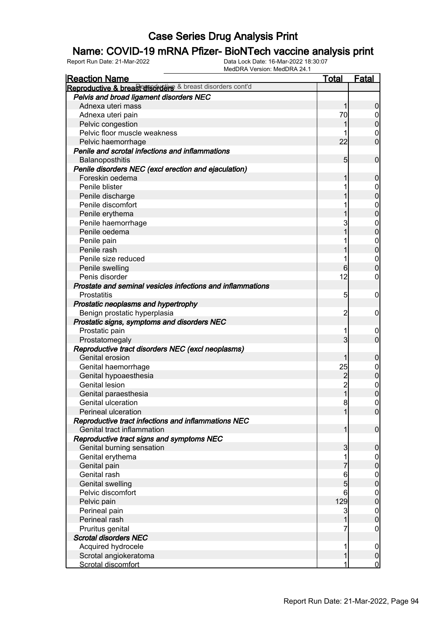### Name: COVID-19 mRNA Pfizer- BioNTech vaccine analysis print

| <b>Reaction Name</b>                                       | <u>Total</u>    | <u>Fatal</u>                         |
|------------------------------------------------------------|-----------------|--------------------------------------|
| Reproductive & breast disorders & breast disorders cont'd  |                 |                                      |
| Pelvis and broad ligament disorders NEC                    |                 |                                      |
| Adnexa uteri mass                                          | 1               | $\boldsymbol{0}$                     |
| Adnexa uteri pain                                          | 70              | $\boldsymbol{0}$                     |
| Pelvic congestion                                          |                 | $\overline{0}$                       |
| Pelvic floor muscle weakness                               |                 | 0                                    |
| Pelvic haemorrhage                                         | 22              | $\overline{0}$                       |
| Penile and scrotal infections and inflammations            |                 |                                      |
| Balanoposthitis                                            | $5\overline{)}$ | $\mathbf 0$                          |
| Penile disorders NEC (excl erection and ejaculation)       |                 |                                      |
| Foreskin oedema                                            | 1               | $\mathbf 0$                          |
| Penile blister                                             |                 | 0                                    |
| Penile discharge                                           |                 | $\overline{0}$                       |
| Penile discomfort                                          |                 | $\mathbf 0$                          |
| Penile erythema                                            |                 | $\overline{0}$                       |
| Penile haemorrhage                                         | 3               | $\mathbf 0$                          |
| Penile oedema                                              | 1               | $\overline{0}$                       |
| Penile pain                                                |                 | $\mathbf 0$                          |
| Penile rash                                                |                 | $\overline{0}$                       |
| Penile size reduced                                        | 1               | $\mathbf 0$                          |
| Penile swelling                                            | $6 \overline{}$ | $\overline{0}$                       |
| Penis disorder                                             | 12              | 0                                    |
| Prostate and seminal vesicles infections and inflammations |                 |                                      |
| Prostatitis                                                | 5               | $\mathbf 0$                          |
| Prostatic neoplasms and hypertrophy                        |                 |                                      |
| Benign prostatic hyperplasia                               | 2               | $\mathbf 0$                          |
| Prostatic signs, symptoms and disorders NEC                |                 |                                      |
| Prostatic pain                                             |                 | 0                                    |
| Prostatomegaly                                             | $\overline{3}$  | $\overline{0}$                       |
| Reproductive tract disorders NEC (excl neoplasms)          |                 |                                      |
| Genital erosion                                            | 1               | $\mathbf 0$                          |
| Genital haemorrhage                                        | 25              | $\mathbf 0$                          |
| Genital hypoaesthesia                                      | $\overline{c}$  | $\overline{0}$                       |
| <b>Genital lesion</b>                                      | $\overline{c}$  | $\mathbf{0}$                         |
| Genital paraesthesia                                       | $\overline{1}$  | $\overline{0}$                       |
| Genital ulceration                                         | 8               | $\overline{0}$                       |
| Perineal ulceration                                        | 1               | 0                                    |
| Reproductive tract infections and inflammations NEC        |                 |                                      |
| Genital tract inflammation                                 | 1               | $\overline{0}$                       |
| Reproductive tract signs and symptoms NEC                  |                 |                                      |
| Genital burning sensation                                  | 3               | $\mathbf 0$                          |
| Genital erythema                                           |                 | $\overline{0}$                       |
| Genital pain                                               |                 | $\overline{0}$                       |
| Genital rash                                               | 6               | $\begin{matrix} 0 \\ 0 \end{matrix}$ |
| <b>Genital swelling</b>                                    | 5               |                                      |
| Pelvic discomfort                                          | 6               | $\boldsymbol{0}$                     |
| Pelvic pain                                                | 129             | $\overline{0}$                       |
| Perineal pain                                              | 3               | $\boldsymbol{0}$                     |
| Perineal rash                                              | 1               | $\overline{0}$                       |
| Pruritus genital                                           | 7               | 0                                    |
| <b>Scrotal disorders NEC</b>                               |                 |                                      |
| Acquired hydrocele                                         | 1               | $\overline{0}$                       |
| Scrotal angiokeratoma                                      | 1               | $\mathbf 0$                          |
| Scrotal discomfort                                         | 1               | $\overline{0}$                       |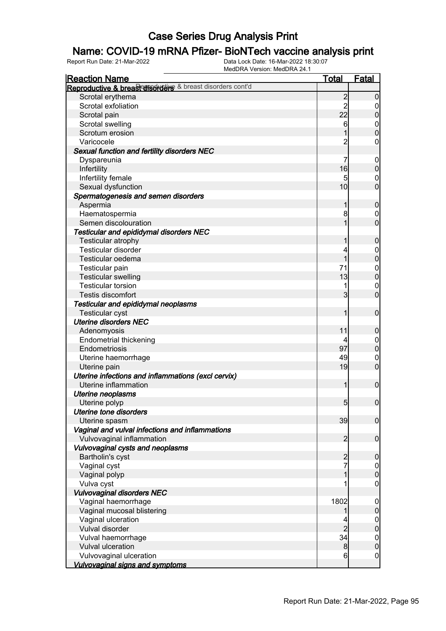### Name: COVID-19 mRNA Pfizer- BioNTech vaccine analysis print

| <b>Reaction Name</b>                                      | <b>Total</b>   | <b>Fatal</b>                  |
|-----------------------------------------------------------|----------------|-------------------------------|
| Reproductive & breast disorders & breast disorders cont'd |                |                               |
| Scrotal erythema                                          | $\overline{2}$ | $\mathbf 0$                   |
| Scrotal exfoliation                                       | $\overline{2}$ | 0                             |
| Scrotal pain                                              | 22             | $\pmb{0}$                     |
| Scrotal swelling                                          | 6              |                               |
| Scrotum erosion                                           |                | $0\atop 0$                    |
| Varicocele                                                | $\overline{2}$ | 0                             |
| Sexual function and fertility disorders NEC               |                |                               |
| Dyspareunia                                               | 7              | $\mathbf 0$                   |
| Infertility                                               | 16             | $\pmb{0}$                     |
| Infertility female                                        | 5              | $\mathbf 0$                   |
| Sexual dysfunction                                        | 10             | $\overline{0}$                |
| Spermatogenesis and semen disorders                       |                |                               |
| Aspermia                                                  | 1              | $\boldsymbol{0}$              |
| Haematospermia                                            | 8              | $\mathbf 0$                   |
| Semen discolouration                                      | 1              | $\overline{0}$                |
| Testicular and epididymal disorders NEC                   |                |                               |
| Testicular atrophy                                        | 1              | $\boldsymbol{0}$              |
| Testicular disorder                                       | 4              |                               |
| Testicular oedema                                         | 1              | $0\atop 0$                    |
| Testicular pain                                           | 71             |                               |
| <b>Testicular swelling</b>                                | 13             | $0\atop 0$                    |
| <b>Testicular torsion</b>                                 |                |                               |
| Testis discomfort                                         | 3              | $\mathbf 0$<br>$\overline{0}$ |
|                                                           |                |                               |
| Testicular and epididymal neoplasms                       | 1              |                               |
| <b>Testicular cyst</b>                                    |                | $\mathbf 0$                   |
| <b>Uterine disorders NEC</b>                              |                |                               |
| Adenomyosis                                               | 11             | $\boldsymbol{0}$              |
| <b>Endometrial thickening</b>                             |                | $\mathbf 0$                   |
| Endometriosis                                             | 97             | $\pmb{0}$                     |
| Uterine haemorrhage                                       | 49             | $\mathbf 0$                   |
| Uterine pain                                              | 19             | $\overline{0}$                |
| Uterine infections and inflammations (excl cervix)        |                |                               |
| Uterine inflammation                                      | 1              | $\mathbf 0$                   |
| Uterine neoplasms                                         |                |                               |
| Uterine polyp                                             | 5 <sub>5</sub> | $\boldsymbol{0}$              |
| <b>Uterine tone disorders</b>                             |                |                               |
| Uterine spasm                                             | 39             | $\overline{0}$                |
| Vaginal and vulval infections and inflammations           |                |                               |
| Vulvovaginal inflammation                                 | $\overline{2}$ | $\mathbf 0$                   |
| Vulvovaginal cysts and neoplasms                          |                |                               |
| Bartholin's cyst                                          | $\overline{2}$ | $\boldsymbol{0}$              |
| Vaginal cyst                                              | 7              | $\boldsymbol{0}$              |
| Vaginal polyp                                             | 1              | $\pmb{0}$                     |
| Vulva cyst                                                |                | $\boldsymbol{0}$              |
| <b>Vulvovaginal disorders NEC</b>                         |                |                               |
| Vaginal haemorrhage                                       | 1802           | $\mathbf 0$                   |
| Vaginal mucosal blistering                                |                | $\pmb{0}$                     |
| Vaginal ulceration                                        |                | $\boldsymbol{0}$              |
| Vulval disorder                                           | $\overline{2}$ | $\overline{0}$                |
| Vulval haemorrhage                                        | 34             | $\mathbf{0}$                  |
| <b>Vulval ulceration</b>                                  | 8              | $\mathbf 0$                   |
| Vulvovaginal ulceration                                   | 6              | $\mathbf 0$                   |
| <b>Vulvovaginal signs and symptoms</b>                    |                |                               |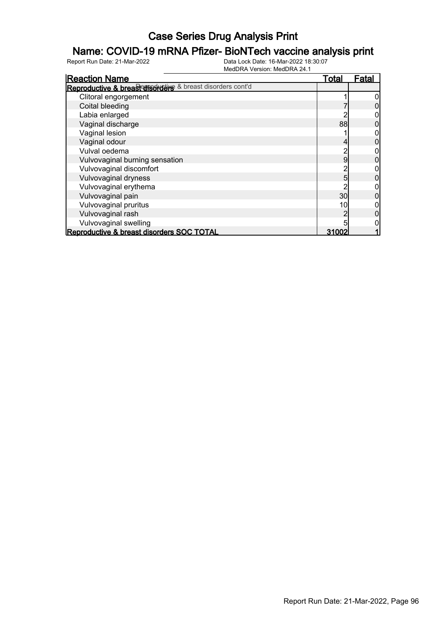### Name: COVID-19 mRNA Pfizer- BioNTech vaccine analysis print

| <b>Reaction Name</b>                                      | <b>Total</b> | Fatal |
|-----------------------------------------------------------|--------------|-------|
| Reproductive & breast disorders & breast disorders cont'd |              |       |
| Clitoral engorgement                                      |              |       |
| Coital bleeding                                           |              |       |
| Labia enlarged                                            |              |       |
| Vaginal discharge                                         | 88           |       |
| Vaginal lesion                                            |              |       |
| Vaginal odour                                             |              |       |
| Vulval oedema                                             |              |       |
| Vulvovaginal burning sensation                            | 9            |       |
| Vulvovaginal discomfort                                   |              |       |
| Vulvovaginal dryness                                      | 5            |       |
| Vulvovaginal erythema                                     |              |       |
| Vulvovaginal pain                                         | 30           |       |
| Vulvovaginal pruritus                                     | 10           |       |
| Vulvovaginal rash                                         |              |       |
| Vulvovaginal swelling                                     |              |       |
| Reproductive & breast disorders SOC TOTAL                 | 31002        |       |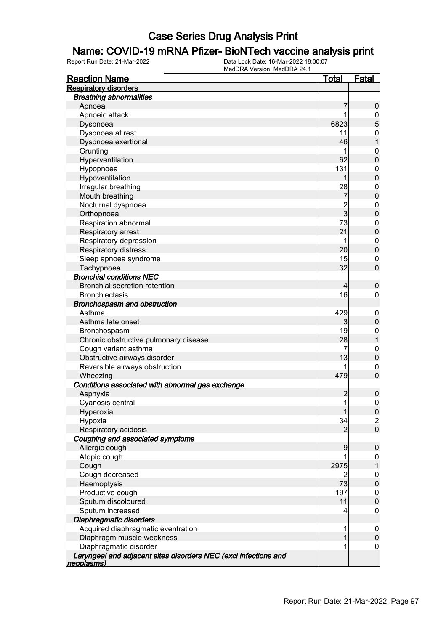### Name: COVID-19 mRNA Pfizer- BioNTech vaccine analysis print

| <b>Reaction Name</b>                                            | <u>Total</u>   | <b>Fatal</b>     |
|-----------------------------------------------------------------|----------------|------------------|
| <b>Respiratory disorders</b>                                    |                |                  |
| <b>Breathing abnormalities</b>                                  |                |                  |
| Apnoea                                                          | 7              | $\boldsymbol{0}$ |
| Apnoeic attack                                                  | 1              |                  |
| Dyspnoea                                                        | 6823           | $\frac{0}{5}$    |
| Dyspnoea at rest                                                | 11             | $\mathbf{0}$     |
| Dyspnoea exertional                                             | 46             | $\overline{1}$   |
| Grunting                                                        |                | $\mathbf{0}$     |
| Hyperventilation                                                | 62             | $\overline{0}$   |
| Hypopnoea                                                       | 131            | $\mathbf{0}$     |
| Hypoventilation                                                 | 1              | $\mathbf 0$      |
| Irregular breathing                                             | 28             | $\mathbf{0}$     |
| Mouth breathing                                                 | $\overline{7}$ | $\overline{0}$   |
| Nocturnal dyspnoea                                              |                | $\boldsymbol{0}$ |
| Orthopnoea                                                      | $\frac{2}{3}$  | $\overline{0}$   |
| Respiration abnormal                                            | 73             | $\boldsymbol{0}$ |
| Respiratory arrest                                              | 21             | $\mathbf 0$      |
| Respiratory depression                                          | 1              | $\boldsymbol{0}$ |
| Respiratory distress                                            | 20             | $\mathbf 0$      |
| Sleep apnoea syndrome                                           | 15             | $\mathbf 0$      |
| Tachypnoea                                                      | 32             | $\mathbf 0$      |
| <b>Bronchial conditions NEC</b>                                 |                |                  |
| <b>Bronchial secretion retention</b>                            | 4              | $\boldsymbol{0}$ |
| <b>Bronchiectasis</b>                                           | 16             | $\boldsymbol{0}$ |
| Bronchospasm and obstruction                                    |                |                  |
| Asthma                                                          | 429            | $\mathbf 0$      |
| Asthma late onset                                               | $\mathbf{3}$   | $\pmb{0}$        |
| Bronchospasm                                                    | 19             | $\boldsymbol{0}$ |
| Chronic obstructive pulmonary disease                           | 28             | $\mathbf{1}$     |
| Cough variant asthma                                            | 7              | $\mathbf{0}$     |
| Obstructive airways disorder                                    | 13             | $\mathbf 0$      |
| Reversible airways obstruction                                  |                | $\mathbf 0$      |
| Wheezing                                                        | 479            | $\overline{0}$   |
| Conditions associated with abnormal gas exchange                |                |                  |
| Asphyxia                                                        | $\overline{c}$ | $\boldsymbol{0}$ |
| Cyanosis central                                                | $\mathbf{1}$   | $\boldsymbol{0}$ |
| Hyperoxia                                                       | 1              | 0                |
| Hypoxia                                                         | 34             |                  |
| Respiratory acidosis                                            | $\overline{c}$ | $\frac{2}{0}$    |
| Coughing and associated symptoms                                |                |                  |
| Allergic cough                                                  | 9              | $\mathbf 0$      |
| Atopic cough                                                    |                | $\overline{0}$   |
| Cough                                                           | 2975           | $\mathbf 1$      |
| Cough decreased                                                 | 2              | $\mathbf{0}$     |
| Haemoptysis                                                     | 73             | $\mathbf 0$      |
| Productive cough                                                | 197            | $\boldsymbol{0}$ |
| Sputum discoloured                                              | 11             | $\overline{0}$   |
| Sputum increased                                                |                | $\mathbf 0$      |
| Diaphragmatic disorders                                         |                |                  |
| Acquired diaphragmatic eventration                              | 1              | $\mathbf 0$      |
| Diaphragm muscle weakness                                       |                | $\pmb{0}$        |
| Diaphragmatic disorder                                          | 1              | $\mathbf 0$      |
| Laryngeal and adjacent sites disorders NEC (excl infections and |                |                  |
| neoplasms)                                                      |                |                  |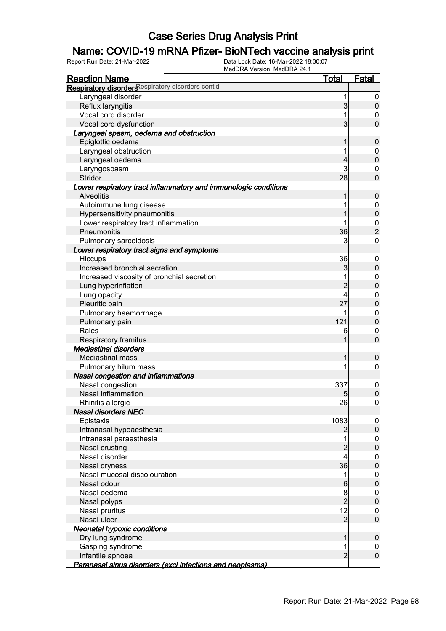### Name: COVID-19 mRNA Pfizer- BioNTech vaccine analysis print

| <b>IVICULIVA VEISIUII. IVICULIVA 24. I</b>                                | <b>Total</b>   | Fatal          |
|---------------------------------------------------------------------------|----------------|----------------|
| <b>Reaction Name</b><br>Respiratory disorders espiratory disorders cont'd |                |                |
|                                                                           |                |                |
| Laryngeal disorder                                                        |                | 0              |
| Reflux laryngitis                                                         | 3              | $\mathbf 0$    |
| Vocal cord disorder                                                       |                | 0              |
| Vocal cord dysfunction                                                    | 3              | $\overline{0}$ |
| Laryngeal spasm, oedema and obstruction                                   |                |                |
| Epiglottic oedema                                                         |                | $\mathbf 0$    |
| Laryngeal obstruction                                                     |                | $\mathbf 0$    |
| Laryngeal oedema                                                          | 4              | $\overline{0}$ |
| Laryngospasm                                                              | 3              | 0              |
| Stridor                                                                   | 28             | $\overline{0}$ |
| Lower respiratory tract inflammatory and immunologic conditions           |                |                |
| <b>Alveolitis</b>                                                         | 1              | $\mathbf 0$    |
| Autoimmune lung disease                                                   |                | $\mathbf 0$    |
| Hypersensitivity pneumonitis                                              |                | $\overline{0}$ |
| Lower respiratory tract inflammation                                      |                | $\frac{0}{2}$  |
| Pneumonitis                                                               | 36             |                |
| Pulmonary sarcoidosis                                                     | 3              | $\overline{0}$ |
| Lower respiratory tract signs and symptoms                                |                |                |
| Hiccups                                                                   | 36             | 0              |
| Increased bronchial secretion                                             | 3              | $\mathbf 0$    |
| Increased viscosity of bronchial secretion                                |                | $\mathbf 0$    |
| Lung hyperinflation                                                       | $\overline{2}$ | $\overline{0}$ |
| Lung opacity                                                              | 4              | $\mathbf 0$    |
| Pleuritic pain                                                            | 27             | $\overline{0}$ |
| Pulmonary haemorrhage                                                     |                | $\mathbf{0}$   |
| Pulmonary pain                                                            | 121            | $\overline{0}$ |
| Rales                                                                     | 6              | $\mathbf 0$    |
| Respiratory fremitus                                                      |                | $\overline{0}$ |
| <b>Mediastinal disorders</b>                                              |                |                |
| <b>Mediastinal mass</b>                                                   |                | 0              |
| Pulmonary hilum mass                                                      |                | 0              |
| <b>Nasal congestion and inflammations</b>                                 |                |                |
| Nasal congestion                                                          | 337            | $\mathbf 0$    |
| Nasal inflammation                                                        | 5              | 0              |
| Rhinitis allergic                                                         | 26             | 0              |
| <b>Nasal disorders NEC</b>                                                |                |                |
| Epistaxis                                                                 | 1083           | $\overline{0}$ |
| Intranasal hypoaesthesia                                                  | 2              | $\overline{0}$ |
| Intranasal paraesthesia                                                   |                | $\mathbf{0}$   |
| Nasal crusting                                                            | $\overline{2}$ | $\overline{0}$ |
| Nasal disorder                                                            | 4              | $\mathbf{0}$   |
| Nasal dryness                                                             | 36             | $\overline{0}$ |
| Nasal mucosal discolouration                                              | 1              | $\mathbf{0}$   |
| Nasal odour                                                               | 6              | $\overline{0}$ |
| Nasal oedema                                                              |                | $\mathbf{0}$   |
| Nasal polyps                                                              | $\frac{8}{2}$  | $\overline{0}$ |
| Nasal pruritus                                                            | 12             | $\mathbf 0$    |
| Nasal ulcer                                                               | $\overline{2}$ | $\mathbf 0$    |
| <b>Neonatal hypoxic conditions</b>                                        |                |                |
| Dry lung syndrome                                                         |                | $\mathbf 0$    |
| Gasping syndrome                                                          |                | 0              |
| Infantile apnoea                                                          | $\overline{2}$ | $\mathbf 0$    |
| Paranasal sinus disorders (excl infections and neoplasms)                 |                |                |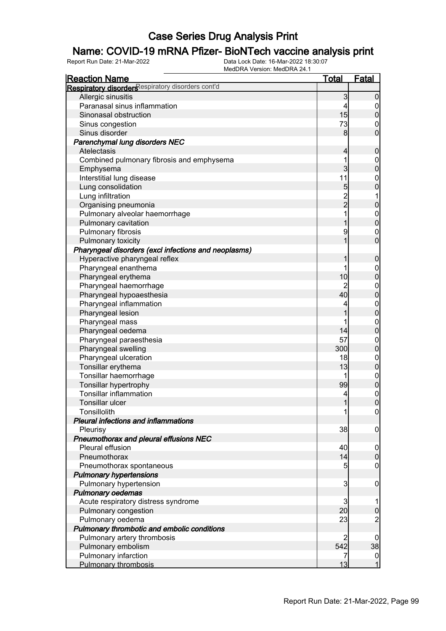### Name: COVID-19 mRNA Pfizer- BioNTech vaccine analysis print

| <b>Reaction Name</b>                                 | <u>Total</u>   | Fatal                                  |
|------------------------------------------------------|----------------|----------------------------------------|
| Respiratory disorders espiratory disorders cont'd    |                |                                        |
| Allergic sinusitis                                   | 3              | $\boldsymbol{0}$                       |
| Paranasal sinus inflammation                         | 4              |                                        |
| Sinonasal obstruction                                | 15             | $\begin{matrix} 0 \\ 0 \end{matrix}$   |
| Sinus congestion                                     | 73             | $\boldsymbol{0}$                       |
| Sinus disorder                                       | 8              | $\overline{0}$                         |
| Parenchymal lung disorders NEC                       |                |                                        |
| Atelectasis                                          | 4              | $\pmb{0}$                              |
| Combined pulmonary fibrosis and emphysema            | 1              |                                        |
| Emphysema                                            | 3              | $0$<br>0                               |
| Interstitial lung disease                            | 11             |                                        |
| Lung consolidation                                   | 5              | $0\atop 0$                             |
| Lung infiltration                                    |                | $\mathbf 1$                            |
| Organising pneumonia                                 | $\frac{2}{2}$  | $\mathbf 0$                            |
| Pulmonary alveolar haemorrhage                       | 1              |                                        |
| Pulmonary cavitation                                 | 1              | $0\atop 0$                             |
| Pulmonary fibrosis                                   | 9              |                                        |
| Pulmonary toxicity                                   | 1              | $\begin{matrix}0\\0\end{matrix}$       |
| Pharyngeal disorders (excl infections and neoplasms) |                |                                        |
| Hyperactive pharyngeal reflex                        | 1              | $\boldsymbol{0}$                       |
| Pharyngeal enanthema                                 | 1              |                                        |
| Pharyngeal erythema                                  | 10             | $0\atop 0$                             |
| Pharyngeal haemorrhage                               | $\overline{2}$ |                                        |
| Pharyngeal hypoaesthesia                             | 40             | $0$<br>0                               |
| Pharyngeal inflammation                              | 4              |                                        |
| Pharyngeal lesion                                    | 1              | $0$<br>0                               |
| Pharyngeal mass                                      | 1              |                                        |
| Pharyngeal oedema                                    | 14             | $0\atop 0$                             |
| Pharyngeal paraesthesia                              | 57             |                                        |
| Pharyngeal swelling                                  | 300            | $0\atop 0$                             |
| Pharyngeal ulceration                                | 18             |                                        |
| Tonsillar erythema                                   | 13             | $0\atop 0$                             |
| Tonsillar haemorrhage                                | 1              |                                        |
| Tonsillar hypertrophy                                | 99             | $0$<br>0                               |
| <b>Tonsillar inflammation</b>                        | 4              |                                        |
| Tonsillar ulcer                                      | 1              | $\begin{matrix}0\\0\end{matrix}$       |
| Tonsillolith                                         | 1              | 0                                      |
| <b>Pleural infections and inflammations</b>          |                |                                        |
| Pleurisy                                             | 38             | $\overline{0}$                         |
| Pneumothorax and pleural effusions NEC               |                |                                        |
| Pleural effusion                                     | 40             | $\overline{0}$                         |
| Pneumothorax                                         | 14             | $\mathbf 0$                            |
| Pneumothorax spontaneous                             | 5              | $\mathbf 0$                            |
| <b>Pulmonary hypertensions</b>                       |                |                                        |
| Pulmonary hypertension                               | 3              | $\mathbf 0$                            |
| <b>Pulmonary oedemas</b>                             |                |                                        |
| Acute respiratory distress syndrome                  | 3              | 1                                      |
| Pulmonary congestion                                 | 20             | $\mathbf 0$                            |
| Pulmonary oedema                                     | 23             | $\overline{c}$                         |
| Pulmonary thrombotic and embolic conditions          |                |                                        |
| Pulmonary artery thrombosis                          | 2              | $\overline{0}$                         |
| Pulmonary embolism                                   | 542            | 38                                     |
| Pulmonary infarction                                 | 7              |                                        |
| <b>Pulmonary thrombosis</b>                          | 13             | $\begin{bmatrix} 0 \\ 1 \end{bmatrix}$ |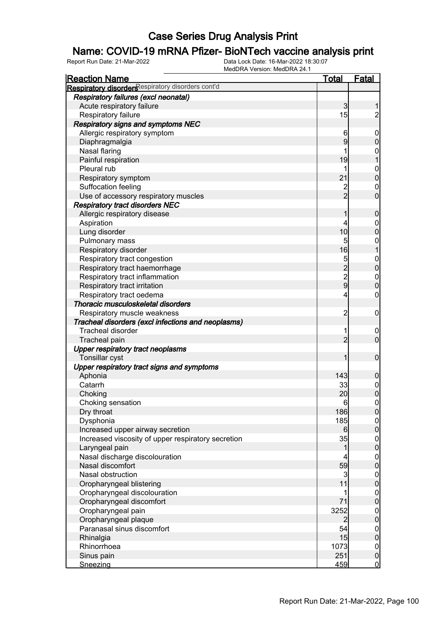### Name: COVID-19 mRNA Pfizer- BioNTech vaccine analysis print

| <b>Reaction Name</b>                               | <u>Total</u>    | <b>Fatal</b>                         |
|----------------------------------------------------|-----------------|--------------------------------------|
| Respiratory disorders espiratory disorders cont'd  |                 |                                      |
| <b>Respiratory failures (excl neonatal)</b>        |                 |                                      |
| Acute respiratory failure                          | 3               | 1                                    |
| Respiratory failure                                | 15              | $\overline{2}$                       |
| Respiratory signs and symptoms NEC                 |                 |                                      |
| Allergic respiratory symptom                       | 6               | $\boldsymbol{0}$                     |
| Diaphragmalgia                                     | 9               | $\mathbf 0$                          |
| Nasal flaring                                      | 1               | $\mathbf{0}$                         |
| Painful respiration                                | 19              | $\mathbf{1}$                         |
| Pleural rub                                        | 1               |                                      |
| Respiratory symptom                                | 21              | $\begin{matrix}0\\0\end{matrix}$     |
| Suffocation feeling                                | $\overline{c}$  |                                      |
| Use of accessory respiratory muscles               | $\overline{2}$  | $\begin{matrix} 0 \\ 0 \end{matrix}$ |
| <b>Respiratory tract disorders NEC</b>             |                 |                                      |
| Allergic respiratory disease                       | 1               | $\mathbf 0$                          |
| Aspiration                                         | 4               |                                      |
| Lung disorder                                      | 10              | $\begin{matrix} 0 \\ 0 \end{matrix}$ |
| Pulmonary mass                                     | 5               |                                      |
| Respiratory disorder                               | 16              | $\begin{matrix} 0 \\ 1 \end{matrix}$ |
|                                                    |                 |                                      |
| Respiratory tract congestion                       |                 | $\begin{matrix}0\\0\end{matrix}$     |
| Respiratory tract haemorrhage                      |                 |                                      |
| Respiratory tract inflammation                     | 5229            | $\begin{matrix}0\\0\end{matrix}$     |
| Respiratory tract irritation                       |                 |                                      |
| Respiratory tract oedema                           | 4               | $\mathbf 0$                          |
| Thoracic musculoskeletal disorders                 |                 |                                      |
| Respiratory muscle weakness                        | $\overline{2}$  | $\mathbf 0$                          |
| Tracheal disorders (excl infections and neoplasms) |                 |                                      |
| <b>Tracheal disorder</b>                           | 1               | $\mathbf 0$                          |
| Tracheal pain                                      | $\overline{2}$  | $\overline{0}$                       |
| <b>Upper respiratory tract neoplasms</b>           |                 |                                      |
| Tonsillar cyst                                     | 1               | $\mathbf 0$                          |
| Upper respiratory tract signs and symptoms         |                 |                                      |
| Aphonia                                            | 143             | $\mathbf 0$                          |
| Catarrh                                            | 33              | $0\atop 0$                           |
| Choking                                            | 20              |                                      |
| Choking sensation                                  | $6 \overline{}$ | $\overline{0}$                       |
| Dry throat                                         | 186             | 0                                    |
| Dysphonia                                          | 185             | $\frac{0}{0}$                        |
| Increased upper airway secretion                   | $6 \mid$        |                                      |
| Increased viscosity of upper respiratory secretion | 35              |                                      |
| Laryngeal pain                                     | 1               | $\begin{matrix} 0 \\ 0 \end{matrix}$ |
| Nasal discharge discolouration                     | 4               |                                      |
| Nasal discomfort                                   | 59              | $0\atop 0$                           |
| Nasal obstruction                                  | $\overline{3}$  |                                      |
| Oropharyngeal blistering                           | 11              | $0\atop 0$                           |
| Oropharyngeal discolouration                       | 1               |                                      |
| Oropharyngeal discomfort                           | 71              | $0\atop 0$                           |
| Oropharyngeal pain                                 | 3252            |                                      |
| Oropharyngeal plaque                               | $\overline{2}$  | $0\atop 0$                           |
| Paranasal sinus discomfort                         | 54              |                                      |
| Rhinalgia                                          | 15              | $0\atop 0$                           |
| Rhinorrhoea                                        | 1073            | $\boldsymbol{0}$                     |
| Sinus pain                                         | 251             | $\mathbf 0$                          |
| Sneezing                                           | 459             | $\overline{0}$                       |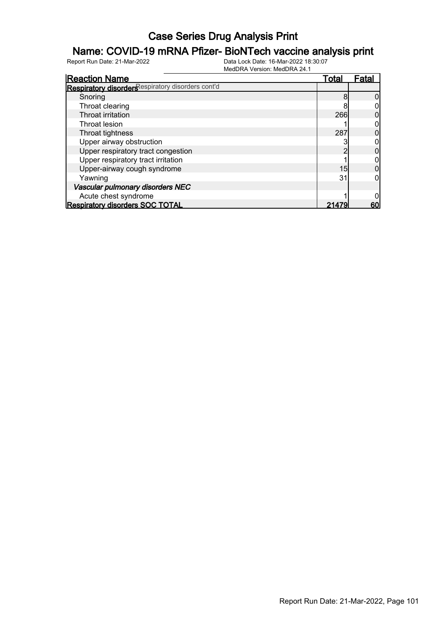### Name: COVID-19 mRNA Pfizer- BioNTech vaccine analysis print

| <b>Reaction Name</b>                              | <u>Total</u> | Fatal |
|---------------------------------------------------|--------------|-------|
| Respiratory disorders espiratory disorders cont'd |              |       |
| Snoring                                           | 8            |       |
| Throat clearing                                   |              |       |
| Throat irritation                                 | 266          |       |
| Throat lesion                                     |              |       |
| Throat tightness                                  | 287          |       |
| Upper airway obstruction                          |              |       |
| Upper respiratory tract congestion                |              |       |
| Upper respiratory tract irritation                |              |       |
| Upper-airway cough syndrome                       | 15           |       |
| Yawning                                           | 31           |       |
| Vascular pulmonary disorders NEC                  |              |       |
| Acute chest syndrome                              |              |       |
| <b>Respiratory disorders SOC TOTAL</b>            | 21479        | 60    |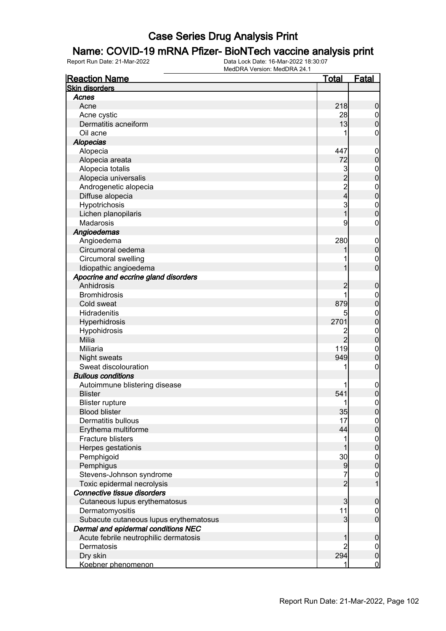### Name: COVID-19 mRNA Pfizer- BioNTech vaccine analysis print

| <b>Reaction Name</b>                   | <u>Total</u>    | <b>Fatal</b>                     |
|----------------------------------------|-----------------|----------------------------------|
| <b>Skin disorders</b>                  |                 |                                  |
| Acnes                                  |                 |                                  |
| Acne                                   | 218             | 0                                |
| Acne cystic                            | 28              | $\mathbf 0$                      |
| Dermatitis acneiform                   | 13              | 0                                |
| Oil acne                               | 1               | 0                                |
| <b>Alopecias</b>                       |                 |                                  |
| Alopecia                               | 447             | 0                                |
| Alopecia areata                        | 72              | 0                                |
| Alopecia totalis                       | $\mathbf{3}$    | 0                                |
| Alopecia universalis                   | $\overline{2}$  | 0                                |
| Androgenetic alopecia                  | $\frac{2}{4}$   | $\mathbf{0}$                     |
| Diffuse alopecia                       |                 | O                                |
| Hypotrichosis                          | 3               | $\mathbf{0}$                     |
| Lichen planopilaris                    | 1               | O                                |
| Madarosis                              | 9               | 0                                |
| Angioedemas                            |                 |                                  |
| Angioedema                             | 280             | $\boldsymbol{0}$                 |
| Circumoral oedema                      |                 | 0                                |
| Circumoral swelling                    |                 | $\mathbf 0$                      |
| Idiopathic angioedema                  |                 | 0                                |
| Apocrine and eccrine gland disorders   |                 |                                  |
| Anhidrosis                             |                 | 0                                |
| <b>Bromhidrosis</b>                    |                 | 0                                |
| Cold sweat                             | 879             | 0                                |
| Hidradenitis                           | 5               | $\mathbf 0$                      |
| Hyperhidrosis                          | 2701            | $\overline{0}$                   |
| Hypohidrosis                           | 2               | $\mathbf{0}$                     |
| Milia                                  | $\overline{2}$  | O                                |
| Miliaria                               | 119             | $\mathbf 0$                      |
| Night sweats                           | 949             | O                                |
| Sweat discolouration                   | 1               | 0                                |
| <b>Bullous conditions</b>              |                 |                                  |
| Autoimmune blistering disease          |                 | 0                                |
| <b>Blister</b>                         | 541             | 0                                |
| <b>Blister rupture</b>                 | 1               | 0                                |
| <b>Blood blister</b>                   | 35              | U                                |
| Dermatitis bullous                     | 17              | $\overline{0}$                   |
| Erythema multiforme                    | 44              | 0                                |
| <b>Fracture blisters</b>               | 1               |                                  |
| Herpes gestationis                     |                 | $0\atop 0$                       |
| Pemphigoid                             | 30 <sup>2</sup> |                                  |
| Pemphigus                              | 9               | $\begin{matrix}0\\0\end{matrix}$ |
| Stevens-Johnson syndrome               | 7               | $\mathbf 0$                      |
| Toxic epidermal necrolysis             | $\overline{2}$  | $\overline{1}$                   |
| Connective tissue disorders            |                 |                                  |
| Cutaneous lupus erythematosus          | 3               | 0                                |
| Dermatomyositis                        | 11              | $\mathbf 0$                      |
| Subacute cutaneous lupus erythematosus | 3               | $\overline{0}$                   |
| Dermal and epidermal conditions NEC    |                 |                                  |
| Acute febrile neutrophilic dermatosis  |                 | 0                                |
| Dermatosis                             | 2               | $\mathbf 0$                      |
| Dry skin                               | 294             | $\pmb{0}$                        |
| Koebner phenomenon                     | 1               | $\overline{0}$                   |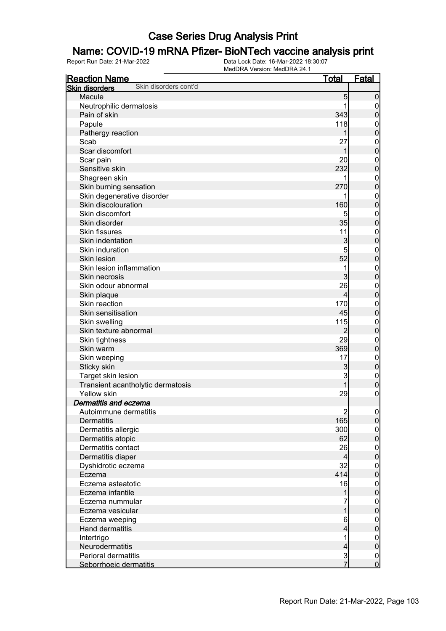### Name: COVID-19 mRNA Pfizer- BioNTech vaccine analysis print

| <b>Reaction Name</b>                           | <u>Total</u>   | <b>Fatal</b>                         |
|------------------------------------------------|----------------|--------------------------------------|
| Skin disorders cont'd<br><b>Skin disorders</b> |                |                                      |
| Macule                                         | 5              | $\mathbf 0$                          |
| Neutrophilic dermatosis                        |                | $\overline{0}$                       |
| Pain of skin                                   | 343            | $\pmb{0}$                            |
| Papule                                         | 118            | $\mathbf{0}$                         |
| Pathergy reaction                              | 1              | $\mathbf 0$                          |
| Scab                                           | 27             | $\mathbf{0}$                         |
| Scar discomfort                                | 1              | $\mathbf 0$                          |
| Scar pain                                      | 20             | $\mathbf{0}$                         |
| Sensitive skin                                 | 232            | $\mathbf 0$                          |
| Shagreen skin                                  | 1              | $\mathbf{0}$                         |
| Skin burning sensation                         | 270            | $\mathbf 0$                          |
| Skin degenerative disorder                     |                | $\mathbf{0}$                         |
| Skin discolouration                            | 160            | $\overline{0}$                       |
| Skin discomfort                                | 5              | $\mathbf{0}$                         |
| Skin disorder                                  | 35             | $\mathbf 0$                          |
| <b>Skin fissures</b>                           | 11             | $\mathbf{0}$                         |
| Skin indentation                               | 3              | $\overline{0}$                       |
| Skin induration                                | 5              | $\mathbf{0}$                         |
| Skin lesion                                    | 52             | $\overline{0}$                       |
| Skin lesion inflammation                       | 1              | $\mathbf{0}$                         |
| Skin necrosis                                  | 3              | $\overline{0}$                       |
| Skin odour abnormal                            | 26             | $\mathbf{0}$                         |
| Skin plaque                                    | $\overline{4}$ | $\mathbf 0$                          |
| Skin reaction                                  | 170            | $\mathbf{0}$                         |
| Skin sensitisation                             | 45             | $\mathbf 0$                          |
| Skin swelling                                  | 115            | $\mathbf{0}$                         |
| Skin texture abnormal                          | $\overline{2}$ | $\mathbf 0$                          |
| Skin tightness                                 | 29             | $\mathbf{0}$                         |
| Skin warm                                      | 369            | $\mathbf 0$                          |
| Skin weeping                                   | 17             | $\mathbf{0}$                         |
| Sticky skin                                    | $\mathbf{3}$   | $\mathbf 0$                          |
| Target skin lesion                             | 3              | $\mathbf{0}$                         |
| Transient acantholytic dermatosis              | 1              | $\mathbf 0$                          |
| Yellow skin                                    | 29             | $\mathbf 0$                          |
| Dermatitis and eczema                          |                |                                      |
| Autoimmune dermatitis                          | $\mathbf{2}$   | 0                                    |
| <b>Dermatitis</b>                              | 165            | $\overline{0}$                       |
| Dermatitis allergic                            | 300            | $\boldsymbol{0}$                     |
| Dermatitis atopic                              | 62             | $\overline{0}$                       |
| Dermatitis contact                             | 26             | $\boldsymbol{0}$                     |
| Dermatitis diaper                              | $\overline{4}$ | $\overline{0}$                       |
| Dyshidrotic eczema                             | 32             | $\boldsymbol{0}$                     |
| Eczema                                         | 414            | $\overline{0}$                       |
| Eczema asteatotic                              | 16             | $\boldsymbol{0}$                     |
| Eczema infantile                               | 1              | $\overline{0}$                       |
| Eczema nummular                                | 7              | $\boldsymbol{0}$                     |
| Eczema vesicular                               | $\overline{1}$ | $\overline{0}$                       |
| Eczema weeping                                 | 6              | $\boldsymbol{0}$                     |
| Hand dermatitis                                | 4              | $\mathbf 0$                          |
| Intertrigo                                     | 1              | $\boldsymbol{0}$                     |
| Neurodermatitis                                | $\overline{4}$ | $\overline{0}$                       |
| <b>Perioral dermatitis</b>                     |                |                                      |
| Seborrhoeic dermatitis                         | $\frac{3}{7}$  | $\begin{matrix} 0 \\ 0 \end{matrix}$ |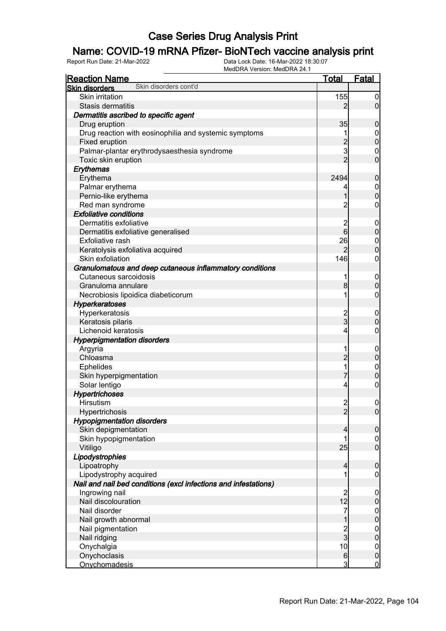### Name: COVID-19 mRNA Pfizer- BioNTech vaccine analysis print

| <b>Reaction Name</b>                                            | <u>Total</u>                           | Fatal            |
|-----------------------------------------------------------------|----------------------------------------|------------------|
| Skin disorders cont'd<br><b>Skin disorders</b>                  |                                        |                  |
| <b>Skin irritation</b>                                          | 155                                    | $\boldsymbol{0}$ |
| Stasis dermatitis                                               | 2                                      | $\overline{0}$   |
| Dermatitis ascribed to specific agent                           |                                        |                  |
| Drug eruption                                                   | 35                                     | $\mathbf 0$      |
| Drug reaction with eosinophilia and systemic symptoms           |                                        | $\mathbf 0$      |
| Fixed eruption                                                  | $\overline{a}$                         | $\mathbf 0$      |
| Palmar-plantar erythrodysaesthesia syndrome                     | 3                                      | $\mathbf 0$      |
| Toxic skin eruption                                             | $\overline{2}$                         | $\mathbf 0$      |
| Erythemas                                                       |                                        |                  |
| Erythema                                                        | 2494                                   | $\boldsymbol{0}$ |
| Palmar erythema                                                 | 4                                      | $\boldsymbol{0}$ |
| Pernio-like erythema                                            |                                        | $\overline{0}$   |
| Red man syndrome                                                | $\overline{c}$                         | $\boldsymbol{0}$ |
| <b>Exfoliative conditions</b>                                   |                                        |                  |
| Dermatitis exfoliative                                          | $\overline{\mathbf{c}}$                | $\mathbf 0$      |
| Dermatitis exfoliative generalised                              | $6\overline{6}$                        | $\mathbf 0$      |
| Exfoliative rash                                                | 26                                     | $\boldsymbol{0}$ |
| Keratolysis exfoliativa acquired                                | $\overline{2}$                         | $\overline{0}$   |
| Skin exfoliation                                                | 146                                    | $\boldsymbol{0}$ |
| Granulomatous and deep cutaneous inflammatory conditions        |                                        |                  |
| Cutaneous sarcoidosis                                           | 1                                      | $\mathbf 0$      |
| Granuloma annulare                                              | 8 <sup>1</sup>                         | $\mathbf 0$      |
| Necrobiosis lipoidica diabeticorum                              | 1                                      | $\boldsymbol{0}$ |
| <b>Hyperkeratoses</b>                                           |                                        |                  |
| Hyperkeratosis                                                  |                                        | $\mathbf 0$      |
| Keratosis pilaris                                               | $\frac{2}{3}$                          | $\mathbf 0$      |
| Lichenoid keratosis                                             | 4                                      | $\boldsymbol{0}$ |
| <b>Hyperpigmentation disorders</b>                              |                                        |                  |
| Argyria                                                         | 1                                      | $\mathbf 0$      |
| Chloasma                                                        | $\overline{2}$                         | $\mathbf 0$      |
| <b>Ephelides</b>                                                | 1                                      | $\mathbf{0}$     |
| Skin hyperpigmentation                                          | 7                                      | $\mathbf 0$      |
| Solar lentigo                                                   | 4                                      | $\boldsymbol{0}$ |
| <b>Hypertrichoses</b>                                           |                                        |                  |
| Hirsutism                                                       | $\mathbf{2}$                           | $\mathbf 0$      |
| Hypertrichosis                                                  | $\overline{2}$                         | $\overline{0}$   |
| <b>Hypopigmentation disorders</b>                               |                                        |                  |
| Skin depigmentation                                             | 4                                      | $\mathbf 0$      |
| Skin hypopigmentation                                           | 1                                      | $\overline{0}$   |
| Vitiligo                                                        | 25                                     | $\overline{0}$   |
| Lipodystrophies                                                 |                                        |                  |
| Lipoatrophy                                                     | $\overline{\mathbf{4}}$                | $\mathbf 0$      |
| Lipodystrophy acquired                                          |                                        | 0                |
| Nail and nail bed conditions (excl infections and infestations) |                                        |                  |
| Ingrowing nail                                                  |                                        | $\mathbf 0$      |
| Nail discolouration                                             | $\begin{array}{c} 2 \\ 12 \end{array}$ | $\pmb{0}$        |
| Nail disorder                                                   | 7                                      | $\boldsymbol{0}$ |
| Nail growth abnormal                                            | 1                                      | $\overline{0}$   |
| Nail pigmentation                                               | $\frac{2}{3}$                          | $\boldsymbol{0}$ |
| Nail ridging                                                    |                                        | $\mathbf 0$      |
| Onychalgia                                                      | 10                                     | $\overline{0}$   |
| Onychoclasis                                                    | $6 \overline{6}$                       | $\mathbf 0$      |
| <b>Onychomadesis</b>                                            | $\mathbf{3}$                           | $\overline{0}$   |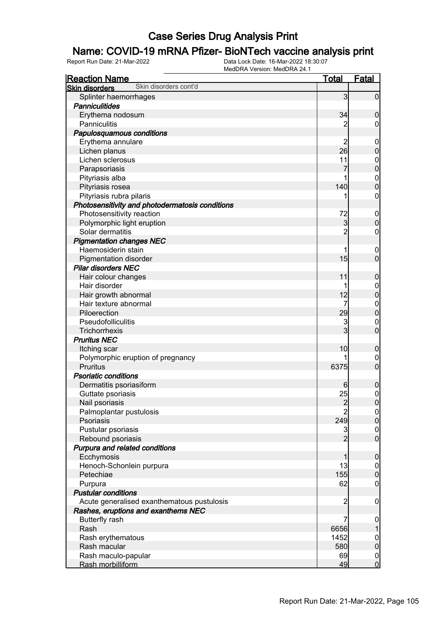### Name: COVID-19 mRNA Pfizer- BioNTech vaccine analysis print

| <b>Reaction Name</b>                            | <u>Total</u>            | <b>Fatal</b>                     |
|-------------------------------------------------|-------------------------|----------------------------------|
| Skin disorders cont'd<br><b>Skin disorders</b>  |                         |                                  |
| Splinter haemorrhages                           | 3                       | $\overline{0}$                   |
| <b>Panniculitides</b>                           |                         |                                  |
| Erythema nodosum                                | 34                      | $\mathbf 0$                      |
| Panniculitis                                    | 2                       | $\overline{0}$                   |
| Papulosquamous conditions                       |                         |                                  |
| Erythema annulare                               | 2                       | $\mathbf 0$                      |
| Lichen planus                                   | 26                      | $\mathbf 0$                      |
| Lichen sclerosus                                | 11                      | $\boldsymbol{0}$                 |
| Parapsoriasis                                   | 7                       | $\overline{0}$                   |
| Pityriasis alba                                 |                         | $\mathbf{0}$                     |
| Pityriasis rosea                                | 140                     | $\overline{0}$                   |
| Pityriasis rubra pilaris                        |                         | $\mathbf 0$                      |
| Photosensitivity and photodermatosis conditions |                         |                                  |
| Photosensitivity reaction                       | 72                      | $\mathbf 0$                      |
| Polymorphic light eruption                      | 3                       | $\mathbf 0$                      |
| Solar dermatitis                                | $\overline{2}$          | $\boldsymbol{0}$                 |
| <b>Pigmentation changes NEC</b>                 |                         |                                  |
| Haemosiderin stain                              |                         | $\mathbf 0$                      |
| <b>Pigmentation disorder</b>                    | 15                      | $\mathbf 0$                      |
| <b>Pilar disorders NEC</b>                      |                         |                                  |
| Hair colour changes                             | 11                      | $\mathbf 0$                      |
| Hair disorder                                   |                         | $\mathbf 0$                      |
| Hair growth abnormal                            | 12                      | $\overline{0}$                   |
| Hair texture abnormal                           | 7                       | $\mathbf{0}$                     |
| Piloerection                                    | 29                      | $\overline{0}$                   |
| Pseudofolliculitis                              | 3                       | $\mathbf 0$                      |
| Trichorrhexis                                   | 3                       | $\mathbf 0$                      |
| <b>Pruritus NEC</b>                             |                         |                                  |
| Itching scar                                    | 10                      | $\mathbf 0$                      |
| Polymorphic eruption of pregnancy               |                         | 0                                |
| <b>Pruritus</b>                                 | 6375                    | $\overline{0}$                   |
| <b>Psoriatic conditions</b>                     |                         |                                  |
| Dermatitis psoriasiform                         | 6                       |                                  |
| Guttate psoriasis                               |                         | $\mathbf 0$                      |
| Nail psoriasis                                  | 25<br>$\overline{2}$    | $\mathbf{0}$<br>$\overline{0}$   |
|                                                 |                         |                                  |
| Palmoplantar pustulosis<br>Psoriasis            | $\overline{c}$<br>249   | 0 <br> 0                         |
|                                                 |                         |                                  |
| Pustular psoriasis                              | 3<br>$\overline{2}$     | $\overline{0}$<br>$\overline{0}$ |
| Rebound psoriasis                               |                         |                                  |
| Purpura and related conditions                  |                         |                                  |
| Ecchymosis                                      | 1                       | $\boldsymbol{0}$                 |
| Henoch-Schonlein purpura                        | 13                      | $\overline{0}$                   |
| Petechiae                                       | 155                     | $\boldsymbol{0}$                 |
| Purpura                                         | 62                      | $\mathbf 0$                      |
| <b>Pustular conditions</b>                      |                         |                                  |
| Acute generalised exanthematous pustulosis      | $\overline{\mathbf{c}}$ | $\mathbf 0$                      |
| Rashes, eruptions and exanthems NEC             |                         |                                  |
| <b>Butterfly rash</b>                           | 7                       | $\mathbf 0$                      |
| Rash                                            | 6656                    | 1                                |
| Rash erythematous                               | 1452                    | $\boldsymbol{0}$                 |
| Rash macular                                    | 580                     | $\boldsymbol{0}$                 |
| Rash maculo-papular                             | 69                      | $\overline{0}$                   |
| Rash morbilliform                               | 49                      | $\mathbf 0$                      |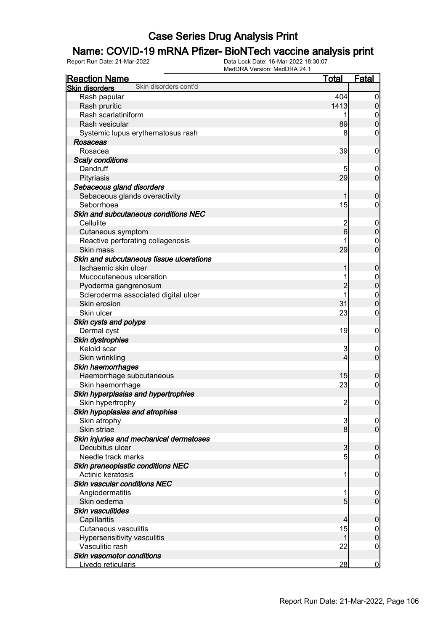### Name: COVID-19 mRNA Pfizer- BioNTech vaccine analysis print

| <b>Reaction Name</b>                           | <b>Total</b>            | <b>Fatal</b>                    |
|------------------------------------------------|-------------------------|---------------------------------|
| Skin disorders cont'd<br><b>Skin disorders</b> |                         |                                 |
| Rash papular                                   | 404                     | $\boldsymbol{0}$                |
| Rash pruritic                                  | 1413                    | $\boldsymbol{0}$                |
| Rash scarlatiniform                            |                         | 0                               |
| Rash vesicular                                 | 89                      | $\mathbf 0$                     |
| Systemic lupus erythematosus rash              | 8                       | 0                               |
| Rosaceas                                       |                         |                                 |
| Rosacea                                        | 39                      | $\mathbf 0$                     |
| <b>Scaly conditions</b>                        |                         |                                 |
| Dandruff                                       | 5                       | $\mathbf 0$                     |
| Pityriasis                                     | 29                      | $\mathbf 0$                     |
| Sebaceous gland disorders                      |                         |                                 |
| Sebaceous glands overactivity                  | 1                       | $\mathbf 0$                     |
| Seborrhoea                                     | 15                      | 0                               |
| Skin and subcutaneous conditions NEC           |                         |                                 |
| Cellulite                                      | $\overline{c}$          | $\mathbf 0$                     |
| Cutaneous symptom                              | $6\overline{6}$         | $\pmb{0}$                       |
| Reactive perforating collagenosis              |                         | 0                               |
| Skin mass                                      | 29                      | $\mathbf 0$                     |
| Skin and subcutaneous tissue ulcerations       |                         |                                 |
| Ischaemic skin ulcer                           | 1                       |                                 |
|                                                |                         | $\mathbf 0$                     |
| Mucocutaneous ulceration                       |                         | $\boldsymbol{0}$<br>$\mathbf 0$ |
| Pyoderma gangrenosum                           | $\overline{c}$          |                                 |
| Scleroderma associated digital ulcer           |                         | $\boldsymbol{0}$                |
| Skin erosion                                   | 31                      | $\mathbf 0$                     |
| Skin ulcer                                     | 23                      | $\mathbf 0$                     |
| Skin cysts and polyps                          |                         |                                 |
| Dermal cyst                                    | 19                      | $\mathbf 0$                     |
| <b>Skin dystrophies</b>                        |                         |                                 |
| Keloid scar                                    | 3                       | $\mathbf 0$                     |
| Skin wrinkling                                 | $\overline{4}$          | $\mathbf 0$                     |
| Skin haemorrhages                              |                         |                                 |
| Haemorrhage subcutaneous                       | 15                      | $\mathbf 0$                     |
| Skin haemorrhage                               | 23                      | $\boldsymbol{0}$                |
| Skin hyperplasias and hypertrophies            |                         |                                 |
| Skin hypertrophy                               | $\overline{2}$          | $\boldsymbol{0}$                |
| Skin hypoplasias and atrophies                 |                         |                                 |
| Skin atrophy                                   | 3                       | $\overline{0}$                  |
| Skin striae                                    | 8 <sup>1</sup>          | $\overline{0}$                  |
| Skin injuries and mechanical dermatoses        |                         |                                 |
| Decubitus ulcer                                | $\overline{3}$          | $\boldsymbol{0}$                |
| Needle track marks                             | 5                       | $\boldsymbol{0}$                |
| Skin preneoplastic conditions NEC              |                         |                                 |
| Actinic keratosis                              | 1                       | $\mathbf 0$                     |
| Skin vascular conditions NEC                   |                         |                                 |
| Angiodermatitis                                | 1                       | $\mathbf 0$                     |
| Skin oedema                                    | 5 <sub>5</sub>          | $\overline{0}$                  |
| Skin vasculitides                              |                         |                                 |
| Capillaritis                                   | $\overline{\mathbf{4}}$ | $\mathbf 0$                     |
| Cutaneous vasculitis                           | 15                      | $\overline{0}$                  |
| Hypersensitivity vasculitis                    | $\mathbf{1}$            | $\mathbf 0$                     |
| Vasculitic rash                                | 22                      | $\mathbf 0$                     |
| Skin vasomotor conditions                      |                         |                                 |
| Livedo reticularis                             | 28                      | $\bf{0}$                        |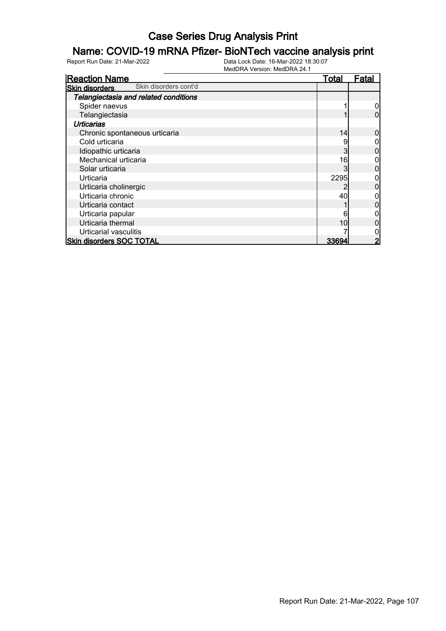### Name: COVID-19 mRNA Pfizer- BioNTech vaccine analysis print

| <b>Reaction Name</b>                           | <b>Total</b> | Fatal |
|------------------------------------------------|--------------|-------|
| Skin disorders cont'd<br><b>Skin disorders</b> |              |       |
| Telangiectasia and related conditions          |              |       |
| Spider naevus                                  |              |       |
| Telangiectasia                                 |              |       |
| <b>Urticarias</b>                              |              |       |
| Chronic spontaneous urticaria                  | 14           |       |
| Cold urticaria                                 | 9            |       |
| Idiopathic urticaria                           | 3            |       |
| Mechanical urticaria                           | 16           |       |
| Solar urticaria                                | 3            |       |
| Urticaria                                      | 2295         |       |
| Urticaria cholinergic                          |              |       |
| Urticaria chronic                              | 40           |       |
| Urticaria contact                              |              |       |
| Urticaria papular                              | 6            |       |
| Urticaria thermal                              | 10           |       |
| <b>Urticarial vasculitis</b>                   |              |       |
| <b>Skin disorders SOC TOTAL</b>                | 33694        | 2     |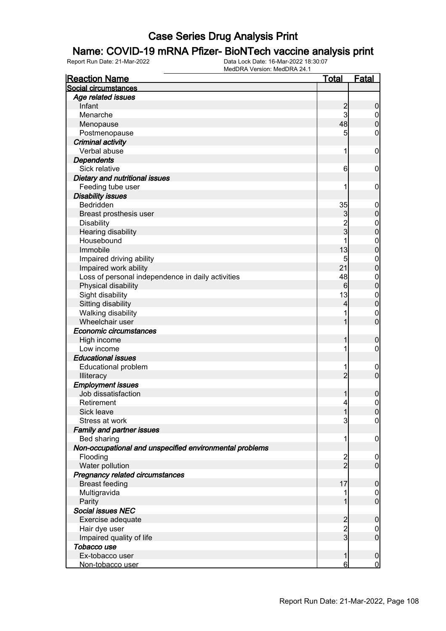### Name: COVID-19 mRNA Pfizer- BioNTech vaccine analysis print

| <b>Reaction Name</b>                                    | <u>Total</u>            | Fatal            |
|---------------------------------------------------------|-------------------------|------------------|
| Social circumstances                                    |                         |                  |
| Age related issues                                      |                         |                  |
| Infant                                                  | $\overline{c}$          | $\boldsymbol{0}$ |
| Menarche                                                | 3                       | $\overline{0}$   |
| Menopause                                               | 48                      | $\overline{0}$   |
| Postmenopause                                           | 5                       | $\mathbf 0$      |
| <b>Criminal activity</b>                                |                         |                  |
| Verbal abuse                                            | 1                       | $\mathbf 0$      |
| <b>Dependents</b>                                       |                         |                  |
| Sick relative                                           | 6                       | $\mathbf 0$      |
| Dietary and nutritional issues                          |                         |                  |
| Feeding tube user                                       |                         | $\mathbf 0$      |
| <b>Disability issues</b>                                |                         |                  |
| Bedridden                                               | 35                      | $\mathbf 0$      |
| Breast prosthesis user                                  | 3                       | $\mathbf 0$      |
| <b>Disability</b>                                       |                         | $\boldsymbol{0}$ |
| Hearing disability                                      | $\frac{2}{3}$           | $\overline{0}$   |
| Housebound                                              |                         | $\boldsymbol{0}$ |
| Immobile                                                | 13                      | $\overline{0}$   |
| Impaired driving ability                                | 5                       | $\boldsymbol{0}$ |
| Impaired work ability                                   | 21                      | $\overline{0}$   |
| Loss of personal independence in daily activities       | 48                      | $\boldsymbol{0}$ |
| Physical disability                                     | 6                       | $\mathbf 0$      |
| Sight disability                                        | 13                      | $\boldsymbol{0}$ |
| Sitting disability                                      | 4                       | $\mathbf 0$      |
| Walking disability                                      |                         | $\mathbf 0$      |
| Wheelchair user                                         |                         | $\mathbf 0$      |
| Economic circumstances                                  |                         |                  |
| High income                                             |                         | $\boldsymbol{0}$ |
| Low income                                              |                         | $\mathbf 0$      |
| <b>Educational issues</b>                               |                         |                  |
| <b>Educational problem</b>                              |                         | $\boldsymbol{0}$ |
| Illiteracy                                              | $\overline{2}$          | $\overline{0}$   |
| <b>Employment issues</b>                                |                         |                  |
| Job dissatisfaction                                     |                         | $\boldsymbol{0}$ |
| Retirement                                              | 4                       | $\mathbf 0$      |
| Sick leave                                              | 1                       | 0                |
| Stress at work                                          | 3                       | $\overline{0}$   |
| <b>Family and partner issues</b>                        |                         |                  |
| Bed sharing                                             |                         | $\mathbf 0$      |
| Non-occupational and unspecified environmental problems |                         |                  |
| Flooding                                                | $\overline{\mathbf{c}}$ | $\overline{0}$   |
| Water pollution                                         | $\overline{2}$          | $\overline{0}$   |
| Pregnancy related circumstances                         |                         |                  |
| <b>Breast feeding</b>                                   | 17                      | $\boldsymbol{0}$ |
| Multigravida                                            |                         | $\mathbf 0$      |
| Parity                                                  |                         | $\overline{0}$   |
| <b>Social issues NEC</b>                                |                         |                  |
| Exercise adequate                                       | $\overline{c}$          | $\boldsymbol{0}$ |
| Hair dye user                                           | $\overline{\mathbf{c}}$ | $\overline{0}$   |
| Impaired quality of life                                | $\overline{3}$          | $\mathbf 0$      |
| Tobacco use                                             |                         |                  |
| Ex-tobacco user                                         | 1                       | $\mathbf 0$      |
| Non-tobacco user                                        | 6                       | $\mathbf 0$      |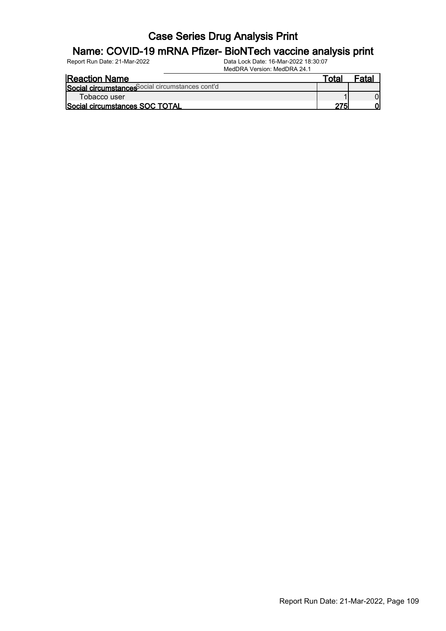#### Name: COVID-19 mRNA Pfizer- BioNTech vaccine analysis print

| <b>Reaction Name</b>                             | Гоtа | -nto |
|--------------------------------------------------|------|------|
| Social circumstances Social circumstances cont'd |      |      |
| Tobacco user                                     |      |      |
| Social circumstances SOC TOTAL                   |      |      |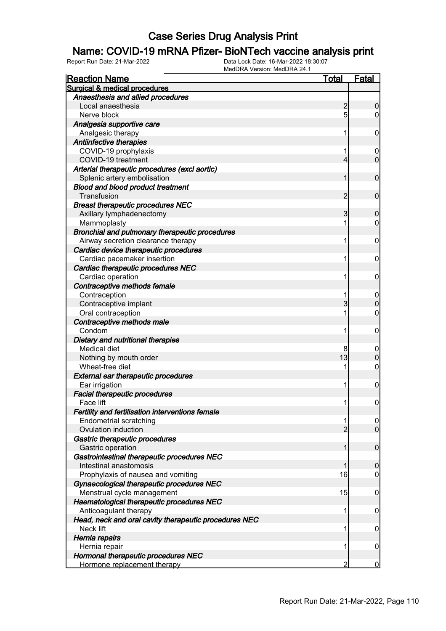#### Name: COVID-19 mRNA Pfizer- BioNTech vaccine analysis print

| <b>Reaction Name</b>                                  | <b>Total</b>   | <b>Fatal</b>     |
|-------------------------------------------------------|----------------|------------------|
| <b>Surgical &amp; medical procedures</b>              |                |                  |
| Anaesthesia and allied procedures                     |                |                  |
| Local anaesthesia                                     | $\overline{c}$ | $\boldsymbol{0}$ |
| Nerve block                                           | 5              | $\overline{0}$   |
| Analgesia supportive care                             |                |                  |
| Analgesic therapy                                     | 1              | $\mathbf 0$      |
| Antiinfective therapies                               |                |                  |
| COVID-19 prophylaxis                                  | 1              | 0                |
| COVID-19 treatment                                    | 4              | $\mathbf 0$      |
| Arterial therapeutic procedures (excl aortic)         |                |                  |
| Splenic artery embolisation                           | 1              | $\mathbf 0$      |
| <b>Blood and blood product treatment</b>              |                |                  |
| Transfusion                                           | $\overline{c}$ | $\mathbf 0$      |
| <b>Breast therapeutic procedures NEC</b>              |                |                  |
| Axillary lymphadenectomy                              | 3              | $\mathbf 0$      |
| Mammoplasty                                           | 1              | 0                |
| Bronchial and pulmonary therapeutic procedures        |                |                  |
| Airway secretion clearance therapy                    | 1              | $\mathbf 0$      |
| Cardiac device therapeutic procedures                 |                |                  |
| Cardiac pacemaker insertion                           | 1              | $\mathbf 0$      |
| Cardiac therapeutic procedures NEC                    |                |                  |
| Cardiac operation                                     | 1              | $\mathbf 0$      |
| Contraceptive methods female                          |                |                  |
| Contraception                                         | 1              | $\mathbf 0$      |
| Contraceptive implant                                 | 3              | $\boldsymbol{0}$ |
| Oral contraception                                    | 1              | $\mathbf 0$      |
| Contraceptive methods male                            |                |                  |
| Condom                                                | 1              | $\mathbf 0$      |
| Dietary and nutritional therapies                     |                |                  |
| <b>Medical diet</b>                                   | 8              | $\mathbf 0$      |
| Nothing by mouth order                                | 13             | $\boldsymbol{0}$ |
| Wheat-free diet                                       | 1              | $\mathbf 0$      |
| <b>External ear therapeutic procedures</b>            |                |                  |
| Ear irrigation                                        | 1              | $\mathbf 0$      |
| <b>Facial therapeutic procedures</b>                  |                |                  |
| Face lift                                             | 11             | $\mathbf 0$      |
| Fertility and fertilisation interventions female      |                |                  |
| <b>Endometrial scratching</b>                         | 1              | $\overline{0}$   |
| Ovulation induction                                   | $\overline{2}$ | $\overline{0}$   |
| Gastric therapeutic procedures                        |                |                  |
| Gastric operation                                     | 1              | $\mathbf 0$      |
| Gastrointestinal therapeutic procedures NEC           |                |                  |
| Intestinal anastomosis                                | 1              | $\mathbf 0$      |
| Prophylaxis of nausea and vomiting                    | 16             | $\mathbf 0$      |
| Gynaecological therapeutic procedures NEC             |                |                  |
| Menstrual cycle management                            | 15             | $\mathbf 0$      |
| Haematological therapeutic procedures NEC             |                |                  |
| Anticoagulant therapy                                 | 1              | $\boldsymbol{0}$ |
| Head, neck and oral cavity therapeutic procedures NEC |                |                  |
| Neck lift                                             | 1              | $\boldsymbol{0}$ |
| Hernia repairs                                        |                |                  |
| Hernia repair                                         | 1              | 0                |
| Hormonal therapeutic procedures NEC                   |                |                  |
| Hormone replacement therapy                           | 2              | $\overline{0}$   |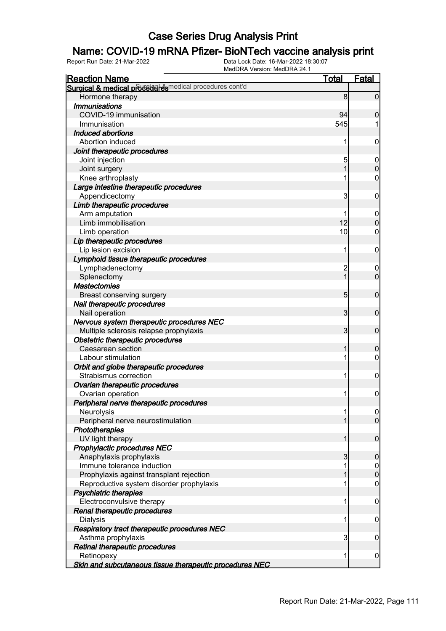#### Name: COVID-19 mRNA Pfizer- BioNTech vaccine analysis print

| <b>Reaction Name</b>                                    | Total           | Fatal          |
|---------------------------------------------------------|-----------------|----------------|
| Surgical & medical proceder esmedical procedures cont'd |                 |                |
| Hormone therapy                                         | 8               | $\mathbf 0$    |
| <b>Immunisations</b>                                    |                 |                |
| COVID-19 immunisation                                   | 94              | $\mathbf 0$    |
| Immunisation                                            | 545             |                |
| Induced abortions                                       |                 |                |
| Abortion induced                                        |                 | 0              |
| Joint therapeutic procedures                            |                 |                |
| Joint injection                                         | 5               | $\mathbf 0$    |
| Joint surgery                                           |                 | $\overline{0}$ |
| Knee arthroplasty                                       |                 | 0              |
| Large intestine therapeutic procedures                  |                 |                |
| Appendicectomy                                          | 3               | 0              |
| Limb therapeutic procedures                             |                 |                |
| Arm amputation                                          |                 | 0              |
| Limb immobilisation                                     | 12              | $\overline{0}$ |
| Limb operation                                          | 10 <sup>1</sup> | 0              |
| Lip therapeutic procedures                              |                 |                |
| Lip lesion excision                                     | 1               | 0              |
| Lymphoid tissue therapeutic procedures                  |                 |                |
| Lymphadenectomy                                         | $\overline{c}$  | $\mathbf 0$    |
| Splenectomy                                             | $\overline{1}$  | $\overline{0}$ |
| <b>Mastectomies</b>                                     |                 |                |
| Breast conserving surgery                               | $5\overline{)}$ | $\mathbf 0$    |
| Nail therapeutic procedures                             |                 |                |
| Nail operation                                          | 3               | $\mathbf 0$    |
| Nervous system therapeutic procedures NEC               |                 |                |
| Multiple sclerosis relapse prophylaxis                  | 3               | $\mathbf 0$    |
| Obstetric therapeutic procedures                        |                 |                |
| Caesarean section                                       | 1               | 0              |
| Labour stimulation                                      |                 | 0              |
| Orbit and globe therapeutic procedures                  |                 |                |
| Strabismus correction                                   |                 | 0              |
| Ovarian therapeutic procedures                          |                 |                |
| Ovarian operation                                       |                 | $\mathbf 0$    |
| Peripheral nerve therapeutic procedures                 |                 |                |
| Neurolysis                                              |                 | $\overline{0}$ |
| Peripheral nerve neurostimulation                       |                 | $\overline{0}$ |
| Phototherapies                                          |                 |                |
| UV light therapy                                        |                 | $\mathbf 0$    |
| Prophylactic procedures NEC                             |                 |                |
| Anaphylaxis prophylaxis                                 | 3               | $\mathbf 0$    |
| Immune tolerance induction                              |                 | $\mathbf 0$    |
| Prophylaxis against transplant rejection                |                 | $\overline{0}$ |
| Reproductive system disorder prophylaxis                |                 | 0              |
| <b>Psychiatric therapies</b>                            |                 |                |
| Electroconvulsive therapy                               |                 | $\mathbf 0$    |
| Renal therapeutic procedures                            |                 |                |
| <b>Dialysis</b>                                         |                 | $\mathbf 0$    |
| Respiratory tract therapeutic procedures NEC            |                 |                |
| Asthma prophylaxis                                      | 3               | $\mathbf 0$    |
| Retinal therapeutic procedures                          |                 |                |
| Retinopexy                                              | 1               | $\mathbf 0$    |
| Skin and subcutaneous tissue therapeutic procedures NEC |                 |                |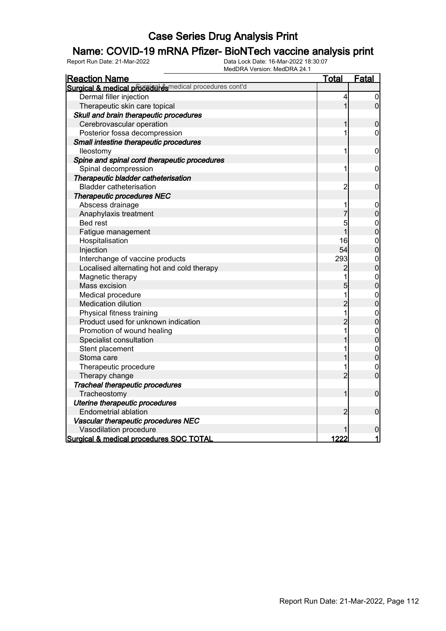#### Name: COVID-19 mRNA Pfizer- BioNTech vaccine analysis print

| <b>Reaction Name</b>                                     | <u>Total</u>   | <b>Fatal</b>                         |
|----------------------------------------------------------|----------------|--------------------------------------|
| Surgical & medical proceeder esmedical procedures cont'd |                |                                      |
| Dermal filler injection                                  | 4              | $\boldsymbol{0}$                     |
| Therapeutic skin care topical                            | 1              | $\overline{0}$                       |
| Skull and brain therapeutic procedures                   |                |                                      |
| Cerebrovascular operation                                | 1              | $\boldsymbol{0}$                     |
| Posterior fossa decompression                            | 1              | $\mathbf 0$                          |
| Small intestine therapeutic procedures                   |                |                                      |
| lleostomy                                                | 1              | $\mathbf 0$                          |
| Spine and spinal cord therapeutic procedures             |                |                                      |
| Spinal decompression                                     | 1              | $\mathbf 0$                          |
| Therapeutic bladder catheterisation                      |                |                                      |
| <b>Bladder catheterisation</b>                           | $\overline{c}$ | 0                                    |
| <b>Therapeutic procedures NEC</b>                        |                |                                      |
| Abscess drainage                                         | 1              | $\mathbf 0$                          |
| Anaphylaxis treatment                                    | 7              | $\overline{0}$                       |
| <b>Bed rest</b>                                          | 5              |                                      |
| Fatigue management                                       | $\overline{1}$ | $0\atop 0$                           |
| Hospitalisation                                          | 16             | $0\atop 0$                           |
| Injection                                                | 54             |                                      |
| Interchange of vaccine products                          | 293            | $\begin{matrix}0\\0\end{matrix}$     |
| Localised alternating hot and cold therapy               | $\overline{c}$ |                                      |
| Magnetic therapy                                         | 1              | $\begin{matrix}0\\0\end{matrix}$     |
| Mass excision                                            | $\overline{5}$ |                                      |
| Medical procedure                                        | 1              | $\begin{matrix}0\\0\end{matrix}$     |
| Medication dilution                                      | $\overline{2}$ |                                      |
| Physical fitness training                                | $\mathbf{1}$   | $\begin{matrix}0\\0\end{matrix}$     |
| Product used for unknown indication                      | $\overline{2}$ |                                      |
| Promotion of wound healing                               | 1              |                                      |
| Specialist consultation                                  | 1              | $0$ 0                                |
| Stent placement                                          | 1              | $\begin{matrix} 0 \\ 0 \end{matrix}$ |
| Stoma care                                               | 1              |                                      |
| Therapeutic procedure                                    | 1              | $\mathbf{0}$                         |
| Therapy change                                           | $\overline{2}$ | $\overline{0}$                       |
| Tracheal therapeutic procedures                          |                |                                      |
| Tracheostomy                                             | 1              | $\mathbf 0$                          |
| Uterine therapeutic procedures                           |                |                                      |
| <b>Endometrial ablation</b>                              | $\overline{2}$ | $\overline{0}$                       |
| Vascular therapeutic procedures NEC                      |                |                                      |
| Vasodilation procedure                                   |                | $\mathbf 0$                          |
| Surgical & medical procedures SOC TOTAL                  | 1222           | 1                                    |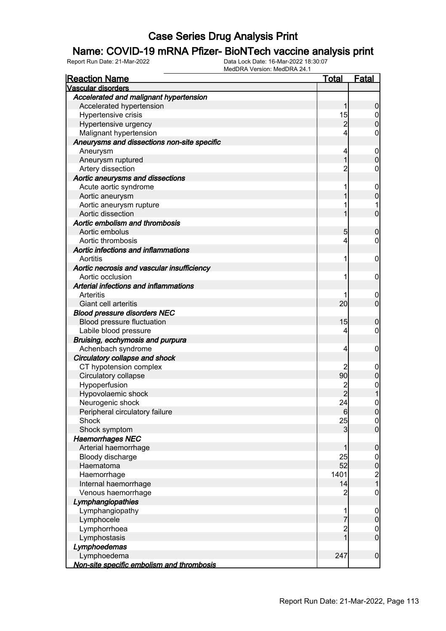#### Name: COVID-19 mRNA Pfizer- BioNTech vaccine analysis print

| <b>Reaction Name</b>                        | <u>Total</u>   | <b>Fatal</b>                          |
|---------------------------------------------|----------------|---------------------------------------|
| Vascular disorders                          |                |                                       |
| Accelerated and malignant hypertension      |                |                                       |
| Accelerated hypertension                    | 1              | $\boldsymbol{0}$                      |
| Hypertensive crisis                         | 15             | $0$<br>0                              |
| Hypertensive urgency                        | $\overline{2}$ |                                       |
| Malignant hypertension                      | 4              | 0                                     |
| Aneurysms and dissections non-site specific |                |                                       |
| Aneurysm                                    | 4              | $\boldsymbol{0}$                      |
| Aneurysm ruptured                           | 1              | $\overline{0}$                        |
| Artery dissection                           | $\overline{2}$ | 0                                     |
| Aortic aneurysms and dissections            |                |                                       |
| Acute aortic syndrome                       | 1              | $\mathbf 0$                           |
| Aortic aneurysm                             | 1              | $\overline{0}$                        |
| Aortic aneurysm rupture                     | 1              | 1                                     |
| Aortic dissection                           | 1              | $\overline{0}$                        |
| Aortic embolism and thrombosis              |                |                                       |
| Aortic embolus                              | 5              | $\mathbf 0$                           |
| Aortic thrombosis                           | 4              | $\mathbf 0$                           |
| Aortic infections and inflammations         |                |                                       |
| Aortitis                                    | 1              | $\mathbf 0$                           |
| Aortic necrosis and vascular insufficiency  |                |                                       |
| Aortic occlusion                            | 1              | $\mathbf 0$                           |
| Arterial infections and inflammations       |                |                                       |
| Arteritis                                   | 1              | $\mathbf 0$                           |
| Giant cell arteritis                        | 20             | $\overline{0}$                        |
| <b>Blood pressure disorders NEC</b>         |                |                                       |
| Blood pressure fluctuation                  | 15             | $\mathbf 0$                           |
| Labile blood pressure                       | 4              | $\mathbf 0$                           |
| Bruising, ecchymosis and purpura            |                |                                       |
| Achenbach syndrome                          | 4              | $\mathbf 0$                           |
| Circulatory collapse and shock              |                |                                       |
| CT hypotension complex                      | 2              | $\boldsymbol{0}$                      |
| Circulatory collapse                        | 90             | $\overline{0}$                        |
| Hypoperfusion                               | $\overline{2}$ | $\mathbf{0}$                          |
| Hypovolaemic shock                          | $\overline{2}$ | 1                                     |
| Neurogenic shock                            | 24             | $\overline{0}$                        |
| Peripheral circulatory failure              | $6 \,$         | 0                                     |
| Shock                                       | 25             | $\begin{matrix} 0 \\ 0 \end{matrix}$  |
| Shock symptom                               | $\overline{3}$ |                                       |
| <b>Haemorrhages NEC</b>                     |                |                                       |
| Arterial haemorrhage                        | 1              | $\boldsymbol{0}$                      |
| Bloody discharge                            | 25             |                                       |
| Haematoma                                   | 52             | $0$<br>0                              |
| Haemorrhage                                 | 1401           | $\begin{array}{c} 2 \\ 1 \end{array}$ |
| Internal haemorrhage                        | 14             |                                       |
| Venous haemorrhage                          | $\overline{2}$ | $\boldsymbol{0}$                      |
| Lymphangiopathies                           |                |                                       |
| Lymphangiopathy                             | 1              | $\boldsymbol{0}$                      |
| Lymphocele                                  | 7              | $\pmb{0}$                             |
| Lymphorrhoea                                | $\overline{c}$ | $\begin{matrix} 0 \\ 0 \end{matrix}$  |
| Lymphostasis                                | $_1^-$         |                                       |
| Lymphoedemas                                |                |                                       |
| Lymphoedema                                 | 247            | $\boldsymbol{0}$                      |
| Non-site specific embolism and thrombosis   |                |                                       |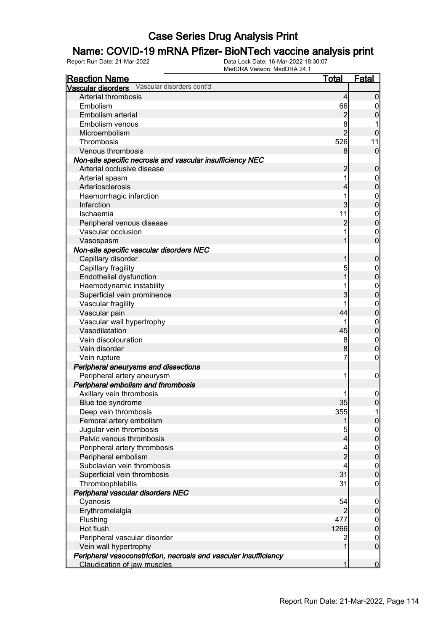#### Name: COVID-19 mRNA Pfizer- BioNTech vaccine analysis print

| <b>Reaction Name</b>                                             | <u>Total</u>             | <b>Fatal</b>     |
|------------------------------------------------------------------|--------------------------|------------------|
| Vascular disorders Vascular disorders cont'd                     |                          |                  |
| Arterial thrombosis                                              | $\overline{4}$           | $\boldsymbol{0}$ |
| Embolism                                                         | 66                       | 0                |
| Embolism arterial                                                | $\overline{a}$           | 0                |
| Embolism venous                                                  | 8                        |                  |
| Microembolism                                                    | $\overline{2}$           | $\mathbf 0$      |
| Thrombosis                                                       | 526                      | 11               |
| Venous thrombosis                                                | 8                        | $\mathbf 0$      |
| Non-site specific necrosis and vascular insufficiency NEC        |                          |                  |
| Arterial occlusive disease                                       | $\overline{c}$           | $\boldsymbol{0}$ |
| Arterial spasm                                                   | 1                        | $\boldsymbol{0}$ |
| Arteriosclerosis                                                 | 4                        | $\overline{0}$   |
| Haemorrhagic infarction                                          | 1                        | $\mathbf{0}$     |
| Infarction                                                       | 3                        | $\overline{0}$   |
| Ischaemia                                                        | 11                       | $\mathbf{0}$     |
| Peripheral venous disease                                        | $\overline{c}$           | $\mathbf 0$      |
| Vascular occlusion                                               | 1                        | $\mathbf 0$      |
| Vasospasm                                                        | 1                        | $\overline{0}$   |
| Non-site specific vascular disorders NEC                         |                          |                  |
| Capillary disorder                                               | 1                        | $\boldsymbol{0}$ |
| Capillary fragility                                              | 5                        | $\mathbf{0}$     |
| Endothelial dysfunction                                          | 1                        | $\overline{0}$   |
| Haemodynamic instability                                         | 1                        | $\mathbf{0}$     |
| Superficial vein prominence                                      | 3                        | $\overline{0}$   |
| Vascular fragility                                               | 1                        | $\mathbf{0}$     |
| Vascular pain                                                    | 44                       | $\overline{0}$   |
| Vascular wall hypertrophy                                        | 1                        | $\mathbf{0}$     |
| Vasodilatation                                                   | 45                       | $\mathbf 0$      |
| Vein discolouration                                              | 8                        | $\mathbf{0}$     |
| Vein disorder                                                    | 8                        | $\mathbf 0$      |
| Vein rupture                                                     | 7                        | $\boldsymbol{0}$ |
| Peripheral aneurysms and dissections                             |                          |                  |
| Peripheral artery aneurysm                                       | 1                        | $\mathbf 0$      |
| Peripheral embolism and thrombosis                               |                          |                  |
| Axillary vein thrombosis                                         |                          | $\boldsymbol{0}$ |
| Blue toe syndrome                                                | 35                       | $\mathbf 0$      |
| Deep vein thrombosis                                             | 355                      | 1                |
| Femoral artery embolism                                          | 1                        | $\overline{0}$   |
| Jugular vein thrombosis                                          | 5                        | $\overline{0}$   |
| Pelvic venous thrombosis                                         | $\overline{4}$           | $\mathbf 0$      |
| Peripheral artery thrombosis                                     | $\overline{\mathcal{L}}$ | $\boldsymbol{0}$ |
| Peripheral embolism                                              | $\overline{2}$           | $\mathbf 0$      |
| Subclavian vein thrombosis                                       | 4                        | $\boldsymbol{0}$ |
| Superficial vein thrombosis                                      | 31                       | $\mathbf 0$      |
| Thrombophlebitis                                                 | 31                       | $\mathbf 0$      |
| Peripheral vascular disorders NEC                                |                          |                  |
| Cyanosis                                                         | 54                       | $\mathbf 0$      |
| Erythromelalgia                                                  | $\overline{2}$           | $\pmb{0}$        |
| Flushing                                                         | 477                      | $\overline{0}$   |
| Hot flush                                                        | 1266                     | $\mathbf 0$      |
| Peripheral vascular disorder                                     | $\overline{c}$           | $\overline{0}$   |
| Vein wall hypertrophy                                            | 1                        | $\boldsymbol{0}$ |
| Peripheral vasoconstriction, necrosis and vascular insufficiency |                          |                  |
| Claudication of jaw muscles                                      | 1                        | $\mathbf 0$      |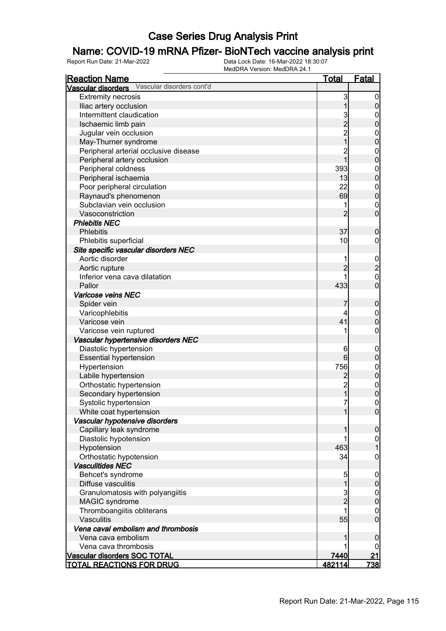#### Name: COVID-19 mRNA Pfizer- BioNTech vaccine analysis print

| <b>Reaction Name</b>                         | <u>Total</u>   | <u>Fatal</u>                     |
|----------------------------------------------|----------------|----------------------------------|
| Vascular disorders Vascular disorders cont'd |                |                                  |
| <b>Extremity necrosis</b>                    | 3              | $\boldsymbol{0}$                 |
| Iliac artery occlusion                       |                | 0                                |
| Intermittent claudication                    | 3              | $\boldsymbol{0}$                 |
| Ischaemic limb pain                          | $\overline{2}$ | 0                                |
| Jugular vein occlusion                       | $\overline{c}$ | $\mathbf{0}$                     |
| May-Thurner syndrome                         | 1              | 0                                |
| Peripheral arterial occlusive disease        | $\overline{c}$ | $\mathbf{0}$                     |
| Peripheral artery occlusion                  | 1              | $\overline{0}$                   |
| Peripheral coldness                          | 393            | $\mathbf{0}$                     |
| Peripheral ischaemia                         | 13             | $\overline{0}$                   |
| Poor peripheral circulation                  | 22             |                                  |
| Raynaud's phenomenon                         | 69             | $\begin{matrix}0\\0\end{matrix}$ |
| Subclavian vein occlusion                    | 1              | $\mathbf 0$                      |
| Vasoconstriction                             | $\overline{2}$ | $\overline{0}$                   |
| <b>Phlebitis NEC</b>                         |                |                                  |
| <b>Phlebitis</b>                             | 37             | 0                                |
| Phlebitis superficial                        | 10             | 0                                |
| Site specific vascular disorders NEC         |                |                                  |
| Aortic disorder                              | 1              |                                  |
| Aortic rupture                               | $\overline{2}$ | $\frac{0}{2}$                    |
| Inferior vena cava dilatation                | 1              | $\overline{0}$                   |
| Pallor                                       | 433            | $\overline{0}$                   |
| Varicose veins NEC                           |                |                                  |
| Spider vein                                  |                | $\boldsymbol{0}$                 |
| Varicophlebitis                              | 4              | $\boldsymbol{0}$                 |
| Varicose vein                                | 41             | $\overline{0}$                   |
| Varicose vein ruptured                       | 1              | 0                                |
| Vascular hypertensive disorders NEC          |                |                                  |
| Diastolic hypertension                       | 6              | $\mathbf 0$                      |
| <b>Essential hypertension</b>                | 6              | $\mathbf 0$                      |
| Hypertension                                 | 756            | $\mathbf{0}$                     |
| Labile hypertension                          | $\overline{c}$ | $\overline{0}$                   |
| Orthostatic hypertension                     | $\overline{c}$ |                                  |
| Secondary hypertension                       | $\overline{1}$ | $\begin{matrix}0\\0\end{matrix}$ |
| Systolic hypertension                        | 7              | $\overline{0}$                   |
| White coat hypertension                      | 1              | 0                                |
| Vascular hypotensive disorders               |                |                                  |
| Capillary leak syndrome                      |                | $\overline{0}$                   |
| Diastolic hypotension                        |                | $\overline{0}$                   |
| Hypotension                                  | 463            | 1                                |
| Orthostatic hypotension                      | 34             | 0                                |
| <b>Vasculitides NEC</b>                      |                |                                  |
| Behcet's syndrome                            | 5              | $\mathbf 0$                      |
| Diffuse vasculitis                           | 1              | 0                                |
| Granulomatosis with polyangiitis             | $\mathbf{3}$   | $\boldsymbol{0}$                 |
| MAGIC syndrome                               | $\overline{2}$ | $\mathbf 0$                      |
| Thromboangiitis obliterans                   |                | 0                                |
| Vasculitis                                   | 55             | $\mathbf 0$                      |
| Vena caval embolism and thrombosis           |                |                                  |
| Vena cava embolism                           |                | 0                                |
| Vena cava thrombosis                         |                | 0                                |
| <b>Vascular disorders SOC TOTAL</b>          | 7440           | 21                               |
| <b>TOTAL REACTIONS FOR DRUG</b>              | <u>482114</u>  | <u>738 </u>                      |